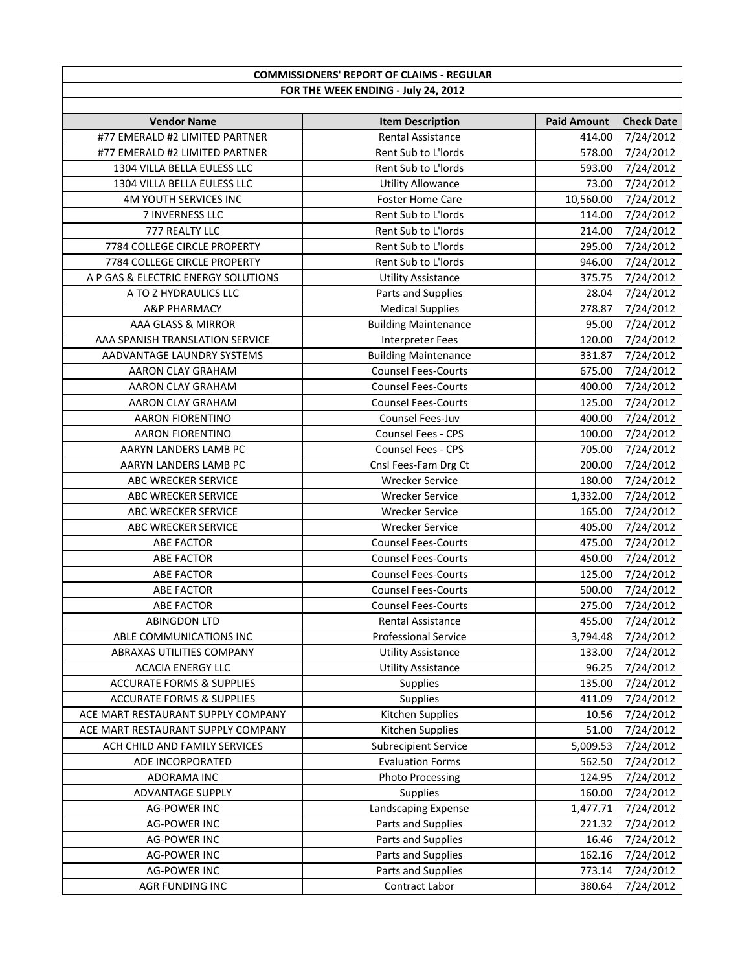| <b>COMMISSIONERS' REPORT OF CLAIMS - REGULAR</b> |                             |                    |                   |
|--------------------------------------------------|-----------------------------|--------------------|-------------------|
| FOR THE WEEK ENDING - July 24, 2012              |                             |                    |                   |
|                                                  |                             |                    |                   |
| <b>Vendor Name</b>                               | <b>Item Description</b>     | <b>Paid Amount</b> | <b>Check Date</b> |
| #77 EMERALD #2 LIMITED PARTNER                   | Rental Assistance           | 414.00             | 7/24/2012         |
| #77 EMERALD #2 LIMITED PARTNER                   | Rent Sub to L'Iords         | 578.00             | 7/24/2012         |
| 1304 VILLA BELLA EULESS LLC                      | Rent Sub to L'Iords         | 593.00             | 7/24/2012         |
| 1304 VILLA BELLA EULESS LLC                      | <b>Utility Allowance</b>    | 73.00              | 7/24/2012         |
| 4M YOUTH SERVICES INC                            | <b>Foster Home Care</b>     | 10,560.00          | 7/24/2012         |
| 7 INVERNESS LLC                                  | Rent Sub to L'Iords         | 114.00             | 7/24/2012         |
| 777 REALTY LLC                                   | Rent Sub to L'Iords         | 214.00             | 7/24/2012         |
| 7784 COLLEGE CIRCLE PROPERTY                     | Rent Sub to L'Iords         | 295.00             | 7/24/2012         |
| 7784 COLLEGE CIRCLE PROPERTY                     | Rent Sub to L'Iords         | 946.00             | 7/24/2012         |
| A P GAS & ELECTRIC ENERGY SOLUTIONS              | <b>Utility Assistance</b>   | 375.75             | 7/24/2012         |
| A TO Z HYDRAULICS LLC                            | Parts and Supplies          | 28.04              | 7/24/2012         |
| <b>A&amp;P PHARMACY</b>                          | <b>Medical Supplies</b>     | 278.87             | 7/24/2012         |
| AAA GLASS & MIRROR                               | <b>Building Maintenance</b> | 95.00              | 7/24/2012         |
| AAA SPANISH TRANSLATION SERVICE                  | <b>Interpreter Fees</b>     | 120.00             | 7/24/2012         |
| AADVANTAGE LAUNDRY SYSTEMS                       | <b>Building Maintenance</b> | 331.87             | 7/24/2012         |
| AARON CLAY GRAHAM                                | <b>Counsel Fees-Courts</b>  | 675.00             | 7/24/2012         |
| AARON CLAY GRAHAM                                | <b>Counsel Fees-Courts</b>  | 400.00             | 7/24/2012         |
| AARON CLAY GRAHAM                                | <b>Counsel Fees-Courts</b>  | 125.00             | 7/24/2012         |
| AARON FIORENTINO                                 | Counsel Fees-Juv            | 400.00             | 7/24/2012         |
| AARON FIORENTINO                                 | Counsel Fees - CPS          | 100.00             | 7/24/2012         |
| AARYN LANDERS LAMB PC                            | Counsel Fees - CPS          | 705.00             | 7/24/2012         |
| AARYN LANDERS LAMB PC                            | Cnsl Fees-Fam Drg Ct        | 200.00             | 7/24/2012         |
| ABC WRECKER SERVICE                              | <b>Wrecker Service</b>      | 180.00             | 7/24/2012         |
| ABC WRECKER SERVICE                              | <b>Wrecker Service</b>      | 1,332.00           | 7/24/2012         |
| ABC WRECKER SERVICE                              | <b>Wrecker Service</b>      | 165.00             | 7/24/2012         |
| ABC WRECKER SERVICE                              | <b>Wrecker Service</b>      | 405.00             | 7/24/2012         |
| <b>ABE FACTOR</b>                                | <b>Counsel Fees-Courts</b>  | 475.00             | 7/24/2012         |
| ABE FACTOR                                       | <b>Counsel Fees-Courts</b>  | 450.00             | 7/24/2012         |
| ABE FACTOR                                       | <b>Counsel Fees-Courts</b>  | 125.00             | 7/24/2012         |
| <b>ABE FACTOR</b>                                | <b>Counsel Fees-Courts</b>  | 500.00             | 7/24/2012         |
| <b>ABE FACTOR</b>                                | <b>Counsel Fees-Courts</b>  | 275.00             | 7/24/2012         |
| <b>ABINGDON LTD</b>                              | Rental Assistance           | 455.00             | 7/24/2012         |
| ABLE COMMUNICATIONS INC                          | <b>Professional Service</b> | 3,794.48           | 7/24/2012         |
| ABRAXAS UTILITIES COMPANY                        | <b>Utility Assistance</b>   | 133.00             | 7/24/2012         |
| <b>ACACIA ENERGY LLC</b>                         | <b>Utility Assistance</b>   | 96.25              | 7/24/2012         |
| <b>ACCURATE FORMS &amp; SUPPLIES</b>             | <b>Supplies</b>             | 135.00             | 7/24/2012         |
| <b>ACCURATE FORMS &amp; SUPPLIES</b>             | Supplies                    | 411.09             | 7/24/2012         |
| ACE MART RESTAURANT SUPPLY COMPANY               | Kitchen Supplies            | 10.56              | 7/24/2012         |
| ACE MART RESTAURANT SUPPLY COMPANY               | Kitchen Supplies            | 51.00              | 7/24/2012         |
| ACH CHILD AND FAMILY SERVICES                    | <b>Subrecipient Service</b> | 5,009.53           | 7/24/2012         |
|                                                  | <b>Evaluation Forms</b>     |                    |                   |
| ADE INCORPORATED                                 |                             | 562.50             | 7/24/2012         |
| ADORAMA INC                                      | <b>Photo Processing</b>     | 124.95             | 7/24/2012         |
| ADVANTAGE SUPPLY                                 | Supplies                    | 160.00             | 7/24/2012         |
| <b>AG-POWER INC</b>                              | Landscaping Expense         | 1,477.71           | 7/24/2012         |
| <b>AG-POWER INC</b>                              | Parts and Supplies          | 221.32             | 7/24/2012         |
| <b>AG-POWER INC</b>                              | Parts and Supplies          | 16.46              | 7/24/2012         |
| <b>AG-POWER INC</b>                              | Parts and Supplies          | 162.16             | 7/24/2012         |
| <b>AG-POWER INC</b>                              | Parts and Supplies          | 773.14             | 7/24/2012         |
| AGR FUNDING INC                                  | Contract Labor              | 380.64             | 7/24/2012         |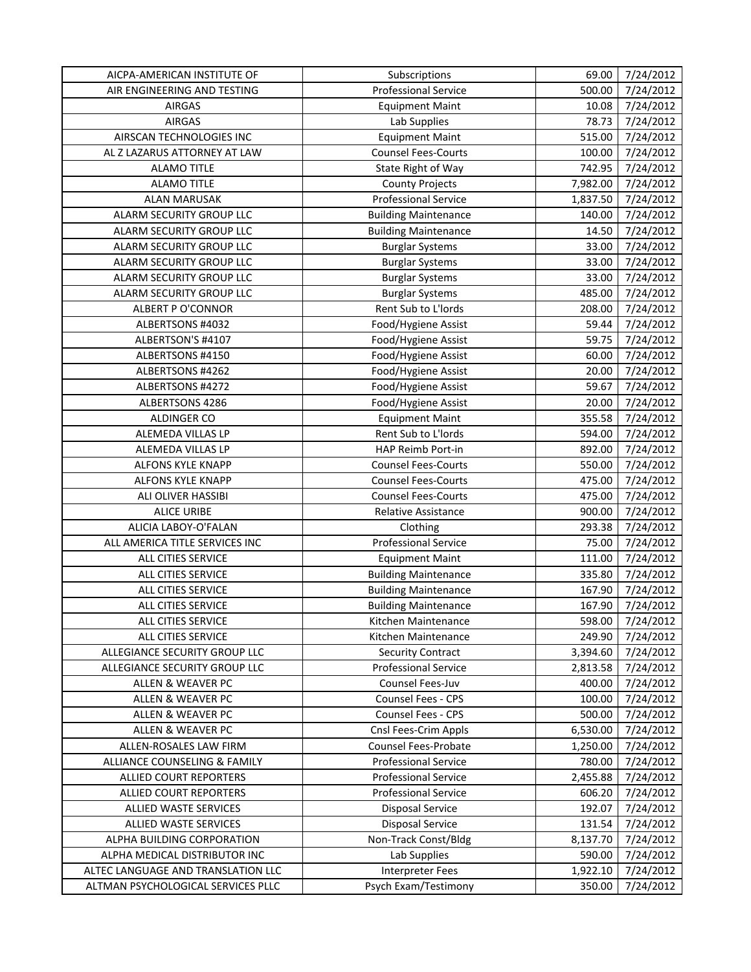| AICPA-AMERICAN INSTITUTE OF        | Subscriptions               | 69.00    | 7/24/2012 |
|------------------------------------|-----------------------------|----------|-----------|
| AIR ENGINEERING AND TESTING        | <b>Professional Service</b> | 500.00   | 7/24/2012 |
| <b>AIRGAS</b>                      | <b>Equipment Maint</b>      | 10.08    | 7/24/2012 |
| <b>AIRGAS</b>                      | Lab Supplies                | 78.73    | 7/24/2012 |
| AIRSCAN TECHNOLOGIES INC           | <b>Equipment Maint</b>      | 515.00   | 7/24/2012 |
| AL Z LAZARUS ATTORNEY AT LAW       | <b>Counsel Fees-Courts</b>  | 100.00   | 7/24/2012 |
| <b>ALAMO TITLE</b>                 | State Right of Way          | 742.95   | 7/24/2012 |
| <b>ALAMO TITLE</b>                 | <b>County Projects</b>      | 7,982.00 | 7/24/2012 |
| <b>ALAN MARUSAK</b>                | <b>Professional Service</b> | 1,837.50 | 7/24/2012 |
| ALARM SECURITY GROUP LLC           | <b>Building Maintenance</b> | 140.00   | 7/24/2012 |
| ALARM SECURITY GROUP LLC           | <b>Building Maintenance</b> | 14.50    | 7/24/2012 |
| ALARM SECURITY GROUP LLC           | <b>Burglar Systems</b>      | 33.00    | 7/24/2012 |
| ALARM SECURITY GROUP LLC           | <b>Burglar Systems</b>      | 33.00    | 7/24/2012 |
| ALARM SECURITY GROUP LLC           | <b>Burglar Systems</b>      | 33.00    | 7/24/2012 |
| ALARM SECURITY GROUP LLC           | <b>Burglar Systems</b>      | 485.00   | 7/24/2012 |
| <b>ALBERT P O'CONNOR</b>           | Rent Sub to L'Iords         | 208.00   | 7/24/2012 |
| ALBERTSONS #4032                   | Food/Hygiene Assist         | 59.44    | 7/24/2012 |
| ALBERTSON'S #4107                  | Food/Hygiene Assist         | 59.75    | 7/24/2012 |
| ALBERTSONS #4150                   | Food/Hygiene Assist         | 60.00    | 7/24/2012 |
| ALBERTSONS #4262                   | Food/Hygiene Assist         | 20.00    | 7/24/2012 |
| ALBERTSONS #4272                   | Food/Hygiene Assist         | 59.67    | 7/24/2012 |
| ALBERTSONS 4286                    | Food/Hygiene Assist         | 20.00    | 7/24/2012 |
| ALDINGER CO                        | <b>Equipment Maint</b>      | 355.58   | 7/24/2012 |
| ALEMEDA VILLAS LP                  | Rent Sub to L'Iords         | 594.00   | 7/24/2012 |
| ALEMEDA VILLAS LP                  | HAP Reimb Port-in           | 892.00   | 7/24/2012 |
| ALFONS KYLE KNAPP                  | <b>Counsel Fees-Courts</b>  | 550.00   | 7/24/2012 |
| ALFONS KYLE KNAPP                  | <b>Counsel Fees-Courts</b>  | 475.00   | 7/24/2012 |
| ALI OLIVER HASSIBI                 | <b>Counsel Fees-Courts</b>  | 475.00   | 7/24/2012 |
| <b>ALICE URIBE</b>                 | Relative Assistance         | 900.00   | 7/24/2012 |
| ALICIA LABOY-O'FALAN               | Clothing                    | 293.38   | 7/24/2012 |
| ALL AMERICA TITLE SERVICES INC     | <b>Professional Service</b> | 75.00    | 7/24/2012 |
| ALL CITIES SERVICE                 | <b>Equipment Maint</b>      | 111.00   | 7/24/2012 |
| ALL CITIES SERVICE                 | <b>Building Maintenance</b> | 335.80   | 7/24/2012 |
| ALL CITIES SERVICE                 | <b>Building Maintenance</b> | 167.90   | 7/24/2012 |
| ALL CITIES SERVICE                 | <b>Building Maintenance</b> | 167.90   | 7/24/2012 |
| ALL CITIES SERVICE                 | Kitchen Maintenance         | 598.00   | 7/24/2012 |
| ALL CITIES SERVICE                 | Kitchen Maintenance         | 249.90   | 7/24/2012 |
| ALLEGIANCE SECURITY GROUP LLC      | <b>Security Contract</b>    | 3,394.60 | 7/24/2012 |
| ALLEGIANCE SECURITY GROUP LLC      | <b>Professional Service</b> | 2,813.58 | 7/24/2012 |
| ALLEN & WEAVER PC                  | Counsel Fees-Juv            | 400.00   | 7/24/2012 |
| ALLEN & WEAVER PC                  | Counsel Fees - CPS          | 100.00   | 7/24/2012 |
| ALLEN & WEAVER PC                  | Counsel Fees - CPS          | 500.00   | 7/24/2012 |
| ALLEN & WEAVER PC                  | Cnsl Fees-Crim Appls        | 6,530.00 | 7/24/2012 |
| ALLEN-ROSALES LAW FIRM             | Counsel Fees-Probate        | 1,250.00 | 7/24/2012 |
| ALLIANCE COUNSELING & FAMILY       | <b>Professional Service</b> | 780.00   | 7/24/2012 |
| ALLIED COURT REPORTERS             | <b>Professional Service</b> | 2,455.88 | 7/24/2012 |
| ALLIED COURT REPORTERS             | <b>Professional Service</b> | 606.20   | 7/24/2012 |
| ALLIED WASTE SERVICES              | <b>Disposal Service</b>     | 192.07   | 7/24/2012 |
| ALLIED WASTE SERVICES              | <b>Disposal Service</b>     | 131.54   | 7/24/2012 |
| ALPHA BUILDING CORPORATION         | Non-Track Const/Bldg        | 8,137.70 | 7/24/2012 |
| ALPHA MEDICAL DISTRIBUTOR INC      | Lab Supplies                | 590.00   | 7/24/2012 |
| ALTEC LANGUAGE AND TRANSLATION LLC | <b>Interpreter Fees</b>     | 1,922.10 | 7/24/2012 |
| ALTMAN PSYCHOLOGICAL SERVICES PLLC | Psych Exam/Testimony        | 350.00   | 7/24/2012 |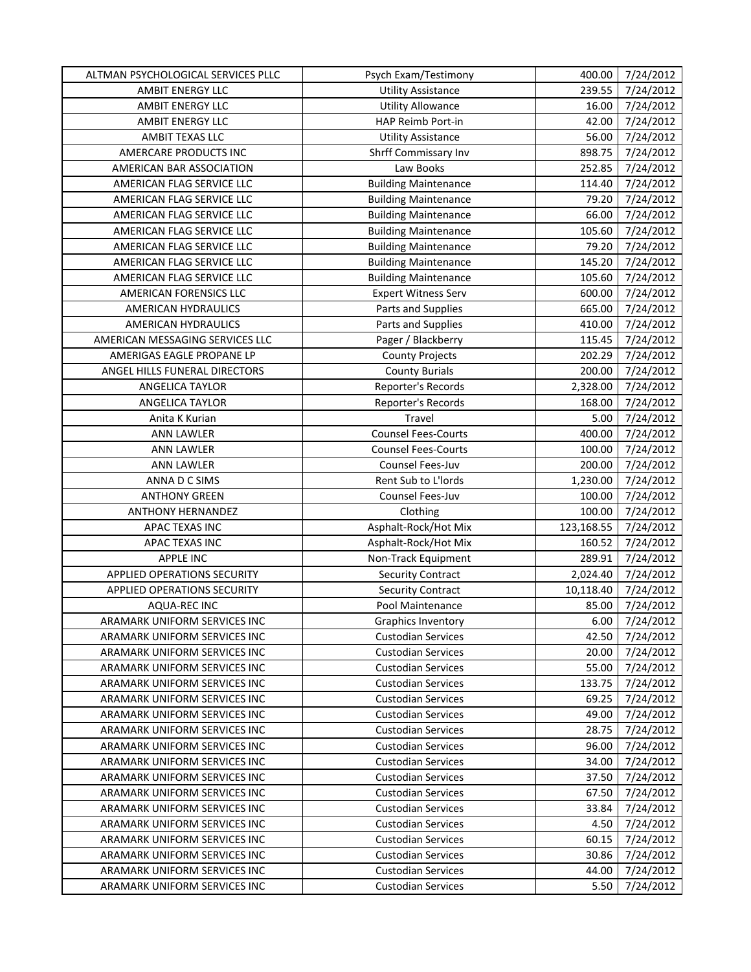| ALTMAN PSYCHOLOGICAL SERVICES PLLC                           | Psych Exam/Testimony        | 400.00             | 7/24/2012              |
|--------------------------------------------------------------|-----------------------------|--------------------|------------------------|
| AMBIT ENERGY LLC                                             | <b>Utility Assistance</b>   | 239.55             | 7/24/2012              |
| AMBIT ENERGY LLC                                             | <b>Utility Allowance</b>    | 16.00              | 7/24/2012              |
| AMBIT ENERGY LLC                                             | HAP Reimb Port-in           | 42.00              | 7/24/2012              |
| AMBIT TEXAS LLC                                              | <b>Utility Assistance</b>   | 56.00              | 7/24/2012              |
| AMERCARE PRODUCTS INC                                        | Shrff Commissary Inv        | 898.75             | 7/24/2012              |
| AMERICAN BAR ASSOCIATION                                     | Law Books                   | 252.85             | 7/24/2012              |
| AMERICAN FLAG SERVICE LLC                                    | <b>Building Maintenance</b> | 114.40             | 7/24/2012              |
| AMERICAN FLAG SERVICE LLC                                    | <b>Building Maintenance</b> | 79.20              | 7/24/2012              |
| AMERICAN FLAG SERVICE LLC                                    | <b>Building Maintenance</b> | 66.00              | 7/24/2012              |
| AMERICAN FLAG SERVICE LLC                                    | <b>Building Maintenance</b> | 105.60             | 7/24/2012              |
| AMERICAN FLAG SERVICE LLC                                    | <b>Building Maintenance</b> | 79.20              | 7/24/2012              |
| AMERICAN FLAG SERVICE LLC                                    | <b>Building Maintenance</b> | 145.20             | 7/24/2012              |
| AMERICAN FLAG SERVICE LLC                                    | <b>Building Maintenance</b> | 105.60             | 7/24/2012              |
| AMERICAN FORENSICS LLC                                       | <b>Expert Witness Serv</b>  | 600.00             | 7/24/2012              |
| AMERICAN HYDRAULICS                                          | Parts and Supplies          | 665.00             | 7/24/2012              |
| AMERICAN HYDRAULICS                                          | Parts and Supplies          | 410.00             | 7/24/2012              |
| AMERICAN MESSAGING SERVICES LLC                              | Pager / Blackberry          | 115.45             | 7/24/2012              |
| AMERIGAS EAGLE PROPANE LP                                    | <b>County Projects</b>      | 202.29             | 7/24/2012              |
| ANGEL HILLS FUNERAL DIRECTORS                                | <b>County Burials</b>       | 200.00             | 7/24/2012              |
| ANGELICA TAYLOR                                              | Reporter's Records          | 2,328.00           | 7/24/2012              |
| <b>ANGELICA TAYLOR</b>                                       | Reporter's Records          | 168.00             | 7/24/2012              |
| Anita K Kurian                                               | Travel                      | 5.00               | 7/24/2012              |
| <b>ANN LAWLER</b>                                            | <b>Counsel Fees-Courts</b>  | 400.00             | 7/24/2012              |
| ANN LAWLER                                                   | <b>Counsel Fees-Courts</b>  | 100.00             | 7/24/2012              |
|                                                              | Counsel Fees-Juv            |                    |                        |
| <b>ANN LAWLER</b><br>ANNA D C SIMS                           | Rent Sub to L'Iords         | 200.00<br>1,230.00 | 7/24/2012              |
| <b>ANTHONY GREEN</b>                                         | Counsel Fees-Juv            | 100.00             | 7/24/2012<br>7/24/2012 |
| <b>ANTHONY HERNANDEZ</b>                                     | Clothing                    | 100.00             | 7/24/2012              |
| APAC TEXAS INC                                               | Asphalt-Rock/Hot Mix        | 123,168.55         | 7/24/2012              |
| APAC TEXAS INC                                               | Asphalt-Rock/Hot Mix        | 160.52             | 7/24/2012              |
| <b>APPLE INC</b>                                             | Non-Track Equipment         | 289.91             | 7/24/2012              |
| APPLIED OPERATIONS SECURITY                                  | <b>Security Contract</b>    | 2,024.40           | 7/24/2012              |
| APPLIED OPERATIONS SECURITY                                  | <b>Security Contract</b>    | 10,118.40          | 7/24/2012              |
| AQUA-REC INC                                                 | Pool Maintenance            | 85.00              | 7/24/2012              |
| ARAMARK UNIFORM SERVICES INC                                 | Graphics Inventory          | 6.00               | 7/24/2012              |
| ARAMARK UNIFORM SERVICES INC                                 | <b>Custodian Services</b>   | 42.50              | 7/24/2012              |
| ARAMARK UNIFORM SERVICES INC                                 | <b>Custodian Services</b>   | 20.00              | 7/24/2012              |
| ARAMARK UNIFORM SERVICES INC                                 | <b>Custodian Services</b>   | 55.00              | 7/24/2012              |
| ARAMARK UNIFORM SERVICES INC                                 | <b>Custodian Services</b>   | 133.75             | 7/24/2012              |
| ARAMARK UNIFORM SERVICES INC                                 | <b>Custodian Services</b>   | 69.25              | 7/24/2012              |
| ARAMARK UNIFORM SERVICES INC                                 | <b>Custodian Services</b>   | 49.00              | 7/24/2012              |
|                                                              |                             |                    |                        |
| ARAMARK UNIFORM SERVICES INC<br>ARAMARK UNIFORM SERVICES INC | <b>Custodian Services</b>   | 28.75              | 7/24/2012              |
|                                                              | <b>Custodian Services</b>   | 96.00              | 7/24/2012              |
| ARAMARK UNIFORM SERVICES INC                                 | <b>Custodian Services</b>   | 34.00              | 7/24/2012              |
| ARAMARK UNIFORM SERVICES INC                                 | <b>Custodian Services</b>   | 37.50              | 7/24/2012              |
| ARAMARK UNIFORM SERVICES INC                                 | <b>Custodian Services</b>   | 67.50              | 7/24/2012              |
| ARAMARK UNIFORM SERVICES INC                                 | <b>Custodian Services</b>   | 33.84              | 7/24/2012              |
| ARAMARK UNIFORM SERVICES INC                                 | <b>Custodian Services</b>   | 4.50               | 7/24/2012              |
| ARAMARK UNIFORM SERVICES INC                                 | <b>Custodian Services</b>   | 60.15              | 7/24/2012              |
| ARAMARK UNIFORM SERVICES INC                                 | <b>Custodian Services</b>   | 30.86<br>44.00     | 7/24/2012              |
| ARAMARK UNIFORM SERVICES INC                                 | <b>Custodian Services</b>   |                    | 7/24/2012              |
| ARAMARK UNIFORM SERVICES INC                                 | <b>Custodian Services</b>   | 5.50               | 7/24/2012              |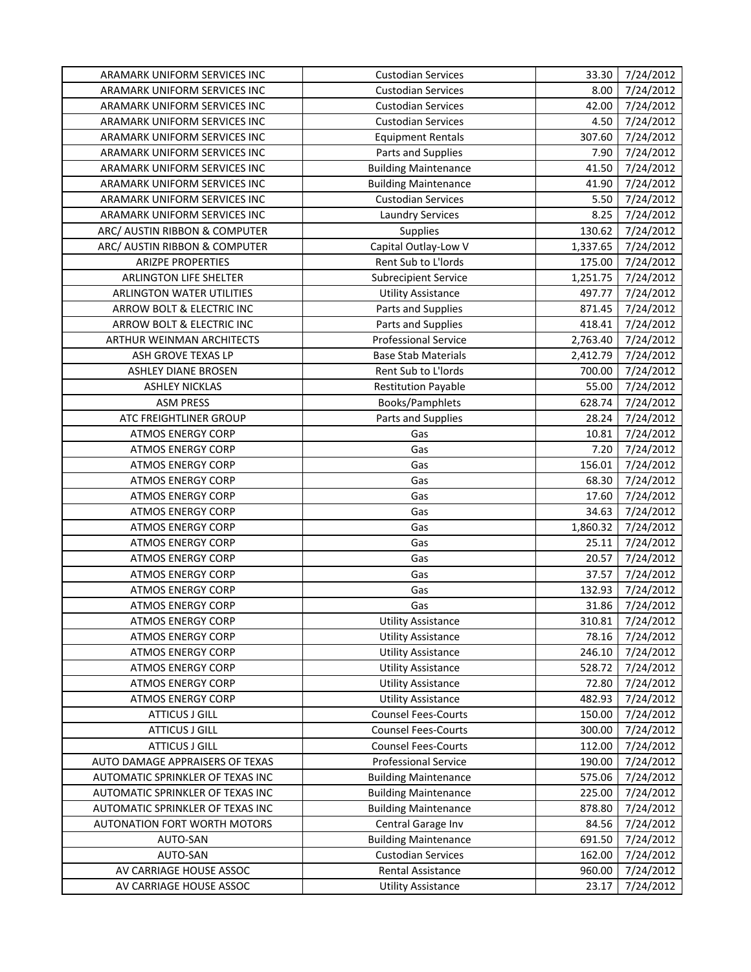| ARAMARK UNIFORM SERVICES INC        | <b>Custodian Services</b>   | 33.30    | 7/24/2012 |
|-------------------------------------|-----------------------------|----------|-----------|
| ARAMARK UNIFORM SERVICES INC        | <b>Custodian Services</b>   | 8.00     | 7/24/2012 |
| ARAMARK UNIFORM SERVICES INC        | <b>Custodian Services</b>   | 42.00    | 7/24/2012 |
| ARAMARK UNIFORM SERVICES INC        | <b>Custodian Services</b>   | 4.50     | 7/24/2012 |
| ARAMARK UNIFORM SERVICES INC        | <b>Equipment Rentals</b>    | 307.60   | 7/24/2012 |
| ARAMARK UNIFORM SERVICES INC        | Parts and Supplies          | 7.90     | 7/24/2012 |
| ARAMARK UNIFORM SERVICES INC        | <b>Building Maintenance</b> | 41.50    | 7/24/2012 |
| ARAMARK UNIFORM SERVICES INC        | <b>Building Maintenance</b> | 41.90    | 7/24/2012 |
| ARAMARK UNIFORM SERVICES INC        | <b>Custodian Services</b>   | 5.50     | 7/24/2012 |
| ARAMARK UNIFORM SERVICES INC        | <b>Laundry Services</b>     | 8.25     | 7/24/2012 |
| ARC/ AUSTIN RIBBON & COMPUTER       | <b>Supplies</b>             | 130.62   | 7/24/2012 |
| ARC/ AUSTIN RIBBON & COMPUTER       | Capital Outlay-Low V        | 1,337.65 | 7/24/2012 |
| <b>ARIZPE PROPERTIES</b>            | Rent Sub to L'Iords         | 175.00   | 7/24/2012 |
| ARLINGTON LIFE SHELTER              | <b>Subrecipient Service</b> | 1,251.75 | 7/24/2012 |
| ARLINGTON WATER UTILITIES           | <b>Utility Assistance</b>   | 497.77   | 7/24/2012 |
| ARROW BOLT & ELECTRIC INC           | Parts and Supplies          | 871.45   | 7/24/2012 |
| ARROW BOLT & ELECTRIC INC           | Parts and Supplies          | 418.41   | 7/24/2012 |
| ARTHUR WEINMAN ARCHITECTS           | <b>Professional Service</b> | 2,763.40 | 7/24/2012 |
| ASH GROVE TEXAS LP                  | <b>Base Stab Materials</b>  | 2,412.79 | 7/24/2012 |
| <b>ASHLEY DIANE BROSEN</b>          | Rent Sub to L'Iords         | 700.00   | 7/24/2012 |
| <b>ASHLEY NICKLAS</b>               | <b>Restitution Payable</b>  | 55.00    | 7/24/2012 |
| <b>ASM PRESS</b>                    | <b>Books/Pamphlets</b>      | 628.74   | 7/24/2012 |
| ATC FREIGHTLINER GROUP              | Parts and Supplies          | 28.24    | 7/24/2012 |
| <b>ATMOS ENERGY CORP</b>            | Gas                         | 10.81    | 7/24/2012 |
| <b>ATMOS ENERGY CORP</b>            | Gas                         | 7.20     | 7/24/2012 |
| <b>ATMOS ENERGY CORP</b>            | Gas                         | 156.01   | 7/24/2012 |
| <b>ATMOS ENERGY CORP</b>            | Gas                         | 68.30    | 7/24/2012 |
| <b>ATMOS ENERGY CORP</b>            | Gas                         | 17.60    | 7/24/2012 |
| <b>ATMOS ENERGY CORP</b>            | Gas                         | 34.63    | 7/24/2012 |
| <b>ATMOS ENERGY CORP</b>            | Gas                         | 1,860.32 | 7/24/2012 |
| <b>ATMOS ENERGY CORP</b>            | Gas                         | 25.11    | 7/24/2012 |
| <b>ATMOS ENERGY CORP</b>            | Gas                         | 20.57    | 7/24/2012 |
| <b>ATMOS ENERGY CORP</b>            | Gas                         | 37.57    | 7/24/2012 |
| <b>ATMOS ENERGY CORP</b>            | Gas                         | 132.93   | 7/24/2012 |
| <b>ATMOS ENERGY CORP</b>            | Gas                         | 31.86    | 7/24/2012 |
| <b>ATMOS ENERGY CORP</b>            | <b>Utility Assistance</b>   | 310.81   | 7/24/2012 |
| <b>ATMOS ENERGY CORP</b>            | <b>Utility Assistance</b>   | 78.16    | 7/24/2012 |
| <b>ATMOS ENERGY CORP</b>            | <b>Utility Assistance</b>   | 246.10   | 7/24/2012 |
| <b>ATMOS ENERGY CORP</b>            | <b>Utility Assistance</b>   | 528.72   | 7/24/2012 |
| <b>ATMOS ENERGY CORP</b>            | <b>Utility Assistance</b>   | 72.80    | 7/24/2012 |
| <b>ATMOS ENERGY CORP</b>            | <b>Utility Assistance</b>   | 482.93   | 7/24/2012 |
| <b>ATTICUS J GILL</b>               | <b>Counsel Fees-Courts</b>  | 150.00   | 7/24/2012 |
| <b>ATTICUS J GILL</b>               | <b>Counsel Fees-Courts</b>  | 300.00   | 7/24/2012 |
| <b>ATTICUS J GILL</b>               | <b>Counsel Fees-Courts</b>  | 112.00   | 7/24/2012 |
| AUTO DAMAGE APPRAISERS OF TEXAS     | <b>Professional Service</b> | 190.00   | 7/24/2012 |
| AUTOMATIC SPRINKLER OF TEXAS INC    | <b>Building Maintenance</b> | 575.06   | 7/24/2012 |
| AUTOMATIC SPRINKLER OF TEXAS INC    | <b>Building Maintenance</b> | 225.00   | 7/24/2012 |
| AUTOMATIC SPRINKLER OF TEXAS INC    | <b>Building Maintenance</b> | 878.80   | 7/24/2012 |
| <b>AUTONATION FORT WORTH MOTORS</b> | Central Garage Inv          | 84.56    | 7/24/2012 |
| AUTO-SAN                            | <b>Building Maintenance</b> | 691.50   | 7/24/2012 |
| AUTO-SAN                            | <b>Custodian Services</b>   | 162.00   | 7/24/2012 |
| AV CARRIAGE HOUSE ASSOC             | Rental Assistance           | 960.00   | 7/24/2012 |
| AV CARRIAGE HOUSE ASSOC             | <b>Utility Assistance</b>   | 23.17    | 7/24/2012 |
|                                     |                             |          |           |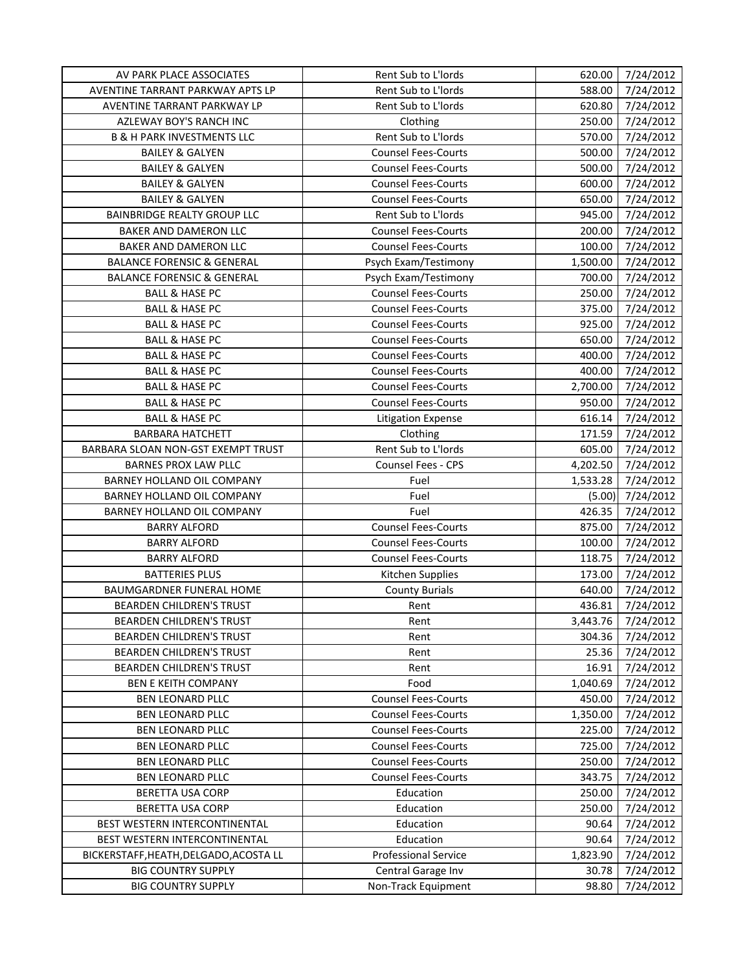| AV PARK PLACE ASSOCIATES               | Rent Sub to L'Iords         | 620.00   | 7/24/2012 |
|----------------------------------------|-----------------------------|----------|-----------|
| AVENTINE TARRANT PARKWAY APTS LP       | Rent Sub to L'Iords         | 588.00   | 7/24/2012 |
| AVENTINE TARRANT PARKWAY LP            | Rent Sub to L'Iords         | 620.80   | 7/24/2012 |
| AZLEWAY BOY'S RANCH INC                | Clothing                    | 250.00   | 7/24/2012 |
| <b>B &amp; H PARK INVESTMENTS LLC</b>  | Rent Sub to L'Iords         | 570.00   | 7/24/2012 |
| <b>BAILEY &amp; GALYEN</b>             | <b>Counsel Fees-Courts</b>  | 500.00   | 7/24/2012 |
| <b>BAILEY &amp; GALYEN</b>             | <b>Counsel Fees-Courts</b>  | 500.00   | 7/24/2012 |
| <b>BAILEY &amp; GALYEN</b>             | <b>Counsel Fees-Courts</b>  | 600.00   | 7/24/2012 |
| <b>BAILEY &amp; GALYEN</b>             | <b>Counsel Fees-Courts</b>  | 650.00   | 7/24/2012 |
| <b>BAINBRIDGE REALTY GROUP LLC</b>     | Rent Sub to L'Iords         | 945.00   | 7/24/2012 |
| BAKER AND DAMERON LLC                  | <b>Counsel Fees-Courts</b>  | 200.00   | 7/24/2012 |
| <b>BAKER AND DAMERON LLC</b>           | <b>Counsel Fees-Courts</b>  | 100.00   | 7/24/2012 |
| <b>BALANCE FORENSIC &amp; GENERAL</b>  | Psych Exam/Testimony        | 1,500.00 | 7/24/2012 |
| <b>BALANCE FORENSIC &amp; GENERAL</b>  | Psych Exam/Testimony        | 700.00   | 7/24/2012 |
| <b>BALL &amp; HASE PC</b>              | <b>Counsel Fees-Courts</b>  | 250.00   | 7/24/2012 |
| <b>BALL &amp; HASE PC</b>              | <b>Counsel Fees-Courts</b>  | 375.00   | 7/24/2012 |
| <b>BALL &amp; HASE PC</b>              | <b>Counsel Fees-Courts</b>  | 925.00   | 7/24/2012 |
| <b>BALL &amp; HASE PC</b>              | <b>Counsel Fees-Courts</b>  | 650.00   | 7/24/2012 |
| <b>BALL &amp; HASE PC</b>              | <b>Counsel Fees-Courts</b>  | 400.00   | 7/24/2012 |
| <b>BALL &amp; HASE PC</b>              | <b>Counsel Fees-Courts</b>  | 400.00   | 7/24/2012 |
| <b>BALL &amp; HASE PC</b>              | <b>Counsel Fees-Courts</b>  | 2,700.00 | 7/24/2012 |
| <b>BALL &amp; HASE PC</b>              | <b>Counsel Fees-Courts</b>  | 950.00   | 7/24/2012 |
| <b>BALL &amp; HASE PC</b>              | <b>Litigation Expense</b>   | 616.14   | 7/24/2012 |
| <b>BARBARA HATCHETT</b>                | Clothing                    | 171.59   | 7/24/2012 |
| BARBARA SLOAN NON-GST EXEMPT TRUST     | Rent Sub to L'Iords         | 605.00   | 7/24/2012 |
| <b>BARNES PROX LAW PLLC</b>            | Counsel Fees - CPS          | 4,202.50 | 7/24/2012 |
| BARNEY HOLLAND OIL COMPANY             | Fuel                        | 1,533.28 | 7/24/2012 |
| BARNEY HOLLAND OIL COMPANY             | Fuel                        | (5.00)   | 7/24/2012 |
| BARNEY HOLLAND OIL COMPANY             | Fuel                        | 426.35   | 7/24/2012 |
| <b>BARRY ALFORD</b>                    | <b>Counsel Fees-Courts</b>  | 875.00   | 7/24/2012 |
| <b>BARRY ALFORD</b>                    | <b>Counsel Fees-Courts</b>  | 100.00   | 7/24/2012 |
| <b>BARRY ALFORD</b>                    | <b>Counsel Fees-Courts</b>  | 118.75   | 7/24/2012 |
| <b>BATTERIES PLUS</b>                  | Kitchen Supplies            | 173.00   | 7/24/2012 |
| BAUMGARDNER FUNERAL HOME               | <b>County Burials</b>       | 640.00   | 7/24/2012 |
| <b>BEARDEN CHILDREN'S TRUST</b>        | Rent                        | 436.81   | 7/24/2012 |
| <b>BEARDEN CHILDREN'S TRUST</b>        | Rent                        | 3,443.76 | 7/24/2012 |
| <b>BEARDEN CHILDREN'S TRUST</b>        | Rent                        | 304.36   | 7/24/2012 |
| <b>BEARDEN CHILDREN'S TRUST</b>        | Rent                        | 25.36    | 7/24/2012 |
| BEARDEN CHILDREN'S TRUST               | Rent                        | 16.91    | 7/24/2012 |
| <b>BEN E KEITH COMPANY</b>             | Food                        | 1,040.69 | 7/24/2012 |
| <b>BEN LEONARD PLLC</b>                | <b>Counsel Fees-Courts</b>  | 450.00   | 7/24/2012 |
| <b>BEN LEONARD PLLC</b>                | <b>Counsel Fees-Courts</b>  | 1,350.00 | 7/24/2012 |
| <b>BEN LEONARD PLLC</b>                | <b>Counsel Fees-Courts</b>  | 225.00   | 7/24/2012 |
| <b>BEN LEONARD PLLC</b>                | <b>Counsel Fees-Courts</b>  | 725.00   | 7/24/2012 |
| BEN LEONARD PLLC                       | <b>Counsel Fees-Courts</b>  | 250.00   | 7/24/2012 |
| BEN LEONARD PLLC                       | <b>Counsel Fees-Courts</b>  | 343.75   | 7/24/2012 |
| BERETTA USA CORP                       | Education                   | 250.00   | 7/24/2012 |
| BERETTA USA CORP                       | Education                   | 250.00   | 7/24/2012 |
| BEST WESTERN INTERCONTINENTAL          | Education                   | 90.64    | 7/24/2012 |
| BEST WESTERN INTERCONTINENTAL          | Education                   | 90.64    | 7/24/2012 |
| BICKERSTAFF, HEATH, DELGADO, ACOSTA LL | <b>Professional Service</b> | 1,823.90 | 7/24/2012 |
| <b>BIG COUNTRY SUPPLY</b>              | Central Garage Inv          | 30.78    | 7/24/2012 |
| <b>BIG COUNTRY SUPPLY</b>              | Non-Track Equipment         | 98.80    | 7/24/2012 |
|                                        |                             |          |           |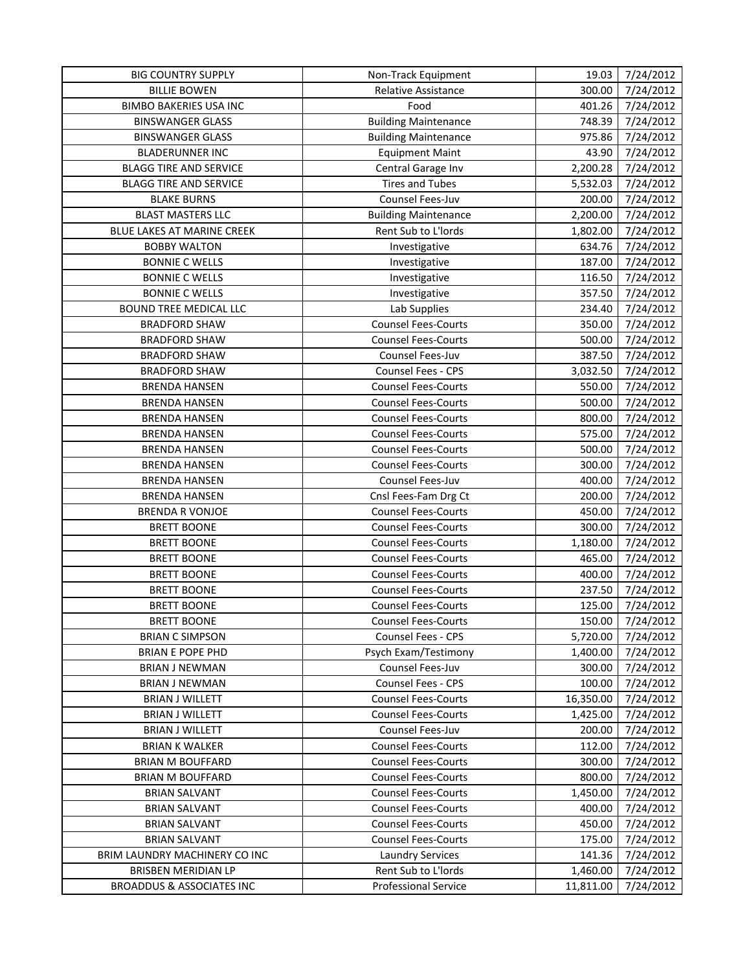| <b>BIG COUNTRY SUPPLY</b>            | Non-Track Equipment         | 19.03     | 7/24/2012 |
|--------------------------------------|-----------------------------|-----------|-----------|
| <b>BILLIE BOWEN</b>                  | Relative Assistance         | 300.00    | 7/24/2012 |
| <b>BIMBO BAKERIES USA INC</b>        | Food                        | 401.26    | 7/24/2012 |
| <b>BINSWANGER GLASS</b>              | <b>Building Maintenance</b> | 748.39    | 7/24/2012 |
| <b>BINSWANGER GLASS</b>              | <b>Building Maintenance</b> | 975.86    | 7/24/2012 |
| <b>BLADERUNNER INC</b>               | <b>Equipment Maint</b>      | 43.90     | 7/24/2012 |
| <b>BLAGG TIRE AND SERVICE</b>        | Central Garage Inv          | 2,200.28  | 7/24/2012 |
| <b>BLAGG TIRE AND SERVICE</b>        | <b>Tires and Tubes</b>      | 5,532.03  | 7/24/2012 |
| <b>BLAKE BURNS</b>                   | <b>Counsel Fees-Juv</b>     | 200.00    | 7/24/2012 |
| <b>BLAST MASTERS LLC</b>             | <b>Building Maintenance</b> | 2,200.00  | 7/24/2012 |
| BLUE LAKES AT MARINE CREEK           | Rent Sub to L'Iords         | 1,802.00  | 7/24/2012 |
| <b>BOBBY WALTON</b>                  | Investigative               | 634.76    | 7/24/2012 |
| <b>BONNIE C WELLS</b>                | Investigative               | 187.00    | 7/24/2012 |
| <b>BONNIE C WELLS</b>                | Investigative               | 116.50    | 7/24/2012 |
| <b>BONNIE C WELLS</b>                | Investigative               | 357.50    | 7/24/2012 |
| BOUND TREE MEDICAL LLC               | Lab Supplies                | 234.40    | 7/24/2012 |
| <b>BRADFORD SHAW</b>                 | <b>Counsel Fees-Courts</b>  | 350.00    | 7/24/2012 |
| <b>BRADFORD SHAW</b>                 | <b>Counsel Fees-Courts</b>  | 500.00    | 7/24/2012 |
| <b>BRADFORD SHAW</b>                 | Counsel Fees-Juv            | 387.50    | 7/24/2012 |
| <b>BRADFORD SHAW</b>                 | Counsel Fees - CPS          | 3,032.50  | 7/24/2012 |
| <b>BRENDA HANSEN</b>                 | <b>Counsel Fees-Courts</b>  | 550.00    | 7/24/2012 |
| <b>BRENDA HANSEN</b>                 | <b>Counsel Fees-Courts</b>  | 500.00    | 7/24/2012 |
| <b>BRENDA HANSEN</b>                 | <b>Counsel Fees-Courts</b>  | 800.00    | 7/24/2012 |
| <b>BRENDA HANSEN</b>                 | <b>Counsel Fees-Courts</b>  | 575.00    | 7/24/2012 |
| <b>BRENDA HANSEN</b>                 | <b>Counsel Fees-Courts</b>  | 500.00    | 7/24/2012 |
| <b>BRENDA HANSEN</b>                 | <b>Counsel Fees-Courts</b>  | 300.00    | 7/24/2012 |
| <b>BRENDA HANSEN</b>                 | Counsel Fees-Juv            | 400.00    | 7/24/2012 |
| <b>BRENDA HANSEN</b>                 | Cnsl Fees-Fam Drg Ct        | 200.00    | 7/24/2012 |
| <b>BRENDA R VONJOE</b>               | <b>Counsel Fees-Courts</b>  | 450.00    | 7/24/2012 |
| <b>BRETT BOONE</b>                   | <b>Counsel Fees-Courts</b>  | 300.00    | 7/24/2012 |
| <b>BRETT BOONE</b>                   | <b>Counsel Fees-Courts</b>  | 1,180.00  | 7/24/2012 |
| <b>BRETT BOONE</b>                   | <b>Counsel Fees-Courts</b>  | 465.00    | 7/24/2012 |
| <b>BRETT BOONE</b>                   | <b>Counsel Fees-Courts</b>  | 400.00    | 7/24/2012 |
| <b>BRETT BOONE</b>                   | <b>Counsel Fees-Courts</b>  | 237.50    | 7/24/2012 |
| <b>BRETT BOONE</b>                   | <b>Counsel Fees-Courts</b>  | 125.00    | 7/24/2012 |
| <b>BRETT BOONE</b>                   | <b>Counsel Fees-Courts</b>  | 150.00    | 7/24/2012 |
| <b>BRIAN C SIMPSON</b>               | Counsel Fees - CPS          | 5,720.00  | 7/24/2012 |
| <b>BRIAN E POPE PHD</b>              | Psych Exam/Testimony        | 1,400.00  | 7/24/2012 |
| <b>BRIAN J NEWMAN</b>                | Counsel Fees-Juv            | 300.00    | 7/24/2012 |
| <b>BRIAN J NEWMAN</b>                | <b>Counsel Fees - CPS</b>   | 100.00    | 7/24/2012 |
| <b>BRIAN J WILLETT</b>               | <b>Counsel Fees-Courts</b>  | 16,350.00 | 7/24/2012 |
| <b>BRIAN J WILLETT</b>               | <b>Counsel Fees-Courts</b>  | 1,425.00  | 7/24/2012 |
| <b>BRIAN J WILLETT</b>               | <b>Counsel Fees-Juv</b>     | 200.00    | 7/24/2012 |
| <b>BRIAN K WALKER</b>                | <b>Counsel Fees-Courts</b>  | 112.00    | 7/24/2012 |
| <b>BRIAN M BOUFFARD</b>              | <b>Counsel Fees-Courts</b>  | 300.00    | 7/24/2012 |
| <b>BRIAN M BOUFFARD</b>              | <b>Counsel Fees-Courts</b>  | 800.00    | 7/24/2012 |
| <b>BRIAN SALVANT</b>                 | <b>Counsel Fees-Courts</b>  | 1,450.00  | 7/24/2012 |
| <b>BRIAN SALVANT</b>                 | <b>Counsel Fees-Courts</b>  | 400.00    | 7/24/2012 |
| <b>BRIAN SALVANT</b>                 | <b>Counsel Fees-Courts</b>  | 450.00    | 7/24/2012 |
| <b>BRIAN SALVANT</b>                 | <b>Counsel Fees-Courts</b>  | 175.00    | 7/24/2012 |
| BRIM LAUNDRY MACHINERY CO INC        | <b>Laundry Services</b>     | 141.36    | 7/24/2012 |
| BRISBEN MERIDIAN LP                  | Rent Sub to L'Iords         | 1,460.00  | 7/24/2012 |
| <b>BROADDUS &amp; ASSOCIATES INC</b> | <b>Professional Service</b> | 11,811.00 | 7/24/2012 |
|                                      |                             |           |           |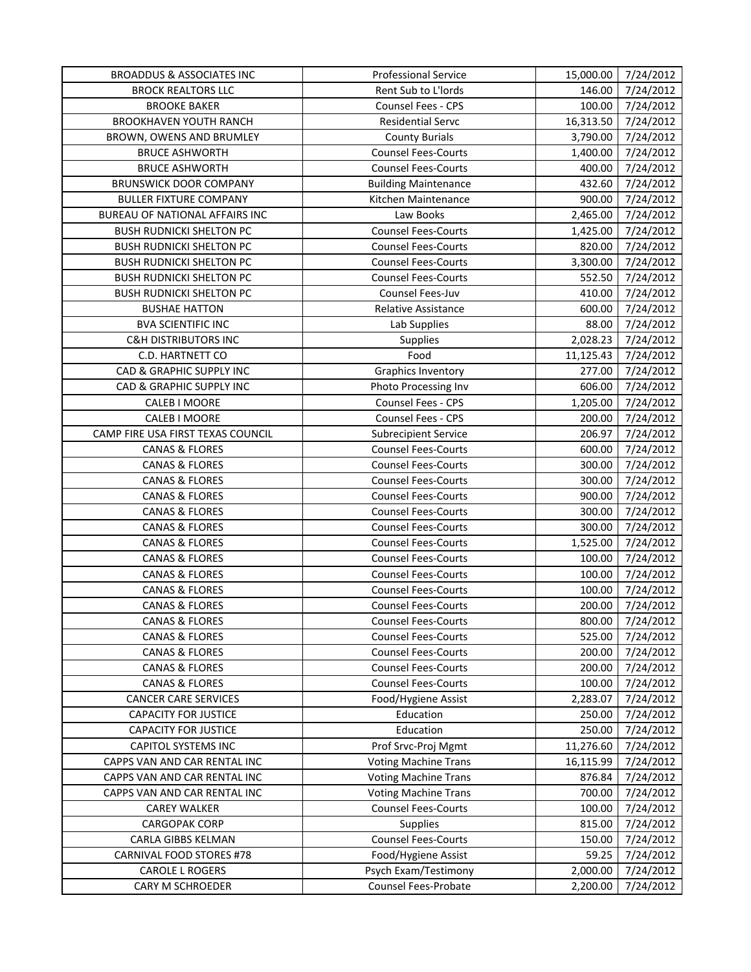| <b>BROADDUS &amp; ASSOCIATES INC</b>        | <b>Professional Service</b> |           | 15,000.00 7/24/2012 |
|---------------------------------------------|-----------------------------|-----------|---------------------|
| <b>BROCK REALTORS LLC</b>                   | Rent Sub to L'Iords         | 146.00    | 7/24/2012           |
| <b>BROOKE BAKER</b>                         | Counsel Fees - CPS          | 100.00    | 7/24/2012           |
| <b>BROOKHAVEN YOUTH RANCH</b>               | <b>Residential Servc</b>    | 16,313.50 | 7/24/2012           |
| BROWN, OWENS AND BRUMLEY                    | <b>County Burials</b>       | 3,790.00  | 7/24/2012           |
| <b>BRUCE ASHWORTH</b>                       | <b>Counsel Fees-Courts</b>  | 1,400.00  | 7/24/2012           |
| <b>BRUCE ASHWORTH</b>                       | <b>Counsel Fees-Courts</b>  | 400.00    | 7/24/2012           |
| <b>BRUNSWICK DOOR COMPANY</b>               | <b>Building Maintenance</b> | 432.60    | 7/24/2012           |
| <b>BULLER FIXTURE COMPANY</b>               | Kitchen Maintenance         | 900.00    | 7/24/2012           |
| BUREAU OF NATIONAL AFFAIRS INC              | Law Books                   | 2,465.00  | 7/24/2012           |
| <b>BUSH RUDNICKI SHELTON PC</b>             | <b>Counsel Fees-Courts</b>  | 1,425.00  | 7/24/2012           |
| <b>BUSH RUDNICKI SHELTON PC</b>             | <b>Counsel Fees-Courts</b>  | 820.00    | 7/24/2012           |
| <b>BUSH RUDNICKI SHELTON PC</b>             | <b>Counsel Fees-Courts</b>  | 3,300.00  | 7/24/2012           |
| <b>BUSH RUDNICKI SHELTON PC</b>             | <b>Counsel Fees-Courts</b>  | 552.50    | 7/24/2012           |
| <b>BUSH RUDNICKI SHELTON PC</b>             | Counsel Fees-Juv            | 410.00    | 7/24/2012           |
| <b>BUSHAE HATTON</b>                        | Relative Assistance         | 600.00    | 7/24/2012           |
| <b>BVA SCIENTIFIC INC</b>                   | Lab Supplies                | 88.00     | 7/24/2012           |
| <b>C&amp;H DISTRIBUTORS INC</b>             | Supplies                    | 2,028.23  | 7/24/2012           |
| C.D. HARTNETT CO                            | Food                        | 11,125.43 | 7/24/2012           |
| CAD & GRAPHIC SUPPLY INC                    | <b>Graphics Inventory</b>   | 277.00    | 7/24/2012           |
| CAD & GRAPHIC SUPPLY INC                    | Photo Processing Inv        | 606.00    | 7/24/2012           |
| CALEB I MOORE                               | Counsel Fees - CPS          | 1,205.00  | 7/24/2012           |
| CALEB I MOORE                               | Counsel Fees - CPS          | 200.00    | 7/24/2012           |
| CAMP FIRE USA FIRST TEXAS COUNCIL           | <b>Subrecipient Service</b> | 206.97    | 7/24/2012           |
| <b>CANAS &amp; FLORES</b>                   | <b>Counsel Fees-Courts</b>  | 600.00    | 7/24/2012           |
| <b>CANAS &amp; FLORES</b>                   | <b>Counsel Fees-Courts</b>  | 300.00    | 7/24/2012           |
| <b>CANAS &amp; FLORES</b>                   | <b>Counsel Fees-Courts</b>  | 300.00    | 7/24/2012           |
| <b>CANAS &amp; FLORES</b>                   | <b>Counsel Fees-Courts</b>  | 900.00    | 7/24/2012           |
| <b>CANAS &amp; FLORES</b>                   | <b>Counsel Fees-Courts</b>  | 300.00    | 7/24/2012           |
| <b>CANAS &amp; FLORES</b>                   | <b>Counsel Fees-Courts</b>  | 300.00    | 7/24/2012           |
| <b>CANAS &amp; FLORES</b>                   | <b>Counsel Fees-Courts</b>  | 1,525.00  | 7/24/2012           |
| <b>CANAS &amp; FLORES</b>                   | <b>Counsel Fees-Courts</b>  | 100.00    | 7/24/2012           |
| <b>CANAS &amp; FLORES</b>                   | <b>Counsel Fees-Courts</b>  | 100.00    | 7/24/2012           |
| <b>CANAS &amp; FLORES</b>                   | <b>Counsel Fees-Courts</b>  | 100.00    | 7/24/2012           |
| <b>CANAS &amp; FLORES</b>                   | <b>Counsel Fees-Courts</b>  | 200.00    | 7/24/2012           |
| <b>CANAS &amp; FLORES</b>                   | <b>Counsel Fees-Courts</b>  | 800.00    | 7/24/2012           |
| <b>CANAS &amp; FLORES</b>                   | <b>Counsel Fees-Courts</b>  | 525.00    | 7/24/2012           |
| <b>CANAS &amp; FLORES</b>                   | <b>Counsel Fees-Courts</b>  | 200.00    | 7/24/2012           |
| <b>CANAS &amp; FLORES</b>                   | <b>Counsel Fees-Courts</b>  | 200.00    | 7/24/2012           |
| <b>CANAS &amp; FLORES</b>                   | <b>Counsel Fees-Courts</b>  | 100.00    | 7/24/2012           |
| <b>CANCER CARE SERVICES</b>                 | Food/Hygiene Assist         | 2,283.07  | 7/24/2012           |
| <b>CAPACITY FOR JUSTICE</b>                 | Education                   | 250.00    | 7/24/2012           |
| <b>CAPACITY FOR JUSTICE</b>                 | Education                   | 250.00    | 7/24/2012           |
| <b>CAPITOL SYSTEMS INC</b>                  | Prof Srvc-Proj Mgmt         | 11,276.60 | 7/24/2012           |
| CAPPS VAN AND CAR RENTAL INC                | <b>Voting Machine Trans</b> | 16,115.99 | 7/24/2012           |
| CAPPS VAN AND CAR RENTAL INC                | <b>Voting Machine Trans</b> | 876.84    | 7/24/2012           |
|                                             | <b>Voting Machine Trans</b> | 700.00    | 7/24/2012           |
| CAPPS VAN AND CAR RENTAL INC                | <b>Counsel Fees-Courts</b>  | 100.00    | 7/24/2012           |
| <b>CAREY WALKER</b><br><b>CARGOPAK CORP</b> | Supplies                    | 815.00    | 7/24/2012           |
| CARLA GIBBS KELMAN                          | <b>Counsel Fees-Courts</b>  | 150.00    | 7/24/2012           |
| CARNIVAL FOOD STORES #78                    | Food/Hygiene Assist         | 59.25     | 7/24/2012           |
| CAROLE L ROGERS                             | Psych Exam/Testimony        | 2,000.00  | 7/24/2012           |
|                                             | Counsel Fees-Probate        |           |                     |
| CARY M SCHROEDER                            |                             | 2,200.00  | 7/24/2012           |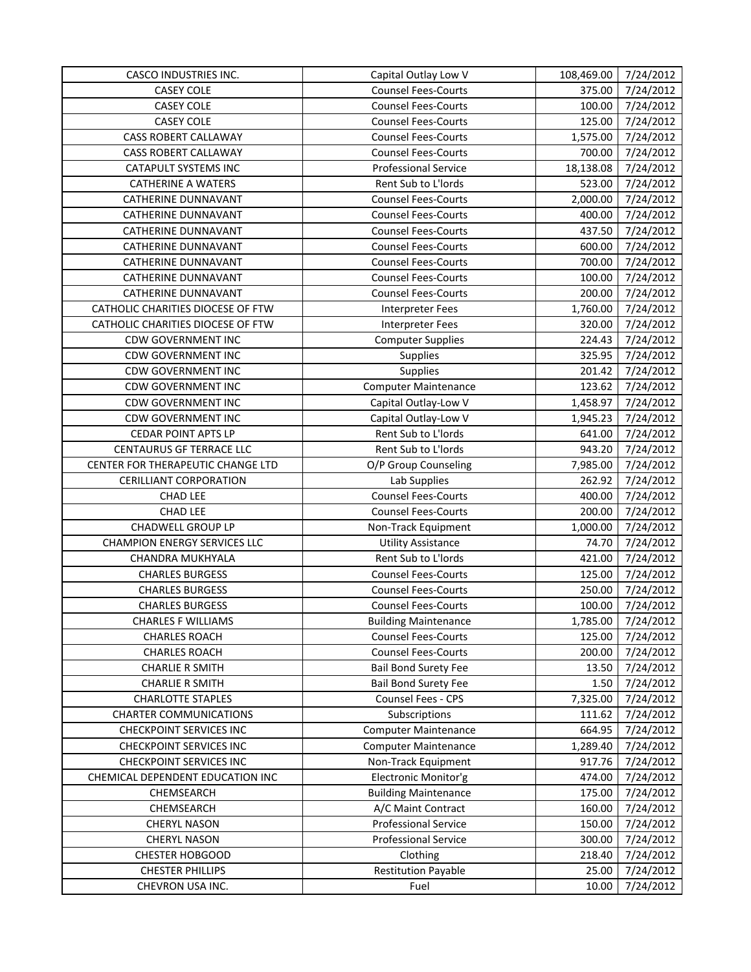| <b>CASCO INDUSTRIES INC.</b>        | Capital Outlay Low V        | 108,469.00 | 7/24/2012             |
|-------------------------------------|-----------------------------|------------|-----------------------|
| <b>CASEY COLE</b>                   | <b>Counsel Fees-Courts</b>  | 375.00     | 7/24/2012             |
| <b>CASEY COLE</b>                   | <b>Counsel Fees-Courts</b>  | 100.00     | 7/24/2012             |
| <b>CASEY COLE</b>                   | <b>Counsel Fees-Courts</b>  | 125.00     | 7/24/2012             |
| CASS ROBERT CALLAWAY                | <b>Counsel Fees-Courts</b>  | 1,575.00   | 7/24/2012             |
| CASS ROBERT CALLAWAY                | <b>Counsel Fees-Courts</b>  | 700.00     | 7/24/2012             |
| <b>CATAPULT SYSTEMS INC</b>         | <b>Professional Service</b> | 18,138.08  | 7/24/2012             |
| <b>CATHERINE A WATERS</b>           | Rent Sub to L'Iords         | 523.00     | 7/24/2012             |
| <b>CATHERINE DUNNAVANT</b>          | <b>Counsel Fees-Courts</b>  | 2,000.00   | 7/24/2012             |
| CATHERINE DUNNAVANT                 | <b>Counsel Fees-Courts</b>  | 400.00     | 7/24/2012             |
| <b>CATHERINE DUNNAVANT</b>          | <b>Counsel Fees-Courts</b>  | 437.50     | 7/24/2012             |
| CATHERINE DUNNAVANT                 | <b>Counsel Fees-Courts</b>  | 600.00     | 7/24/2012             |
| <b>CATHERINE DUNNAVANT</b>          | <b>Counsel Fees-Courts</b>  | 700.00     | 7/24/2012             |
| <b>CATHERINE DUNNAVANT</b>          | <b>Counsel Fees-Courts</b>  | 100.00     | 7/24/2012             |
| <b>CATHERINE DUNNAVANT</b>          | <b>Counsel Fees-Courts</b>  | 200.00     | 7/24/2012             |
| CATHOLIC CHARITIES DIOCESE OF FTW   | <b>Interpreter Fees</b>     | 1,760.00   | 7/24/2012             |
| CATHOLIC CHARITIES DIOCESE OF FTW   | <b>Interpreter Fees</b>     | 320.00     | 7/24/2012             |
| <b>CDW GOVERNMENT INC</b>           | <b>Computer Supplies</b>    | 224.43     | 7/24/2012             |
| <b>CDW GOVERNMENT INC</b>           | <b>Supplies</b>             | 325.95     | 7/24/2012             |
| <b>CDW GOVERNMENT INC</b>           | Supplies                    | 201.42     | 7/24/2012             |
| <b>CDW GOVERNMENT INC</b>           | <b>Computer Maintenance</b> | 123.62     | 7/24/2012             |
| <b>CDW GOVERNMENT INC</b>           | Capital Outlay-Low V        | 1,458.97   | 7/24/2012             |
| <b>CDW GOVERNMENT INC</b>           | Capital Outlay-Low V        | 1,945.23   | 7/24/2012             |
| <b>CEDAR POINT APTS LP</b>          | Rent Sub to L'Iords         | 641.00     | 7/24/2012             |
| CENTAURUS GF TERRACE LLC            | Rent Sub to L'Iords         | 943.20     | 7/24/2012             |
| CENTER FOR THERAPEUTIC CHANGE LTD   | O/P Group Counseling        | 7,985.00   | 7/24/2012             |
| <b>CERILLIANT CORPORATION</b>       | Lab Supplies                | 262.92     | 7/24/2012             |
| <b>CHAD LEE</b>                     | <b>Counsel Fees-Courts</b>  | 400.00     | 7/24/2012             |
| <b>CHAD LEE</b>                     | <b>Counsel Fees-Courts</b>  | 200.00     | $\frac{1}{7}/24/2012$ |
| CHADWELL GROUP LP                   | Non-Track Equipment         | 1,000.00   | 7/24/2012             |
| <b>CHAMPION ENERGY SERVICES LLC</b> | <b>Utility Assistance</b>   | 74.70      | 7/24/2012             |
| CHANDRA MUKHYALA                    | Rent Sub to L'Iords         | 421.00     | 7/24/2012             |
| <b>CHARLES BURGESS</b>              | <b>Counsel Fees-Courts</b>  | 125.00     | 7/24/2012             |
| <b>CHARLES BURGESS</b>              | <b>Counsel Fees-Courts</b>  | 250.00     | 7/24/2012             |
| <b>CHARLES BURGESS</b>              | <b>Counsel Fees-Courts</b>  | 100.00     | 7/24/2012             |
| <b>CHARLES F WILLIAMS</b>           | <b>Building Maintenance</b> | 1,785.00   | 7/24/2012             |
| <b>CHARLES ROACH</b>                | <b>Counsel Fees-Courts</b>  | 125.00     | 7/24/2012             |
| <b>CHARLES ROACH</b>                | <b>Counsel Fees-Courts</b>  | 200.00     | 7/24/2012             |
| <b>CHARLIE R SMITH</b>              | <b>Bail Bond Surety Fee</b> | 13.50      | 7/24/2012             |
| <b>CHARLIE R SMITH</b>              | <b>Bail Bond Surety Fee</b> | 1.50       | 7/24/2012             |
| <b>CHARLOTTE STAPLES</b>            | Counsel Fees - CPS          | 7,325.00   | 7/24/2012             |
| <b>CHARTER COMMUNICATIONS</b>       | Subscriptions               | 111.62     | 7/24/2012             |
| <b>CHECKPOINT SERVICES INC</b>      | <b>Computer Maintenance</b> | 664.95     | 7/24/2012             |
| <b>CHECKPOINT SERVICES INC</b>      | <b>Computer Maintenance</b> | 1,289.40   | 7/24/2012             |
| <b>CHECKPOINT SERVICES INC</b>      | Non-Track Equipment         | 917.76     | 7/24/2012             |
| CHEMICAL DEPENDENT EDUCATION INC    | Electronic Monitor'g        | 474.00     | 7/24/2012             |
| CHEMSEARCH                          | <b>Building Maintenance</b> | 175.00     | 7/24/2012             |
| CHEMSEARCH                          | A/C Maint Contract          | 160.00     | 7/24/2012             |
| <b>CHERYL NASON</b>                 | <b>Professional Service</b> | 150.00     | 7/24/2012             |
| <b>CHERYL NASON</b>                 | <b>Professional Service</b> | 300.00     | 7/24/2012             |
| <b>CHESTER HOBGOOD</b>              | Clothing                    | 218.40     | 7/24/2012             |
| <b>CHESTER PHILLIPS</b>             | <b>Restitution Payable</b>  | 25.00      | 7/24/2012             |
| CHEVRON USA INC.                    | Fuel                        | 10.00      | 7/24/2012             |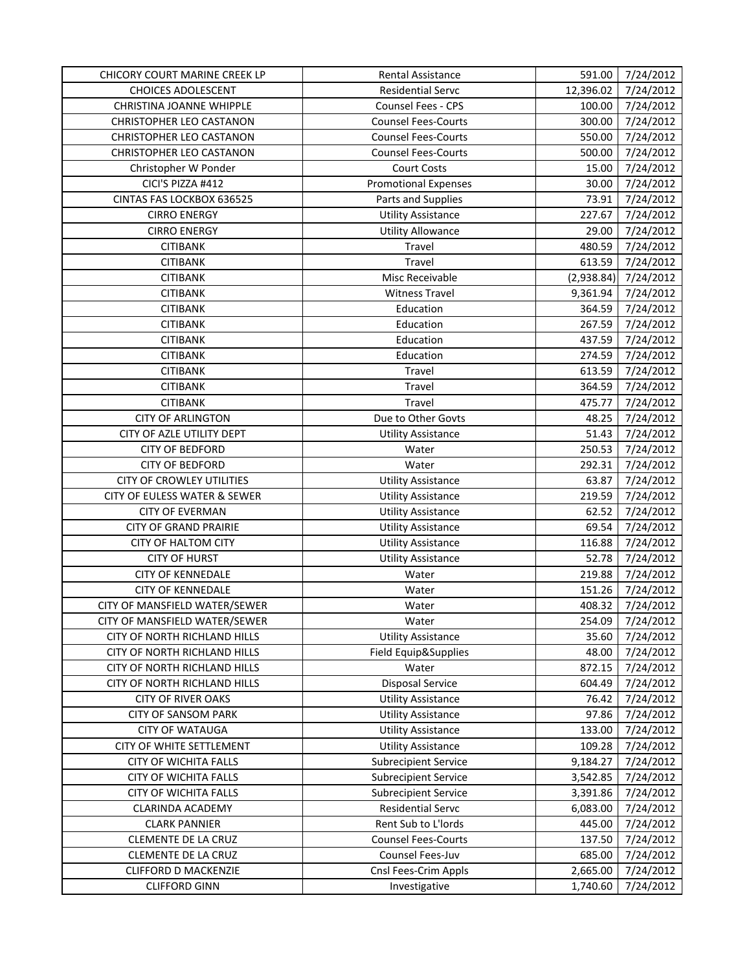| CHICORY COURT MARINE CREEK LP   | Rental Assistance           | 591.00     | 7/24/2012 |
|---------------------------------|-----------------------------|------------|-----------|
| <b>CHOICES ADOLESCENT</b>       | <b>Residential Servc</b>    | 12,396.02  | 7/24/2012 |
| CHRISTINA JOANNE WHIPPLE        | Counsel Fees - CPS          | 100.00     | 7/24/2012 |
| <b>CHRISTOPHER LEO CASTANON</b> | <b>Counsel Fees-Courts</b>  | 300.00     | 7/24/2012 |
| CHRISTOPHER LEO CASTANON        | <b>Counsel Fees-Courts</b>  | 550.00     | 7/24/2012 |
| CHRISTOPHER LEO CASTANON        | <b>Counsel Fees-Courts</b>  | 500.00     | 7/24/2012 |
| Christopher W Ponder            | <b>Court Costs</b>          | 15.00      | 7/24/2012 |
| CICI'S PIZZA #412               | <b>Promotional Expenses</b> | 30.00      | 7/24/2012 |
| CINTAS FAS LOCKBOX 636525       | Parts and Supplies          | 73.91      | 7/24/2012 |
| <b>CIRRO ENERGY</b>             | <b>Utility Assistance</b>   | 227.67     | 7/24/2012 |
| <b>CIRRO ENERGY</b>             | <b>Utility Allowance</b>    | 29.00      | 7/24/2012 |
| <b>CITIBANK</b>                 | Travel                      | 480.59     | 7/24/2012 |
| <b>CITIBANK</b>                 | Travel                      | 613.59     | 7/24/2012 |
| <b>CITIBANK</b>                 | Misc Receivable             | (2,938.84) | 7/24/2012 |
| <b>CITIBANK</b>                 | <b>Witness Travel</b>       | 9,361.94   | 7/24/2012 |
| <b>CITIBANK</b>                 | Education                   | 364.59     | 7/24/2012 |
| <b>CITIBANK</b>                 | Education                   | 267.59     | 7/24/2012 |
| <b>CITIBANK</b>                 | Education                   | 437.59     | 7/24/2012 |
| <b>CITIBANK</b>                 | Education                   | 274.59     | 7/24/2012 |
| <b>CITIBANK</b>                 | Travel                      | 613.59     | 7/24/2012 |
| <b>CITIBANK</b>                 | Travel                      | 364.59     | 7/24/2012 |
| <b>CITIBANK</b>                 | Travel                      | 475.77     | 7/24/2012 |
| <b>CITY OF ARLINGTON</b>        | Due to Other Govts          | 48.25      | 7/24/2012 |
| CITY OF AZLE UTILITY DEPT       | <b>Utility Assistance</b>   | 51.43      | 7/24/2012 |
| <b>CITY OF BEDFORD</b>          | Water                       | 250.53     | 7/24/2012 |
| <b>CITY OF BEDFORD</b>          | Water                       | 292.31     | 7/24/2012 |
| CITY OF CROWLEY UTILITIES       | <b>Utility Assistance</b>   | 63.87      | 7/24/2012 |
| CITY OF EULESS WATER & SEWER    | <b>Utility Assistance</b>   | 219.59     | 7/24/2012 |
| <b>CITY OF EVERMAN</b>          | <b>Utility Assistance</b>   | 62.52      | 7/24/2012 |
| <b>CITY OF GRAND PRAIRIE</b>    | <b>Utility Assistance</b>   | 69.54      | 7/24/2012 |
| <b>CITY OF HALTOM CITY</b>      | <b>Utility Assistance</b>   | 116.88     | 7/24/2012 |
| <b>CITY OF HURST</b>            | <b>Utility Assistance</b>   | 52.78      | 7/24/2012 |
| <b>CITY OF KENNEDALE</b>        | Water                       | 219.88     | 7/24/2012 |
| <b>CITY OF KENNEDALE</b>        | Water                       | 151.26     | 7/24/2012 |
| CITY OF MANSFIELD WATER/SEWER   | Water                       | 408.32     | 7/24/2012 |
| CITY OF MANSFIELD WATER/SEWER   | Water                       | 254.09     | 7/24/2012 |
| CITY OF NORTH RICHLAND HILLS    | <b>Utility Assistance</b>   | 35.60      | 7/24/2012 |
| CITY OF NORTH RICHLAND HILLS    | Field Equip&Supplies        | 48.00      | 7/24/2012 |
| CITY OF NORTH RICHLAND HILLS    | Water                       | 872.15     | 7/24/2012 |
| CITY OF NORTH RICHLAND HILLS    | <b>Disposal Service</b>     | 604.49     | 7/24/2012 |
| <b>CITY OF RIVER OAKS</b>       | <b>Utility Assistance</b>   | 76.42      | 7/24/2012 |
| <b>CITY OF SANSOM PARK</b>      | <b>Utility Assistance</b>   | 97.86      | 7/24/2012 |
| <b>CITY OF WATAUGA</b>          | <b>Utility Assistance</b>   | 133.00     | 7/24/2012 |
| CITY OF WHITE SETTLEMENT        | <b>Utility Assistance</b>   | 109.28     | 7/24/2012 |
| <b>CITY OF WICHITA FALLS</b>    | <b>Subrecipient Service</b> | 9,184.27   | 7/24/2012 |
| CITY OF WICHITA FALLS           | <b>Subrecipient Service</b> | 3,542.85   | 7/24/2012 |
| <b>CITY OF WICHITA FALLS</b>    | <b>Subrecipient Service</b> | 3,391.86   | 7/24/2012 |
| CLARINDA ACADEMY                | Residential Servc           | 6,083.00   | 7/24/2012 |
| <b>CLARK PANNIER</b>            | Rent Sub to L'Iords         | 445.00     | 7/24/2012 |
| <b>CLEMENTE DE LA CRUZ</b>      | <b>Counsel Fees-Courts</b>  | 137.50     | 7/24/2012 |
| CLEMENTE DE LA CRUZ             | Counsel Fees-Juv            | 685.00     | 7/24/2012 |
| <b>CLIFFORD D MACKENZIE</b>     | Cnsl Fees-Crim Appls        | 2,665.00   | 7/24/2012 |
| <b>CLIFFORD GINN</b>            | Investigative               | 1,740.60   | 7/24/2012 |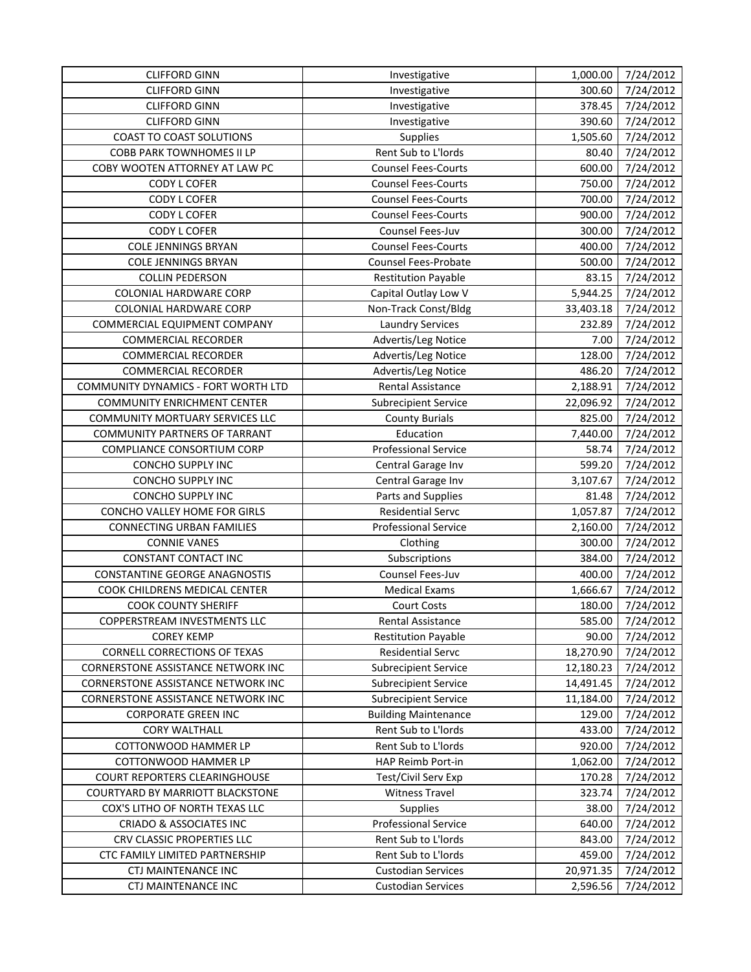| 7/24/2012<br><b>CLIFFORD GINN</b><br>Investigative<br>300.60<br><b>CLIFFORD GINN</b><br>378.45<br>7/24/2012<br>Investigative<br>7/24/2012<br><b>CLIFFORD GINN</b><br>390.60<br>Investigative<br><b>COAST TO COAST SOLUTIONS</b><br>7/24/2012<br>Supplies<br>1,505.60<br>Rent Sub to L'Iords<br>7/24/2012<br>COBB PARK TOWNHOMES II LP<br>80.40<br>COBY WOOTEN ATTORNEY AT LAW PC<br><b>Counsel Fees-Courts</b><br>600.00<br>7/24/2012<br>7/24/2012<br>CODY L COFER<br><b>Counsel Fees-Courts</b><br>750.00<br>CODY L COFER<br><b>Counsel Fees-Courts</b><br>700.00<br>7/24/2012<br><b>Counsel Fees-Courts</b><br>900.00<br>7/24/2012<br>CODY L COFER<br>Counsel Fees-Juv<br><b>CODY L COFER</b><br>300.00<br>7/24/2012<br><b>Counsel Fees-Courts</b><br>7/24/2012<br><b>COLE JENNINGS BRYAN</b><br>400.00<br>7/24/2012<br><b>COLE JENNINGS BRYAN</b><br>Counsel Fees-Probate<br>500.00<br>7/24/2012<br>83.15<br><b>COLLIN PEDERSON</b><br><b>Restitution Payable</b><br>Capital Outlay Low V<br>5,944.25<br>7/24/2012<br><b>COLONIAL HARDWARE CORP</b><br>Non-Track Const/Bldg<br><b>COLONIAL HARDWARE CORP</b><br>33,403.18<br>7/24/2012<br>7/24/2012<br>COMMERCIAL EQUIPMENT COMPANY<br><b>Laundry Services</b><br>232.89<br>Advertis/Leg Notice<br>7/24/2012<br><b>COMMERCIAL RECORDER</b><br>7.00<br>Advertis/Leg Notice<br>128.00<br>7/24/2012<br><b>COMMERCIAL RECORDER</b><br>486.20<br>7/24/2012<br><b>COMMERCIAL RECORDER</b><br>Advertis/Leg Notice<br>COMMUNITY DYNAMICS - FORT WORTH LTD<br><b>Rental Assistance</b><br>2,188.91<br>7/24/2012<br><b>COMMUNITY ENRICHMENT CENTER</b><br>7/24/2012<br><b>Subrecipient Service</b><br>22,096.92<br><b>COMMUNITY MORTUARY SERVICES LLC</b><br>825.00<br>7/24/2012<br><b>County Burials</b><br>7,440.00<br>7/24/2012<br><b>COMMUNITY PARTNERS OF TARRANT</b><br>Education<br><b>Professional Service</b><br>COMPLIANCE CONSORTIUM CORP<br>58.74<br>7/24/2012<br>CONCHO SUPPLY INC<br>599.20<br>7/24/2012<br>Central Garage Inv<br>CONCHO SUPPLY INC<br>3,107.67<br>7/24/2012<br>Central Garage Inv<br>CONCHO SUPPLY INC<br>Parts and Supplies<br>81.48<br>7/24/2012<br>CONCHO VALLEY HOME FOR GIRLS<br><b>Residential Servc</b><br>7/24/2012<br>1,057.87<br>7/24/2012<br><b>CONNECTING URBAN FAMILIES</b><br><b>Professional Service</b><br>2,160.00<br>7/24/2012<br><b>CONNIE VANES</b><br>Clothing<br>300.00<br>CONSTANT CONTACT INC<br>Subscriptions<br>384.00<br>7/24/2012<br>Counsel Fees-Juv<br>7/24/2012<br><b>CONSTANTINE GEORGE ANAGNOSTIS</b><br>400.00<br>COOK CHILDRENS MEDICAL CENTER<br><b>Medical Exams</b><br>1,666.67<br>7/24/2012<br>7/24/2012<br><b>COOK COUNTY SHERIFF</b><br><b>Court Costs</b><br>180.00<br>COPPERSTREAM INVESTMENTS LLC<br>Rental Assistance<br>585.00<br>7/24/2012<br>90.00<br>7/24/2012<br><b>COREY KEMP</b><br><b>Restitution Payable</b><br>CORNELL CORRECTIONS OF TEXAS<br><b>Residential Servc</b><br>7/24/2012<br>18,270.90<br><b>CORNERSTONE ASSISTANCE NETWORK INC</b><br><b>Subrecipient Service</b><br>12,180.23<br>7/24/2012<br>CORNERSTONE ASSISTANCE NETWORK INC<br><b>Subrecipient Service</b><br>14,491.45<br>7/24/2012<br>CORNERSTONE ASSISTANCE NETWORK INC<br><b>Subrecipient Service</b><br>11,184.00<br>7/24/2012<br><b>CORPORATE GREEN INC</b><br><b>Building Maintenance</b><br>129.00<br>7/24/2012<br>Rent Sub to L'Iords<br>433.00<br>7/24/2012<br><b>CORY WALTHALL</b><br>Rent Sub to L'Iords<br><b>COTTONWOOD HAMMER LP</b><br>920.00<br>7/24/2012<br>HAP Reimb Port-in<br>COTTONWOOD HAMMER LP<br>1,062.00<br>7/24/2012<br>Test/Civil Serv Exp<br>COURT REPORTERS CLEARINGHOUSE<br>170.28<br>7/24/2012<br>COURTYARD BY MARRIOTT BLACKSTONE<br><b>Witness Travel</b><br>323.74<br>7/24/2012<br>38.00<br>COX'S LITHO OF NORTH TEXAS LLC<br><b>Supplies</b><br>7/24/2012<br><b>CRIADO &amp; ASSOCIATES INC</b><br><b>Professional Service</b><br>640.00<br>7/24/2012<br>Rent Sub to L'Iords<br>CRV CLASSIC PROPERTIES LLC<br>843.00<br>7/24/2012<br>CTC FAMILY LIMITED PARTNERSHIP<br>Rent Sub to L'Iords<br>459.00<br>7/24/2012 | <b>CLIFFORD GINN</b> | Investigative             | 1,000.00  | 7/24/2012 |
|---------------------------------------------------------------------------------------------------------------------------------------------------------------------------------------------------------------------------------------------------------------------------------------------------------------------------------------------------------------------------------------------------------------------------------------------------------------------------------------------------------------------------------------------------------------------------------------------------------------------------------------------------------------------------------------------------------------------------------------------------------------------------------------------------------------------------------------------------------------------------------------------------------------------------------------------------------------------------------------------------------------------------------------------------------------------------------------------------------------------------------------------------------------------------------------------------------------------------------------------------------------------------------------------------------------------------------------------------------------------------------------------------------------------------------------------------------------------------------------------------------------------------------------------------------------------------------------------------------------------------------------------------------------------------------------------------------------------------------------------------------------------------------------------------------------------------------------------------------------------------------------------------------------------------------------------------------------------------------------------------------------------------------------------------------------------------------------------------------------------------------------------------------------------------------------------------------------------------------------------------------------------------------------------------------------------------------------------------------------------------------------------------------------------------------------------------------------------------------------------------------------------------------------------------------------------------------------------------------------------------------------------------------------------------------------------------------------------------------------------------------------------------------------------------------------------------------------------------------------------------------------------------------------------------------------------------------------------------------------------------------------------------------------------------------------------------------------------------------------------------------------------------------------------------------------------------------------------------------------------------------------------------------------------------------------------------------------------------------------------------------------------------------------------------------------------------------------------------------------------------------------------------------------------------------------------------------------------------------------------------------------------------------------------------------------------------------------------------------------------------------------------------------------------------------------------------------------------------------------------------------------------------------------------------------------------------------------------------------------------------------------------------------------------------------|----------------------|---------------------------|-----------|-----------|
|                                                                                                                                                                                                                                                                                                                                                                                                                                                                                                                                                                                                                                                                                                                                                                                                                                                                                                                                                                                                                                                                                                                                                                                                                                                                                                                                                                                                                                                                                                                                                                                                                                                                                                                                                                                                                                                                                                                                                                                                                                                                                                                                                                                                                                                                                                                                                                                                                                                                                                                                                                                                                                                                                                                                                                                                                                                                                                                                                                                                                                                                                                                                                                                                                                                                                                                                                                                                                                                                                                                                                                                                                                                                                                                                                                                                                                                                                                                                                                                                                                                         |                      |                           |           |           |
|                                                                                                                                                                                                                                                                                                                                                                                                                                                                                                                                                                                                                                                                                                                                                                                                                                                                                                                                                                                                                                                                                                                                                                                                                                                                                                                                                                                                                                                                                                                                                                                                                                                                                                                                                                                                                                                                                                                                                                                                                                                                                                                                                                                                                                                                                                                                                                                                                                                                                                                                                                                                                                                                                                                                                                                                                                                                                                                                                                                                                                                                                                                                                                                                                                                                                                                                                                                                                                                                                                                                                                                                                                                                                                                                                                                                                                                                                                                                                                                                                                                         |                      |                           |           |           |
|                                                                                                                                                                                                                                                                                                                                                                                                                                                                                                                                                                                                                                                                                                                                                                                                                                                                                                                                                                                                                                                                                                                                                                                                                                                                                                                                                                                                                                                                                                                                                                                                                                                                                                                                                                                                                                                                                                                                                                                                                                                                                                                                                                                                                                                                                                                                                                                                                                                                                                                                                                                                                                                                                                                                                                                                                                                                                                                                                                                                                                                                                                                                                                                                                                                                                                                                                                                                                                                                                                                                                                                                                                                                                                                                                                                                                                                                                                                                                                                                                                                         |                      |                           |           |           |
|                                                                                                                                                                                                                                                                                                                                                                                                                                                                                                                                                                                                                                                                                                                                                                                                                                                                                                                                                                                                                                                                                                                                                                                                                                                                                                                                                                                                                                                                                                                                                                                                                                                                                                                                                                                                                                                                                                                                                                                                                                                                                                                                                                                                                                                                                                                                                                                                                                                                                                                                                                                                                                                                                                                                                                                                                                                                                                                                                                                                                                                                                                                                                                                                                                                                                                                                                                                                                                                                                                                                                                                                                                                                                                                                                                                                                                                                                                                                                                                                                                                         |                      |                           |           |           |
|                                                                                                                                                                                                                                                                                                                                                                                                                                                                                                                                                                                                                                                                                                                                                                                                                                                                                                                                                                                                                                                                                                                                                                                                                                                                                                                                                                                                                                                                                                                                                                                                                                                                                                                                                                                                                                                                                                                                                                                                                                                                                                                                                                                                                                                                                                                                                                                                                                                                                                                                                                                                                                                                                                                                                                                                                                                                                                                                                                                                                                                                                                                                                                                                                                                                                                                                                                                                                                                                                                                                                                                                                                                                                                                                                                                                                                                                                                                                                                                                                                                         |                      |                           |           |           |
|                                                                                                                                                                                                                                                                                                                                                                                                                                                                                                                                                                                                                                                                                                                                                                                                                                                                                                                                                                                                                                                                                                                                                                                                                                                                                                                                                                                                                                                                                                                                                                                                                                                                                                                                                                                                                                                                                                                                                                                                                                                                                                                                                                                                                                                                                                                                                                                                                                                                                                                                                                                                                                                                                                                                                                                                                                                                                                                                                                                                                                                                                                                                                                                                                                                                                                                                                                                                                                                                                                                                                                                                                                                                                                                                                                                                                                                                                                                                                                                                                                                         |                      |                           |           |           |
|                                                                                                                                                                                                                                                                                                                                                                                                                                                                                                                                                                                                                                                                                                                                                                                                                                                                                                                                                                                                                                                                                                                                                                                                                                                                                                                                                                                                                                                                                                                                                                                                                                                                                                                                                                                                                                                                                                                                                                                                                                                                                                                                                                                                                                                                                                                                                                                                                                                                                                                                                                                                                                                                                                                                                                                                                                                                                                                                                                                                                                                                                                                                                                                                                                                                                                                                                                                                                                                                                                                                                                                                                                                                                                                                                                                                                                                                                                                                                                                                                                                         |                      |                           |           |           |
|                                                                                                                                                                                                                                                                                                                                                                                                                                                                                                                                                                                                                                                                                                                                                                                                                                                                                                                                                                                                                                                                                                                                                                                                                                                                                                                                                                                                                                                                                                                                                                                                                                                                                                                                                                                                                                                                                                                                                                                                                                                                                                                                                                                                                                                                                                                                                                                                                                                                                                                                                                                                                                                                                                                                                                                                                                                                                                                                                                                                                                                                                                                                                                                                                                                                                                                                                                                                                                                                                                                                                                                                                                                                                                                                                                                                                                                                                                                                                                                                                                                         |                      |                           |           |           |
|                                                                                                                                                                                                                                                                                                                                                                                                                                                                                                                                                                                                                                                                                                                                                                                                                                                                                                                                                                                                                                                                                                                                                                                                                                                                                                                                                                                                                                                                                                                                                                                                                                                                                                                                                                                                                                                                                                                                                                                                                                                                                                                                                                                                                                                                                                                                                                                                                                                                                                                                                                                                                                                                                                                                                                                                                                                                                                                                                                                                                                                                                                                                                                                                                                                                                                                                                                                                                                                                                                                                                                                                                                                                                                                                                                                                                                                                                                                                                                                                                                                         |                      |                           |           |           |
|                                                                                                                                                                                                                                                                                                                                                                                                                                                                                                                                                                                                                                                                                                                                                                                                                                                                                                                                                                                                                                                                                                                                                                                                                                                                                                                                                                                                                                                                                                                                                                                                                                                                                                                                                                                                                                                                                                                                                                                                                                                                                                                                                                                                                                                                                                                                                                                                                                                                                                                                                                                                                                                                                                                                                                                                                                                                                                                                                                                                                                                                                                                                                                                                                                                                                                                                                                                                                                                                                                                                                                                                                                                                                                                                                                                                                                                                                                                                                                                                                                                         |                      |                           |           |           |
|                                                                                                                                                                                                                                                                                                                                                                                                                                                                                                                                                                                                                                                                                                                                                                                                                                                                                                                                                                                                                                                                                                                                                                                                                                                                                                                                                                                                                                                                                                                                                                                                                                                                                                                                                                                                                                                                                                                                                                                                                                                                                                                                                                                                                                                                                                                                                                                                                                                                                                                                                                                                                                                                                                                                                                                                                                                                                                                                                                                                                                                                                                                                                                                                                                                                                                                                                                                                                                                                                                                                                                                                                                                                                                                                                                                                                                                                                                                                                                                                                                                         |                      |                           |           |           |
|                                                                                                                                                                                                                                                                                                                                                                                                                                                                                                                                                                                                                                                                                                                                                                                                                                                                                                                                                                                                                                                                                                                                                                                                                                                                                                                                                                                                                                                                                                                                                                                                                                                                                                                                                                                                                                                                                                                                                                                                                                                                                                                                                                                                                                                                                                                                                                                                                                                                                                                                                                                                                                                                                                                                                                                                                                                                                                                                                                                                                                                                                                                                                                                                                                                                                                                                                                                                                                                                                                                                                                                                                                                                                                                                                                                                                                                                                                                                                                                                                                                         |                      |                           |           |           |
|                                                                                                                                                                                                                                                                                                                                                                                                                                                                                                                                                                                                                                                                                                                                                                                                                                                                                                                                                                                                                                                                                                                                                                                                                                                                                                                                                                                                                                                                                                                                                                                                                                                                                                                                                                                                                                                                                                                                                                                                                                                                                                                                                                                                                                                                                                                                                                                                                                                                                                                                                                                                                                                                                                                                                                                                                                                                                                                                                                                                                                                                                                                                                                                                                                                                                                                                                                                                                                                                                                                                                                                                                                                                                                                                                                                                                                                                                                                                                                                                                                                         |                      |                           |           |           |
|                                                                                                                                                                                                                                                                                                                                                                                                                                                                                                                                                                                                                                                                                                                                                                                                                                                                                                                                                                                                                                                                                                                                                                                                                                                                                                                                                                                                                                                                                                                                                                                                                                                                                                                                                                                                                                                                                                                                                                                                                                                                                                                                                                                                                                                                                                                                                                                                                                                                                                                                                                                                                                                                                                                                                                                                                                                                                                                                                                                                                                                                                                                                                                                                                                                                                                                                                                                                                                                                                                                                                                                                                                                                                                                                                                                                                                                                                                                                                                                                                                                         |                      |                           |           |           |
|                                                                                                                                                                                                                                                                                                                                                                                                                                                                                                                                                                                                                                                                                                                                                                                                                                                                                                                                                                                                                                                                                                                                                                                                                                                                                                                                                                                                                                                                                                                                                                                                                                                                                                                                                                                                                                                                                                                                                                                                                                                                                                                                                                                                                                                                                                                                                                                                                                                                                                                                                                                                                                                                                                                                                                                                                                                                                                                                                                                                                                                                                                                                                                                                                                                                                                                                                                                                                                                                                                                                                                                                                                                                                                                                                                                                                                                                                                                                                                                                                                                         |                      |                           |           |           |
|                                                                                                                                                                                                                                                                                                                                                                                                                                                                                                                                                                                                                                                                                                                                                                                                                                                                                                                                                                                                                                                                                                                                                                                                                                                                                                                                                                                                                                                                                                                                                                                                                                                                                                                                                                                                                                                                                                                                                                                                                                                                                                                                                                                                                                                                                                                                                                                                                                                                                                                                                                                                                                                                                                                                                                                                                                                                                                                                                                                                                                                                                                                                                                                                                                                                                                                                                                                                                                                                                                                                                                                                                                                                                                                                                                                                                                                                                                                                                                                                                                                         |                      |                           |           |           |
|                                                                                                                                                                                                                                                                                                                                                                                                                                                                                                                                                                                                                                                                                                                                                                                                                                                                                                                                                                                                                                                                                                                                                                                                                                                                                                                                                                                                                                                                                                                                                                                                                                                                                                                                                                                                                                                                                                                                                                                                                                                                                                                                                                                                                                                                                                                                                                                                                                                                                                                                                                                                                                                                                                                                                                                                                                                                                                                                                                                                                                                                                                                                                                                                                                                                                                                                                                                                                                                                                                                                                                                                                                                                                                                                                                                                                                                                                                                                                                                                                                                         |                      |                           |           |           |
|                                                                                                                                                                                                                                                                                                                                                                                                                                                                                                                                                                                                                                                                                                                                                                                                                                                                                                                                                                                                                                                                                                                                                                                                                                                                                                                                                                                                                                                                                                                                                                                                                                                                                                                                                                                                                                                                                                                                                                                                                                                                                                                                                                                                                                                                                                                                                                                                                                                                                                                                                                                                                                                                                                                                                                                                                                                                                                                                                                                                                                                                                                                                                                                                                                                                                                                                                                                                                                                                                                                                                                                                                                                                                                                                                                                                                                                                                                                                                                                                                                                         |                      |                           |           |           |
|                                                                                                                                                                                                                                                                                                                                                                                                                                                                                                                                                                                                                                                                                                                                                                                                                                                                                                                                                                                                                                                                                                                                                                                                                                                                                                                                                                                                                                                                                                                                                                                                                                                                                                                                                                                                                                                                                                                                                                                                                                                                                                                                                                                                                                                                                                                                                                                                                                                                                                                                                                                                                                                                                                                                                                                                                                                                                                                                                                                                                                                                                                                                                                                                                                                                                                                                                                                                                                                                                                                                                                                                                                                                                                                                                                                                                                                                                                                                                                                                                                                         |                      |                           |           |           |
|                                                                                                                                                                                                                                                                                                                                                                                                                                                                                                                                                                                                                                                                                                                                                                                                                                                                                                                                                                                                                                                                                                                                                                                                                                                                                                                                                                                                                                                                                                                                                                                                                                                                                                                                                                                                                                                                                                                                                                                                                                                                                                                                                                                                                                                                                                                                                                                                                                                                                                                                                                                                                                                                                                                                                                                                                                                                                                                                                                                                                                                                                                                                                                                                                                                                                                                                                                                                                                                                                                                                                                                                                                                                                                                                                                                                                                                                                                                                                                                                                                                         |                      |                           |           |           |
|                                                                                                                                                                                                                                                                                                                                                                                                                                                                                                                                                                                                                                                                                                                                                                                                                                                                                                                                                                                                                                                                                                                                                                                                                                                                                                                                                                                                                                                                                                                                                                                                                                                                                                                                                                                                                                                                                                                                                                                                                                                                                                                                                                                                                                                                                                                                                                                                                                                                                                                                                                                                                                                                                                                                                                                                                                                                                                                                                                                                                                                                                                                                                                                                                                                                                                                                                                                                                                                                                                                                                                                                                                                                                                                                                                                                                                                                                                                                                                                                                                                         |                      |                           |           |           |
|                                                                                                                                                                                                                                                                                                                                                                                                                                                                                                                                                                                                                                                                                                                                                                                                                                                                                                                                                                                                                                                                                                                                                                                                                                                                                                                                                                                                                                                                                                                                                                                                                                                                                                                                                                                                                                                                                                                                                                                                                                                                                                                                                                                                                                                                                                                                                                                                                                                                                                                                                                                                                                                                                                                                                                                                                                                                                                                                                                                                                                                                                                                                                                                                                                                                                                                                                                                                                                                                                                                                                                                                                                                                                                                                                                                                                                                                                                                                                                                                                                                         |                      |                           |           |           |
|                                                                                                                                                                                                                                                                                                                                                                                                                                                                                                                                                                                                                                                                                                                                                                                                                                                                                                                                                                                                                                                                                                                                                                                                                                                                                                                                                                                                                                                                                                                                                                                                                                                                                                                                                                                                                                                                                                                                                                                                                                                                                                                                                                                                                                                                                                                                                                                                                                                                                                                                                                                                                                                                                                                                                                                                                                                                                                                                                                                                                                                                                                                                                                                                                                                                                                                                                                                                                                                                                                                                                                                                                                                                                                                                                                                                                                                                                                                                                                                                                                                         |                      |                           |           |           |
|                                                                                                                                                                                                                                                                                                                                                                                                                                                                                                                                                                                                                                                                                                                                                                                                                                                                                                                                                                                                                                                                                                                                                                                                                                                                                                                                                                                                                                                                                                                                                                                                                                                                                                                                                                                                                                                                                                                                                                                                                                                                                                                                                                                                                                                                                                                                                                                                                                                                                                                                                                                                                                                                                                                                                                                                                                                                                                                                                                                                                                                                                                                                                                                                                                                                                                                                                                                                                                                                                                                                                                                                                                                                                                                                                                                                                                                                                                                                                                                                                                                         |                      |                           |           |           |
|                                                                                                                                                                                                                                                                                                                                                                                                                                                                                                                                                                                                                                                                                                                                                                                                                                                                                                                                                                                                                                                                                                                                                                                                                                                                                                                                                                                                                                                                                                                                                                                                                                                                                                                                                                                                                                                                                                                                                                                                                                                                                                                                                                                                                                                                                                                                                                                                                                                                                                                                                                                                                                                                                                                                                                                                                                                                                                                                                                                                                                                                                                                                                                                                                                                                                                                                                                                                                                                                                                                                                                                                                                                                                                                                                                                                                                                                                                                                                                                                                                                         |                      |                           |           |           |
|                                                                                                                                                                                                                                                                                                                                                                                                                                                                                                                                                                                                                                                                                                                                                                                                                                                                                                                                                                                                                                                                                                                                                                                                                                                                                                                                                                                                                                                                                                                                                                                                                                                                                                                                                                                                                                                                                                                                                                                                                                                                                                                                                                                                                                                                                                                                                                                                                                                                                                                                                                                                                                                                                                                                                                                                                                                                                                                                                                                                                                                                                                                                                                                                                                                                                                                                                                                                                                                                                                                                                                                                                                                                                                                                                                                                                                                                                                                                                                                                                                                         |                      |                           |           |           |
|                                                                                                                                                                                                                                                                                                                                                                                                                                                                                                                                                                                                                                                                                                                                                                                                                                                                                                                                                                                                                                                                                                                                                                                                                                                                                                                                                                                                                                                                                                                                                                                                                                                                                                                                                                                                                                                                                                                                                                                                                                                                                                                                                                                                                                                                                                                                                                                                                                                                                                                                                                                                                                                                                                                                                                                                                                                                                                                                                                                                                                                                                                                                                                                                                                                                                                                                                                                                                                                                                                                                                                                                                                                                                                                                                                                                                                                                                                                                                                                                                                                         |                      |                           |           |           |
|                                                                                                                                                                                                                                                                                                                                                                                                                                                                                                                                                                                                                                                                                                                                                                                                                                                                                                                                                                                                                                                                                                                                                                                                                                                                                                                                                                                                                                                                                                                                                                                                                                                                                                                                                                                                                                                                                                                                                                                                                                                                                                                                                                                                                                                                                                                                                                                                                                                                                                                                                                                                                                                                                                                                                                                                                                                                                                                                                                                                                                                                                                                                                                                                                                                                                                                                                                                                                                                                                                                                                                                                                                                                                                                                                                                                                                                                                                                                                                                                                                                         |                      |                           |           |           |
|                                                                                                                                                                                                                                                                                                                                                                                                                                                                                                                                                                                                                                                                                                                                                                                                                                                                                                                                                                                                                                                                                                                                                                                                                                                                                                                                                                                                                                                                                                                                                                                                                                                                                                                                                                                                                                                                                                                                                                                                                                                                                                                                                                                                                                                                                                                                                                                                                                                                                                                                                                                                                                                                                                                                                                                                                                                                                                                                                                                                                                                                                                                                                                                                                                                                                                                                                                                                                                                                                                                                                                                                                                                                                                                                                                                                                                                                                                                                                                                                                                                         |                      |                           |           |           |
|                                                                                                                                                                                                                                                                                                                                                                                                                                                                                                                                                                                                                                                                                                                                                                                                                                                                                                                                                                                                                                                                                                                                                                                                                                                                                                                                                                                                                                                                                                                                                                                                                                                                                                                                                                                                                                                                                                                                                                                                                                                                                                                                                                                                                                                                                                                                                                                                                                                                                                                                                                                                                                                                                                                                                                                                                                                                                                                                                                                                                                                                                                                                                                                                                                                                                                                                                                                                                                                                                                                                                                                                                                                                                                                                                                                                                                                                                                                                                                                                                                                         |                      |                           |           |           |
|                                                                                                                                                                                                                                                                                                                                                                                                                                                                                                                                                                                                                                                                                                                                                                                                                                                                                                                                                                                                                                                                                                                                                                                                                                                                                                                                                                                                                                                                                                                                                                                                                                                                                                                                                                                                                                                                                                                                                                                                                                                                                                                                                                                                                                                                                                                                                                                                                                                                                                                                                                                                                                                                                                                                                                                                                                                                                                                                                                                                                                                                                                                                                                                                                                                                                                                                                                                                                                                                                                                                                                                                                                                                                                                                                                                                                                                                                                                                                                                                                                                         |                      |                           |           |           |
|                                                                                                                                                                                                                                                                                                                                                                                                                                                                                                                                                                                                                                                                                                                                                                                                                                                                                                                                                                                                                                                                                                                                                                                                                                                                                                                                                                                                                                                                                                                                                                                                                                                                                                                                                                                                                                                                                                                                                                                                                                                                                                                                                                                                                                                                                                                                                                                                                                                                                                                                                                                                                                                                                                                                                                                                                                                                                                                                                                                                                                                                                                                                                                                                                                                                                                                                                                                                                                                                                                                                                                                                                                                                                                                                                                                                                                                                                                                                                                                                                                                         |                      |                           |           |           |
|                                                                                                                                                                                                                                                                                                                                                                                                                                                                                                                                                                                                                                                                                                                                                                                                                                                                                                                                                                                                                                                                                                                                                                                                                                                                                                                                                                                                                                                                                                                                                                                                                                                                                                                                                                                                                                                                                                                                                                                                                                                                                                                                                                                                                                                                                                                                                                                                                                                                                                                                                                                                                                                                                                                                                                                                                                                                                                                                                                                                                                                                                                                                                                                                                                                                                                                                                                                                                                                                                                                                                                                                                                                                                                                                                                                                                                                                                                                                                                                                                                                         |                      |                           |           |           |
|                                                                                                                                                                                                                                                                                                                                                                                                                                                                                                                                                                                                                                                                                                                                                                                                                                                                                                                                                                                                                                                                                                                                                                                                                                                                                                                                                                                                                                                                                                                                                                                                                                                                                                                                                                                                                                                                                                                                                                                                                                                                                                                                                                                                                                                                                                                                                                                                                                                                                                                                                                                                                                                                                                                                                                                                                                                                                                                                                                                                                                                                                                                                                                                                                                                                                                                                                                                                                                                                                                                                                                                                                                                                                                                                                                                                                                                                                                                                                                                                                                                         |                      |                           |           |           |
|                                                                                                                                                                                                                                                                                                                                                                                                                                                                                                                                                                                                                                                                                                                                                                                                                                                                                                                                                                                                                                                                                                                                                                                                                                                                                                                                                                                                                                                                                                                                                                                                                                                                                                                                                                                                                                                                                                                                                                                                                                                                                                                                                                                                                                                                                                                                                                                                                                                                                                                                                                                                                                                                                                                                                                                                                                                                                                                                                                                                                                                                                                                                                                                                                                                                                                                                                                                                                                                                                                                                                                                                                                                                                                                                                                                                                                                                                                                                                                                                                                                         |                      |                           |           |           |
|                                                                                                                                                                                                                                                                                                                                                                                                                                                                                                                                                                                                                                                                                                                                                                                                                                                                                                                                                                                                                                                                                                                                                                                                                                                                                                                                                                                                                                                                                                                                                                                                                                                                                                                                                                                                                                                                                                                                                                                                                                                                                                                                                                                                                                                                                                                                                                                                                                                                                                                                                                                                                                                                                                                                                                                                                                                                                                                                                                                                                                                                                                                                                                                                                                                                                                                                                                                                                                                                                                                                                                                                                                                                                                                                                                                                                                                                                                                                                                                                                                                         |                      |                           |           |           |
|                                                                                                                                                                                                                                                                                                                                                                                                                                                                                                                                                                                                                                                                                                                                                                                                                                                                                                                                                                                                                                                                                                                                                                                                                                                                                                                                                                                                                                                                                                                                                                                                                                                                                                                                                                                                                                                                                                                                                                                                                                                                                                                                                                                                                                                                                                                                                                                                                                                                                                                                                                                                                                                                                                                                                                                                                                                                                                                                                                                                                                                                                                                                                                                                                                                                                                                                                                                                                                                                                                                                                                                                                                                                                                                                                                                                                                                                                                                                                                                                                                                         |                      |                           |           |           |
|                                                                                                                                                                                                                                                                                                                                                                                                                                                                                                                                                                                                                                                                                                                                                                                                                                                                                                                                                                                                                                                                                                                                                                                                                                                                                                                                                                                                                                                                                                                                                                                                                                                                                                                                                                                                                                                                                                                                                                                                                                                                                                                                                                                                                                                                                                                                                                                                                                                                                                                                                                                                                                                                                                                                                                                                                                                                                                                                                                                                                                                                                                                                                                                                                                                                                                                                                                                                                                                                                                                                                                                                                                                                                                                                                                                                                                                                                                                                                                                                                                                         |                      |                           |           |           |
|                                                                                                                                                                                                                                                                                                                                                                                                                                                                                                                                                                                                                                                                                                                                                                                                                                                                                                                                                                                                                                                                                                                                                                                                                                                                                                                                                                                                                                                                                                                                                                                                                                                                                                                                                                                                                                                                                                                                                                                                                                                                                                                                                                                                                                                                                                                                                                                                                                                                                                                                                                                                                                                                                                                                                                                                                                                                                                                                                                                                                                                                                                                                                                                                                                                                                                                                                                                                                                                                                                                                                                                                                                                                                                                                                                                                                                                                                                                                                                                                                                                         |                      |                           |           |           |
|                                                                                                                                                                                                                                                                                                                                                                                                                                                                                                                                                                                                                                                                                                                                                                                                                                                                                                                                                                                                                                                                                                                                                                                                                                                                                                                                                                                                                                                                                                                                                                                                                                                                                                                                                                                                                                                                                                                                                                                                                                                                                                                                                                                                                                                                                                                                                                                                                                                                                                                                                                                                                                                                                                                                                                                                                                                                                                                                                                                                                                                                                                                                                                                                                                                                                                                                                                                                                                                                                                                                                                                                                                                                                                                                                                                                                                                                                                                                                                                                                                                         |                      |                           |           |           |
|                                                                                                                                                                                                                                                                                                                                                                                                                                                                                                                                                                                                                                                                                                                                                                                                                                                                                                                                                                                                                                                                                                                                                                                                                                                                                                                                                                                                                                                                                                                                                                                                                                                                                                                                                                                                                                                                                                                                                                                                                                                                                                                                                                                                                                                                                                                                                                                                                                                                                                                                                                                                                                                                                                                                                                                                                                                                                                                                                                                                                                                                                                                                                                                                                                                                                                                                                                                                                                                                                                                                                                                                                                                                                                                                                                                                                                                                                                                                                                                                                                                         |                      |                           |           |           |
|                                                                                                                                                                                                                                                                                                                                                                                                                                                                                                                                                                                                                                                                                                                                                                                                                                                                                                                                                                                                                                                                                                                                                                                                                                                                                                                                                                                                                                                                                                                                                                                                                                                                                                                                                                                                                                                                                                                                                                                                                                                                                                                                                                                                                                                                                                                                                                                                                                                                                                                                                                                                                                                                                                                                                                                                                                                                                                                                                                                                                                                                                                                                                                                                                                                                                                                                                                                                                                                                                                                                                                                                                                                                                                                                                                                                                                                                                                                                                                                                                                                         |                      |                           |           |           |
|                                                                                                                                                                                                                                                                                                                                                                                                                                                                                                                                                                                                                                                                                                                                                                                                                                                                                                                                                                                                                                                                                                                                                                                                                                                                                                                                                                                                                                                                                                                                                                                                                                                                                                                                                                                                                                                                                                                                                                                                                                                                                                                                                                                                                                                                                                                                                                                                                                                                                                                                                                                                                                                                                                                                                                                                                                                                                                                                                                                                                                                                                                                                                                                                                                                                                                                                                                                                                                                                                                                                                                                                                                                                                                                                                                                                                                                                                                                                                                                                                                                         |                      |                           |           |           |
|                                                                                                                                                                                                                                                                                                                                                                                                                                                                                                                                                                                                                                                                                                                                                                                                                                                                                                                                                                                                                                                                                                                                                                                                                                                                                                                                                                                                                                                                                                                                                                                                                                                                                                                                                                                                                                                                                                                                                                                                                                                                                                                                                                                                                                                                                                                                                                                                                                                                                                                                                                                                                                                                                                                                                                                                                                                                                                                                                                                                                                                                                                                                                                                                                                                                                                                                                                                                                                                                                                                                                                                                                                                                                                                                                                                                                                                                                                                                                                                                                                                         |                      |                           |           |           |
|                                                                                                                                                                                                                                                                                                                                                                                                                                                                                                                                                                                                                                                                                                                                                                                                                                                                                                                                                                                                                                                                                                                                                                                                                                                                                                                                                                                                                                                                                                                                                                                                                                                                                                                                                                                                                                                                                                                                                                                                                                                                                                                                                                                                                                                                                                                                                                                                                                                                                                                                                                                                                                                                                                                                                                                                                                                                                                                                                                                                                                                                                                                                                                                                                                                                                                                                                                                                                                                                                                                                                                                                                                                                                                                                                                                                                                                                                                                                                                                                                                                         |                      |                           |           |           |
|                                                                                                                                                                                                                                                                                                                                                                                                                                                                                                                                                                                                                                                                                                                                                                                                                                                                                                                                                                                                                                                                                                                                                                                                                                                                                                                                                                                                                                                                                                                                                                                                                                                                                                                                                                                                                                                                                                                                                                                                                                                                                                                                                                                                                                                                                                                                                                                                                                                                                                                                                                                                                                                                                                                                                                                                                                                                                                                                                                                                                                                                                                                                                                                                                                                                                                                                                                                                                                                                                                                                                                                                                                                                                                                                                                                                                                                                                                                                                                                                                                                         |                      |                           |           |           |
|                                                                                                                                                                                                                                                                                                                                                                                                                                                                                                                                                                                                                                                                                                                                                                                                                                                                                                                                                                                                                                                                                                                                                                                                                                                                                                                                                                                                                                                                                                                                                                                                                                                                                                                                                                                                                                                                                                                                                                                                                                                                                                                                                                                                                                                                                                                                                                                                                                                                                                                                                                                                                                                                                                                                                                                                                                                                                                                                                                                                                                                                                                                                                                                                                                                                                                                                                                                                                                                                                                                                                                                                                                                                                                                                                                                                                                                                                                                                                                                                                                                         |                      |                           |           |           |
|                                                                                                                                                                                                                                                                                                                                                                                                                                                                                                                                                                                                                                                                                                                                                                                                                                                                                                                                                                                                                                                                                                                                                                                                                                                                                                                                                                                                                                                                                                                                                                                                                                                                                                                                                                                                                                                                                                                                                                                                                                                                                                                                                                                                                                                                                                                                                                                                                                                                                                                                                                                                                                                                                                                                                                                                                                                                                                                                                                                                                                                                                                                                                                                                                                                                                                                                                                                                                                                                                                                                                                                                                                                                                                                                                                                                                                                                                                                                                                                                                                                         |                      |                           |           |           |
|                                                                                                                                                                                                                                                                                                                                                                                                                                                                                                                                                                                                                                                                                                                                                                                                                                                                                                                                                                                                                                                                                                                                                                                                                                                                                                                                                                                                                                                                                                                                                                                                                                                                                                                                                                                                                                                                                                                                                                                                                                                                                                                                                                                                                                                                                                                                                                                                                                                                                                                                                                                                                                                                                                                                                                                                                                                                                                                                                                                                                                                                                                                                                                                                                                                                                                                                                                                                                                                                                                                                                                                                                                                                                                                                                                                                                                                                                                                                                                                                                                                         |                      |                           |           |           |
|                                                                                                                                                                                                                                                                                                                                                                                                                                                                                                                                                                                                                                                                                                                                                                                                                                                                                                                                                                                                                                                                                                                                                                                                                                                                                                                                                                                                                                                                                                                                                                                                                                                                                                                                                                                                                                                                                                                                                                                                                                                                                                                                                                                                                                                                                                                                                                                                                                                                                                                                                                                                                                                                                                                                                                                                                                                                                                                                                                                                                                                                                                                                                                                                                                                                                                                                                                                                                                                                                                                                                                                                                                                                                                                                                                                                                                                                                                                                                                                                                                                         |                      |                           |           |           |
|                                                                                                                                                                                                                                                                                                                                                                                                                                                                                                                                                                                                                                                                                                                                                                                                                                                                                                                                                                                                                                                                                                                                                                                                                                                                                                                                                                                                                                                                                                                                                                                                                                                                                                                                                                                                                                                                                                                                                                                                                                                                                                                                                                                                                                                                                                                                                                                                                                                                                                                                                                                                                                                                                                                                                                                                                                                                                                                                                                                                                                                                                                                                                                                                                                                                                                                                                                                                                                                                                                                                                                                                                                                                                                                                                                                                                                                                                                                                                                                                                                                         | CTJ MAINTENANCE INC  | <b>Custodian Services</b> | 20,971.35 | 7/24/2012 |
| <b>CTJ MAINTENANCE INC</b><br><b>Custodian Services</b><br>2,596.56<br>7/24/2012                                                                                                                                                                                                                                                                                                                                                                                                                                                                                                                                                                                                                                                                                                                                                                                                                                                                                                                                                                                                                                                                                                                                                                                                                                                                                                                                                                                                                                                                                                                                                                                                                                                                                                                                                                                                                                                                                                                                                                                                                                                                                                                                                                                                                                                                                                                                                                                                                                                                                                                                                                                                                                                                                                                                                                                                                                                                                                                                                                                                                                                                                                                                                                                                                                                                                                                                                                                                                                                                                                                                                                                                                                                                                                                                                                                                                                                                                                                                                                        |                      |                           |           |           |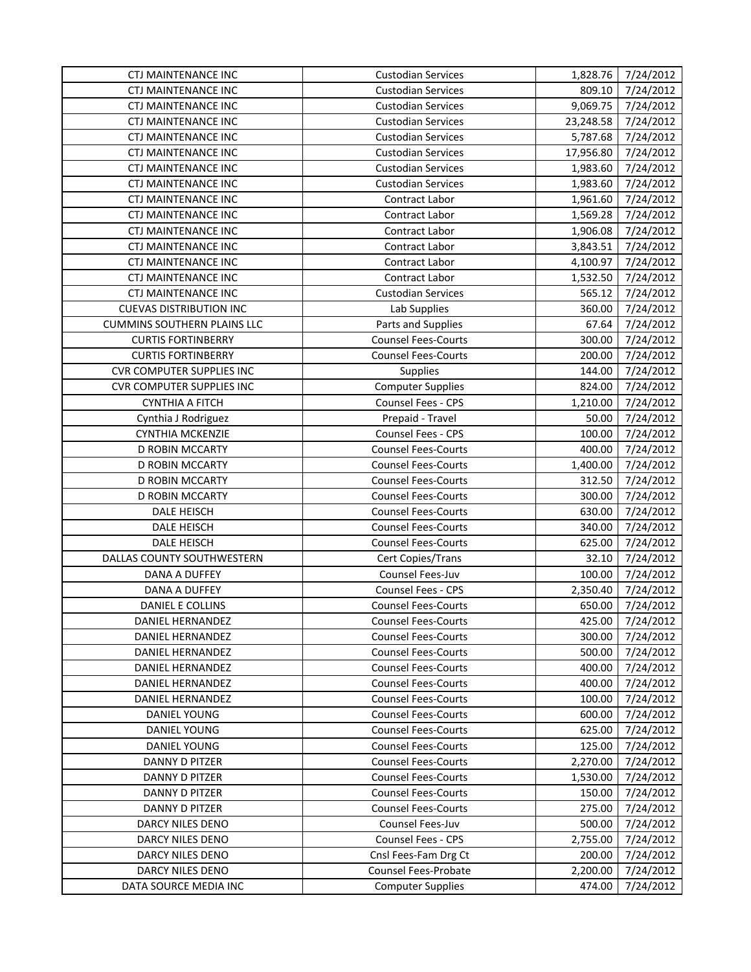| <b>CTJ MAINTENANCE INC</b>         | <b>Custodian Services</b>  | 1,828.76  | 7/24/2012 |
|------------------------------------|----------------------------|-----------|-----------|
| <b>CTJ MAINTENANCE INC</b>         | <b>Custodian Services</b>  | 809.10    | 7/24/2012 |
| <b>CTJ MAINTENANCE INC</b>         | <b>Custodian Services</b>  | 9,069.75  | 7/24/2012 |
| <b>CTJ MAINTENANCE INC</b>         | <b>Custodian Services</b>  | 23,248.58 | 7/24/2012 |
| <b>CTJ MAINTENANCE INC</b>         | <b>Custodian Services</b>  | 5,787.68  | 7/24/2012 |
| CTJ MAINTENANCE INC                | <b>Custodian Services</b>  | 17,956.80 | 7/24/2012 |
| CTJ MAINTENANCE INC                | <b>Custodian Services</b>  | 1,983.60  | 7/24/2012 |
| <b>CTJ MAINTENANCE INC</b>         | <b>Custodian Services</b>  | 1,983.60  | 7/24/2012 |
| <b>CTJ MAINTENANCE INC</b>         | Contract Labor             | 1,961.60  | 7/24/2012 |
| CTJ MAINTENANCE INC                | Contract Labor             | 1,569.28  | 7/24/2012 |
| <b>CTJ MAINTENANCE INC</b>         | Contract Labor             | 1,906.08  | 7/24/2012 |
| <b>CTJ MAINTENANCE INC</b>         | Contract Labor             | 3,843.51  | 7/24/2012 |
| <b>CTJ MAINTENANCE INC</b>         | Contract Labor             | 4,100.97  | 7/24/2012 |
| <b>CTJ MAINTENANCE INC</b>         | Contract Labor             | 1,532.50  | 7/24/2012 |
| <b>CTJ MAINTENANCE INC</b>         | <b>Custodian Services</b>  | 565.12    | 7/24/2012 |
| <b>CUEVAS DISTRIBUTION INC</b>     | Lab Supplies               | 360.00    | 7/24/2012 |
| <b>CUMMINS SOUTHERN PLAINS LLC</b> | Parts and Supplies         | 67.64     | 7/24/2012 |
| <b>CURTIS FORTINBERRY</b>          | <b>Counsel Fees-Courts</b> | 300.00    | 7/24/2012 |
| <b>CURTIS FORTINBERRY</b>          | <b>Counsel Fees-Courts</b> | 200.00    | 7/24/2012 |
| <b>CVR COMPUTER SUPPLIES INC</b>   | Supplies                   | 144.00    | 7/24/2012 |
| <b>CVR COMPUTER SUPPLIES INC</b>   | <b>Computer Supplies</b>   | 824.00    | 7/24/2012 |
| <b>CYNTHIA A FITCH</b>             | Counsel Fees - CPS         | 1,210.00  | 7/24/2012 |
| Cynthia J Rodriguez                | Prepaid - Travel           | 50.00     | 7/24/2012 |
| <b>CYNTHIA MCKENZIE</b>            | Counsel Fees - CPS         | 100.00    | 7/24/2012 |
| D ROBIN MCCARTY                    | <b>Counsel Fees-Courts</b> | 400.00    | 7/24/2012 |
| D ROBIN MCCARTY                    | <b>Counsel Fees-Courts</b> | 1,400.00  | 7/24/2012 |
| D ROBIN MCCARTY                    | <b>Counsel Fees-Courts</b> | 312.50    | 7/24/2012 |
| D ROBIN MCCARTY                    | <b>Counsel Fees-Courts</b> | 300.00    | 7/24/2012 |
| DALE HEISCH                        | <b>Counsel Fees-Courts</b> | 630.00    | 7/24/2012 |
| DALE HEISCH                        | <b>Counsel Fees-Courts</b> | 340.00    | 7/24/2012 |
| DALE HEISCH                        | <b>Counsel Fees-Courts</b> | 625.00    | 7/24/2012 |
| DALLAS COUNTY SOUTHWESTERN         | Cert Copies/Trans          | 32.10     | 7/24/2012 |
| DANA A DUFFEY                      | Counsel Fees-Juv           | 100.00    | 7/24/2012 |
| DANA A DUFFEY                      | Counsel Fees - CPS         | 2,350.40  | 7/24/2012 |
| DANIEL E COLLINS                   | <b>Counsel Fees-Courts</b> | 650.00    | 7/24/2012 |
| DANIEL HERNANDEZ                   | <b>Counsel Fees-Courts</b> | 425.00    | 7/24/2012 |
| DANIEL HERNANDEZ                   | <b>Counsel Fees-Courts</b> | 300.00    | 7/24/2012 |
| <b>DANIEL HERNANDEZ</b>            | <b>Counsel Fees-Courts</b> | 500.00    | 7/24/2012 |
| DANIEL HERNANDEZ                   | <b>Counsel Fees-Courts</b> | 400.00    | 7/24/2012 |
| DANIEL HERNANDEZ                   | <b>Counsel Fees-Courts</b> | 400.00    | 7/24/2012 |
| DANIEL HERNANDEZ                   | <b>Counsel Fees-Courts</b> | 100.00    | 7/24/2012 |
| DANIEL YOUNG                       | <b>Counsel Fees-Courts</b> | 600.00    | 7/24/2012 |
| <b>DANIEL YOUNG</b>                | <b>Counsel Fees-Courts</b> | 625.00    | 7/24/2012 |
| <b>DANIEL YOUNG</b>                | <b>Counsel Fees-Courts</b> | 125.00    | 7/24/2012 |
| DANNY D PITZER                     | <b>Counsel Fees-Courts</b> | 2,270.00  | 7/24/2012 |
| <b>DANNY D PITZER</b>              | <b>Counsel Fees-Courts</b> | 1,530.00  | 7/24/2012 |
| DANNY D PITZER                     | <b>Counsel Fees-Courts</b> | 150.00    | 7/24/2012 |
| DANNY D PITZER                     | <b>Counsel Fees-Courts</b> | 275.00    | 7/24/2012 |
| DARCY NILES DENO                   | Counsel Fees-Juv           | 500.00    | 7/24/2012 |
| DARCY NILES DENO                   | Counsel Fees - CPS         | 2,755.00  | 7/24/2012 |
| DARCY NILES DENO                   | Cnsl Fees-Fam Drg Ct       | 200.00    | 7/24/2012 |
| DARCY NILES DENO                   | Counsel Fees-Probate       | 2,200.00  | 7/24/2012 |
| DATA SOURCE MEDIA INC              | <b>Computer Supplies</b>   | 474.00    | 7/24/2012 |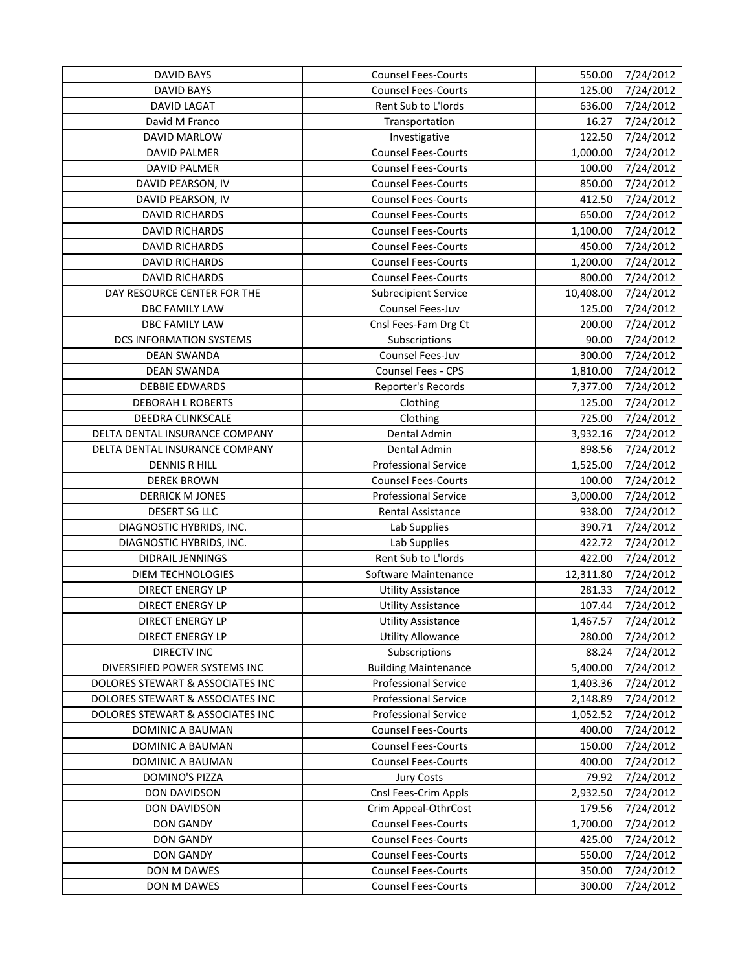| <b>DAVID BAYS</b>                | <b>Counsel Fees-Courts</b>  | 550.00    | 7/24/2012 |
|----------------------------------|-----------------------------|-----------|-----------|
| <b>DAVID BAYS</b>                | <b>Counsel Fees-Courts</b>  | 125.00    | 7/24/2012 |
| DAVID LAGAT                      | Rent Sub to L'Iords         | 636.00    | 7/24/2012 |
| David M Franco                   | Transportation              | 16.27     | 7/24/2012 |
| DAVID MARLOW                     | Investigative               | 122.50    | 7/24/2012 |
| DAVID PALMER                     | <b>Counsel Fees-Courts</b>  | 1,000.00  | 7/24/2012 |
| <b>DAVID PALMER</b>              | <b>Counsel Fees-Courts</b>  | 100.00    | 7/24/2012 |
| DAVID PEARSON, IV                | <b>Counsel Fees-Courts</b>  | 850.00    | 7/24/2012 |
| DAVID PEARSON, IV                | <b>Counsel Fees-Courts</b>  | 412.50    | 7/24/2012 |
| DAVID RICHARDS                   | <b>Counsel Fees-Courts</b>  | 650.00    | 7/24/2012 |
| <b>DAVID RICHARDS</b>            | <b>Counsel Fees-Courts</b>  | 1,100.00  | 7/24/2012 |
| <b>DAVID RICHARDS</b>            | <b>Counsel Fees-Courts</b>  | 450.00    | 7/24/2012 |
| <b>DAVID RICHARDS</b>            | <b>Counsel Fees-Courts</b>  | 1,200.00  | 7/24/2012 |
| <b>DAVID RICHARDS</b>            | <b>Counsel Fees-Courts</b>  | 800.00    | 7/24/2012 |
| DAY RESOURCE CENTER FOR THE      | <b>Subrecipient Service</b> | 10,408.00 | 7/24/2012 |
| DBC FAMILY LAW                   | Counsel Fees-Juv            | 125.00    | 7/24/2012 |
| <b>DBC FAMILY LAW</b>            | Cnsl Fees-Fam Drg Ct        | 200.00    | 7/24/2012 |
| DCS INFORMATION SYSTEMS          | Subscriptions               | 90.00     | 7/24/2012 |
| <b>DEAN SWANDA</b>               | Counsel Fees-Juv            | 300.00    | 7/24/2012 |
| <b>DEAN SWANDA</b>               | Counsel Fees - CPS          | 1,810.00  | 7/24/2012 |
| <b>DEBBIE EDWARDS</b>            | Reporter's Records          | 7,377.00  | 7/24/2012 |
| <b>DEBORAH L ROBERTS</b>         | Clothing                    | 125.00    | 7/24/2012 |
| DEEDRA CLINKSCALE                | Clothing                    | 725.00    | 7/24/2012 |
| DELTA DENTAL INSURANCE COMPANY   | Dental Admin                | 3,932.16  | 7/24/2012 |
| DELTA DENTAL INSURANCE COMPANY   | Dental Admin                | 898.56    | 7/24/2012 |
| <b>DENNIS R HILL</b>             | <b>Professional Service</b> | 1,525.00  | 7/24/2012 |
| <b>DEREK BROWN</b>               | <b>Counsel Fees-Courts</b>  | 100.00    | 7/24/2012 |
| <b>DERRICK M JONES</b>           | <b>Professional Service</b> | 3,000.00  | 7/24/2012 |
| <b>DESERT SG LLC</b>             | Rental Assistance           | 938.00    | 7/24/2012 |
| DIAGNOSTIC HYBRIDS, INC.         | Lab Supplies                | 390.71    | 7/24/2012 |
| DIAGNOSTIC HYBRIDS, INC.         | Lab Supplies                | 422.72    | 7/24/2012 |
| DIDRAIL JENNINGS                 | Rent Sub to L'Iords         | 422.00    | 7/24/2012 |
| <b>DIEM TECHNOLOGIES</b>         | Software Maintenance        | 12,311.80 | 7/24/2012 |
| DIRECT ENERGY LP                 | <b>Utility Assistance</b>   | 281.33    | 7/24/2012 |
| <b>DIRECT ENERGY LP</b>          | <b>Utility Assistance</b>   | 107.44    | 7/24/2012 |
| DIRECT ENERGY LP                 | <b>Utility Assistance</b>   | 1,467.57  | 7/24/2012 |
| DIRECT ENERGY LP                 | <b>Utility Allowance</b>    | 280.00    | 7/24/2012 |
| <b>DIRECTV INC</b>               | Subscriptions               | 88.24     | 7/24/2012 |
| DIVERSIFIED POWER SYSTEMS INC    | <b>Building Maintenance</b> | 5,400.00  | 7/24/2012 |
| DOLORES STEWART & ASSOCIATES INC | <b>Professional Service</b> | 1,403.36  | 7/24/2012 |
| DOLORES STEWART & ASSOCIATES INC | <b>Professional Service</b> | 2,148.89  | 7/24/2012 |
| DOLORES STEWART & ASSOCIATES INC | <b>Professional Service</b> | 1,052.52  | 7/24/2012 |
| DOMINIC A BAUMAN                 | <b>Counsel Fees-Courts</b>  | 400.00    | 7/24/2012 |
| DOMINIC A BAUMAN                 | <b>Counsel Fees-Courts</b>  | 150.00    | 7/24/2012 |
| DOMINIC A BAUMAN                 | <b>Counsel Fees-Courts</b>  | 400.00    | 7/24/2012 |
| DOMINO'S PIZZA                   | <b>Jury Costs</b>           | 79.92     | 7/24/2012 |
| <b>DON DAVIDSON</b>              | Cnsl Fees-Crim Appls        | 2,932.50  | 7/24/2012 |
| <b>DON DAVIDSON</b>              | Crim Appeal-OthrCost        | 179.56    | 7/24/2012 |
| <b>DON GANDY</b>                 | <b>Counsel Fees-Courts</b>  | 1,700.00  | 7/24/2012 |
| <b>DON GANDY</b>                 | <b>Counsel Fees-Courts</b>  | 425.00    | 7/24/2012 |
| <b>DON GANDY</b>                 | <b>Counsel Fees-Courts</b>  | 550.00    | 7/24/2012 |
| DON M DAWES                      | <b>Counsel Fees-Courts</b>  | 350.00    | 7/24/2012 |
| DON M DAWES                      | <b>Counsel Fees-Courts</b>  | 300.00    | 7/24/2012 |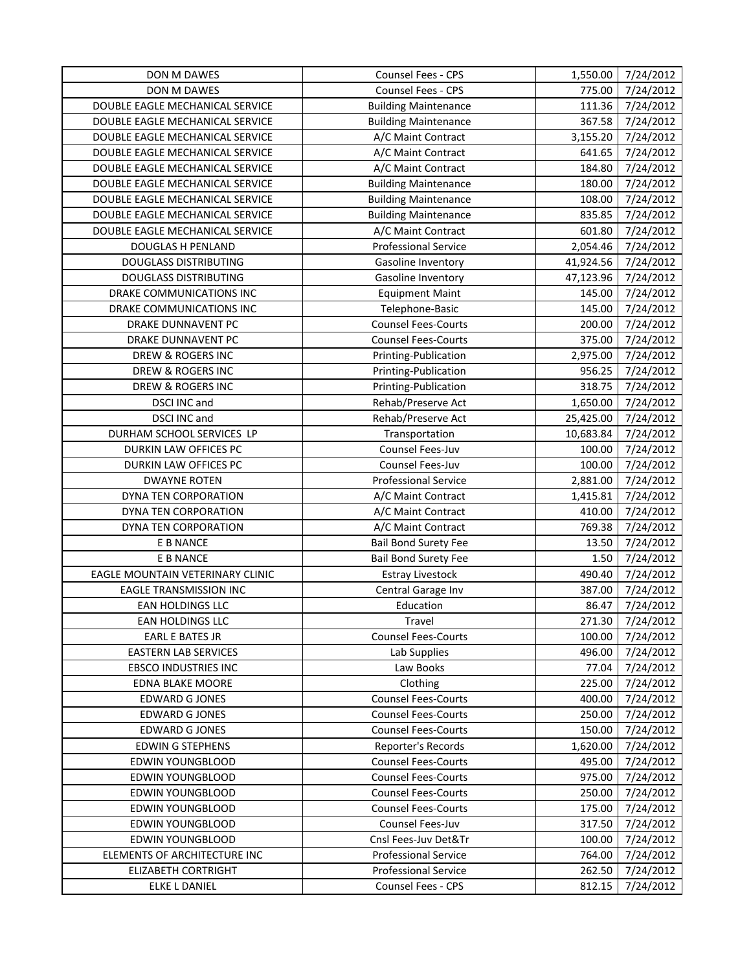| Counsel Fees - CPS<br>DON M DAWES<br>775.00<br>DOUBLE EAGLE MECHANICAL SERVICE<br><b>Building Maintenance</b><br>111.36<br>DOUBLE EAGLE MECHANICAL SERVICE<br>367.58<br><b>Building Maintenance</b> | 7/24/2012<br>7/24/2012<br>7/24/2012 |
|-----------------------------------------------------------------------------------------------------------------------------------------------------------------------------------------------------|-------------------------------------|
|                                                                                                                                                                                                     |                                     |
|                                                                                                                                                                                                     |                                     |
|                                                                                                                                                                                                     |                                     |
| DOUBLE EAGLE MECHANICAL SERVICE<br>3,155.20<br>7/24/2012<br>A/C Maint Contract                                                                                                                      |                                     |
| DOUBLE EAGLE MECHANICAL SERVICE<br>A/C Maint Contract<br>641.65                                                                                                                                     | 7/24/2012                           |
| 184.80<br>DOUBLE EAGLE MECHANICAL SERVICE<br>A/C Maint Contract                                                                                                                                     | 7/24/2012                           |
| DOUBLE EAGLE MECHANICAL SERVICE<br><b>Building Maintenance</b><br>180.00                                                                                                                            | 7/24/2012                           |
| 108.00<br>DOUBLE EAGLE MECHANICAL SERVICE<br><b>Building Maintenance</b>                                                                                                                            | 7/24/2012                           |
| DOUBLE EAGLE MECHANICAL SERVICE<br><b>Building Maintenance</b><br>835.85                                                                                                                            | 7/24/2012                           |
| DOUBLE EAGLE MECHANICAL SERVICE<br>A/C Maint Contract<br>601.80                                                                                                                                     | 7/24/2012                           |
| <b>Professional Service</b><br>2,054.46<br><b>DOUGLAS H PENLAND</b>                                                                                                                                 | 7/24/2012                           |
| <b>DOUGLASS DISTRIBUTING</b><br>41,924.56<br>Gasoline Inventory                                                                                                                                     | 7/24/2012                           |
| <b>DOUGLASS DISTRIBUTING</b><br>47,123.96<br>Gasoline Inventory                                                                                                                                     | 7/24/2012                           |
| DRAKE COMMUNICATIONS INC<br><b>Equipment Maint</b><br>145.00                                                                                                                                        | 7/24/2012                           |
| DRAKE COMMUNICATIONS INC<br>145.00<br>Telephone-Basic                                                                                                                                               | 7/24/2012                           |
| <b>Counsel Fees-Courts</b><br>DRAKE DUNNAVENT PC<br>200.00                                                                                                                                          | 7/24/2012                           |
| <b>Counsel Fees-Courts</b><br>375.00<br>DRAKE DUNNAVENT PC                                                                                                                                          | 7/24/2012                           |
| DREW & ROGERS INC<br>Printing-Publication<br>2,975.00                                                                                                                                               | 7/24/2012                           |
| 956.25<br>DREW & ROGERS INC<br>Printing-Publication                                                                                                                                                 | 7/24/2012                           |
| Printing-Publication<br>DREW & ROGERS INC<br>318.75                                                                                                                                                 | 7/24/2012                           |
| DSCI INC and<br>Rehab/Preserve Act<br>1,650.00                                                                                                                                                      | 7/24/2012                           |
| <b>DSCI INC and</b><br>Rehab/Preserve Act<br>25,425.00                                                                                                                                              | 7/24/2012                           |
| DURHAM SCHOOL SERVICES LP<br>Transportation<br>10,683.84                                                                                                                                            | 7/24/2012                           |
| Counsel Fees-Juv<br>DURKIN LAW OFFICES PC<br>100.00                                                                                                                                                 | 7/24/2012                           |
| Counsel Fees-Juv<br>DURKIN LAW OFFICES PC<br>100.00                                                                                                                                                 | 7/24/2012                           |
| <b>DWAYNE ROTEN</b><br><b>Professional Service</b><br>2,881.00                                                                                                                                      | 7/24/2012                           |
| DYNA TEN CORPORATION<br>A/C Maint Contract<br>1,415.81                                                                                                                                              | 7/24/2012                           |
| 410.00<br>DYNA TEN CORPORATION<br>A/C Maint Contract                                                                                                                                                | 7/24/2012                           |
| 769.38<br>DYNA TEN CORPORATION<br>A/C Maint Contract                                                                                                                                                | 7/24/2012                           |
| <b>Bail Bond Surety Fee</b><br>13.50<br>E B NANCE                                                                                                                                                   | 7/24/2012                           |
| E B NANCE<br><b>Bail Bond Surety Fee</b><br>1.50                                                                                                                                                    | 7/24/2012                           |
| 490.40<br>EAGLE MOUNTAIN VETERINARY CLINIC<br><b>Estray Livestock</b>                                                                                                                               | 7/24/2012                           |
| <b>EAGLE TRANSMISSION INC</b><br>Central Garage Inv<br>387.00                                                                                                                                       | 7/24/2012                           |
| Education<br>EAN HOLDINGS LLC<br>86.47                                                                                                                                                              | 7/24/2012                           |
| EAN HOLDINGS LLC<br>Travel<br>271.30                                                                                                                                                                | 7/24/2012                           |
| 100.00<br><b>EARL E BATES JR</b><br><b>Counsel Fees-Courts</b>                                                                                                                                      | 7/24/2012                           |
| 496.00<br><b>EASTERN LAB SERVICES</b><br>Lab Supplies                                                                                                                                               | 7/24/2012                           |
| <b>EBSCO INDUSTRIES INC</b><br>Law Books<br>77.04                                                                                                                                                   | 7/24/2012                           |
| 225.00<br><b>EDNA BLAKE MOORE</b><br>Clothing                                                                                                                                                       | 7/24/2012                           |
| <b>Counsel Fees-Courts</b><br>400.00<br><b>EDWARD G JONES</b>                                                                                                                                       | 7/24/2012                           |
| <b>Counsel Fees-Courts</b><br><b>EDWARD G JONES</b><br>250.00                                                                                                                                       | 7/24/2012                           |
| <b>EDWARD G JONES</b><br><b>Counsel Fees-Courts</b><br>150.00                                                                                                                                       | 7/24/2012                           |
| <b>EDWIN G STEPHENS</b><br>Reporter's Records<br>1,620.00                                                                                                                                           | 7/24/2012                           |
| <b>Counsel Fees-Courts</b><br>495.00<br><b>EDWIN YOUNGBLOOD</b>                                                                                                                                     | 7/24/2012                           |
| <b>Counsel Fees-Courts</b><br><b>EDWIN YOUNGBLOOD</b><br>975.00                                                                                                                                     | 7/24/2012                           |
| <b>EDWIN YOUNGBLOOD</b><br><b>Counsel Fees-Courts</b><br>250.00                                                                                                                                     | 7/24/2012                           |
| <b>EDWIN YOUNGBLOOD</b><br><b>Counsel Fees-Courts</b><br>175.00                                                                                                                                     | 7/24/2012                           |
| <b>EDWIN YOUNGBLOOD</b><br>317.50<br><b>Counsel Fees-Juv</b>                                                                                                                                        | 7/24/2012                           |
| EDWIN YOUNGBLOOD<br>Cnsl Fees-Juv Det&Tr<br>100.00                                                                                                                                                  | 7/24/2012                           |
| ELEMENTS OF ARCHITECTURE INC<br><b>Professional Service</b><br>764.00                                                                                                                               | 7/24/2012                           |
| <b>Professional Service</b><br><b>ELIZABETH CORTRIGHT</b><br>262.50                                                                                                                                 | 7/24/2012                           |
| Counsel Fees - CPS<br>ELKE L DANIEL<br>812.15                                                                                                                                                       | 7/24/2012                           |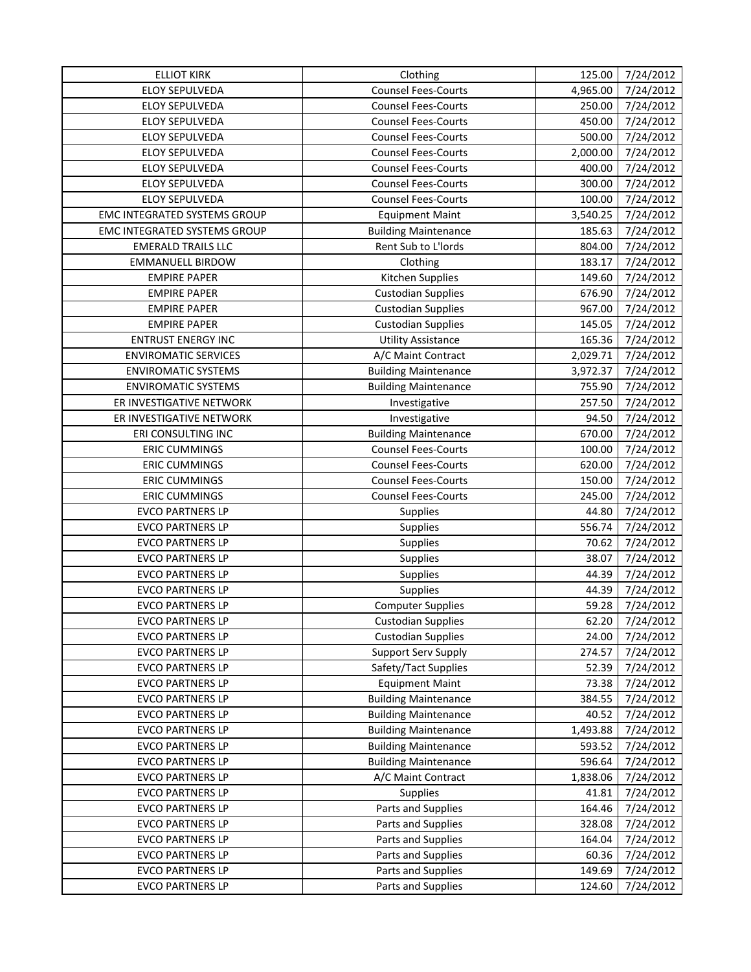| <b>ELLIOT KIRK</b>           | Clothing                    | 125.00   | 7/24/2012             |
|------------------------------|-----------------------------|----------|-----------------------|
| <b>ELOY SEPULVEDA</b>        | <b>Counsel Fees-Courts</b>  | 4,965.00 | 7/24/2012             |
| ELOY SEPULVEDA               | <b>Counsel Fees-Courts</b>  | 250.00   | 7/24/2012             |
| ELOY SEPULVEDA               | <b>Counsel Fees-Courts</b>  | 450.00   | $\frac{1}{7}/24/2012$ |
| ELOY SEPULVEDA               | <b>Counsel Fees-Courts</b>  | 500.00   | 7/24/2012             |
| <b>ELOY SEPULVEDA</b>        | <b>Counsel Fees-Courts</b>  | 2,000.00 | 7/24/2012             |
| ELOY SEPULVEDA               | <b>Counsel Fees-Courts</b>  | 400.00   | 7/24/2012             |
| ELOY SEPULVEDA               | <b>Counsel Fees-Courts</b>  | 300.00   | 7/24/2012             |
| ELOY SEPULVEDA               | <b>Counsel Fees-Courts</b>  | 100.00   | 7/24/2012             |
| EMC INTEGRATED SYSTEMS GROUP | <b>Equipment Maint</b>      | 3,540.25 | 7/24/2012             |
| EMC INTEGRATED SYSTEMS GROUP | <b>Building Maintenance</b> | 185.63   | 7/24/2012             |
| <b>EMERALD TRAILS LLC</b>    | Rent Sub to L'Iords         | 804.00   | 7/24/2012             |
| <b>EMMANUELL BIRDOW</b>      | Clothing                    | 183.17   | 7/24/2012             |
| <b>EMPIRE PAPER</b>          | Kitchen Supplies            | 149.60   | 7/24/2012             |
| <b>EMPIRE PAPER</b>          | <b>Custodian Supplies</b>   | 676.90   | 7/24/2012             |
| <b>EMPIRE PAPER</b>          | <b>Custodian Supplies</b>   | 967.00   | 7/24/2012             |
| <b>EMPIRE PAPER</b>          | <b>Custodian Supplies</b>   | 145.05   | 7/24/2012             |
| <b>ENTRUST ENERGY INC</b>    | <b>Utility Assistance</b>   | 165.36   | 7/24/2012             |
| <b>ENVIROMATIC SERVICES</b>  | A/C Maint Contract          | 2,029.71 | 7/24/2012             |
| <b>ENVIROMATIC SYSTEMS</b>   | <b>Building Maintenance</b> | 3,972.37 | 7/24/2012             |
| <b>ENVIROMATIC SYSTEMS</b>   | <b>Building Maintenance</b> | 755.90   | 7/24/2012             |
| ER INVESTIGATIVE NETWORK     | Investigative               | 257.50   | 7/24/2012             |
| ER INVESTIGATIVE NETWORK     | Investigative               | 94.50    | 7/24/2012             |
| ERI CONSULTING INC           | <b>Building Maintenance</b> | 670.00   | 7/24/2012             |
| <b>ERIC CUMMINGS</b>         | <b>Counsel Fees-Courts</b>  | 100.00   | 7/24/2012             |
| <b>ERIC CUMMINGS</b>         | <b>Counsel Fees-Courts</b>  | 620.00   | 7/24/2012             |
| <b>ERIC CUMMINGS</b>         | <b>Counsel Fees-Courts</b>  | 150.00   | 7/24/2012             |
| <b>ERIC CUMMINGS</b>         | <b>Counsel Fees-Courts</b>  | 245.00   | 7/24/2012             |
| <b>EVCO PARTNERS LP</b>      | Supplies                    | 44.80    | 7/24/2012             |
| <b>EVCO PARTNERS LP</b>      | Supplies                    | 556.74   | 7/24/2012             |
| <b>EVCO PARTNERS LP</b>      | Supplies                    | 70.62    | 7/24/2012             |
| <b>EVCO PARTNERS LP</b>      | Supplies                    | 38.07    | 7/24/2012             |
| <b>EVCO PARTNERS LP</b>      | Supplies                    | 44.39    | 7/24/2012             |
| <b>EVCO PARTNERS LP</b>      | <b>Supplies</b>             | 44.39    | 7/24/2012             |
| <b>EVCO PARTNERS LP</b>      | <b>Computer Supplies</b>    | 59.28    | 7/24/2012             |
| <b>EVCO PARTNERS LP</b>      | <b>Custodian Supplies</b>   | 62.20    | 7/24/2012             |
| <b>EVCO PARTNERS LP</b>      | <b>Custodian Supplies</b>   | 24.00    | 7/24/2012             |
| <b>EVCO PARTNERS LP</b>      | <b>Support Serv Supply</b>  | 274.57   | 7/24/2012             |
| <b>EVCO PARTNERS LP</b>      | Safety/Tact Supplies        | 52.39    | 7/24/2012             |
| <b>EVCO PARTNERS LP</b>      | <b>Equipment Maint</b>      | 73.38    | 7/24/2012             |
| <b>EVCO PARTNERS LP</b>      | <b>Building Maintenance</b> | 384.55   | 7/24/2012             |
| <b>EVCO PARTNERS LP</b>      | <b>Building Maintenance</b> | 40.52    | 7/24/2012             |
| <b>EVCO PARTNERS LP</b>      | <b>Building Maintenance</b> | 1,493.88 | 7/24/2012             |
| <b>EVCO PARTNERS LP</b>      | <b>Building Maintenance</b> | 593.52   | 7/24/2012             |
| <b>EVCO PARTNERS LP</b>      | <b>Building Maintenance</b> | 596.64   | 7/24/2012             |
| <b>EVCO PARTNERS LP</b>      | A/C Maint Contract          | 1,838.06 | 7/24/2012             |
| <b>EVCO PARTNERS LP</b>      | <b>Supplies</b>             | 41.81    | 7/24/2012             |
| <b>EVCO PARTNERS LP</b>      | Parts and Supplies          | 164.46   | 7/24/2012             |
| <b>EVCO PARTNERS LP</b>      | Parts and Supplies          | 328.08   | 7/24/2012             |
| <b>EVCO PARTNERS LP</b>      | Parts and Supplies          | 164.04   | 7/24/2012             |
| <b>EVCO PARTNERS LP</b>      | Parts and Supplies          | 60.36    | 7/24/2012             |
| <b>EVCO PARTNERS LP</b>      | Parts and Supplies          | 149.69   | 7/24/2012             |
| <b>EVCO PARTNERS LP</b>      | Parts and Supplies          | 124.60   | 7/24/2012             |
|                              |                             |          |                       |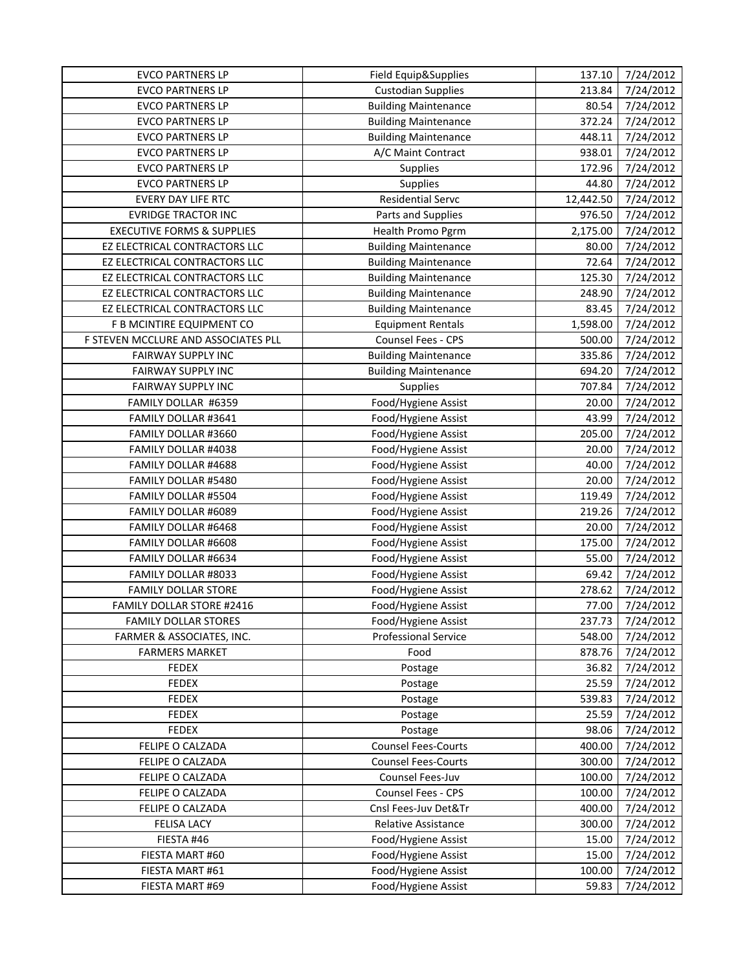| <b>Custodian Supplies</b><br><b>EVCO PARTNERS LP</b><br>213.84<br>7/24/2012<br><b>EVCO PARTNERS LP</b><br>80.54<br>7/24/2012<br><b>Building Maintenance</b><br>372.24<br>7/24/2012<br><b>EVCO PARTNERS LP</b><br><b>Building Maintenance</b><br><b>EVCO PARTNERS LP</b><br>448.11<br>7/24/2012<br><b>Building Maintenance</b><br>7/24/2012<br><b>EVCO PARTNERS LP</b><br>A/C Maint Contract<br>938.01<br><b>EVCO PARTNERS LP</b><br>7/24/2012<br><b>Supplies</b><br>172.96<br><b>EVCO PARTNERS LP</b><br>Supplies<br>44.80<br>7/24/2012<br><b>Residential Servc</b><br>EVERY DAY LIFE RTC<br>12,442.50<br>7/24/2012<br>7/24/2012<br><b>EVRIDGE TRACTOR INC</b><br>Parts and Supplies<br>976.50<br><b>EXECUTIVE FORMS &amp; SUPPLIES</b><br>2,175.00<br>7/24/2012<br>Health Promo Pgrm<br>7/24/2012<br>EZ ELECTRICAL CONTRACTORS LLC<br>80.00<br><b>Building Maintenance</b><br>EZ ELECTRICAL CONTRACTORS LLC<br>72.64<br>7/24/2012<br><b>Building Maintenance</b><br>EZ ELECTRICAL CONTRACTORS LLC<br>7/24/2012<br><b>Building Maintenance</b><br>125.30<br><b>Building Maintenance</b><br>248.90<br>7/24/2012<br>EZ ELECTRICAL CONTRACTORS LLC<br>83.45<br>7/24/2012<br>EZ ELECTRICAL CONTRACTORS LLC<br><b>Building Maintenance</b><br>F B MCINTIRE EQUIPMENT CO<br><b>Equipment Rentals</b><br>1,598.00<br>7/24/2012<br>Counsel Fees - CPS<br>F STEVEN MCCLURE AND ASSOCIATES PLL<br>500.00<br>7/24/2012<br>335.86<br>7/24/2012<br>FAIRWAY SUPPLY INC<br><b>Building Maintenance</b><br>FAIRWAY SUPPLY INC<br>694.20<br>7/24/2012<br><b>Building Maintenance</b><br>FAIRWAY SUPPLY INC<br>707.84<br>7/24/2012<br><b>Supplies</b><br>FAMILY DOLLAR #6359<br>7/24/2012<br>Food/Hygiene Assist<br>20.00<br>FAMILY DOLLAR #3641<br>43.99<br>7/24/2012<br>Food/Hygiene Assist<br>FAMILY DOLLAR #3660<br>Food/Hygiene Assist<br>205.00<br>7/24/2012<br>FAMILY DOLLAR #4038<br>Food/Hygiene Assist<br>20.00<br>7/24/2012<br>Food/Hygiene Assist<br>FAMILY DOLLAR #4688<br>40.00<br>7/24/2012<br>FAMILY DOLLAR #5480<br>Food/Hygiene Assist<br>20.00<br>7/24/2012<br>119.49<br>7/24/2012<br>FAMILY DOLLAR #5504<br>Food/Hygiene Assist<br>7/24/2012<br>FAMILY DOLLAR #6089<br>Food/Hygiene Assist<br>219.26<br>FAMILY DOLLAR #6468<br>Food/Hygiene Assist<br>20.00<br>7/24/2012<br>Food/Hygiene Assist<br>7/24/2012<br>FAMILY DOLLAR #6608<br>175.00<br>FAMILY DOLLAR #6634<br>Food/Hygiene Assist<br>55.00<br>7/24/2012<br>7/24/2012<br>FAMILY DOLLAR #8033<br>Food/Hygiene Assist<br>69.42<br>Food/Hygiene Assist<br>278.62<br>7/24/2012<br><b>FAMILY DOLLAR STORE</b><br>Food/Hygiene Assist<br>7/24/2012<br>FAMILY DOLLAR STORE #2416<br>77.00<br><b>FAMILY DOLLAR STORES</b><br>Food/Hygiene Assist<br>237.73<br>7/24/2012<br>548.00<br>7/24/2012<br>FARMER & ASSOCIATES, INC.<br><b>Professional Service</b><br><b>FARMERS MARKET</b><br>878.76<br>7/24/2012<br>Food<br>7/24/2012<br><b>FEDEX</b><br>36.82<br>Postage<br>25.59<br>7/24/2012<br><b>FEDEX</b><br>Postage<br><b>FEDEX</b><br>539.83<br>7/24/2012<br>Postage<br><b>FEDEX</b><br>7/24/2012<br>25.59<br>Postage<br><b>FEDEX</b><br>98.06<br>7/24/2012<br>Postage<br>FELIPE O CALZADA<br><b>Counsel Fees-Courts</b><br>400.00<br>7/24/2012<br><b>Counsel Fees-Courts</b><br>300.00<br>7/24/2012<br>FELIPE O CALZADA<br>FELIPE O CALZADA<br>Counsel Fees-Juv<br>7/24/2012<br>100.00<br>Counsel Fees - CPS<br>7/24/2012<br>FELIPE O CALZADA<br>100.00<br>FELIPE O CALZADA<br>Cnsl Fees-Juv Det&Tr<br>400.00<br>7/24/2012<br><b>FELISA LACY</b><br><b>Relative Assistance</b><br>300.00<br>7/24/2012<br>FIESTA #46<br>Food/Hygiene Assist<br>7/24/2012<br>15.00<br>Food/Hygiene Assist<br>FIESTA MART #60<br>15.00<br>7/24/2012<br>Food/Hygiene Assist<br>7/24/2012<br>FIESTA MART #61<br>100.00<br>Food/Hygiene Assist<br>7/24/2012<br>FIESTA MART #69<br>59.83 | <b>EVCO PARTNERS LP</b> | Field Equip&Supplies | 137.10 | 7/24/2012 |
|-------------------------------------------------------------------------------------------------------------------------------------------------------------------------------------------------------------------------------------------------------------------------------------------------------------------------------------------------------------------------------------------------------------------------------------------------------------------------------------------------------------------------------------------------------------------------------------------------------------------------------------------------------------------------------------------------------------------------------------------------------------------------------------------------------------------------------------------------------------------------------------------------------------------------------------------------------------------------------------------------------------------------------------------------------------------------------------------------------------------------------------------------------------------------------------------------------------------------------------------------------------------------------------------------------------------------------------------------------------------------------------------------------------------------------------------------------------------------------------------------------------------------------------------------------------------------------------------------------------------------------------------------------------------------------------------------------------------------------------------------------------------------------------------------------------------------------------------------------------------------------------------------------------------------------------------------------------------------------------------------------------------------------------------------------------------------------------------------------------------------------------------------------------------------------------------------------------------------------------------------------------------------------------------------------------------------------------------------------------------------------------------------------------------------------------------------------------------------------------------------------------------------------------------------------------------------------------------------------------------------------------------------------------------------------------------------------------------------------------------------------------------------------------------------------------------------------------------------------------------------------------------------------------------------------------------------------------------------------------------------------------------------------------------------------------------------------------------------------------------------------------------------------------------------------------------------------------------------------------------------------------------------------------------------------------------------------------------------------------------------------------------------------------------------------------------------------------------------------------------------------------------------------------------------------------------------------------------------------------------------------------------------------------------------------------------------------------------------------------------------------------------------------------------------------------------------|-------------------------|----------------------|--------|-----------|
|                                                                                                                                                                                                                                                                                                                                                                                                                                                                                                                                                                                                                                                                                                                                                                                                                                                                                                                                                                                                                                                                                                                                                                                                                                                                                                                                                                                                                                                                                                                                                                                                                                                                                                                                                                                                                                                                                                                                                                                                                                                                                                                                                                                                                                                                                                                                                                                                                                                                                                                                                                                                                                                                                                                                                                                                                                                                                                                                                                                                                                                                                                                                                                                                                                                                                                                                                                                                                                                                                                                                                                                                                                                                                                                                                                                                                         |                         |                      |        |           |
|                                                                                                                                                                                                                                                                                                                                                                                                                                                                                                                                                                                                                                                                                                                                                                                                                                                                                                                                                                                                                                                                                                                                                                                                                                                                                                                                                                                                                                                                                                                                                                                                                                                                                                                                                                                                                                                                                                                                                                                                                                                                                                                                                                                                                                                                                                                                                                                                                                                                                                                                                                                                                                                                                                                                                                                                                                                                                                                                                                                                                                                                                                                                                                                                                                                                                                                                                                                                                                                                                                                                                                                                                                                                                                                                                                                                                         |                         |                      |        |           |
|                                                                                                                                                                                                                                                                                                                                                                                                                                                                                                                                                                                                                                                                                                                                                                                                                                                                                                                                                                                                                                                                                                                                                                                                                                                                                                                                                                                                                                                                                                                                                                                                                                                                                                                                                                                                                                                                                                                                                                                                                                                                                                                                                                                                                                                                                                                                                                                                                                                                                                                                                                                                                                                                                                                                                                                                                                                                                                                                                                                                                                                                                                                                                                                                                                                                                                                                                                                                                                                                                                                                                                                                                                                                                                                                                                                                                         |                         |                      |        |           |
|                                                                                                                                                                                                                                                                                                                                                                                                                                                                                                                                                                                                                                                                                                                                                                                                                                                                                                                                                                                                                                                                                                                                                                                                                                                                                                                                                                                                                                                                                                                                                                                                                                                                                                                                                                                                                                                                                                                                                                                                                                                                                                                                                                                                                                                                                                                                                                                                                                                                                                                                                                                                                                                                                                                                                                                                                                                                                                                                                                                                                                                                                                                                                                                                                                                                                                                                                                                                                                                                                                                                                                                                                                                                                                                                                                                                                         |                         |                      |        |           |
|                                                                                                                                                                                                                                                                                                                                                                                                                                                                                                                                                                                                                                                                                                                                                                                                                                                                                                                                                                                                                                                                                                                                                                                                                                                                                                                                                                                                                                                                                                                                                                                                                                                                                                                                                                                                                                                                                                                                                                                                                                                                                                                                                                                                                                                                                                                                                                                                                                                                                                                                                                                                                                                                                                                                                                                                                                                                                                                                                                                                                                                                                                                                                                                                                                                                                                                                                                                                                                                                                                                                                                                                                                                                                                                                                                                                                         |                         |                      |        |           |
|                                                                                                                                                                                                                                                                                                                                                                                                                                                                                                                                                                                                                                                                                                                                                                                                                                                                                                                                                                                                                                                                                                                                                                                                                                                                                                                                                                                                                                                                                                                                                                                                                                                                                                                                                                                                                                                                                                                                                                                                                                                                                                                                                                                                                                                                                                                                                                                                                                                                                                                                                                                                                                                                                                                                                                                                                                                                                                                                                                                                                                                                                                                                                                                                                                                                                                                                                                                                                                                                                                                                                                                                                                                                                                                                                                                                                         |                         |                      |        |           |
|                                                                                                                                                                                                                                                                                                                                                                                                                                                                                                                                                                                                                                                                                                                                                                                                                                                                                                                                                                                                                                                                                                                                                                                                                                                                                                                                                                                                                                                                                                                                                                                                                                                                                                                                                                                                                                                                                                                                                                                                                                                                                                                                                                                                                                                                                                                                                                                                                                                                                                                                                                                                                                                                                                                                                                                                                                                                                                                                                                                                                                                                                                                                                                                                                                                                                                                                                                                                                                                                                                                                                                                                                                                                                                                                                                                                                         |                         |                      |        |           |
|                                                                                                                                                                                                                                                                                                                                                                                                                                                                                                                                                                                                                                                                                                                                                                                                                                                                                                                                                                                                                                                                                                                                                                                                                                                                                                                                                                                                                                                                                                                                                                                                                                                                                                                                                                                                                                                                                                                                                                                                                                                                                                                                                                                                                                                                                                                                                                                                                                                                                                                                                                                                                                                                                                                                                                                                                                                                                                                                                                                                                                                                                                                                                                                                                                                                                                                                                                                                                                                                                                                                                                                                                                                                                                                                                                                                                         |                         |                      |        |           |
|                                                                                                                                                                                                                                                                                                                                                                                                                                                                                                                                                                                                                                                                                                                                                                                                                                                                                                                                                                                                                                                                                                                                                                                                                                                                                                                                                                                                                                                                                                                                                                                                                                                                                                                                                                                                                                                                                                                                                                                                                                                                                                                                                                                                                                                                                                                                                                                                                                                                                                                                                                                                                                                                                                                                                                                                                                                                                                                                                                                                                                                                                                                                                                                                                                                                                                                                                                                                                                                                                                                                                                                                                                                                                                                                                                                                                         |                         |                      |        |           |
|                                                                                                                                                                                                                                                                                                                                                                                                                                                                                                                                                                                                                                                                                                                                                                                                                                                                                                                                                                                                                                                                                                                                                                                                                                                                                                                                                                                                                                                                                                                                                                                                                                                                                                                                                                                                                                                                                                                                                                                                                                                                                                                                                                                                                                                                                                                                                                                                                                                                                                                                                                                                                                                                                                                                                                                                                                                                                                                                                                                                                                                                                                                                                                                                                                                                                                                                                                                                                                                                                                                                                                                                                                                                                                                                                                                                                         |                         |                      |        |           |
|                                                                                                                                                                                                                                                                                                                                                                                                                                                                                                                                                                                                                                                                                                                                                                                                                                                                                                                                                                                                                                                                                                                                                                                                                                                                                                                                                                                                                                                                                                                                                                                                                                                                                                                                                                                                                                                                                                                                                                                                                                                                                                                                                                                                                                                                                                                                                                                                                                                                                                                                                                                                                                                                                                                                                                                                                                                                                                                                                                                                                                                                                                                                                                                                                                                                                                                                                                                                                                                                                                                                                                                                                                                                                                                                                                                                                         |                         |                      |        |           |
|                                                                                                                                                                                                                                                                                                                                                                                                                                                                                                                                                                                                                                                                                                                                                                                                                                                                                                                                                                                                                                                                                                                                                                                                                                                                                                                                                                                                                                                                                                                                                                                                                                                                                                                                                                                                                                                                                                                                                                                                                                                                                                                                                                                                                                                                                                                                                                                                                                                                                                                                                                                                                                                                                                                                                                                                                                                                                                                                                                                                                                                                                                                                                                                                                                                                                                                                                                                                                                                                                                                                                                                                                                                                                                                                                                                                                         |                         |                      |        |           |
|                                                                                                                                                                                                                                                                                                                                                                                                                                                                                                                                                                                                                                                                                                                                                                                                                                                                                                                                                                                                                                                                                                                                                                                                                                                                                                                                                                                                                                                                                                                                                                                                                                                                                                                                                                                                                                                                                                                                                                                                                                                                                                                                                                                                                                                                                                                                                                                                                                                                                                                                                                                                                                                                                                                                                                                                                                                                                                                                                                                                                                                                                                                                                                                                                                                                                                                                                                                                                                                                                                                                                                                                                                                                                                                                                                                                                         |                         |                      |        |           |
|                                                                                                                                                                                                                                                                                                                                                                                                                                                                                                                                                                                                                                                                                                                                                                                                                                                                                                                                                                                                                                                                                                                                                                                                                                                                                                                                                                                                                                                                                                                                                                                                                                                                                                                                                                                                                                                                                                                                                                                                                                                                                                                                                                                                                                                                                                                                                                                                                                                                                                                                                                                                                                                                                                                                                                                                                                                                                                                                                                                                                                                                                                                                                                                                                                                                                                                                                                                                                                                                                                                                                                                                                                                                                                                                                                                                                         |                         |                      |        |           |
|                                                                                                                                                                                                                                                                                                                                                                                                                                                                                                                                                                                                                                                                                                                                                                                                                                                                                                                                                                                                                                                                                                                                                                                                                                                                                                                                                                                                                                                                                                                                                                                                                                                                                                                                                                                                                                                                                                                                                                                                                                                                                                                                                                                                                                                                                                                                                                                                                                                                                                                                                                                                                                                                                                                                                                                                                                                                                                                                                                                                                                                                                                                                                                                                                                                                                                                                                                                                                                                                                                                                                                                                                                                                                                                                                                                                                         |                         |                      |        |           |
|                                                                                                                                                                                                                                                                                                                                                                                                                                                                                                                                                                                                                                                                                                                                                                                                                                                                                                                                                                                                                                                                                                                                                                                                                                                                                                                                                                                                                                                                                                                                                                                                                                                                                                                                                                                                                                                                                                                                                                                                                                                                                                                                                                                                                                                                                                                                                                                                                                                                                                                                                                                                                                                                                                                                                                                                                                                                                                                                                                                                                                                                                                                                                                                                                                                                                                                                                                                                                                                                                                                                                                                                                                                                                                                                                                                                                         |                         |                      |        |           |
|                                                                                                                                                                                                                                                                                                                                                                                                                                                                                                                                                                                                                                                                                                                                                                                                                                                                                                                                                                                                                                                                                                                                                                                                                                                                                                                                                                                                                                                                                                                                                                                                                                                                                                                                                                                                                                                                                                                                                                                                                                                                                                                                                                                                                                                                                                                                                                                                                                                                                                                                                                                                                                                                                                                                                                                                                                                                                                                                                                                                                                                                                                                                                                                                                                                                                                                                                                                                                                                                                                                                                                                                                                                                                                                                                                                                                         |                         |                      |        |           |
|                                                                                                                                                                                                                                                                                                                                                                                                                                                                                                                                                                                                                                                                                                                                                                                                                                                                                                                                                                                                                                                                                                                                                                                                                                                                                                                                                                                                                                                                                                                                                                                                                                                                                                                                                                                                                                                                                                                                                                                                                                                                                                                                                                                                                                                                                                                                                                                                                                                                                                                                                                                                                                                                                                                                                                                                                                                                                                                                                                                                                                                                                                                                                                                                                                                                                                                                                                                                                                                                                                                                                                                                                                                                                                                                                                                                                         |                         |                      |        |           |
|                                                                                                                                                                                                                                                                                                                                                                                                                                                                                                                                                                                                                                                                                                                                                                                                                                                                                                                                                                                                                                                                                                                                                                                                                                                                                                                                                                                                                                                                                                                                                                                                                                                                                                                                                                                                                                                                                                                                                                                                                                                                                                                                                                                                                                                                                                                                                                                                                                                                                                                                                                                                                                                                                                                                                                                                                                                                                                                                                                                                                                                                                                                                                                                                                                                                                                                                                                                                                                                                                                                                                                                                                                                                                                                                                                                                                         |                         |                      |        |           |
|                                                                                                                                                                                                                                                                                                                                                                                                                                                                                                                                                                                                                                                                                                                                                                                                                                                                                                                                                                                                                                                                                                                                                                                                                                                                                                                                                                                                                                                                                                                                                                                                                                                                                                                                                                                                                                                                                                                                                                                                                                                                                                                                                                                                                                                                                                                                                                                                                                                                                                                                                                                                                                                                                                                                                                                                                                                                                                                                                                                                                                                                                                                                                                                                                                                                                                                                                                                                                                                                                                                                                                                                                                                                                                                                                                                                                         |                         |                      |        |           |
|                                                                                                                                                                                                                                                                                                                                                                                                                                                                                                                                                                                                                                                                                                                                                                                                                                                                                                                                                                                                                                                                                                                                                                                                                                                                                                                                                                                                                                                                                                                                                                                                                                                                                                                                                                                                                                                                                                                                                                                                                                                                                                                                                                                                                                                                                                                                                                                                                                                                                                                                                                                                                                                                                                                                                                                                                                                                                                                                                                                                                                                                                                                                                                                                                                                                                                                                                                                                                                                                                                                                                                                                                                                                                                                                                                                                                         |                         |                      |        |           |
|                                                                                                                                                                                                                                                                                                                                                                                                                                                                                                                                                                                                                                                                                                                                                                                                                                                                                                                                                                                                                                                                                                                                                                                                                                                                                                                                                                                                                                                                                                                                                                                                                                                                                                                                                                                                                                                                                                                                                                                                                                                                                                                                                                                                                                                                                                                                                                                                                                                                                                                                                                                                                                                                                                                                                                                                                                                                                                                                                                                                                                                                                                                                                                                                                                                                                                                                                                                                                                                                                                                                                                                                                                                                                                                                                                                                                         |                         |                      |        |           |
|                                                                                                                                                                                                                                                                                                                                                                                                                                                                                                                                                                                                                                                                                                                                                                                                                                                                                                                                                                                                                                                                                                                                                                                                                                                                                                                                                                                                                                                                                                                                                                                                                                                                                                                                                                                                                                                                                                                                                                                                                                                                                                                                                                                                                                                                                                                                                                                                                                                                                                                                                                                                                                                                                                                                                                                                                                                                                                                                                                                                                                                                                                                                                                                                                                                                                                                                                                                                                                                                                                                                                                                                                                                                                                                                                                                                                         |                         |                      |        |           |
|                                                                                                                                                                                                                                                                                                                                                                                                                                                                                                                                                                                                                                                                                                                                                                                                                                                                                                                                                                                                                                                                                                                                                                                                                                                                                                                                                                                                                                                                                                                                                                                                                                                                                                                                                                                                                                                                                                                                                                                                                                                                                                                                                                                                                                                                                                                                                                                                                                                                                                                                                                                                                                                                                                                                                                                                                                                                                                                                                                                                                                                                                                                                                                                                                                                                                                                                                                                                                                                                                                                                                                                                                                                                                                                                                                                                                         |                         |                      |        |           |
|                                                                                                                                                                                                                                                                                                                                                                                                                                                                                                                                                                                                                                                                                                                                                                                                                                                                                                                                                                                                                                                                                                                                                                                                                                                                                                                                                                                                                                                                                                                                                                                                                                                                                                                                                                                                                                                                                                                                                                                                                                                                                                                                                                                                                                                                                                                                                                                                                                                                                                                                                                                                                                                                                                                                                                                                                                                                                                                                                                                                                                                                                                                                                                                                                                                                                                                                                                                                                                                                                                                                                                                                                                                                                                                                                                                                                         |                         |                      |        |           |
|                                                                                                                                                                                                                                                                                                                                                                                                                                                                                                                                                                                                                                                                                                                                                                                                                                                                                                                                                                                                                                                                                                                                                                                                                                                                                                                                                                                                                                                                                                                                                                                                                                                                                                                                                                                                                                                                                                                                                                                                                                                                                                                                                                                                                                                                                                                                                                                                                                                                                                                                                                                                                                                                                                                                                                                                                                                                                                                                                                                                                                                                                                                                                                                                                                                                                                                                                                                                                                                                                                                                                                                                                                                                                                                                                                                                                         |                         |                      |        |           |
|                                                                                                                                                                                                                                                                                                                                                                                                                                                                                                                                                                                                                                                                                                                                                                                                                                                                                                                                                                                                                                                                                                                                                                                                                                                                                                                                                                                                                                                                                                                                                                                                                                                                                                                                                                                                                                                                                                                                                                                                                                                                                                                                                                                                                                                                                                                                                                                                                                                                                                                                                                                                                                                                                                                                                                                                                                                                                                                                                                                                                                                                                                                                                                                                                                                                                                                                                                                                                                                                                                                                                                                                                                                                                                                                                                                                                         |                         |                      |        |           |
|                                                                                                                                                                                                                                                                                                                                                                                                                                                                                                                                                                                                                                                                                                                                                                                                                                                                                                                                                                                                                                                                                                                                                                                                                                                                                                                                                                                                                                                                                                                                                                                                                                                                                                                                                                                                                                                                                                                                                                                                                                                                                                                                                                                                                                                                                                                                                                                                                                                                                                                                                                                                                                                                                                                                                                                                                                                                                                                                                                                                                                                                                                                                                                                                                                                                                                                                                                                                                                                                                                                                                                                                                                                                                                                                                                                                                         |                         |                      |        |           |
|                                                                                                                                                                                                                                                                                                                                                                                                                                                                                                                                                                                                                                                                                                                                                                                                                                                                                                                                                                                                                                                                                                                                                                                                                                                                                                                                                                                                                                                                                                                                                                                                                                                                                                                                                                                                                                                                                                                                                                                                                                                                                                                                                                                                                                                                                                                                                                                                                                                                                                                                                                                                                                                                                                                                                                                                                                                                                                                                                                                                                                                                                                                                                                                                                                                                                                                                                                                                                                                                                                                                                                                                                                                                                                                                                                                                                         |                         |                      |        |           |
|                                                                                                                                                                                                                                                                                                                                                                                                                                                                                                                                                                                                                                                                                                                                                                                                                                                                                                                                                                                                                                                                                                                                                                                                                                                                                                                                                                                                                                                                                                                                                                                                                                                                                                                                                                                                                                                                                                                                                                                                                                                                                                                                                                                                                                                                                                                                                                                                                                                                                                                                                                                                                                                                                                                                                                                                                                                                                                                                                                                                                                                                                                                                                                                                                                                                                                                                                                                                                                                                                                                                                                                                                                                                                                                                                                                                                         |                         |                      |        |           |
|                                                                                                                                                                                                                                                                                                                                                                                                                                                                                                                                                                                                                                                                                                                                                                                                                                                                                                                                                                                                                                                                                                                                                                                                                                                                                                                                                                                                                                                                                                                                                                                                                                                                                                                                                                                                                                                                                                                                                                                                                                                                                                                                                                                                                                                                                                                                                                                                                                                                                                                                                                                                                                                                                                                                                                                                                                                                                                                                                                                                                                                                                                                                                                                                                                                                                                                                                                                                                                                                                                                                                                                                                                                                                                                                                                                                                         |                         |                      |        |           |
|                                                                                                                                                                                                                                                                                                                                                                                                                                                                                                                                                                                                                                                                                                                                                                                                                                                                                                                                                                                                                                                                                                                                                                                                                                                                                                                                                                                                                                                                                                                                                                                                                                                                                                                                                                                                                                                                                                                                                                                                                                                                                                                                                                                                                                                                                                                                                                                                                                                                                                                                                                                                                                                                                                                                                                                                                                                                                                                                                                                                                                                                                                                                                                                                                                                                                                                                                                                                                                                                                                                                                                                                                                                                                                                                                                                                                         |                         |                      |        |           |
|                                                                                                                                                                                                                                                                                                                                                                                                                                                                                                                                                                                                                                                                                                                                                                                                                                                                                                                                                                                                                                                                                                                                                                                                                                                                                                                                                                                                                                                                                                                                                                                                                                                                                                                                                                                                                                                                                                                                                                                                                                                                                                                                                                                                                                                                                                                                                                                                                                                                                                                                                                                                                                                                                                                                                                                                                                                                                                                                                                                                                                                                                                                                                                                                                                                                                                                                                                                                                                                                                                                                                                                                                                                                                                                                                                                                                         |                         |                      |        |           |
|                                                                                                                                                                                                                                                                                                                                                                                                                                                                                                                                                                                                                                                                                                                                                                                                                                                                                                                                                                                                                                                                                                                                                                                                                                                                                                                                                                                                                                                                                                                                                                                                                                                                                                                                                                                                                                                                                                                                                                                                                                                                                                                                                                                                                                                                                                                                                                                                                                                                                                                                                                                                                                                                                                                                                                                                                                                                                                                                                                                                                                                                                                                                                                                                                                                                                                                                                                                                                                                                                                                                                                                                                                                                                                                                                                                                                         |                         |                      |        |           |
|                                                                                                                                                                                                                                                                                                                                                                                                                                                                                                                                                                                                                                                                                                                                                                                                                                                                                                                                                                                                                                                                                                                                                                                                                                                                                                                                                                                                                                                                                                                                                                                                                                                                                                                                                                                                                                                                                                                                                                                                                                                                                                                                                                                                                                                                                                                                                                                                                                                                                                                                                                                                                                                                                                                                                                                                                                                                                                                                                                                                                                                                                                                                                                                                                                                                                                                                                                                                                                                                                                                                                                                                                                                                                                                                                                                                                         |                         |                      |        |           |
|                                                                                                                                                                                                                                                                                                                                                                                                                                                                                                                                                                                                                                                                                                                                                                                                                                                                                                                                                                                                                                                                                                                                                                                                                                                                                                                                                                                                                                                                                                                                                                                                                                                                                                                                                                                                                                                                                                                                                                                                                                                                                                                                                                                                                                                                                                                                                                                                                                                                                                                                                                                                                                                                                                                                                                                                                                                                                                                                                                                                                                                                                                                                                                                                                                                                                                                                                                                                                                                                                                                                                                                                                                                                                                                                                                                                                         |                         |                      |        |           |
|                                                                                                                                                                                                                                                                                                                                                                                                                                                                                                                                                                                                                                                                                                                                                                                                                                                                                                                                                                                                                                                                                                                                                                                                                                                                                                                                                                                                                                                                                                                                                                                                                                                                                                                                                                                                                                                                                                                                                                                                                                                                                                                                                                                                                                                                                                                                                                                                                                                                                                                                                                                                                                                                                                                                                                                                                                                                                                                                                                                                                                                                                                                                                                                                                                                                                                                                                                                                                                                                                                                                                                                                                                                                                                                                                                                                                         |                         |                      |        |           |
|                                                                                                                                                                                                                                                                                                                                                                                                                                                                                                                                                                                                                                                                                                                                                                                                                                                                                                                                                                                                                                                                                                                                                                                                                                                                                                                                                                                                                                                                                                                                                                                                                                                                                                                                                                                                                                                                                                                                                                                                                                                                                                                                                                                                                                                                                                                                                                                                                                                                                                                                                                                                                                                                                                                                                                                                                                                                                                                                                                                                                                                                                                                                                                                                                                                                                                                                                                                                                                                                                                                                                                                                                                                                                                                                                                                                                         |                         |                      |        |           |
|                                                                                                                                                                                                                                                                                                                                                                                                                                                                                                                                                                                                                                                                                                                                                                                                                                                                                                                                                                                                                                                                                                                                                                                                                                                                                                                                                                                                                                                                                                                                                                                                                                                                                                                                                                                                                                                                                                                                                                                                                                                                                                                                                                                                                                                                                                                                                                                                                                                                                                                                                                                                                                                                                                                                                                                                                                                                                                                                                                                                                                                                                                                                                                                                                                                                                                                                                                                                                                                                                                                                                                                                                                                                                                                                                                                                                         |                         |                      |        |           |
|                                                                                                                                                                                                                                                                                                                                                                                                                                                                                                                                                                                                                                                                                                                                                                                                                                                                                                                                                                                                                                                                                                                                                                                                                                                                                                                                                                                                                                                                                                                                                                                                                                                                                                                                                                                                                                                                                                                                                                                                                                                                                                                                                                                                                                                                                                                                                                                                                                                                                                                                                                                                                                                                                                                                                                                                                                                                                                                                                                                                                                                                                                                                                                                                                                                                                                                                                                                                                                                                                                                                                                                                                                                                                                                                                                                                                         |                         |                      |        |           |
|                                                                                                                                                                                                                                                                                                                                                                                                                                                                                                                                                                                                                                                                                                                                                                                                                                                                                                                                                                                                                                                                                                                                                                                                                                                                                                                                                                                                                                                                                                                                                                                                                                                                                                                                                                                                                                                                                                                                                                                                                                                                                                                                                                                                                                                                                                                                                                                                                                                                                                                                                                                                                                                                                                                                                                                                                                                                                                                                                                                                                                                                                                                                                                                                                                                                                                                                                                                                                                                                                                                                                                                                                                                                                                                                                                                                                         |                         |                      |        |           |
|                                                                                                                                                                                                                                                                                                                                                                                                                                                                                                                                                                                                                                                                                                                                                                                                                                                                                                                                                                                                                                                                                                                                                                                                                                                                                                                                                                                                                                                                                                                                                                                                                                                                                                                                                                                                                                                                                                                                                                                                                                                                                                                                                                                                                                                                                                                                                                                                                                                                                                                                                                                                                                                                                                                                                                                                                                                                                                                                                                                                                                                                                                                                                                                                                                                                                                                                                                                                                                                                                                                                                                                                                                                                                                                                                                                                                         |                         |                      |        |           |
|                                                                                                                                                                                                                                                                                                                                                                                                                                                                                                                                                                                                                                                                                                                                                                                                                                                                                                                                                                                                                                                                                                                                                                                                                                                                                                                                                                                                                                                                                                                                                                                                                                                                                                                                                                                                                                                                                                                                                                                                                                                                                                                                                                                                                                                                                                                                                                                                                                                                                                                                                                                                                                                                                                                                                                                                                                                                                                                                                                                                                                                                                                                                                                                                                                                                                                                                                                                                                                                                                                                                                                                                                                                                                                                                                                                                                         |                         |                      |        |           |
|                                                                                                                                                                                                                                                                                                                                                                                                                                                                                                                                                                                                                                                                                                                                                                                                                                                                                                                                                                                                                                                                                                                                                                                                                                                                                                                                                                                                                                                                                                                                                                                                                                                                                                                                                                                                                                                                                                                                                                                                                                                                                                                                                                                                                                                                                                                                                                                                                                                                                                                                                                                                                                                                                                                                                                                                                                                                                                                                                                                                                                                                                                                                                                                                                                                                                                                                                                                                                                                                                                                                                                                                                                                                                                                                                                                                                         |                         |                      |        |           |
|                                                                                                                                                                                                                                                                                                                                                                                                                                                                                                                                                                                                                                                                                                                                                                                                                                                                                                                                                                                                                                                                                                                                                                                                                                                                                                                                                                                                                                                                                                                                                                                                                                                                                                                                                                                                                                                                                                                                                                                                                                                                                                                                                                                                                                                                                                                                                                                                                                                                                                                                                                                                                                                                                                                                                                                                                                                                                                                                                                                                                                                                                                                                                                                                                                                                                                                                                                                                                                                                                                                                                                                                                                                                                                                                                                                                                         |                         |                      |        |           |
|                                                                                                                                                                                                                                                                                                                                                                                                                                                                                                                                                                                                                                                                                                                                                                                                                                                                                                                                                                                                                                                                                                                                                                                                                                                                                                                                                                                                                                                                                                                                                                                                                                                                                                                                                                                                                                                                                                                                                                                                                                                                                                                                                                                                                                                                                                                                                                                                                                                                                                                                                                                                                                                                                                                                                                                                                                                                                                                                                                                                                                                                                                                                                                                                                                                                                                                                                                                                                                                                                                                                                                                                                                                                                                                                                                                                                         |                         |                      |        |           |
|                                                                                                                                                                                                                                                                                                                                                                                                                                                                                                                                                                                                                                                                                                                                                                                                                                                                                                                                                                                                                                                                                                                                                                                                                                                                                                                                                                                                                                                                                                                                                                                                                                                                                                                                                                                                                                                                                                                                                                                                                                                                                                                                                                                                                                                                                                                                                                                                                                                                                                                                                                                                                                                                                                                                                                                                                                                                                                                                                                                                                                                                                                                                                                                                                                                                                                                                                                                                                                                                                                                                                                                                                                                                                                                                                                                                                         |                         |                      |        |           |
|                                                                                                                                                                                                                                                                                                                                                                                                                                                                                                                                                                                                                                                                                                                                                                                                                                                                                                                                                                                                                                                                                                                                                                                                                                                                                                                                                                                                                                                                                                                                                                                                                                                                                                                                                                                                                                                                                                                                                                                                                                                                                                                                                                                                                                                                                                                                                                                                                                                                                                                                                                                                                                                                                                                                                                                                                                                                                                                                                                                                                                                                                                                                                                                                                                                                                                                                                                                                                                                                                                                                                                                                                                                                                                                                                                                                                         |                         |                      |        |           |
|                                                                                                                                                                                                                                                                                                                                                                                                                                                                                                                                                                                                                                                                                                                                                                                                                                                                                                                                                                                                                                                                                                                                                                                                                                                                                                                                                                                                                                                                                                                                                                                                                                                                                                                                                                                                                                                                                                                                                                                                                                                                                                                                                                                                                                                                                                                                                                                                                                                                                                                                                                                                                                                                                                                                                                                                                                                                                                                                                                                                                                                                                                                                                                                                                                                                                                                                                                                                                                                                                                                                                                                                                                                                                                                                                                                                                         |                         |                      |        |           |
|                                                                                                                                                                                                                                                                                                                                                                                                                                                                                                                                                                                                                                                                                                                                                                                                                                                                                                                                                                                                                                                                                                                                                                                                                                                                                                                                                                                                                                                                                                                                                                                                                                                                                                                                                                                                                                                                                                                                                                                                                                                                                                                                                                                                                                                                                                                                                                                                                                                                                                                                                                                                                                                                                                                                                                                                                                                                                                                                                                                                                                                                                                                                                                                                                                                                                                                                                                                                                                                                                                                                                                                                                                                                                                                                                                                                                         |                         |                      |        |           |
|                                                                                                                                                                                                                                                                                                                                                                                                                                                                                                                                                                                                                                                                                                                                                                                                                                                                                                                                                                                                                                                                                                                                                                                                                                                                                                                                                                                                                                                                                                                                                                                                                                                                                                                                                                                                                                                                                                                                                                                                                                                                                                                                                                                                                                                                                                                                                                                                                                                                                                                                                                                                                                                                                                                                                                                                                                                                                                                                                                                                                                                                                                                                                                                                                                                                                                                                                                                                                                                                                                                                                                                                                                                                                                                                                                                                                         |                         |                      |        |           |
|                                                                                                                                                                                                                                                                                                                                                                                                                                                                                                                                                                                                                                                                                                                                                                                                                                                                                                                                                                                                                                                                                                                                                                                                                                                                                                                                                                                                                                                                                                                                                                                                                                                                                                                                                                                                                                                                                                                                                                                                                                                                                                                                                                                                                                                                                                                                                                                                                                                                                                                                                                                                                                                                                                                                                                                                                                                                                                                                                                                                                                                                                                                                                                                                                                                                                                                                                                                                                                                                                                                                                                                                                                                                                                                                                                                                                         |                         |                      |        |           |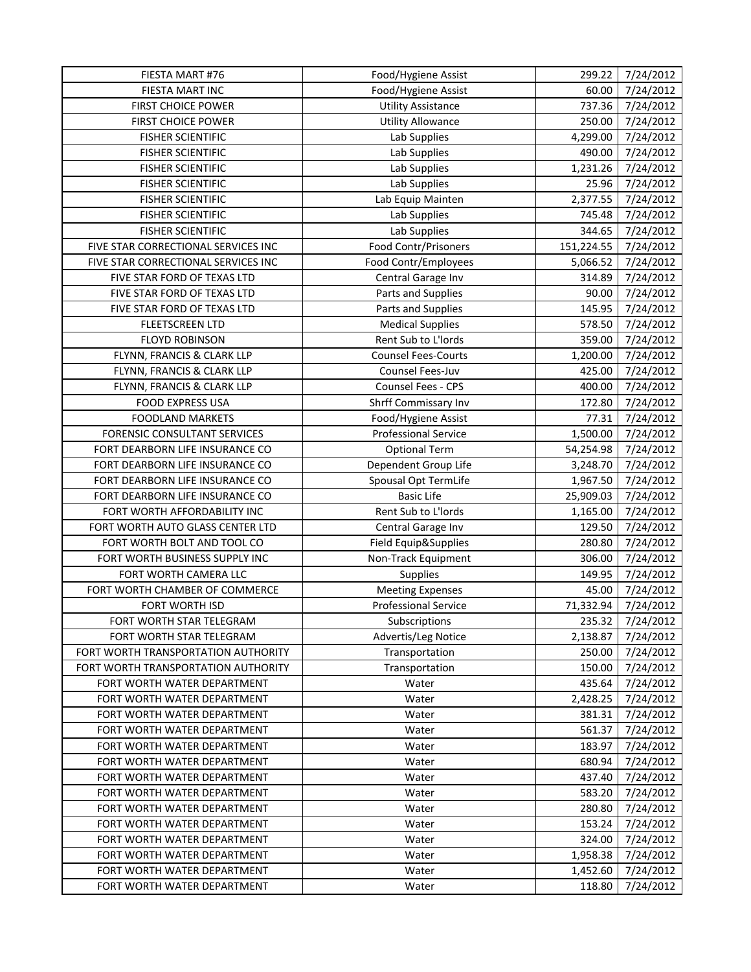| FIESTA MART #76                     | Food/Hygiene Assist         | 299.22     | 7/24/2012 |
|-------------------------------------|-----------------------------|------------|-----------|
| <b>FIESTA MART INC</b>              | Food/Hygiene Assist         | 60.00      | 7/24/2012 |
| <b>FIRST CHOICE POWER</b>           | <b>Utility Assistance</b>   | 737.36     | 7/24/2012 |
| FIRST CHOICE POWER                  | <b>Utility Allowance</b>    | 250.00     | 7/24/2012 |
| <b>FISHER SCIENTIFIC</b>            | Lab Supplies                | 4,299.00   | 7/24/2012 |
| <b>FISHER SCIENTIFIC</b>            | Lab Supplies                | 490.00     | 7/24/2012 |
| <b>FISHER SCIENTIFIC</b>            | Lab Supplies                | 1,231.26   | 7/24/2012 |
| <b>FISHER SCIENTIFIC</b>            | Lab Supplies                | 25.96      | 7/24/2012 |
| <b>FISHER SCIENTIFIC</b>            | Lab Equip Mainten           | 2,377.55   | 7/24/2012 |
| <b>FISHER SCIENTIFIC</b>            | Lab Supplies                | 745.48     | 7/24/2012 |
| <b>FISHER SCIENTIFIC</b>            | Lab Supplies                | 344.65     | 7/24/2012 |
| FIVE STAR CORRECTIONAL SERVICES INC | <b>Food Contr/Prisoners</b> | 151,224.55 | 7/24/2012 |
| FIVE STAR CORRECTIONAL SERVICES INC | Food Contr/Employees        | 5,066.52   | 7/24/2012 |
| FIVE STAR FORD OF TEXAS LTD         | Central Garage Inv          | 314.89     | 7/24/2012 |
| FIVE STAR FORD OF TEXAS LTD         | Parts and Supplies          | 90.00      | 7/24/2012 |
| FIVE STAR FORD OF TEXAS LTD         | Parts and Supplies          | 145.95     | 7/24/2012 |
| <b>FLEETSCREEN LTD</b>              | <b>Medical Supplies</b>     | 578.50     | 7/24/2012 |
| <b>FLOYD ROBINSON</b>               | Rent Sub to L'Iords         | 359.00     | 7/24/2012 |
| FLYNN, FRANCIS & CLARK LLP          | <b>Counsel Fees-Courts</b>  | 1,200.00   | 7/24/2012 |
| FLYNN, FRANCIS & CLARK LLP          | Counsel Fees-Juv            | 425.00     | 7/24/2012 |
| FLYNN, FRANCIS & CLARK LLP          | Counsel Fees - CPS          | 400.00     | 7/24/2012 |
| <b>FOOD EXPRESS USA</b>             | Shrff Commissary Inv        | 172.80     | 7/24/2012 |
| <b>FOODLAND MARKETS</b>             | Food/Hygiene Assist         | 77.31      | 7/24/2012 |
| FORENSIC CONSULTANT SERVICES        | <b>Professional Service</b> | 1,500.00   | 7/24/2012 |
| FORT DEARBORN LIFE INSURANCE CO     | <b>Optional Term</b>        | 54,254.98  | 7/24/2012 |
| FORT DEARBORN LIFE INSURANCE CO     | Dependent Group Life        | 3,248.70   | 7/24/2012 |
| FORT DEARBORN LIFE INSURANCE CO     | Spousal Opt TermLife        | 1,967.50   | 7/24/2012 |
| FORT DEARBORN LIFE INSURANCE CO     | <b>Basic Life</b>           | 25,909.03  | 7/24/2012 |
| FORT WORTH AFFORDABILITY INC        | Rent Sub to L'Iords         | 1,165.00   | 7/24/2012 |
| FORT WORTH AUTO GLASS CENTER LTD    | Central Garage Inv          | 129.50     | 7/24/2012 |
| FORT WORTH BOLT AND TOOL CO         | Field Equip&Supplies        | 280.80     | 7/24/2012 |
| FORT WORTH BUSINESS SUPPLY INC      | Non-Track Equipment         | 306.00     | 7/24/2012 |
| FORT WORTH CAMERA LLC               | Supplies                    | 149.95     | 7/24/2012 |
| FORT WORTH CHAMBER OF COMMERCE      | <b>Meeting Expenses</b>     | 45.00      | 7/24/2012 |
| <b>FORT WORTH ISD</b>               | <b>Professional Service</b> | 71,332.94  | 7/24/2012 |
| FORT WORTH STAR TELEGRAM            | Subscriptions               | 235.32     | 7/24/2012 |
| FORT WORTH STAR TELEGRAM            | Advertis/Leg Notice         | 2,138.87   | 7/24/2012 |
| FORT WORTH TRANSPORTATION AUTHORITY | Transportation              | 250.00     | 7/24/2012 |
| FORT WORTH TRANSPORTATION AUTHORITY | Transportation              | 150.00     | 7/24/2012 |
| FORT WORTH WATER DEPARTMENT         | Water                       | 435.64     | 7/24/2012 |
| FORT WORTH WATER DEPARTMENT         | Water                       | 2,428.25   | 7/24/2012 |
| FORT WORTH WATER DEPARTMENT         | Water                       | 381.31     | 7/24/2012 |
| FORT WORTH WATER DEPARTMENT         | Water                       | 561.37     | 7/24/2012 |
| FORT WORTH WATER DEPARTMENT         | Water                       | 183.97     | 7/24/2012 |
| FORT WORTH WATER DEPARTMENT         | Water                       | 680.94     | 7/24/2012 |
| FORT WORTH WATER DEPARTMENT         | Water                       | 437.40     | 7/24/2012 |
| FORT WORTH WATER DEPARTMENT         | Water                       | 583.20     | 7/24/2012 |
| FORT WORTH WATER DEPARTMENT         | Water                       | 280.80     | 7/24/2012 |
| FORT WORTH WATER DEPARTMENT         | Water                       | 153.24     | 7/24/2012 |
| FORT WORTH WATER DEPARTMENT         | Water                       | 324.00     | 7/24/2012 |
| FORT WORTH WATER DEPARTMENT         | Water                       | 1,958.38   | 7/24/2012 |
| FORT WORTH WATER DEPARTMENT         | Water                       | 1,452.60   | 7/24/2012 |
| FORT WORTH WATER DEPARTMENT         | Water                       | 118.80     | 7/24/2012 |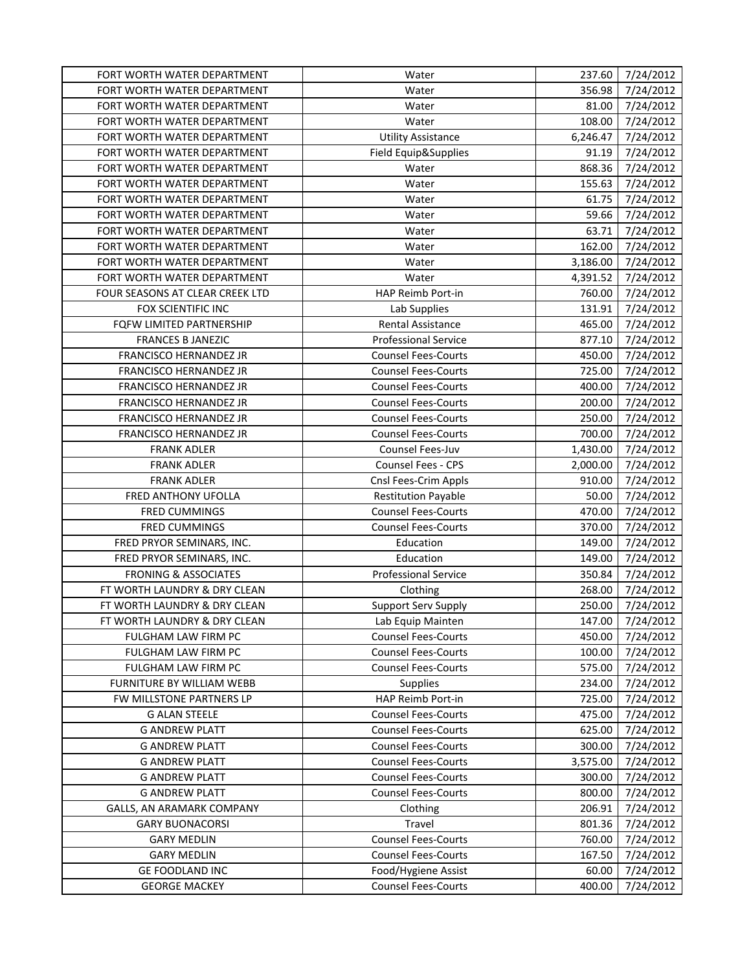| FORT WORTH WATER DEPARTMENT     | Water                       | 237.60   | 7/24/2012 |
|---------------------------------|-----------------------------|----------|-----------|
| FORT WORTH WATER DEPARTMENT     | Water                       | 356.98   | 7/24/2012 |
| FORT WORTH WATER DEPARTMENT     | Water                       | 81.00    | 7/24/2012 |
| FORT WORTH WATER DEPARTMENT     | Water                       | 108.00   | 7/24/2012 |
| FORT WORTH WATER DEPARTMENT     | <b>Utility Assistance</b>   | 6,246.47 | 7/24/2012 |
| FORT WORTH WATER DEPARTMENT     | Field Equip&Supplies        | 91.19    | 7/24/2012 |
| FORT WORTH WATER DEPARTMENT     | Water                       | 868.36   | 7/24/2012 |
| FORT WORTH WATER DEPARTMENT     | Water                       | 155.63   | 7/24/2012 |
| FORT WORTH WATER DEPARTMENT     | Water                       | 61.75    | 7/24/2012 |
| FORT WORTH WATER DEPARTMENT     | Water                       | 59.66    | 7/24/2012 |
| FORT WORTH WATER DEPARTMENT     | Water                       | 63.71    | 7/24/2012 |
| FORT WORTH WATER DEPARTMENT     | Water                       | 162.00   | 7/24/2012 |
| FORT WORTH WATER DEPARTMENT     | Water                       | 3,186.00 | 7/24/2012 |
| FORT WORTH WATER DEPARTMENT     | Water                       | 4,391.52 | 7/24/2012 |
| FOUR SEASONS AT CLEAR CREEK LTD | HAP Reimb Port-in           | 760.00   | 7/24/2012 |
| FOX SCIENTIFIC INC              | Lab Supplies                | 131.91   | 7/24/2012 |
| FQFW LIMITED PARTNERSHIP        | Rental Assistance           | 465.00   | 7/24/2012 |
| <b>FRANCES B JANEZIC</b>        | <b>Professional Service</b> | 877.10   | 7/24/2012 |
| FRANCISCO HERNANDEZ JR          | <b>Counsel Fees-Courts</b>  | 450.00   | 7/24/2012 |
| FRANCISCO HERNANDEZ JR          | <b>Counsel Fees-Courts</b>  | 725.00   | 7/24/2012 |
| FRANCISCO HERNANDEZ JR          | <b>Counsel Fees-Courts</b>  | 400.00   | 7/24/2012 |
| FRANCISCO HERNANDEZ JR          | <b>Counsel Fees-Courts</b>  | 200.00   | 7/24/2012 |
| FRANCISCO HERNANDEZ JR          | <b>Counsel Fees-Courts</b>  | 250.00   | 7/24/2012 |
| FRANCISCO HERNANDEZ JR          | <b>Counsel Fees-Courts</b>  | 700.00   | 7/24/2012 |
| <b>FRANK ADLER</b>              | Counsel Fees-Juv            | 1,430.00 | 7/24/2012 |
| <b>FRANK ADLER</b>              | Counsel Fees - CPS          | 2,000.00 | 7/24/2012 |
| <b>FRANK ADLER</b>              | Cnsl Fees-Crim Appls        | 910.00   | 7/24/2012 |
| FRED ANTHONY UFOLLA             | <b>Restitution Payable</b>  | 50.00    | 7/24/2012 |
| <b>FRED CUMMINGS</b>            | <b>Counsel Fees-Courts</b>  | 470.00   | 7/24/2012 |
| <b>FRED CUMMINGS</b>            | <b>Counsel Fees-Courts</b>  | 370.00   | 7/24/2012 |
| FRED PRYOR SEMINARS, INC.       | Education                   | 149.00   | 7/24/2012 |
| FRED PRYOR SEMINARS, INC.       | Education                   | 149.00   | 7/24/2012 |
| <b>FRONING &amp; ASSOCIATES</b> | <b>Professional Service</b> | 350.84   | 7/24/2012 |
| FT WORTH LAUNDRY & DRY CLEAN    | Clothing                    | 268.00   | 7/24/2012 |
| FT WORTH LAUNDRY & DRY CLEAN    | Support Serv Supply         | 250.00   | 7/24/2012 |
| FT WORTH LAUNDRY & DRY CLEAN    | Lab Equip Mainten           | 147.00   | 7/24/2012 |
| <b>FULGHAM LAW FIRM PC</b>      | <b>Counsel Fees-Courts</b>  | 450.00   | 7/24/2012 |
| FULGHAM LAW FIRM PC             | <b>Counsel Fees-Courts</b>  | 100.00   | 7/24/2012 |
| FULGHAM LAW FIRM PC             | <b>Counsel Fees-Courts</b>  | 575.00   | 7/24/2012 |
| FURNITURE BY WILLIAM WEBB       | <b>Supplies</b>             | 234.00   | 7/24/2012 |
| FW MILLSTONE PARTNERS LP        | HAP Reimb Port-in           | 725.00   | 7/24/2012 |
| <b>G ALAN STEELE</b>            | <b>Counsel Fees-Courts</b>  | 475.00   | 7/24/2012 |
| <b>G ANDREW PLATT</b>           | <b>Counsel Fees-Courts</b>  | 625.00   | 7/24/2012 |
| <b>G ANDREW PLATT</b>           | <b>Counsel Fees-Courts</b>  | 300.00   | 7/24/2012 |
| <b>G ANDREW PLATT</b>           | <b>Counsel Fees-Courts</b>  | 3,575.00 | 7/24/2012 |
| <b>G ANDREW PLATT</b>           | <b>Counsel Fees-Courts</b>  | 300.00   | 7/24/2012 |
| <b>G ANDREW PLATT</b>           | <b>Counsel Fees-Courts</b>  | 800.00   | 7/24/2012 |
| GALLS, AN ARAMARK COMPANY       | Clothing                    | 206.91   | 7/24/2012 |
| <b>GARY BUONACORSI</b>          | Travel                      | 801.36   | 7/24/2012 |
| <b>GARY MEDLIN</b>              | <b>Counsel Fees-Courts</b>  | 760.00   | 7/24/2012 |
| <b>GARY MEDLIN</b>              | <b>Counsel Fees-Courts</b>  | 167.50   | 7/24/2012 |
| <b>GE FOODLAND INC</b>          | Food/Hygiene Assist         | 60.00    | 7/24/2012 |
| <b>GEORGE MACKEY</b>            | <b>Counsel Fees-Courts</b>  | 400.00   | 7/24/2012 |
|                                 |                             |          |           |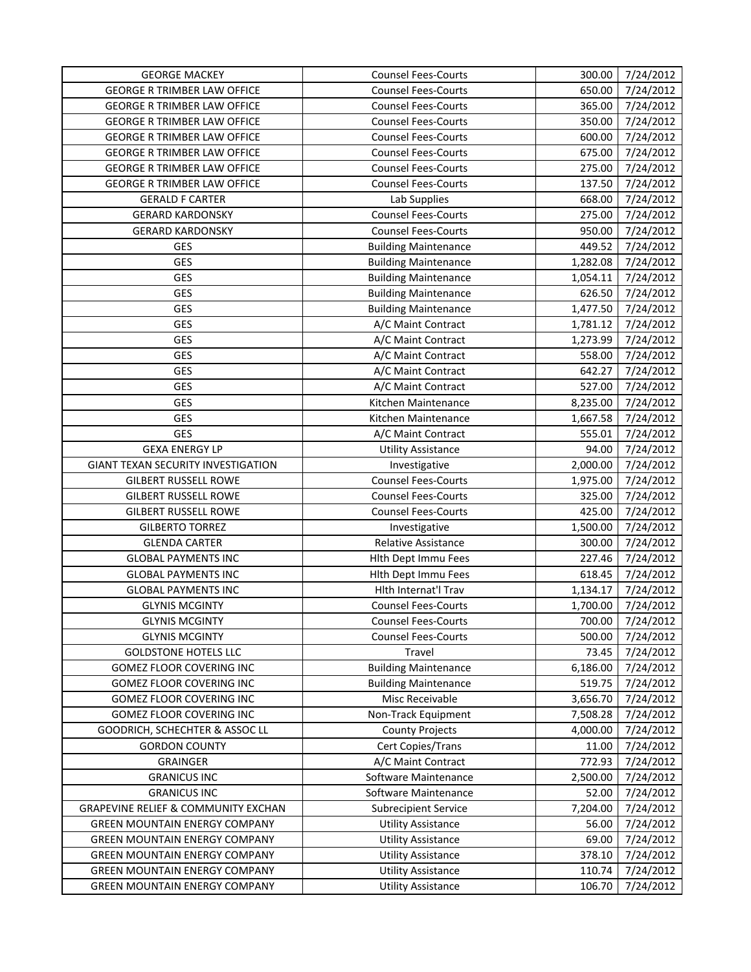| <b>GEORGE MACKEY</b>                           | <b>Counsel Fees-Courts</b>  | 300.00   | 7/24/2012 |
|------------------------------------------------|-----------------------------|----------|-----------|
| <b>GEORGE R TRIMBER LAW OFFICE</b>             | <b>Counsel Fees-Courts</b>  | 650.00   | 7/24/2012 |
| <b>GEORGE R TRIMBER LAW OFFICE</b>             | <b>Counsel Fees-Courts</b>  | 365.00   | 7/24/2012 |
| <b>GEORGE R TRIMBER LAW OFFICE</b>             | <b>Counsel Fees-Courts</b>  | 350.00   | 7/24/2012 |
| <b>GEORGE R TRIMBER LAW OFFICE</b>             | <b>Counsel Fees-Courts</b>  | 600.00   | 7/24/2012 |
| <b>GEORGE R TRIMBER LAW OFFICE</b>             | <b>Counsel Fees-Courts</b>  | 675.00   | 7/24/2012 |
| <b>GEORGE R TRIMBER LAW OFFICE</b>             | <b>Counsel Fees-Courts</b>  | 275.00   | 7/24/2012 |
| <b>GEORGE R TRIMBER LAW OFFICE</b>             | <b>Counsel Fees-Courts</b>  | 137.50   | 7/24/2012 |
| <b>GERALD F CARTER</b>                         | Lab Supplies                | 668.00   | 7/24/2012 |
| <b>GERARD KARDONSKY</b>                        | <b>Counsel Fees-Courts</b>  | 275.00   | 7/24/2012 |
| <b>GERARD KARDONSKY</b>                        | <b>Counsel Fees-Courts</b>  | 950.00   | 7/24/2012 |
| GES                                            | <b>Building Maintenance</b> | 449.52   | 7/24/2012 |
| GES                                            | <b>Building Maintenance</b> | 1,282.08 | 7/24/2012 |
| GES                                            | <b>Building Maintenance</b> | 1,054.11 | 7/24/2012 |
| GES                                            | <b>Building Maintenance</b> | 626.50   | 7/24/2012 |
| GES                                            | <b>Building Maintenance</b> | 1,477.50 | 7/24/2012 |
| GES                                            | A/C Maint Contract          | 1,781.12 | 7/24/2012 |
| GES                                            | A/C Maint Contract          | 1,273.99 | 7/24/2012 |
| GES                                            | A/C Maint Contract          | 558.00   | 7/24/2012 |
| GES                                            | A/C Maint Contract          | 642.27   | 7/24/2012 |
| GES                                            | A/C Maint Contract          | 527.00   | 7/24/2012 |
| GES                                            | Kitchen Maintenance         | 8,235.00 | 7/24/2012 |
| GES                                            | Kitchen Maintenance         | 1,667.58 | 7/24/2012 |
| GES                                            | A/C Maint Contract          | 555.01   | 7/24/2012 |
| <b>GEXA ENERGY LP</b>                          | <b>Utility Assistance</b>   | 94.00    | 7/24/2012 |
| <b>GIANT TEXAN SECURITY INVESTIGATION</b>      | Investigative               | 2,000.00 | 7/24/2012 |
| <b>GILBERT RUSSELL ROWE</b>                    | <b>Counsel Fees-Courts</b>  | 1,975.00 | 7/24/2012 |
| <b>GILBERT RUSSELL ROWE</b>                    | <b>Counsel Fees-Courts</b>  | 325.00   | 7/24/2012 |
| <b>GILBERT RUSSELL ROWE</b>                    | <b>Counsel Fees-Courts</b>  | 425.00   | 7/24/2012 |
| <b>GILBERTO TORREZ</b>                         | Investigative               | 1,500.00 | 7/24/2012 |
| <b>GLENDA CARTER</b>                           | <b>Relative Assistance</b>  | 300.00   | 7/24/2012 |
| <b>GLOBAL PAYMENTS INC</b>                     | Hith Dept Immu Fees         | 227.46   | 7/24/2012 |
| <b>GLOBAL PAYMENTS INC</b>                     | Hith Dept Immu Fees         | 618.45   | 7/24/2012 |
| <b>GLOBAL PAYMENTS INC</b>                     | Hlth Internat'l Trav        | 1,134.17 | 7/24/2012 |
| <b>GLYNIS MCGINTY</b>                          | <b>Counsel Fees-Courts</b>  | 1,700.00 | 7/24/2012 |
| <b>GLYNIS MCGINTY</b>                          | Counsel Fees-Courts         | 700.00   | 7/24/2012 |
| <b>GLYNIS MCGINTY</b>                          | <b>Counsel Fees-Courts</b>  | 500.00   | 7/24/2012 |
| <b>GOLDSTONE HOTELS LLC</b>                    | Travel                      | 73.45    | 7/24/2012 |
| <b>GOMEZ FLOOR COVERING INC</b>                | <b>Building Maintenance</b> | 6,186.00 | 7/24/2012 |
| <b>GOMEZ FLOOR COVERING INC</b>                | <b>Building Maintenance</b> | 519.75   | 7/24/2012 |
| <b>GOMEZ FLOOR COVERING INC</b>                | Misc Receivable             | 3,656.70 | 7/24/2012 |
| <b>GOMEZ FLOOR COVERING INC</b>                | Non-Track Equipment         | 7,508.28 | 7/24/2012 |
| GOODRICH, SCHECHTER & ASSOC LL                 | <b>County Projects</b>      | 4,000.00 | 7/24/2012 |
| <b>GORDON COUNTY</b>                           | Cert Copies/Trans           | 11.00    | 7/24/2012 |
| <b>GRAINGER</b>                                | A/C Maint Contract          | 772.93   | 7/24/2012 |
| <b>GRANICUS INC</b>                            | Software Maintenance        | 2,500.00 | 7/24/2012 |
| <b>GRANICUS INC</b>                            | Software Maintenance        | 52.00    | 7/24/2012 |
| <b>GRAPEVINE RELIEF &amp; COMMUNITY EXCHAN</b> | <b>Subrecipient Service</b> | 7,204.00 | 7/24/2012 |
| <b>GREEN MOUNTAIN ENERGY COMPANY</b>           | <b>Utility Assistance</b>   | 56.00    | 7/24/2012 |
| <b>GREEN MOUNTAIN ENERGY COMPANY</b>           | <b>Utility Assistance</b>   | 69.00    | 7/24/2012 |
| <b>GREEN MOUNTAIN ENERGY COMPANY</b>           | <b>Utility Assistance</b>   | 378.10   | 7/24/2012 |
| <b>GREEN MOUNTAIN ENERGY COMPANY</b>           | <b>Utility Assistance</b>   | 110.74   | 7/24/2012 |
| <b>GREEN MOUNTAIN ENERGY COMPANY</b>           | <b>Utility Assistance</b>   | 106.70   | 7/24/2012 |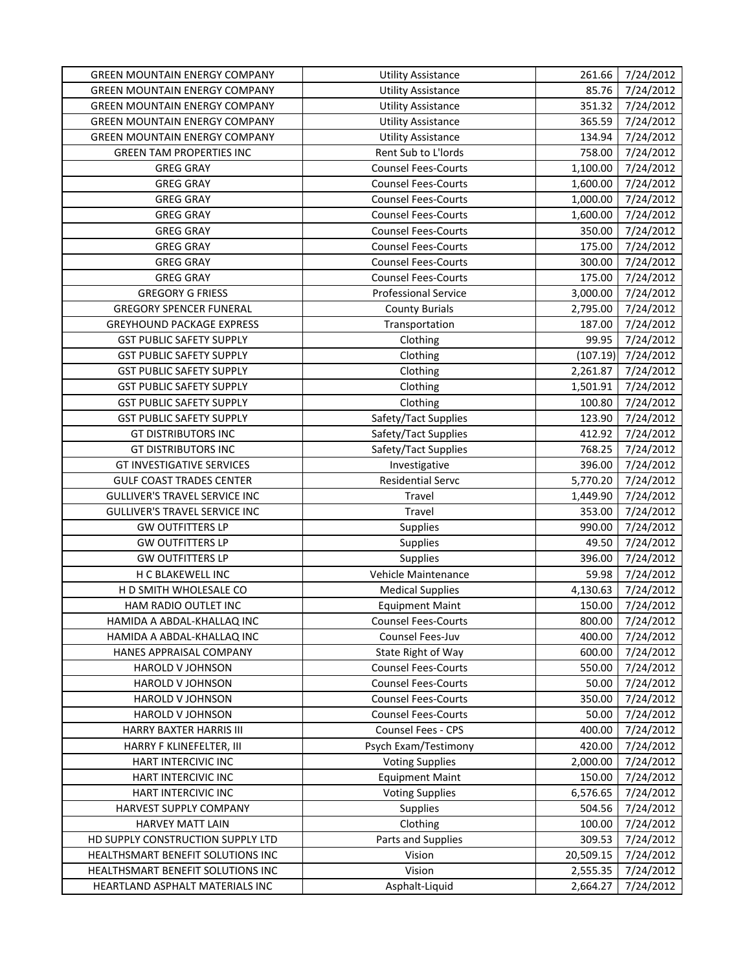| <b>GREEN MOUNTAIN ENERGY COMPANY</b> | <b>Utility Assistance</b>   | 261.66    | 7/24/2012 |
|--------------------------------------|-----------------------------|-----------|-----------|
| <b>GREEN MOUNTAIN ENERGY COMPANY</b> | <b>Utility Assistance</b>   | 85.76     | 7/24/2012 |
| <b>GREEN MOUNTAIN ENERGY COMPANY</b> | <b>Utility Assistance</b>   | 351.32    | 7/24/2012 |
| <b>GREEN MOUNTAIN ENERGY COMPANY</b> | <b>Utility Assistance</b>   | 365.59    | 7/24/2012 |
| <b>GREEN MOUNTAIN ENERGY COMPANY</b> | <b>Utility Assistance</b>   | 134.94    | 7/24/2012 |
| <b>GREEN TAM PROPERTIES INC</b>      | Rent Sub to L'Iords         | 758.00    | 7/24/2012 |
| <b>GREG GRAY</b>                     | <b>Counsel Fees-Courts</b>  | 1,100.00  | 7/24/2012 |
| <b>GREG GRAY</b>                     | <b>Counsel Fees-Courts</b>  | 1,600.00  | 7/24/2012 |
| <b>GREG GRAY</b>                     | <b>Counsel Fees-Courts</b>  | 1,000.00  | 7/24/2012 |
| <b>GREG GRAY</b>                     | <b>Counsel Fees-Courts</b>  | 1,600.00  | 7/24/2012 |
| <b>GREG GRAY</b>                     | <b>Counsel Fees-Courts</b>  | 350.00    | 7/24/2012 |
| <b>GREG GRAY</b>                     | <b>Counsel Fees-Courts</b>  | 175.00    | 7/24/2012 |
| <b>GREG GRAY</b>                     | <b>Counsel Fees-Courts</b>  | 300.00    | 7/24/2012 |
| <b>GREG GRAY</b>                     | <b>Counsel Fees-Courts</b>  | 175.00    | 7/24/2012 |
| <b>GREGORY G FRIESS</b>              | <b>Professional Service</b> | 3,000.00  | 7/24/2012 |
| <b>GREGORY SPENCER FUNERAL</b>       | <b>County Burials</b>       | 2,795.00  | 7/24/2012 |
| <b>GREYHOUND PACKAGE EXPRESS</b>     | Transportation              | 187.00    | 7/24/2012 |
| <b>GST PUBLIC SAFETY SUPPLY</b>      | Clothing                    | 99.95     | 7/24/2012 |
| <b>GST PUBLIC SAFETY SUPPLY</b>      | Clothing                    | (107.19)  | 7/24/2012 |
| <b>GST PUBLIC SAFETY SUPPLY</b>      | Clothing                    | 2,261.87  | 7/24/2012 |
| <b>GST PUBLIC SAFETY SUPPLY</b>      | Clothing                    | 1,501.91  | 7/24/2012 |
| <b>GST PUBLIC SAFETY SUPPLY</b>      | Clothing                    | 100.80    | 7/24/2012 |
| <b>GST PUBLIC SAFETY SUPPLY</b>      | Safety/Tact Supplies        | 123.90    | 7/24/2012 |
| <b>GT DISTRIBUTORS INC</b>           | Safety/Tact Supplies        | 412.92    | 7/24/2012 |
| <b>GT DISTRIBUTORS INC</b>           | Safety/Tact Supplies        | 768.25    | 7/24/2012 |
| <b>GT INVESTIGATIVE SERVICES</b>     | Investigative               | 396.00    | 7/24/2012 |
| <b>GULF COAST TRADES CENTER</b>      | Residential Servc           | 5,770.20  | 7/24/2012 |
| <b>GULLIVER'S TRAVEL SERVICE INC</b> | Travel                      | 1,449.90  | 7/24/2012 |
| <b>GULLIVER'S TRAVEL SERVICE INC</b> | Travel                      | 353.00    | 7/24/2012 |
| <b>GW OUTFITTERS LP</b>              | <b>Supplies</b>             | 990.00    | 7/24/2012 |
| <b>GW OUTFITTERS LP</b>              | <b>Supplies</b>             | 49.50     | 7/24/2012 |
| <b>GW OUTFITTERS LP</b>              | Supplies                    | 396.00    | 7/24/2012 |
| H C BLAKEWELL INC                    | Vehicle Maintenance         | 59.98     | 7/24/2012 |
| H D SMITH WHOLESALE CO               | <b>Medical Supplies</b>     | 4,130.63  | 7/24/2012 |
| HAM RADIO OUTLET INC                 | <b>Equipment Maint</b>      | 150.00    | 7/24/2012 |
| HAMIDA A ABDAL-KHALLAQ INC           | <b>Counsel Fees-Courts</b>  | 800.00    | 7/24/2012 |
| HAMIDA A ABDAL-KHALLAQ INC           | Counsel Fees-Juv            | 400.00    | 7/24/2012 |
| HANES APPRAISAL COMPANY              | State Right of Way          | 600.00    | 7/24/2012 |
| <b>HAROLD V JOHNSON</b>              | <b>Counsel Fees-Courts</b>  | 550.00    | 7/24/2012 |
| HAROLD V JOHNSON                     | <b>Counsel Fees-Courts</b>  | 50.00     | 7/24/2012 |
| HAROLD V JOHNSON                     | <b>Counsel Fees-Courts</b>  | 350.00    | 7/24/2012 |
| HAROLD V JOHNSON                     | <b>Counsel Fees-Courts</b>  | 50.00     | 7/24/2012 |
| HARRY BAXTER HARRIS III              | <b>Counsel Fees - CPS</b>   | 400.00    | 7/24/2012 |
| HARRY F KLINEFELTER, III             | Psych Exam/Testimony        | 420.00    | 7/24/2012 |
| HART INTERCIVIC INC                  | <b>Voting Supplies</b>      | 2,000.00  | 7/24/2012 |
| HART INTERCIVIC INC                  | <b>Equipment Maint</b>      | 150.00    | 7/24/2012 |
| HART INTERCIVIC INC                  | <b>Voting Supplies</b>      | 6,576.65  | 7/24/2012 |
| HARVEST SUPPLY COMPANY               | <b>Supplies</b>             | 504.56    | 7/24/2012 |
| HARVEY MATT LAIN                     | Clothing                    | 100.00    | 7/24/2012 |
| HD SUPPLY CONSTRUCTION SUPPLY LTD    | Parts and Supplies          | 309.53    | 7/24/2012 |
| HEALTHSMART BENEFIT SOLUTIONS INC    | Vision                      | 20,509.15 | 7/24/2012 |
| HEALTHSMART BENEFIT SOLUTIONS INC    | Vision                      | 2,555.35  | 7/24/2012 |
| HEARTLAND ASPHALT MATERIALS INC      | Asphalt-Liquid              | 2,664.27  | 7/24/2012 |
|                                      |                             |           |           |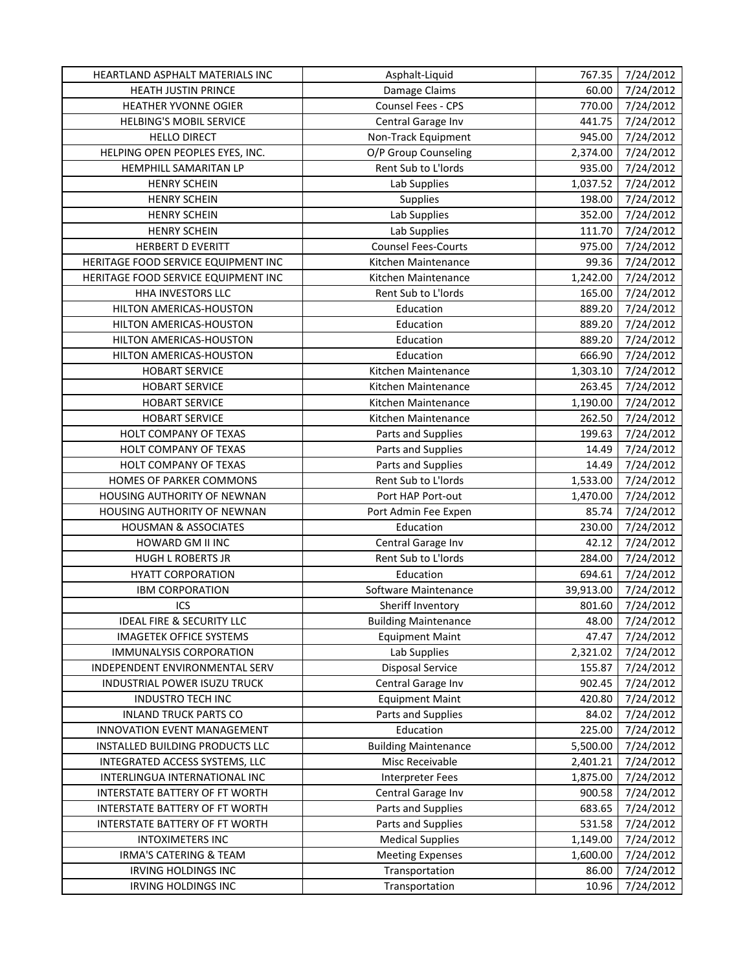| Damage Claims<br>7/24/2012<br><b>HEATH JUSTIN PRINCE</b><br>60.00<br>Counsel Fees - CPS<br>7/24/2012<br>HEATHER YVONNE OGIER<br>770.00<br>7/24/2012<br>HELBING'S MOBIL SERVICE<br>Central Garage Inv<br>441.75<br><b>HELLO DIRECT</b><br>Non-Track Equipment<br>945.00<br>7/24/2012<br>HELPING OPEN PEOPLES EYES, INC.<br>O/P Group Counseling<br>7/24/2012<br>2,374.00<br>Rent Sub to L'Iords<br>HEMPHILL SAMARITAN LP<br>935.00<br>7/24/2012<br>Lab Supplies<br>7/24/2012<br><b>HENRY SCHEIN</b><br>1,037.52<br><b>HENRY SCHEIN</b><br>Supplies<br>198.00<br>7/24/2012<br>Lab Supplies<br>7/24/2012<br><b>HENRY SCHEIN</b><br>352.00<br><b>HENRY SCHEIN</b><br>Lab Supplies<br>111.70<br>7/24/2012<br><b>Counsel Fees-Courts</b><br>975.00<br>7/24/2012<br><b>HERBERT D EVERITT</b><br>99.36<br>7/24/2012<br>HERITAGE FOOD SERVICE EQUIPMENT INC<br>Kitchen Maintenance<br>7/24/2012<br>HERITAGE FOOD SERVICE EQUIPMENT INC<br>1,242.00<br>Kitchen Maintenance<br>HHA INVESTORS LLC<br>Rent Sub to L'Iords<br>165.00<br>7/24/2012<br>Education<br>889.20<br>7/24/2012<br>HILTON AMERICAS-HOUSTON<br>Education<br>889.20<br>7/24/2012<br>HILTON AMERICAS-HOUSTON<br>Education<br>7/24/2012<br>HILTON AMERICAS-HOUSTON<br>889.20<br>Education<br>7/24/2012<br>HILTON AMERICAS-HOUSTON<br>666.90<br>7/24/2012<br><b>HOBART SERVICE</b><br>Kitchen Maintenance<br>1,303.10<br>7/24/2012<br><b>HOBART SERVICE</b><br>Kitchen Maintenance<br>263.45<br><b>HOBART SERVICE</b><br>7/24/2012<br>Kitchen Maintenance<br>1,190.00<br><b>HOBART SERVICE</b><br>262.50<br>7/24/2012<br>Kitchen Maintenance<br>HOLT COMPANY OF TEXAS<br>199.63<br>7/24/2012<br>Parts and Supplies<br>HOLT COMPANY OF TEXAS<br>Parts and Supplies<br>14.49<br>7/24/2012<br>Parts and Supplies<br>7/24/2012<br>HOLT COMPANY OF TEXAS<br>14.49<br>Rent Sub to L'Iords<br>HOMES OF PARKER COMMONS<br>1,533.00<br>7/24/2012<br>HOUSING AUTHORITY OF NEWNAN<br>Port HAP Port-out<br>7/24/2012<br>1,470.00<br>HOUSING AUTHORITY OF NEWNAN<br>7/24/2012<br>Port Admin Fee Expen<br>85.74<br><b>HOUSMAN &amp; ASSOCIATES</b><br>Education<br>230.00<br>7/24/2012<br>7/24/2012<br>42.12<br>HOWARD GM II INC<br>Central Garage Inv<br>Rent Sub to L'Iords<br><b>HUGH L ROBERTS JR</b><br>284.00<br>7/24/2012<br>7/24/2012<br><b>HYATT CORPORATION</b><br>Education<br>694.61<br><b>IBM CORPORATION</b><br>Software Maintenance<br>39,913.00<br>7/24/2012<br>ICS<br>7/24/2012<br>Sheriff Inventory<br>801.60<br><b>IDEAL FIRE &amp; SECURITY LLC</b><br><b>Building Maintenance</b><br>48.00<br>7/24/2012<br>7/24/2012<br><b>IMAGETEK OFFICE SYSTEMS</b><br>47.47<br><b>Equipment Maint</b><br><b>IMMUNALYSIS CORPORATION</b><br>Lab Supplies<br>7/24/2012<br>2,321.02<br><b>Disposal Service</b><br>7/24/2012<br>INDEPENDENT ENVIRONMENTAL SERV<br>155.87<br>Central Garage Inv<br>902.45<br>7/24/2012<br>INDUSTRIAL POWER ISUZU TRUCK<br><b>Equipment Maint</b><br>420.80<br>7/24/2012<br><b>INDUSTRO TECH INC</b><br><b>INLAND TRUCK PARTS CO</b><br>Parts and Supplies<br>84.02<br>7/24/2012<br>Education<br>7/24/2012<br>INNOVATION EVENT MANAGEMENT<br>225.00<br>INSTALLED BUILDING PRODUCTS LLC<br><b>Building Maintenance</b><br>5,500.00<br>7/24/2012<br>INTEGRATED ACCESS SYSTEMS, LLC<br>7/24/2012<br>Misc Receivable<br>2,401.21<br>7/24/2012<br>INTERLINGUA INTERNATIONAL INC<br><b>Interpreter Fees</b><br>1,875.00<br>INTERSTATE BATTERY OF FT WORTH<br>Central Garage Inv<br>900.58<br>7/24/2012<br>INTERSTATE BATTERY OF FT WORTH<br>Parts and Supplies<br>683.65<br>7/24/2012<br>Parts and Supplies<br>531.58<br>7/24/2012<br>INTERSTATE BATTERY OF FT WORTH<br><b>Medical Supplies</b><br>7/24/2012<br><b>INTOXIMETERS INC</b><br>1,149.00<br>7/24/2012<br>IRMA'S CATERING & TEAM<br><b>Meeting Expenses</b><br>1,600.00<br>7/24/2012<br>IRVING HOLDINGS INC<br>Transportation<br>86.00 | HEARTLAND ASPHALT MATERIALS INC | Asphalt-Liquid | 767.35 | 7/24/2012 |
|--------------------------------------------------------------------------------------------------------------------------------------------------------------------------------------------------------------------------------------------------------------------------------------------------------------------------------------------------------------------------------------------------------------------------------------------------------------------------------------------------------------------------------------------------------------------------------------------------------------------------------------------------------------------------------------------------------------------------------------------------------------------------------------------------------------------------------------------------------------------------------------------------------------------------------------------------------------------------------------------------------------------------------------------------------------------------------------------------------------------------------------------------------------------------------------------------------------------------------------------------------------------------------------------------------------------------------------------------------------------------------------------------------------------------------------------------------------------------------------------------------------------------------------------------------------------------------------------------------------------------------------------------------------------------------------------------------------------------------------------------------------------------------------------------------------------------------------------------------------------------------------------------------------------------------------------------------------------------------------------------------------------------------------------------------------------------------------------------------------------------------------------------------------------------------------------------------------------------------------------------------------------------------------------------------------------------------------------------------------------------------------------------------------------------------------------------------------------------------------------------------------------------------------------------------------------------------------------------------------------------------------------------------------------------------------------------------------------------------------------------------------------------------------------------------------------------------------------------------------------------------------------------------------------------------------------------------------------------------------------------------------------------------------------------------------------------------------------------------------------------------------------------------------------------------------------------------------------------------------------------------------------------------------------------------------------------------------------------------------------------------------------------------------------------------------------------------------------------------------------------------------------------------------------------------------------------------------------------------------------------------------------------------------------------------------------------------------------------------------------------------------------------------------------------------------------------------------------------------------------|---------------------------------|----------------|--------|-----------|
|                                                                                                                                                                                                                                                                                                                                                                                                                                                                                                                                                                                                                                                                                                                                                                                                                                                                                                                                                                                                                                                                                                                                                                                                                                                                                                                                                                                                                                                                                                                                                                                                                                                                                                                                                                                                                                                                                                                                                                                                                                                                                                                                                                                                                                                                                                                                                                                                                                                                                                                                                                                                                                                                                                                                                                                                                                                                                                                                                                                                                                                                                                                                                                                                                                                                                                                                                                                                                                                                                                                                                                                                                                                                                                                                                                                                                                                                    |                                 |                |        |           |
|                                                                                                                                                                                                                                                                                                                                                                                                                                                                                                                                                                                                                                                                                                                                                                                                                                                                                                                                                                                                                                                                                                                                                                                                                                                                                                                                                                                                                                                                                                                                                                                                                                                                                                                                                                                                                                                                                                                                                                                                                                                                                                                                                                                                                                                                                                                                                                                                                                                                                                                                                                                                                                                                                                                                                                                                                                                                                                                                                                                                                                                                                                                                                                                                                                                                                                                                                                                                                                                                                                                                                                                                                                                                                                                                                                                                                                                                    |                                 |                |        |           |
|                                                                                                                                                                                                                                                                                                                                                                                                                                                                                                                                                                                                                                                                                                                                                                                                                                                                                                                                                                                                                                                                                                                                                                                                                                                                                                                                                                                                                                                                                                                                                                                                                                                                                                                                                                                                                                                                                                                                                                                                                                                                                                                                                                                                                                                                                                                                                                                                                                                                                                                                                                                                                                                                                                                                                                                                                                                                                                                                                                                                                                                                                                                                                                                                                                                                                                                                                                                                                                                                                                                                                                                                                                                                                                                                                                                                                                                                    |                                 |                |        |           |
|                                                                                                                                                                                                                                                                                                                                                                                                                                                                                                                                                                                                                                                                                                                                                                                                                                                                                                                                                                                                                                                                                                                                                                                                                                                                                                                                                                                                                                                                                                                                                                                                                                                                                                                                                                                                                                                                                                                                                                                                                                                                                                                                                                                                                                                                                                                                                                                                                                                                                                                                                                                                                                                                                                                                                                                                                                                                                                                                                                                                                                                                                                                                                                                                                                                                                                                                                                                                                                                                                                                                                                                                                                                                                                                                                                                                                                                                    |                                 |                |        |           |
|                                                                                                                                                                                                                                                                                                                                                                                                                                                                                                                                                                                                                                                                                                                                                                                                                                                                                                                                                                                                                                                                                                                                                                                                                                                                                                                                                                                                                                                                                                                                                                                                                                                                                                                                                                                                                                                                                                                                                                                                                                                                                                                                                                                                                                                                                                                                                                                                                                                                                                                                                                                                                                                                                                                                                                                                                                                                                                                                                                                                                                                                                                                                                                                                                                                                                                                                                                                                                                                                                                                                                                                                                                                                                                                                                                                                                                                                    |                                 |                |        |           |
|                                                                                                                                                                                                                                                                                                                                                                                                                                                                                                                                                                                                                                                                                                                                                                                                                                                                                                                                                                                                                                                                                                                                                                                                                                                                                                                                                                                                                                                                                                                                                                                                                                                                                                                                                                                                                                                                                                                                                                                                                                                                                                                                                                                                                                                                                                                                                                                                                                                                                                                                                                                                                                                                                                                                                                                                                                                                                                                                                                                                                                                                                                                                                                                                                                                                                                                                                                                                                                                                                                                                                                                                                                                                                                                                                                                                                                                                    |                                 |                |        |           |
|                                                                                                                                                                                                                                                                                                                                                                                                                                                                                                                                                                                                                                                                                                                                                                                                                                                                                                                                                                                                                                                                                                                                                                                                                                                                                                                                                                                                                                                                                                                                                                                                                                                                                                                                                                                                                                                                                                                                                                                                                                                                                                                                                                                                                                                                                                                                                                                                                                                                                                                                                                                                                                                                                                                                                                                                                                                                                                                                                                                                                                                                                                                                                                                                                                                                                                                                                                                                                                                                                                                                                                                                                                                                                                                                                                                                                                                                    |                                 |                |        |           |
|                                                                                                                                                                                                                                                                                                                                                                                                                                                                                                                                                                                                                                                                                                                                                                                                                                                                                                                                                                                                                                                                                                                                                                                                                                                                                                                                                                                                                                                                                                                                                                                                                                                                                                                                                                                                                                                                                                                                                                                                                                                                                                                                                                                                                                                                                                                                                                                                                                                                                                                                                                                                                                                                                                                                                                                                                                                                                                                                                                                                                                                                                                                                                                                                                                                                                                                                                                                                                                                                                                                                                                                                                                                                                                                                                                                                                                                                    |                                 |                |        |           |
|                                                                                                                                                                                                                                                                                                                                                                                                                                                                                                                                                                                                                                                                                                                                                                                                                                                                                                                                                                                                                                                                                                                                                                                                                                                                                                                                                                                                                                                                                                                                                                                                                                                                                                                                                                                                                                                                                                                                                                                                                                                                                                                                                                                                                                                                                                                                                                                                                                                                                                                                                                                                                                                                                                                                                                                                                                                                                                                                                                                                                                                                                                                                                                                                                                                                                                                                                                                                                                                                                                                                                                                                                                                                                                                                                                                                                                                                    |                                 |                |        |           |
|                                                                                                                                                                                                                                                                                                                                                                                                                                                                                                                                                                                                                                                                                                                                                                                                                                                                                                                                                                                                                                                                                                                                                                                                                                                                                                                                                                                                                                                                                                                                                                                                                                                                                                                                                                                                                                                                                                                                                                                                                                                                                                                                                                                                                                                                                                                                                                                                                                                                                                                                                                                                                                                                                                                                                                                                                                                                                                                                                                                                                                                                                                                                                                                                                                                                                                                                                                                                                                                                                                                                                                                                                                                                                                                                                                                                                                                                    |                                 |                |        |           |
|                                                                                                                                                                                                                                                                                                                                                                                                                                                                                                                                                                                                                                                                                                                                                                                                                                                                                                                                                                                                                                                                                                                                                                                                                                                                                                                                                                                                                                                                                                                                                                                                                                                                                                                                                                                                                                                                                                                                                                                                                                                                                                                                                                                                                                                                                                                                                                                                                                                                                                                                                                                                                                                                                                                                                                                                                                                                                                                                                                                                                                                                                                                                                                                                                                                                                                                                                                                                                                                                                                                                                                                                                                                                                                                                                                                                                                                                    |                                 |                |        |           |
|                                                                                                                                                                                                                                                                                                                                                                                                                                                                                                                                                                                                                                                                                                                                                                                                                                                                                                                                                                                                                                                                                                                                                                                                                                                                                                                                                                                                                                                                                                                                                                                                                                                                                                                                                                                                                                                                                                                                                                                                                                                                                                                                                                                                                                                                                                                                                                                                                                                                                                                                                                                                                                                                                                                                                                                                                                                                                                                                                                                                                                                                                                                                                                                                                                                                                                                                                                                                                                                                                                                                                                                                                                                                                                                                                                                                                                                                    |                                 |                |        |           |
|                                                                                                                                                                                                                                                                                                                                                                                                                                                                                                                                                                                                                                                                                                                                                                                                                                                                                                                                                                                                                                                                                                                                                                                                                                                                                                                                                                                                                                                                                                                                                                                                                                                                                                                                                                                                                                                                                                                                                                                                                                                                                                                                                                                                                                                                                                                                                                                                                                                                                                                                                                                                                                                                                                                                                                                                                                                                                                                                                                                                                                                                                                                                                                                                                                                                                                                                                                                                                                                                                                                                                                                                                                                                                                                                                                                                                                                                    |                                 |                |        |           |
|                                                                                                                                                                                                                                                                                                                                                                                                                                                                                                                                                                                                                                                                                                                                                                                                                                                                                                                                                                                                                                                                                                                                                                                                                                                                                                                                                                                                                                                                                                                                                                                                                                                                                                                                                                                                                                                                                                                                                                                                                                                                                                                                                                                                                                                                                                                                                                                                                                                                                                                                                                                                                                                                                                                                                                                                                                                                                                                                                                                                                                                                                                                                                                                                                                                                                                                                                                                                                                                                                                                                                                                                                                                                                                                                                                                                                                                                    |                                 |                |        |           |
|                                                                                                                                                                                                                                                                                                                                                                                                                                                                                                                                                                                                                                                                                                                                                                                                                                                                                                                                                                                                                                                                                                                                                                                                                                                                                                                                                                                                                                                                                                                                                                                                                                                                                                                                                                                                                                                                                                                                                                                                                                                                                                                                                                                                                                                                                                                                                                                                                                                                                                                                                                                                                                                                                                                                                                                                                                                                                                                                                                                                                                                                                                                                                                                                                                                                                                                                                                                                                                                                                                                                                                                                                                                                                                                                                                                                                                                                    |                                 |                |        |           |
|                                                                                                                                                                                                                                                                                                                                                                                                                                                                                                                                                                                                                                                                                                                                                                                                                                                                                                                                                                                                                                                                                                                                                                                                                                                                                                                                                                                                                                                                                                                                                                                                                                                                                                                                                                                                                                                                                                                                                                                                                                                                                                                                                                                                                                                                                                                                                                                                                                                                                                                                                                                                                                                                                                                                                                                                                                                                                                                                                                                                                                                                                                                                                                                                                                                                                                                                                                                                                                                                                                                                                                                                                                                                                                                                                                                                                                                                    |                                 |                |        |           |
|                                                                                                                                                                                                                                                                                                                                                                                                                                                                                                                                                                                                                                                                                                                                                                                                                                                                                                                                                                                                                                                                                                                                                                                                                                                                                                                                                                                                                                                                                                                                                                                                                                                                                                                                                                                                                                                                                                                                                                                                                                                                                                                                                                                                                                                                                                                                                                                                                                                                                                                                                                                                                                                                                                                                                                                                                                                                                                                                                                                                                                                                                                                                                                                                                                                                                                                                                                                                                                                                                                                                                                                                                                                                                                                                                                                                                                                                    |                                 |                |        |           |
|                                                                                                                                                                                                                                                                                                                                                                                                                                                                                                                                                                                                                                                                                                                                                                                                                                                                                                                                                                                                                                                                                                                                                                                                                                                                                                                                                                                                                                                                                                                                                                                                                                                                                                                                                                                                                                                                                                                                                                                                                                                                                                                                                                                                                                                                                                                                                                                                                                                                                                                                                                                                                                                                                                                                                                                                                                                                                                                                                                                                                                                                                                                                                                                                                                                                                                                                                                                                                                                                                                                                                                                                                                                                                                                                                                                                                                                                    |                                 |                |        |           |
|                                                                                                                                                                                                                                                                                                                                                                                                                                                                                                                                                                                                                                                                                                                                                                                                                                                                                                                                                                                                                                                                                                                                                                                                                                                                                                                                                                                                                                                                                                                                                                                                                                                                                                                                                                                                                                                                                                                                                                                                                                                                                                                                                                                                                                                                                                                                                                                                                                                                                                                                                                                                                                                                                                                                                                                                                                                                                                                                                                                                                                                                                                                                                                                                                                                                                                                                                                                                                                                                                                                                                                                                                                                                                                                                                                                                                                                                    |                                 |                |        |           |
|                                                                                                                                                                                                                                                                                                                                                                                                                                                                                                                                                                                                                                                                                                                                                                                                                                                                                                                                                                                                                                                                                                                                                                                                                                                                                                                                                                                                                                                                                                                                                                                                                                                                                                                                                                                                                                                                                                                                                                                                                                                                                                                                                                                                                                                                                                                                                                                                                                                                                                                                                                                                                                                                                                                                                                                                                                                                                                                                                                                                                                                                                                                                                                                                                                                                                                                                                                                                                                                                                                                                                                                                                                                                                                                                                                                                                                                                    |                                 |                |        |           |
|                                                                                                                                                                                                                                                                                                                                                                                                                                                                                                                                                                                                                                                                                                                                                                                                                                                                                                                                                                                                                                                                                                                                                                                                                                                                                                                                                                                                                                                                                                                                                                                                                                                                                                                                                                                                                                                                                                                                                                                                                                                                                                                                                                                                                                                                                                                                                                                                                                                                                                                                                                                                                                                                                                                                                                                                                                                                                                                                                                                                                                                                                                                                                                                                                                                                                                                                                                                                                                                                                                                                                                                                                                                                                                                                                                                                                                                                    |                                 |                |        |           |
|                                                                                                                                                                                                                                                                                                                                                                                                                                                                                                                                                                                                                                                                                                                                                                                                                                                                                                                                                                                                                                                                                                                                                                                                                                                                                                                                                                                                                                                                                                                                                                                                                                                                                                                                                                                                                                                                                                                                                                                                                                                                                                                                                                                                                                                                                                                                                                                                                                                                                                                                                                                                                                                                                                                                                                                                                                                                                                                                                                                                                                                                                                                                                                                                                                                                                                                                                                                                                                                                                                                                                                                                                                                                                                                                                                                                                                                                    |                                 |                |        |           |
|                                                                                                                                                                                                                                                                                                                                                                                                                                                                                                                                                                                                                                                                                                                                                                                                                                                                                                                                                                                                                                                                                                                                                                                                                                                                                                                                                                                                                                                                                                                                                                                                                                                                                                                                                                                                                                                                                                                                                                                                                                                                                                                                                                                                                                                                                                                                                                                                                                                                                                                                                                                                                                                                                                                                                                                                                                                                                                                                                                                                                                                                                                                                                                                                                                                                                                                                                                                                                                                                                                                                                                                                                                                                                                                                                                                                                                                                    |                                 |                |        |           |
|                                                                                                                                                                                                                                                                                                                                                                                                                                                                                                                                                                                                                                                                                                                                                                                                                                                                                                                                                                                                                                                                                                                                                                                                                                                                                                                                                                                                                                                                                                                                                                                                                                                                                                                                                                                                                                                                                                                                                                                                                                                                                                                                                                                                                                                                                                                                                                                                                                                                                                                                                                                                                                                                                                                                                                                                                                                                                                                                                                                                                                                                                                                                                                                                                                                                                                                                                                                                                                                                                                                                                                                                                                                                                                                                                                                                                                                                    |                                 |                |        |           |
|                                                                                                                                                                                                                                                                                                                                                                                                                                                                                                                                                                                                                                                                                                                                                                                                                                                                                                                                                                                                                                                                                                                                                                                                                                                                                                                                                                                                                                                                                                                                                                                                                                                                                                                                                                                                                                                                                                                                                                                                                                                                                                                                                                                                                                                                                                                                                                                                                                                                                                                                                                                                                                                                                                                                                                                                                                                                                                                                                                                                                                                                                                                                                                                                                                                                                                                                                                                                                                                                                                                                                                                                                                                                                                                                                                                                                                                                    |                                 |                |        |           |
|                                                                                                                                                                                                                                                                                                                                                                                                                                                                                                                                                                                                                                                                                                                                                                                                                                                                                                                                                                                                                                                                                                                                                                                                                                                                                                                                                                                                                                                                                                                                                                                                                                                                                                                                                                                                                                                                                                                                                                                                                                                                                                                                                                                                                                                                                                                                                                                                                                                                                                                                                                                                                                                                                                                                                                                                                                                                                                                                                                                                                                                                                                                                                                                                                                                                                                                                                                                                                                                                                                                                                                                                                                                                                                                                                                                                                                                                    |                                 |                |        |           |
|                                                                                                                                                                                                                                                                                                                                                                                                                                                                                                                                                                                                                                                                                                                                                                                                                                                                                                                                                                                                                                                                                                                                                                                                                                                                                                                                                                                                                                                                                                                                                                                                                                                                                                                                                                                                                                                                                                                                                                                                                                                                                                                                                                                                                                                                                                                                                                                                                                                                                                                                                                                                                                                                                                                                                                                                                                                                                                                                                                                                                                                                                                                                                                                                                                                                                                                                                                                                                                                                                                                                                                                                                                                                                                                                                                                                                                                                    |                                 |                |        |           |
|                                                                                                                                                                                                                                                                                                                                                                                                                                                                                                                                                                                                                                                                                                                                                                                                                                                                                                                                                                                                                                                                                                                                                                                                                                                                                                                                                                                                                                                                                                                                                                                                                                                                                                                                                                                                                                                                                                                                                                                                                                                                                                                                                                                                                                                                                                                                                                                                                                                                                                                                                                                                                                                                                                                                                                                                                                                                                                                                                                                                                                                                                                                                                                                                                                                                                                                                                                                                                                                                                                                                                                                                                                                                                                                                                                                                                                                                    |                                 |                |        |           |
|                                                                                                                                                                                                                                                                                                                                                                                                                                                                                                                                                                                                                                                                                                                                                                                                                                                                                                                                                                                                                                                                                                                                                                                                                                                                                                                                                                                                                                                                                                                                                                                                                                                                                                                                                                                                                                                                                                                                                                                                                                                                                                                                                                                                                                                                                                                                                                                                                                                                                                                                                                                                                                                                                                                                                                                                                                                                                                                                                                                                                                                                                                                                                                                                                                                                                                                                                                                                                                                                                                                                                                                                                                                                                                                                                                                                                                                                    |                                 |                |        |           |
|                                                                                                                                                                                                                                                                                                                                                                                                                                                                                                                                                                                                                                                                                                                                                                                                                                                                                                                                                                                                                                                                                                                                                                                                                                                                                                                                                                                                                                                                                                                                                                                                                                                                                                                                                                                                                                                                                                                                                                                                                                                                                                                                                                                                                                                                                                                                                                                                                                                                                                                                                                                                                                                                                                                                                                                                                                                                                                                                                                                                                                                                                                                                                                                                                                                                                                                                                                                                                                                                                                                                                                                                                                                                                                                                                                                                                                                                    |                                 |                |        |           |
|                                                                                                                                                                                                                                                                                                                                                                                                                                                                                                                                                                                                                                                                                                                                                                                                                                                                                                                                                                                                                                                                                                                                                                                                                                                                                                                                                                                                                                                                                                                                                                                                                                                                                                                                                                                                                                                                                                                                                                                                                                                                                                                                                                                                                                                                                                                                                                                                                                                                                                                                                                                                                                                                                                                                                                                                                                                                                                                                                                                                                                                                                                                                                                                                                                                                                                                                                                                                                                                                                                                                                                                                                                                                                                                                                                                                                                                                    |                                 |                |        |           |
|                                                                                                                                                                                                                                                                                                                                                                                                                                                                                                                                                                                                                                                                                                                                                                                                                                                                                                                                                                                                                                                                                                                                                                                                                                                                                                                                                                                                                                                                                                                                                                                                                                                                                                                                                                                                                                                                                                                                                                                                                                                                                                                                                                                                                                                                                                                                                                                                                                                                                                                                                                                                                                                                                                                                                                                                                                                                                                                                                                                                                                                                                                                                                                                                                                                                                                                                                                                                                                                                                                                                                                                                                                                                                                                                                                                                                                                                    |                                 |                |        |           |
|                                                                                                                                                                                                                                                                                                                                                                                                                                                                                                                                                                                                                                                                                                                                                                                                                                                                                                                                                                                                                                                                                                                                                                                                                                                                                                                                                                                                                                                                                                                                                                                                                                                                                                                                                                                                                                                                                                                                                                                                                                                                                                                                                                                                                                                                                                                                                                                                                                                                                                                                                                                                                                                                                                                                                                                                                                                                                                                                                                                                                                                                                                                                                                                                                                                                                                                                                                                                                                                                                                                                                                                                                                                                                                                                                                                                                                                                    |                                 |                |        |           |
|                                                                                                                                                                                                                                                                                                                                                                                                                                                                                                                                                                                                                                                                                                                                                                                                                                                                                                                                                                                                                                                                                                                                                                                                                                                                                                                                                                                                                                                                                                                                                                                                                                                                                                                                                                                                                                                                                                                                                                                                                                                                                                                                                                                                                                                                                                                                                                                                                                                                                                                                                                                                                                                                                                                                                                                                                                                                                                                                                                                                                                                                                                                                                                                                                                                                                                                                                                                                                                                                                                                                                                                                                                                                                                                                                                                                                                                                    |                                 |                |        |           |
|                                                                                                                                                                                                                                                                                                                                                                                                                                                                                                                                                                                                                                                                                                                                                                                                                                                                                                                                                                                                                                                                                                                                                                                                                                                                                                                                                                                                                                                                                                                                                                                                                                                                                                                                                                                                                                                                                                                                                                                                                                                                                                                                                                                                                                                                                                                                                                                                                                                                                                                                                                                                                                                                                                                                                                                                                                                                                                                                                                                                                                                                                                                                                                                                                                                                                                                                                                                                                                                                                                                                                                                                                                                                                                                                                                                                                                                                    |                                 |                |        |           |
|                                                                                                                                                                                                                                                                                                                                                                                                                                                                                                                                                                                                                                                                                                                                                                                                                                                                                                                                                                                                                                                                                                                                                                                                                                                                                                                                                                                                                                                                                                                                                                                                                                                                                                                                                                                                                                                                                                                                                                                                                                                                                                                                                                                                                                                                                                                                                                                                                                                                                                                                                                                                                                                                                                                                                                                                                                                                                                                                                                                                                                                                                                                                                                                                                                                                                                                                                                                                                                                                                                                                                                                                                                                                                                                                                                                                                                                                    |                                 |                |        |           |
|                                                                                                                                                                                                                                                                                                                                                                                                                                                                                                                                                                                                                                                                                                                                                                                                                                                                                                                                                                                                                                                                                                                                                                                                                                                                                                                                                                                                                                                                                                                                                                                                                                                                                                                                                                                                                                                                                                                                                                                                                                                                                                                                                                                                                                                                                                                                                                                                                                                                                                                                                                                                                                                                                                                                                                                                                                                                                                                                                                                                                                                                                                                                                                                                                                                                                                                                                                                                                                                                                                                                                                                                                                                                                                                                                                                                                                                                    |                                 |                |        |           |
|                                                                                                                                                                                                                                                                                                                                                                                                                                                                                                                                                                                                                                                                                                                                                                                                                                                                                                                                                                                                                                                                                                                                                                                                                                                                                                                                                                                                                                                                                                                                                                                                                                                                                                                                                                                                                                                                                                                                                                                                                                                                                                                                                                                                                                                                                                                                                                                                                                                                                                                                                                                                                                                                                                                                                                                                                                                                                                                                                                                                                                                                                                                                                                                                                                                                                                                                                                                                                                                                                                                                                                                                                                                                                                                                                                                                                                                                    |                                 |                |        |           |
|                                                                                                                                                                                                                                                                                                                                                                                                                                                                                                                                                                                                                                                                                                                                                                                                                                                                                                                                                                                                                                                                                                                                                                                                                                                                                                                                                                                                                                                                                                                                                                                                                                                                                                                                                                                                                                                                                                                                                                                                                                                                                                                                                                                                                                                                                                                                                                                                                                                                                                                                                                                                                                                                                                                                                                                                                                                                                                                                                                                                                                                                                                                                                                                                                                                                                                                                                                                                                                                                                                                                                                                                                                                                                                                                                                                                                                                                    |                                 |                |        |           |
|                                                                                                                                                                                                                                                                                                                                                                                                                                                                                                                                                                                                                                                                                                                                                                                                                                                                                                                                                                                                                                                                                                                                                                                                                                                                                                                                                                                                                                                                                                                                                                                                                                                                                                                                                                                                                                                                                                                                                                                                                                                                                                                                                                                                                                                                                                                                                                                                                                                                                                                                                                                                                                                                                                                                                                                                                                                                                                                                                                                                                                                                                                                                                                                                                                                                                                                                                                                                                                                                                                                                                                                                                                                                                                                                                                                                                                                                    |                                 |                |        |           |
|                                                                                                                                                                                                                                                                                                                                                                                                                                                                                                                                                                                                                                                                                                                                                                                                                                                                                                                                                                                                                                                                                                                                                                                                                                                                                                                                                                                                                                                                                                                                                                                                                                                                                                                                                                                                                                                                                                                                                                                                                                                                                                                                                                                                                                                                                                                                                                                                                                                                                                                                                                                                                                                                                                                                                                                                                                                                                                                                                                                                                                                                                                                                                                                                                                                                                                                                                                                                                                                                                                                                                                                                                                                                                                                                                                                                                                                                    |                                 |                |        |           |
|                                                                                                                                                                                                                                                                                                                                                                                                                                                                                                                                                                                                                                                                                                                                                                                                                                                                                                                                                                                                                                                                                                                                                                                                                                                                                                                                                                                                                                                                                                                                                                                                                                                                                                                                                                                                                                                                                                                                                                                                                                                                                                                                                                                                                                                                                                                                                                                                                                                                                                                                                                                                                                                                                                                                                                                                                                                                                                                                                                                                                                                                                                                                                                                                                                                                                                                                                                                                                                                                                                                                                                                                                                                                                                                                                                                                                                                                    |                                 |                |        |           |
|                                                                                                                                                                                                                                                                                                                                                                                                                                                                                                                                                                                                                                                                                                                                                                                                                                                                                                                                                                                                                                                                                                                                                                                                                                                                                                                                                                                                                                                                                                                                                                                                                                                                                                                                                                                                                                                                                                                                                                                                                                                                                                                                                                                                                                                                                                                                                                                                                                                                                                                                                                                                                                                                                                                                                                                                                                                                                                                                                                                                                                                                                                                                                                                                                                                                                                                                                                                                                                                                                                                                                                                                                                                                                                                                                                                                                                                                    |                                 |                |        |           |
|                                                                                                                                                                                                                                                                                                                                                                                                                                                                                                                                                                                                                                                                                                                                                                                                                                                                                                                                                                                                                                                                                                                                                                                                                                                                                                                                                                                                                                                                                                                                                                                                                                                                                                                                                                                                                                                                                                                                                                                                                                                                                                                                                                                                                                                                                                                                                                                                                                                                                                                                                                                                                                                                                                                                                                                                                                                                                                                                                                                                                                                                                                                                                                                                                                                                                                                                                                                                                                                                                                                                                                                                                                                                                                                                                                                                                                                                    |                                 |                |        |           |
|                                                                                                                                                                                                                                                                                                                                                                                                                                                                                                                                                                                                                                                                                                                                                                                                                                                                                                                                                                                                                                                                                                                                                                                                                                                                                                                                                                                                                                                                                                                                                                                                                                                                                                                                                                                                                                                                                                                                                                                                                                                                                                                                                                                                                                                                                                                                                                                                                                                                                                                                                                                                                                                                                                                                                                                                                                                                                                                                                                                                                                                                                                                                                                                                                                                                                                                                                                                                                                                                                                                                                                                                                                                                                                                                                                                                                                                                    |                                 |                |        |           |
|                                                                                                                                                                                                                                                                                                                                                                                                                                                                                                                                                                                                                                                                                                                                                                                                                                                                                                                                                                                                                                                                                                                                                                                                                                                                                                                                                                                                                                                                                                                                                                                                                                                                                                                                                                                                                                                                                                                                                                                                                                                                                                                                                                                                                                                                                                                                                                                                                                                                                                                                                                                                                                                                                                                                                                                                                                                                                                                                                                                                                                                                                                                                                                                                                                                                                                                                                                                                                                                                                                                                                                                                                                                                                                                                                                                                                                                                    |                                 |                |        |           |
|                                                                                                                                                                                                                                                                                                                                                                                                                                                                                                                                                                                                                                                                                                                                                                                                                                                                                                                                                                                                                                                                                                                                                                                                                                                                                                                                                                                                                                                                                                                                                                                                                                                                                                                                                                                                                                                                                                                                                                                                                                                                                                                                                                                                                                                                                                                                                                                                                                                                                                                                                                                                                                                                                                                                                                                                                                                                                                                                                                                                                                                                                                                                                                                                                                                                                                                                                                                                                                                                                                                                                                                                                                                                                                                                                                                                                                                                    |                                 |                |        |           |
|                                                                                                                                                                                                                                                                                                                                                                                                                                                                                                                                                                                                                                                                                                                                                                                                                                                                                                                                                                                                                                                                                                                                                                                                                                                                                                                                                                                                                                                                                                                                                                                                                                                                                                                                                                                                                                                                                                                                                                                                                                                                                                                                                                                                                                                                                                                                                                                                                                                                                                                                                                                                                                                                                                                                                                                                                                                                                                                                                                                                                                                                                                                                                                                                                                                                                                                                                                                                                                                                                                                                                                                                                                                                                                                                                                                                                                                                    |                                 |                |        |           |
|                                                                                                                                                                                                                                                                                                                                                                                                                                                                                                                                                                                                                                                                                                                                                                                                                                                                                                                                                                                                                                                                                                                                                                                                                                                                                                                                                                                                                                                                                                                                                                                                                                                                                                                                                                                                                                                                                                                                                                                                                                                                                                                                                                                                                                                                                                                                                                                                                                                                                                                                                                                                                                                                                                                                                                                                                                                                                                                                                                                                                                                                                                                                                                                                                                                                                                                                                                                                                                                                                                                                                                                                                                                                                                                                                                                                                                                                    |                                 |                |        |           |
|                                                                                                                                                                                                                                                                                                                                                                                                                                                                                                                                                                                                                                                                                                                                                                                                                                                                                                                                                                                                                                                                                                                                                                                                                                                                                                                                                                                                                                                                                                                                                                                                                                                                                                                                                                                                                                                                                                                                                                                                                                                                                                                                                                                                                                                                                                                                                                                                                                                                                                                                                                                                                                                                                                                                                                                                                                                                                                                                                                                                                                                                                                                                                                                                                                                                                                                                                                                                                                                                                                                                                                                                                                                                                                                                                                                                                                                                    |                                 |                |        |           |
|                                                                                                                                                                                                                                                                                                                                                                                                                                                                                                                                                                                                                                                                                                                                                                                                                                                                                                                                                                                                                                                                                                                                                                                                                                                                                                                                                                                                                                                                                                                                                                                                                                                                                                                                                                                                                                                                                                                                                                                                                                                                                                                                                                                                                                                                                                                                                                                                                                                                                                                                                                                                                                                                                                                                                                                                                                                                                                                                                                                                                                                                                                                                                                                                                                                                                                                                                                                                                                                                                                                                                                                                                                                                                                                                                                                                                                                                    |                                 |                |        |           |
|                                                                                                                                                                                                                                                                                                                                                                                                                                                                                                                                                                                                                                                                                                                                                                                                                                                                                                                                                                                                                                                                                                                                                                                                                                                                                                                                                                                                                                                                                                                                                                                                                                                                                                                                                                                                                                                                                                                                                                                                                                                                                                                                                                                                                                                                                                                                                                                                                                                                                                                                                                                                                                                                                                                                                                                                                                                                                                                                                                                                                                                                                                                                                                                                                                                                                                                                                                                                                                                                                                                                                                                                                                                                                                                                                                                                                                                                    | IRVING HOLDINGS INC             | Transportation | 10.96  | 7/24/2012 |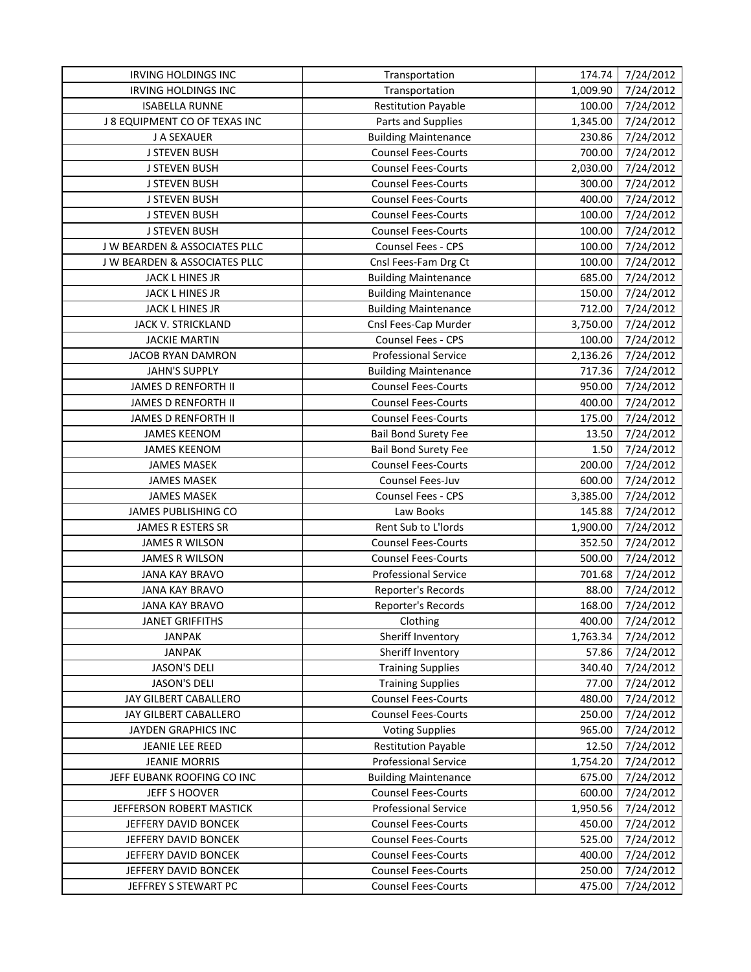| <b>IRVING HOLDINGS INC</b>    | Transportation              | 174.74   | 7/24/2012 |
|-------------------------------|-----------------------------|----------|-----------|
| <b>IRVING HOLDINGS INC</b>    | Transportation              | 1,009.90 | 7/24/2012 |
| <b>ISABELLA RUNNE</b>         | <b>Restitution Payable</b>  | 100.00   | 7/24/2012 |
| J 8 EQUIPMENT CO OF TEXAS INC | Parts and Supplies          | 1,345.00 | 7/24/2012 |
| J A SEXAUER                   | <b>Building Maintenance</b> | 230.86   | 7/24/2012 |
| <b>J STEVEN BUSH</b>          | <b>Counsel Fees-Courts</b>  | 700.00   | 7/24/2012 |
| <b>J STEVEN BUSH</b>          | <b>Counsel Fees-Courts</b>  | 2,030.00 | 7/24/2012 |
| <b>J STEVEN BUSH</b>          | <b>Counsel Fees-Courts</b>  | 300.00   | 7/24/2012 |
| <b>J STEVEN BUSH</b>          | <b>Counsel Fees-Courts</b>  | 400.00   | 7/24/2012 |
| <b>J STEVEN BUSH</b>          | <b>Counsel Fees-Courts</b>  | 100.00   | 7/24/2012 |
| <b>J STEVEN BUSH</b>          | <b>Counsel Fees-Courts</b>  | 100.00   | 7/24/2012 |
| J W BEARDEN & ASSOCIATES PLLC | Counsel Fees - CPS          | 100.00   | 7/24/2012 |
| J W BEARDEN & ASSOCIATES PLLC | Cnsl Fees-Fam Drg Ct        | 100.00   | 7/24/2012 |
| JACK L HINES JR               | <b>Building Maintenance</b> | 685.00   | 7/24/2012 |
| JACK L HINES JR               | <b>Building Maintenance</b> | 150.00   | 7/24/2012 |
| JACK L HINES JR               | <b>Building Maintenance</b> | 712.00   | 7/24/2012 |
| JACK V. STRICKLAND            | Cnsl Fees-Cap Murder        | 3,750.00 | 7/24/2012 |
| <b>JACKIE MARTIN</b>          | Counsel Fees - CPS          | 100.00   | 7/24/2012 |
| JACOB RYAN DAMRON             | <b>Professional Service</b> | 2,136.26 | 7/24/2012 |
| <b>JAHN'S SUPPLY</b>          | <b>Building Maintenance</b> | 717.36   | 7/24/2012 |
| <b>JAMES D RENFORTH II</b>    | <b>Counsel Fees-Courts</b>  | 950.00   | 7/24/2012 |
| <b>JAMES D RENFORTH II</b>    | <b>Counsel Fees-Courts</b>  | 400.00   | 7/24/2012 |
| JAMES D RENFORTH II           | <b>Counsel Fees-Courts</b>  | 175.00   | 7/24/2012 |
| <b>JAMES KEENOM</b>           | <b>Bail Bond Surety Fee</b> | 13.50    | 7/24/2012 |
| <b>JAMES KEENOM</b>           | <b>Bail Bond Surety Fee</b> | 1.50     | 7/24/2012 |
| <b>JAMES MASEK</b>            | <b>Counsel Fees-Courts</b>  | 200.00   | 7/24/2012 |
| <b>JAMES MASEK</b>            | Counsel Fees-Juv            | 600.00   | 7/24/2012 |
| <b>JAMES MASEK</b>            | Counsel Fees - CPS          | 3,385.00 | 7/24/2012 |
| JAMES PUBLISHING CO           | Law Books                   | 145.88   | 7/24/2012 |
| JAMES R ESTERS SR             | Rent Sub to L'Iords         | 1,900.00 | 7/24/2012 |
| <b>JAMES R WILSON</b>         | <b>Counsel Fees-Courts</b>  | 352.50   | 7/24/2012 |
| JAMES R WILSON                | <b>Counsel Fees-Courts</b>  | 500.00   | 7/24/2012 |
| <b>JANA KAY BRAVO</b>         | <b>Professional Service</b> | 701.68   | 7/24/2012 |
| <b>JANA KAY BRAVO</b>         | Reporter's Records          | 88.00    | 7/24/2012 |
| <b>JANA KAY BRAVO</b>         | Reporter's Records          | 168.00   | 7/24/2012 |
| <b>JANET GRIFFITHS</b>        | Clothing                    | 400.00   | 7/24/2012 |
| <b>JANPAK</b>                 | Sheriff Inventory           | 1,763.34 | 7/24/2012 |
| <b>JANPAK</b>                 | Sheriff Inventory           | 57.86    | 7/24/2012 |
| <b>JASON'S DELI</b>           | <b>Training Supplies</b>    | 340.40   | 7/24/2012 |
| <b>JASON'S DELI</b>           | <b>Training Supplies</b>    | 77.00    | 7/24/2012 |
| JAY GILBERT CABALLERO         | <b>Counsel Fees-Courts</b>  | 480.00   | 7/24/2012 |
| JAY GILBERT CABALLERO         | <b>Counsel Fees-Courts</b>  | 250.00   | 7/24/2012 |
| JAYDEN GRAPHICS INC           | <b>Voting Supplies</b>      | 965.00   | 7/24/2012 |
| JEANIE LEE REED               | <b>Restitution Payable</b>  | 12.50    | 7/24/2012 |
| <b>JEANIE MORRIS</b>          | <b>Professional Service</b> | 1,754.20 | 7/24/2012 |
| JEFF EUBANK ROOFING CO INC    | <b>Building Maintenance</b> | 675.00   | 7/24/2012 |
| <b>JEFF S HOOVER</b>          | <b>Counsel Fees-Courts</b>  | 600.00   | 7/24/2012 |
| JEFFERSON ROBERT MASTICK      | Professional Service        | 1,950.56 | 7/24/2012 |
| JEFFERY DAVID BONCEK          | <b>Counsel Fees-Courts</b>  | 450.00   | 7/24/2012 |
| JEFFERY DAVID BONCEK          | <b>Counsel Fees-Courts</b>  | 525.00   | 7/24/2012 |
| JEFFERY DAVID BONCEK          | <b>Counsel Fees-Courts</b>  | 400.00   | 7/24/2012 |
| JEFFERY DAVID BONCEK          | <b>Counsel Fees-Courts</b>  | 250.00   | 7/24/2012 |
| JEFFREY S STEWART PC          | <b>Counsel Fees-Courts</b>  | 475.00   | 7/24/2012 |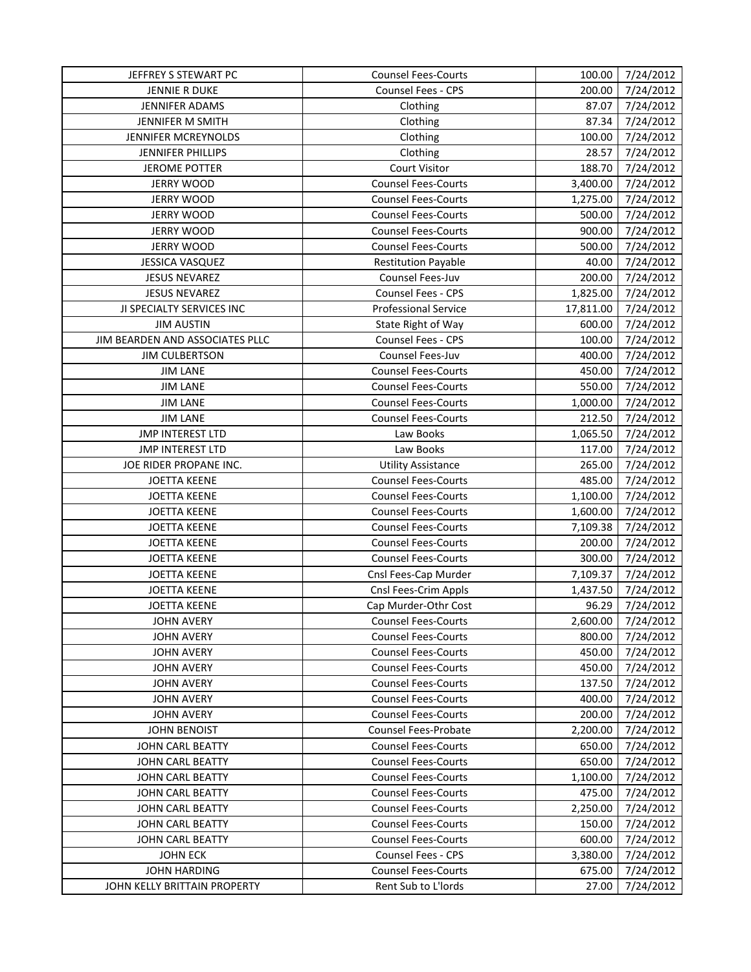| JEFFREY S STEWART PC                   | <b>Counsel Fees-Courts</b>  | 100.00    | 7/24/2012 |
|----------------------------------------|-----------------------------|-----------|-----------|
| <b>JENNIE R DUKE</b>                   | <b>Counsel Fees - CPS</b>   | 200.00    | 7/24/2012 |
| JENNIFER ADAMS                         | Clothing                    | 87.07     | 7/24/2012 |
| JENNIFER M SMITH                       | Clothing                    | 87.34     | 7/24/2012 |
| JENNIFER MCREYNOLDS                    | Clothing                    | 100.00    | 7/24/2012 |
| <b>JENNIFER PHILLIPS</b>               | Clothing                    | 28.57     | 7/24/2012 |
| <b>JEROME POTTER</b>                   | <b>Court Visitor</b>        | 188.70    | 7/24/2012 |
| <b>JERRY WOOD</b>                      | <b>Counsel Fees-Courts</b>  | 3,400.00  | 7/24/2012 |
| <b>JERRY WOOD</b>                      | <b>Counsel Fees-Courts</b>  | 1,275.00  | 7/24/2012 |
| <b>JERRY WOOD</b>                      | <b>Counsel Fees-Courts</b>  | 500.00    | 7/24/2012 |
| <b>JERRY WOOD</b>                      | <b>Counsel Fees-Courts</b>  | 900.00    | 7/24/2012 |
| <b>JERRY WOOD</b>                      | <b>Counsel Fees-Courts</b>  | 500.00    | 7/24/2012 |
| <b>JESSICA VASQUEZ</b>                 | <b>Restitution Payable</b>  | 40.00     | 7/24/2012 |
| <b>JESUS NEVAREZ</b>                   | Counsel Fees-Juv            | 200.00    | 7/24/2012 |
| <b>JESUS NEVAREZ</b>                   | Counsel Fees - CPS          | 1,825.00  | 7/24/2012 |
| JI SPECIALTY SERVICES INC              | <b>Professional Service</b> | 17,811.00 | 7/24/2012 |
| <b>JIM AUSTIN</b>                      | State Right of Way          | 600.00    | 7/24/2012 |
| JIM BEARDEN AND ASSOCIATES PLLC        | Counsel Fees - CPS          | 100.00    | 7/24/2012 |
| <b>JIM CULBERTSON</b>                  | Counsel Fees-Juv            | 400.00    | 7/24/2012 |
| <b>JIM LANE</b>                        | <b>Counsel Fees-Courts</b>  | 450.00    | 7/24/2012 |
| <b>JIM LANE</b>                        | <b>Counsel Fees-Courts</b>  | 550.00    | 7/24/2012 |
| <b>JIM LANE</b>                        | <b>Counsel Fees-Courts</b>  | 1,000.00  | 7/24/2012 |
| <b>JIM LANE</b>                        | <b>Counsel Fees-Courts</b>  | 212.50    | 7/24/2012 |
| <b>JMP INTEREST LTD</b>                | Law Books                   | 1,065.50  | 7/24/2012 |
| <b>JMP INTEREST LTD</b>                | Law Books                   | 117.00    | 7/24/2012 |
| JOE RIDER PROPANE INC.                 | <b>Utility Assistance</b>   | 265.00    | 7/24/2012 |
| <b>JOETTA KEENE</b>                    | <b>Counsel Fees-Courts</b>  | 485.00    | 7/24/2012 |
| <b>JOETTA KEENE</b>                    | <b>Counsel Fees-Courts</b>  | 1,100.00  | 7/24/2012 |
| <b>JOETTA KEENE</b>                    | <b>Counsel Fees-Courts</b>  | 1,600.00  | 7/24/2012 |
| <b>JOETTA KEENE</b>                    | <b>Counsel Fees-Courts</b>  | 7,109.38  | 7/24/2012 |
| <b>JOETTA KEENE</b>                    | <b>Counsel Fees-Courts</b>  | 200.00    | 7/24/2012 |
| <b>JOETTA KEENE</b>                    | <b>Counsel Fees-Courts</b>  | 300.00    | 7/24/2012 |
| <b>JOETTA KEENE</b>                    | Cnsl Fees-Cap Murder        | 7,109.37  | 7/24/2012 |
| <b>JOETTA KEENE</b>                    | Cnsl Fees-Crim Appls        | 1,437.50  | 7/24/2012 |
| <b>JOETTA KEENE</b>                    | Cap Murder-Othr Cost        | 96.29     | 7/24/2012 |
| <b>JOHN AVERY</b>                      | <b>Counsel Fees-Courts</b>  | 2,600.00  | 7/24/2012 |
| <b>JOHN AVERY</b>                      | <b>Counsel Fees-Courts</b>  | 800.00    | 7/24/2012 |
| <b>JOHN AVERY</b>                      | <b>Counsel Fees-Courts</b>  | 450.00    | 7/24/2012 |
| <b>JOHN AVERY</b>                      | <b>Counsel Fees-Courts</b>  | 450.00    | 7/24/2012 |
| <b>JOHN AVERY</b>                      | <b>Counsel Fees-Courts</b>  | 137.50    | 7/24/2012 |
| <b>JOHN AVERY</b>                      | <b>Counsel Fees-Courts</b>  | 400.00    | 7/24/2012 |
| <b>JOHN AVERY</b>                      | <b>Counsel Fees-Courts</b>  | 200.00    | 7/24/2012 |
| <b>JOHN BENOIST</b>                    | <b>Counsel Fees-Probate</b> | 2,200.00  | 7/24/2012 |
| JOHN CARL BEATTY                       | <b>Counsel Fees-Courts</b>  | 650.00    | 7/24/2012 |
| <b>JOHN CARL BEATTY</b>                | <b>Counsel Fees-Courts</b>  | 650.00    | 7/24/2012 |
| <b>JOHN CARL BEATTY</b>                | <b>Counsel Fees-Courts</b>  | 1,100.00  | 7/24/2012 |
| <b>JOHN CARL BEATTY</b>                | <b>Counsel Fees-Courts</b>  | 475.00    | 7/24/2012 |
| <b>JOHN CARL BEATTY</b>                | <b>Counsel Fees-Courts</b>  | 2,250.00  | 7/24/2012 |
| <b>JOHN CARL BEATTY</b>                | <b>Counsel Fees-Courts</b>  |           |           |
| <b>JOHN CARL BEATTY</b>                | <b>Counsel Fees-Courts</b>  | 150.00    | 7/24/2012 |
|                                        | <b>Counsel Fees - CPS</b>   | 600.00    | 7/24/2012 |
| <b>JOHN ECK</b><br><b>JOHN HARDING</b> | <b>Counsel Fees-Courts</b>  | 3,380.00  | 7/24/2012 |
|                                        |                             | 675.00    | 7/24/2012 |
| JOHN KELLY BRITTAIN PROPERTY           | Rent Sub to L'Iords         | 27.00     | 7/24/2012 |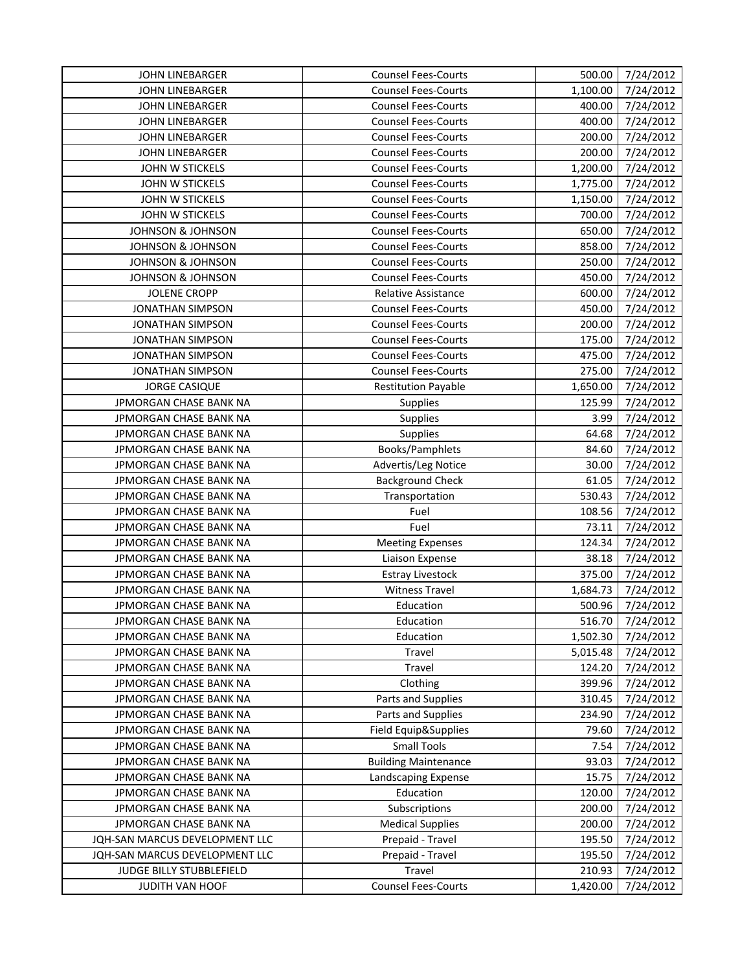| <b>Counsel Fees-Courts</b><br><b>JOHN LINEBARGER</b><br>1,100.00<br>7/24/2012<br><b>Counsel Fees-Courts</b><br>400.00<br>7/24/2012<br><b>JOHN LINEBARGER</b><br>7/24/2012<br>JOHN LINEBARGER<br><b>Counsel Fees-Courts</b><br>400.00<br>JOHN LINEBARGER<br><b>Counsel Fees-Courts</b><br>200.00<br>7/24/2012<br>200.00<br>7/24/2012<br><b>JOHN LINEBARGER</b><br><b>Counsel Fees-Courts</b><br><b>Counsel Fees-Courts</b><br>1,200.00<br>7/24/2012<br>JOHN W STICKELS<br>JOHN W STICKELS<br><b>Counsel Fees-Courts</b><br>7/24/2012<br>1,775.00<br><b>Counsel Fees-Courts</b><br>7/24/2012<br>JOHN W STICKELS<br>1,150.00<br>7/24/2012<br>JOHN W STICKELS<br><b>Counsel Fees-Courts</b><br>700.00<br><b>JOHNSON &amp; JOHNSON</b><br><b>Counsel Fees-Courts</b><br>650.00<br>7/24/2012<br>7/24/2012<br><b>JOHNSON &amp; JOHNSON</b><br><b>Counsel Fees-Courts</b><br>858.00<br><b>JOHNSON &amp; JOHNSON</b><br><b>Counsel Fees-Courts</b><br>250.00<br>7/24/2012<br>450.00<br>7/24/2012<br><b>JOHNSON &amp; JOHNSON</b><br><b>Counsel Fees-Courts</b><br>600.00<br>7/24/2012<br><b>JOLENE CROPP</b><br>Relative Assistance<br>450.00<br><b>JONATHAN SIMPSON</b><br><b>Counsel Fees-Courts</b><br>7/24/2012<br>7/24/2012<br><b>JONATHAN SIMPSON</b><br><b>Counsel Fees-Courts</b><br>200.00<br><b>JONATHAN SIMPSON</b><br><b>Counsel Fees-Courts</b><br>175.00<br>7/24/2012<br><b>Counsel Fees-Courts</b><br>7/24/2012<br><b>JONATHAN SIMPSON</b><br>475.00<br><b>JONATHAN SIMPSON</b><br><b>Counsel Fees-Courts</b><br>275.00<br>7/24/2012<br><b>JORGE CASIQUE</b><br><b>Restitution Payable</b><br>1,650.00<br>7/24/2012<br>JPMORGAN CHASE BANK NA<br>125.99<br>7/24/2012<br><b>Supplies</b><br>7/24/2012<br><b>JPMORGAN CHASE BANK NA</b><br><b>Supplies</b><br>3.99<br>64.68<br>7/24/2012<br>JPMORGAN CHASE BANK NA<br><b>Supplies</b><br>Books/Pamphlets<br>7/24/2012<br>JPMORGAN CHASE BANK NA<br>84.60<br>JPMORGAN CHASE BANK NA<br>Advertis/Leg Notice<br>30.00<br>7/24/2012<br><b>Background Check</b><br>61.05<br>JPMORGAN CHASE BANK NA<br>7/24/2012<br>JPMORGAN CHASE BANK NA<br>530.43<br>7/24/2012<br>Transportation<br>JPMORGAN CHASE BANK NA<br>Fuel<br>108.56<br>7/24/2012<br>JPMORGAN CHASE BANK NA<br>73.11<br>7/24/2012<br>Fuel<br>7/24/2012<br>JPMORGAN CHASE BANK NA<br>124.34<br><b>Meeting Expenses</b><br>38.18<br>7/24/2012<br>JPMORGAN CHASE BANK NA<br>Liaison Expense<br>7/24/2012<br>JPMORGAN CHASE BANK NA<br><b>Estray Livestock</b><br>375.00<br><b>Witness Travel</b><br>1,684.73<br>7/24/2012<br>JPMORGAN CHASE BANK NA<br>7/24/2012<br>JPMORGAN CHASE BANK NA<br>Education<br>500.96<br>JPMORGAN CHASE BANK NA<br>Education<br>516.70<br>7/24/2012<br>1,502.30<br>7/24/2012<br>JPMORGAN CHASE BANK NA<br>Education<br>7/24/2012<br>JPMORGAN CHASE BANK NA<br>Travel<br>5,015.48<br>7/24/2012<br>JPMORGAN CHASE BANK NA<br><b>Travel</b><br>124.20<br>399.96<br>JPMORGAN CHASE BANK NA<br>Clothing<br>7/24/2012<br>310.45<br>JPMORGAN CHASE BANK NA<br>Parts and Supplies<br>7/24/2012<br>JPMORGAN CHASE BANK NA<br>Parts and Supplies<br>234.90<br>7/24/2012<br>Field Equip&Supplies<br>7/24/2012<br>JPMORGAN CHASE BANK NA<br>79.60<br><b>Small Tools</b><br>JPMORGAN CHASE BANK NA<br>7/24/2012<br>7.54<br><b>Building Maintenance</b><br>7/24/2012<br>JPMORGAN CHASE BANK NA<br>93.03<br>7/24/2012<br>JPMORGAN CHASE BANK NA<br>Landscaping Expense<br>15.75<br>Education<br>JPMORGAN CHASE BANK NA<br>120.00<br>7/24/2012<br>JPMORGAN CHASE BANK NA<br>Subscriptions<br>200.00<br>7/24/2012<br>200.00<br>JPMORGAN CHASE BANK NA<br><b>Medical Supplies</b><br>7/24/2012<br>JQH-SAN MARCUS DEVELOPMENT LLC<br>Prepaid - Travel<br>195.50<br>7/24/2012<br>JQH-SAN MARCUS DEVELOPMENT LLC<br>Prepaid - Travel<br>195.50<br>7/24/2012<br>JUDGE BILLY STUBBLEFIELD<br>Travel<br>210.93<br>7/24/2012<br><b>Counsel Fees-Courts</b><br>JUDITH VAN HOOF<br>1,420.00<br>7/24/2012 | <b>JOHN LINEBARGER</b> | <b>Counsel Fees-Courts</b> | 500.00 | 7/24/2012 |
|-----------------------------------------------------------------------------------------------------------------------------------------------------------------------------------------------------------------------------------------------------------------------------------------------------------------------------------------------------------------------------------------------------------------------------------------------------------------------------------------------------------------------------------------------------------------------------------------------------------------------------------------------------------------------------------------------------------------------------------------------------------------------------------------------------------------------------------------------------------------------------------------------------------------------------------------------------------------------------------------------------------------------------------------------------------------------------------------------------------------------------------------------------------------------------------------------------------------------------------------------------------------------------------------------------------------------------------------------------------------------------------------------------------------------------------------------------------------------------------------------------------------------------------------------------------------------------------------------------------------------------------------------------------------------------------------------------------------------------------------------------------------------------------------------------------------------------------------------------------------------------------------------------------------------------------------------------------------------------------------------------------------------------------------------------------------------------------------------------------------------------------------------------------------------------------------------------------------------------------------------------------------------------------------------------------------------------------------------------------------------------------------------------------------------------------------------------------------------------------------------------------------------------------------------------------------------------------------------------------------------------------------------------------------------------------------------------------------------------------------------------------------------------------------------------------------------------------------------------------------------------------------------------------------------------------------------------------------------------------------------------------------------------------------------------------------------------------------------------------------------------------------------------------------------------------------------------------------------------------------------------------------------------------------------------------------------------------------------------------------------------------------------------------------------------------------------------------------------------------------------------------------------------------------------------------------------------------------------------------------------------------------------------------------------------------------------------------------------------------------------------------------------------------------------------------------------------------------------------------------------------------------------------------------|------------------------|----------------------------|--------|-----------|
|                                                                                                                                                                                                                                                                                                                                                                                                                                                                                                                                                                                                                                                                                                                                                                                                                                                                                                                                                                                                                                                                                                                                                                                                                                                                                                                                                                                                                                                                                                                                                                                                                                                                                                                                                                                                                                                                                                                                                                                                                                                                                                                                                                                                                                                                                                                                                                                                                                                                                                                                                                                                                                                                                                                                                                                                                                                                                                                                                                                                                                                                                                                                                                                                                                                                                                                                                                                                                                                                                                                                                                                                                                                                                                                                                                                                                                                                                                                 |                        |                            |        |           |
|                                                                                                                                                                                                                                                                                                                                                                                                                                                                                                                                                                                                                                                                                                                                                                                                                                                                                                                                                                                                                                                                                                                                                                                                                                                                                                                                                                                                                                                                                                                                                                                                                                                                                                                                                                                                                                                                                                                                                                                                                                                                                                                                                                                                                                                                                                                                                                                                                                                                                                                                                                                                                                                                                                                                                                                                                                                                                                                                                                                                                                                                                                                                                                                                                                                                                                                                                                                                                                                                                                                                                                                                                                                                                                                                                                                                                                                                                                                 |                        |                            |        |           |
|                                                                                                                                                                                                                                                                                                                                                                                                                                                                                                                                                                                                                                                                                                                                                                                                                                                                                                                                                                                                                                                                                                                                                                                                                                                                                                                                                                                                                                                                                                                                                                                                                                                                                                                                                                                                                                                                                                                                                                                                                                                                                                                                                                                                                                                                                                                                                                                                                                                                                                                                                                                                                                                                                                                                                                                                                                                                                                                                                                                                                                                                                                                                                                                                                                                                                                                                                                                                                                                                                                                                                                                                                                                                                                                                                                                                                                                                                                                 |                        |                            |        |           |
|                                                                                                                                                                                                                                                                                                                                                                                                                                                                                                                                                                                                                                                                                                                                                                                                                                                                                                                                                                                                                                                                                                                                                                                                                                                                                                                                                                                                                                                                                                                                                                                                                                                                                                                                                                                                                                                                                                                                                                                                                                                                                                                                                                                                                                                                                                                                                                                                                                                                                                                                                                                                                                                                                                                                                                                                                                                                                                                                                                                                                                                                                                                                                                                                                                                                                                                                                                                                                                                                                                                                                                                                                                                                                                                                                                                                                                                                                                                 |                        |                            |        |           |
|                                                                                                                                                                                                                                                                                                                                                                                                                                                                                                                                                                                                                                                                                                                                                                                                                                                                                                                                                                                                                                                                                                                                                                                                                                                                                                                                                                                                                                                                                                                                                                                                                                                                                                                                                                                                                                                                                                                                                                                                                                                                                                                                                                                                                                                                                                                                                                                                                                                                                                                                                                                                                                                                                                                                                                                                                                                                                                                                                                                                                                                                                                                                                                                                                                                                                                                                                                                                                                                                                                                                                                                                                                                                                                                                                                                                                                                                                                                 |                        |                            |        |           |
|                                                                                                                                                                                                                                                                                                                                                                                                                                                                                                                                                                                                                                                                                                                                                                                                                                                                                                                                                                                                                                                                                                                                                                                                                                                                                                                                                                                                                                                                                                                                                                                                                                                                                                                                                                                                                                                                                                                                                                                                                                                                                                                                                                                                                                                                                                                                                                                                                                                                                                                                                                                                                                                                                                                                                                                                                                                                                                                                                                                                                                                                                                                                                                                                                                                                                                                                                                                                                                                                                                                                                                                                                                                                                                                                                                                                                                                                                                                 |                        |                            |        |           |
|                                                                                                                                                                                                                                                                                                                                                                                                                                                                                                                                                                                                                                                                                                                                                                                                                                                                                                                                                                                                                                                                                                                                                                                                                                                                                                                                                                                                                                                                                                                                                                                                                                                                                                                                                                                                                                                                                                                                                                                                                                                                                                                                                                                                                                                                                                                                                                                                                                                                                                                                                                                                                                                                                                                                                                                                                                                                                                                                                                                                                                                                                                                                                                                                                                                                                                                                                                                                                                                                                                                                                                                                                                                                                                                                                                                                                                                                                                                 |                        |                            |        |           |
|                                                                                                                                                                                                                                                                                                                                                                                                                                                                                                                                                                                                                                                                                                                                                                                                                                                                                                                                                                                                                                                                                                                                                                                                                                                                                                                                                                                                                                                                                                                                                                                                                                                                                                                                                                                                                                                                                                                                                                                                                                                                                                                                                                                                                                                                                                                                                                                                                                                                                                                                                                                                                                                                                                                                                                                                                                                                                                                                                                                                                                                                                                                                                                                                                                                                                                                                                                                                                                                                                                                                                                                                                                                                                                                                                                                                                                                                                                                 |                        |                            |        |           |
|                                                                                                                                                                                                                                                                                                                                                                                                                                                                                                                                                                                                                                                                                                                                                                                                                                                                                                                                                                                                                                                                                                                                                                                                                                                                                                                                                                                                                                                                                                                                                                                                                                                                                                                                                                                                                                                                                                                                                                                                                                                                                                                                                                                                                                                                                                                                                                                                                                                                                                                                                                                                                                                                                                                                                                                                                                                                                                                                                                                                                                                                                                                                                                                                                                                                                                                                                                                                                                                                                                                                                                                                                                                                                                                                                                                                                                                                                                                 |                        |                            |        |           |
|                                                                                                                                                                                                                                                                                                                                                                                                                                                                                                                                                                                                                                                                                                                                                                                                                                                                                                                                                                                                                                                                                                                                                                                                                                                                                                                                                                                                                                                                                                                                                                                                                                                                                                                                                                                                                                                                                                                                                                                                                                                                                                                                                                                                                                                                                                                                                                                                                                                                                                                                                                                                                                                                                                                                                                                                                                                                                                                                                                                                                                                                                                                                                                                                                                                                                                                                                                                                                                                                                                                                                                                                                                                                                                                                                                                                                                                                                                                 |                        |                            |        |           |
|                                                                                                                                                                                                                                                                                                                                                                                                                                                                                                                                                                                                                                                                                                                                                                                                                                                                                                                                                                                                                                                                                                                                                                                                                                                                                                                                                                                                                                                                                                                                                                                                                                                                                                                                                                                                                                                                                                                                                                                                                                                                                                                                                                                                                                                                                                                                                                                                                                                                                                                                                                                                                                                                                                                                                                                                                                                                                                                                                                                                                                                                                                                                                                                                                                                                                                                                                                                                                                                                                                                                                                                                                                                                                                                                                                                                                                                                                                                 |                        |                            |        |           |
|                                                                                                                                                                                                                                                                                                                                                                                                                                                                                                                                                                                                                                                                                                                                                                                                                                                                                                                                                                                                                                                                                                                                                                                                                                                                                                                                                                                                                                                                                                                                                                                                                                                                                                                                                                                                                                                                                                                                                                                                                                                                                                                                                                                                                                                                                                                                                                                                                                                                                                                                                                                                                                                                                                                                                                                                                                                                                                                                                                                                                                                                                                                                                                                                                                                                                                                                                                                                                                                                                                                                                                                                                                                                                                                                                                                                                                                                                                                 |                        |                            |        |           |
|                                                                                                                                                                                                                                                                                                                                                                                                                                                                                                                                                                                                                                                                                                                                                                                                                                                                                                                                                                                                                                                                                                                                                                                                                                                                                                                                                                                                                                                                                                                                                                                                                                                                                                                                                                                                                                                                                                                                                                                                                                                                                                                                                                                                                                                                                                                                                                                                                                                                                                                                                                                                                                                                                                                                                                                                                                                                                                                                                                                                                                                                                                                                                                                                                                                                                                                                                                                                                                                                                                                                                                                                                                                                                                                                                                                                                                                                                                                 |                        |                            |        |           |
|                                                                                                                                                                                                                                                                                                                                                                                                                                                                                                                                                                                                                                                                                                                                                                                                                                                                                                                                                                                                                                                                                                                                                                                                                                                                                                                                                                                                                                                                                                                                                                                                                                                                                                                                                                                                                                                                                                                                                                                                                                                                                                                                                                                                                                                                                                                                                                                                                                                                                                                                                                                                                                                                                                                                                                                                                                                                                                                                                                                                                                                                                                                                                                                                                                                                                                                                                                                                                                                                                                                                                                                                                                                                                                                                                                                                                                                                                                                 |                        |                            |        |           |
|                                                                                                                                                                                                                                                                                                                                                                                                                                                                                                                                                                                                                                                                                                                                                                                                                                                                                                                                                                                                                                                                                                                                                                                                                                                                                                                                                                                                                                                                                                                                                                                                                                                                                                                                                                                                                                                                                                                                                                                                                                                                                                                                                                                                                                                                                                                                                                                                                                                                                                                                                                                                                                                                                                                                                                                                                                                                                                                                                                                                                                                                                                                                                                                                                                                                                                                                                                                                                                                                                                                                                                                                                                                                                                                                                                                                                                                                                                                 |                        |                            |        |           |
|                                                                                                                                                                                                                                                                                                                                                                                                                                                                                                                                                                                                                                                                                                                                                                                                                                                                                                                                                                                                                                                                                                                                                                                                                                                                                                                                                                                                                                                                                                                                                                                                                                                                                                                                                                                                                                                                                                                                                                                                                                                                                                                                                                                                                                                                                                                                                                                                                                                                                                                                                                                                                                                                                                                                                                                                                                                                                                                                                                                                                                                                                                                                                                                                                                                                                                                                                                                                                                                                                                                                                                                                                                                                                                                                                                                                                                                                                                                 |                        |                            |        |           |
|                                                                                                                                                                                                                                                                                                                                                                                                                                                                                                                                                                                                                                                                                                                                                                                                                                                                                                                                                                                                                                                                                                                                                                                                                                                                                                                                                                                                                                                                                                                                                                                                                                                                                                                                                                                                                                                                                                                                                                                                                                                                                                                                                                                                                                                                                                                                                                                                                                                                                                                                                                                                                                                                                                                                                                                                                                                                                                                                                                                                                                                                                                                                                                                                                                                                                                                                                                                                                                                                                                                                                                                                                                                                                                                                                                                                                                                                                                                 |                        |                            |        |           |
|                                                                                                                                                                                                                                                                                                                                                                                                                                                                                                                                                                                                                                                                                                                                                                                                                                                                                                                                                                                                                                                                                                                                                                                                                                                                                                                                                                                                                                                                                                                                                                                                                                                                                                                                                                                                                                                                                                                                                                                                                                                                                                                                                                                                                                                                                                                                                                                                                                                                                                                                                                                                                                                                                                                                                                                                                                                                                                                                                                                                                                                                                                                                                                                                                                                                                                                                                                                                                                                                                                                                                                                                                                                                                                                                                                                                                                                                                                                 |                        |                            |        |           |
|                                                                                                                                                                                                                                                                                                                                                                                                                                                                                                                                                                                                                                                                                                                                                                                                                                                                                                                                                                                                                                                                                                                                                                                                                                                                                                                                                                                                                                                                                                                                                                                                                                                                                                                                                                                                                                                                                                                                                                                                                                                                                                                                                                                                                                                                                                                                                                                                                                                                                                                                                                                                                                                                                                                                                                                                                                                                                                                                                                                                                                                                                                                                                                                                                                                                                                                                                                                                                                                                                                                                                                                                                                                                                                                                                                                                                                                                                                                 |                        |                            |        |           |
|                                                                                                                                                                                                                                                                                                                                                                                                                                                                                                                                                                                                                                                                                                                                                                                                                                                                                                                                                                                                                                                                                                                                                                                                                                                                                                                                                                                                                                                                                                                                                                                                                                                                                                                                                                                                                                                                                                                                                                                                                                                                                                                                                                                                                                                                                                                                                                                                                                                                                                                                                                                                                                                                                                                                                                                                                                                                                                                                                                                                                                                                                                                                                                                                                                                                                                                                                                                                                                                                                                                                                                                                                                                                                                                                                                                                                                                                                                                 |                        |                            |        |           |
|                                                                                                                                                                                                                                                                                                                                                                                                                                                                                                                                                                                                                                                                                                                                                                                                                                                                                                                                                                                                                                                                                                                                                                                                                                                                                                                                                                                                                                                                                                                                                                                                                                                                                                                                                                                                                                                                                                                                                                                                                                                                                                                                                                                                                                                                                                                                                                                                                                                                                                                                                                                                                                                                                                                                                                                                                                                                                                                                                                                                                                                                                                                                                                                                                                                                                                                                                                                                                                                                                                                                                                                                                                                                                                                                                                                                                                                                                                                 |                        |                            |        |           |
|                                                                                                                                                                                                                                                                                                                                                                                                                                                                                                                                                                                                                                                                                                                                                                                                                                                                                                                                                                                                                                                                                                                                                                                                                                                                                                                                                                                                                                                                                                                                                                                                                                                                                                                                                                                                                                                                                                                                                                                                                                                                                                                                                                                                                                                                                                                                                                                                                                                                                                                                                                                                                                                                                                                                                                                                                                                                                                                                                                                                                                                                                                                                                                                                                                                                                                                                                                                                                                                                                                                                                                                                                                                                                                                                                                                                                                                                                                                 |                        |                            |        |           |
|                                                                                                                                                                                                                                                                                                                                                                                                                                                                                                                                                                                                                                                                                                                                                                                                                                                                                                                                                                                                                                                                                                                                                                                                                                                                                                                                                                                                                                                                                                                                                                                                                                                                                                                                                                                                                                                                                                                                                                                                                                                                                                                                                                                                                                                                                                                                                                                                                                                                                                                                                                                                                                                                                                                                                                                                                                                                                                                                                                                                                                                                                                                                                                                                                                                                                                                                                                                                                                                                                                                                                                                                                                                                                                                                                                                                                                                                                                                 |                        |                            |        |           |
|                                                                                                                                                                                                                                                                                                                                                                                                                                                                                                                                                                                                                                                                                                                                                                                                                                                                                                                                                                                                                                                                                                                                                                                                                                                                                                                                                                                                                                                                                                                                                                                                                                                                                                                                                                                                                                                                                                                                                                                                                                                                                                                                                                                                                                                                                                                                                                                                                                                                                                                                                                                                                                                                                                                                                                                                                                                                                                                                                                                                                                                                                                                                                                                                                                                                                                                                                                                                                                                                                                                                                                                                                                                                                                                                                                                                                                                                                                                 |                        |                            |        |           |
|                                                                                                                                                                                                                                                                                                                                                                                                                                                                                                                                                                                                                                                                                                                                                                                                                                                                                                                                                                                                                                                                                                                                                                                                                                                                                                                                                                                                                                                                                                                                                                                                                                                                                                                                                                                                                                                                                                                                                                                                                                                                                                                                                                                                                                                                                                                                                                                                                                                                                                                                                                                                                                                                                                                                                                                                                                                                                                                                                                                                                                                                                                                                                                                                                                                                                                                                                                                                                                                                                                                                                                                                                                                                                                                                                                                                                                                                                                                 |                        |                            |        |           |
|                                                                                                                                                                                                                                                                                                                                                                                                                                                                                                                                                                                                                                                                                                                                                                                                                                                                                                                                                                                                                                                                                                                                                                                                                                                                                                                                                                                                                                                                                                                                                                                                                                                                                                                                                                                                                                                                                                                                                                                                                                                                                                                                                                                                                                                                                                                                                                                                                                                                                                                                                                                                                                                                                                                                                                                                                                                                                                                                                                                                                                                                                                                                                                                                                                                                                                                                                                                                                                                                                                                                                                                                                                                                                                                                                                                                                                                                                                                 |                        |                            |        |           |
|                                                                                                                                                                                                                                                                                                                                                                                                                                                                                                                                                                                                                                                                                                                                                                                                                                                                                                                                                                                                                                                                                                                                                                                                                                                                                                                                                                                                                                                                                                                                                                                                                                                                                                                                                                                                                                                                                                                                                                                                                                                                                                                                                                                                                                                                                                                                                                                                                                                                                                                                                                                                                                                                                                                                                                                                                                                                                                                                                                                                                                                                                                                                                                                                                                                                                                                                                                                                                                                                                                                                                                                                                                                                                                                                                                                                                                                                                                                 |                        |                            |        |           |
|                                                                                                                                                                                                                                                                                                                                                                                                                                                                                                                                                                                                                                                                                                                                                                                                                                                                                                                                                                                                                                                                                                                                                                                                                                                                                                                                                                                                                                                                                                                                                                                                                                                                                                                                                                                                                                                                                                                                                                                                                                                                                                                                                                                                                                                                                                                                                                                                                                                                                                                                                                                                                                                                                                                                                                                                                                                                                                                                                                                                                                                                                                                                                                                                                                                                                                                                                                                                                                                                                                                                                                                                                                                                                                                                                                                                                                                                                                                 |                        |                            |        |           |
|                                                                                                                                                                                                                                                                                                                                                                                                                                                                                                                                                                                                                                                                                                                                                                                                                                                                                                                                                                                                                                                                                                                                                                                                                                                                                                                                                                                                                                                                                                                                                                                                                                                                                                                                                                                                                                                                                                                                                                                                                                                                                                                                                                                                                                                                                                                                                                                                                                                                                                                                                                                                                                                                                                                                                                                                                                                                                                                                                                                                                                                                                                                                                                                                                                                                                                                                                                                                                                                                                                                                                                                                                                                                                                                                                                                                                                                                                                                 |                        |                            |        |           |
|                                                                                                                                                                                                                                                                                                                                                                                                                                                                                                                                                                                                                                                                                                                                                                                                                                                                                                                                                                                                                                                                                                                                                                                                                                                                                                                                                                                                                                                                                                                                                                                                                                                                                                                                                                                                                                                                                                                                                                                                                                                                                                                                                                                                                                                                                                                                                                                                                                                                                                                                                                                                                                                                                                                                                                                                                                                                                                                                                                                                                                                                                                                                                                                                                                                                                                                                                                                                                                                                                                                                                                                                                                                                                                                                                                                                                                                                                                                 |                        |                            |        |           |
|                                                                                                                                                                                                                                                                                                                                                                                                                                                                                                                                                                                                                                                                                                                                                                                                                                                                                                                                                                                                                                                                                                                                                                                                                                                                                                                                                                                                                                                                                                                                                                                                                                                                                                                                                                                                                                                                                                                                                                                                                                                                                                                                                                                                                                                                                                                                                                                                                                                                                                                                                                                                                                                                                                                                                                                                                                                                                                                                                                                                                                                                                                                                                                                                                                                                                                                                                                                                                                                                                                                                                                                                                                                                                                                                                                                                                                                                                                                 |                        |                            |        |           |
|                                                                                                                                                                                                                                                                                                                                                                                                                                                                                                                                                                                                                                                                                                                                                                                                                                                                                                                                                                                                                                                                                                                                                                                                                                                                                                                                                                                                                                                                                                                                                                                                                                                                                                                                                                                                                                                                                                                                                                                                                                                                                                                                                                                                                                                                                                                                                                                                                                                                                                                                                                                                                                                                                                                                                                                                                                                                                                                                                                                                                                                                                                                                                                                                                                                                                                                                                                                                                                                                                                                                                                                                                                                                                                                                                                                                                                                                                                                 |                        |                            |        |           |
|                                                                                                                                                                                                                                                                                                                                                                                                                                                                                                                                                                                                                                                                                                                                                                                                                                                                                                                                                                                                                                                                                                                                                                                                                                                                                                                                                                                                                                                                                                                                                                                                                                                                                                                                                                                                                                                                                                                                                                                                                                                                                                                                                                                                                                                                                                                                                                                                                                                                                                                                                                                                                                                                                                                                                                                                                                                                                                                                                                                                                                                                                                                                                                                                                                                                                                                                                                                                                                                                                                                                                                                                                                                                                                                                                                                                                                                                                                                 |                        |                            |        |           |
|                                                                                                                                                                                                                                                                                                                                                                                                                                                                                                                                                                                                                                                                                                                                                                                                                                                                                                                                                                                                                                                                                                                                                                                                                                                                                                                                                                                                                                                                                                                                                                                                                                                                                                                                                                                                                                                                                                                                                                                                                                                                                                                                                                                                                                                                                                                                                                                                                                                                                                                                                                                                                                                                                                                                                                                                                                                                                                                                                                                                                                                                                                                                                                                                                                                                                                                                                                                                                                                                                                                                                                                                                                                                                                                                                                                                                                                                                                                 |                        |                            |        |           |
|                                                                                                                                                                                                                                                                                                                                                                                                                                                                                                                                                                                                                                                                                                                                                                                                                                                                                                                                                                                                                                                                                                                                                                                                                                                                                                                                                                                                                                                                                                                                                                                                                                                                                                                                                                                                                                                                                                                                                                                                                                                                                                                                                                                                                                                                                                                                                                                                                                                                                                                                                                                                                                                                                                                                                                                                                                                                                                                                                                                                                                                                                                                                                                                                                                                                                                                                                                                                                                                                                                                                                                                                                                                                                                                                                                                                                                                                                                                 |                        |                            |        |           |
|                                                                                                                                                                                                                                                                                                                                                                                                                                                                                                                                                                                                                                                                                                                                                                                                                                                                                                                                                                                                                                                                                                                                                                                                                                                                                                                                                                                                                                                                                                                                                                                                                                                                                                                                                                                                                                                                                                                                                                                                                                                                                                                                                                                                                                                                                                                                                                                                                                                                                                                                                                                                                                                                                                                                                                                                                                                                                                                                                                                                                                                                                                                                                                                                                                                                                                                                                                                                                                                                                                                                                                                                                                                                                                                                                                                                                                                                                                                 |                        |                            |        |           |
|                                                                                                                                                                                                                                                                                                                                                                                                                                                                                                                                                                                                                                                                                                                                                                                                                                                                                                                                                                                                                                                                                                                                                                                                                                                                                                                                                                                                                                                                                                                                                                                                                                                                                                                                                                                                                                                                                                                                                                                                                                                                                                                                                                                                                                                                                                                                                                                                                                                                                                                                                                                                                                                                                                                                                                                                                                                                                                                                                                                                                                                                                                                                                                                                                                                                                                                                                                                                                                                                                                                                                                                                                                                                                                                                                                                                                                                                                                                 |                        |                            |        |           |
|                                                                                                                                                                                                                                                                                                                                                                                                                                                                                                                                                                                                                                                                                                                                                                                                                                                                                                                                                                                                                                                                                                                                                                                                                                                                                                                                                                                                                                                                                                                                                                                                                                                                                                                                                                                                                                                                                                                                                                                                                                                                                                                                                                                                                                                                                                                                                                                                                                                                                                                                                                                                                                                                                                                                                                                                                                                                                                                                                                                                                                                                                                                                                                                                                                                                                                                                                                                                                                                                                                                                                                                                                                                                                                                                                                                                                                                                                                                 |                        |                            |        |           |
|                                                                                                                                                                                                                                                                                                                                                                                                                                                                                                                                                                                                                                                                                                                                                                                                                                                                                                                                                                                                                                                                                                                                                                                                                                                                                                                                                                                                                                                                                                                                                                                                                                                                                                                                                                                                                                                                                                                                                                                                                                                                                                                                                                                                                                                                                                                                                                                                                                                                                                                                                                                                                                                                                                                                                                                                                                                                                                                                                                                                                                                                                                                                                                                                                                                                                                                                                                                                                                                                                                                                                                                                                                                                                                                                                                                                                                                                                                                 |                        |                            |        |           |
|                                                                                                                                                                                                                                                                                                                                                                                                                                                                                                                                                                                                                                                                                                                                                                                                                                                                                                                                                                                                                                                                                                                                                                                                                                                                                                                                                                                                                                                                                                                                                                                                                                                                                                                                                                                                                                                                                                                                                                                                                                                                                                                                                                                                                                                                                                                                                                                                                                                                                                                                                                                                                                                                                                                                                                                                                                                                                                                                                                                                                                                                                                                                                                                                                                                                                                                                                                                                                                                                                                                                                                                                                                                                                                                                                                                                                                                                                                                 |                        |                            |        |           |
|                                                                                                                                                                                                                                                                                                                                                                                                                                                                                                                                                                                                                                                                                                                                                                                                                                                                                                                                                                                                                                                                                                                                                                                                                                                                                                                                                                                                                                                                                                                                                                                                                                                                                                                                                                                                                                                                                                                                                                                                                                                                                                                                                                                                                                                                                                                                                                                                                                                                                                                                                                                                                                                                                                                                                                                                                                                                                                                                                                                                                                                                                                                                                                                                                                                                                                                                                                                                                                                                                                                                                                                                                                                                                                                                                                                                                                                                                                                 |                        |                            |        |           |
|                                                                                                                                                                                                                                                                                                                                                                                                                                                                                                                                                                                                                                                                                                                                                                                                                                                                                                                                                                                                                                                                                                                                                                                                                                                                                                                                                                                                                                                                                                                                                                                                                                                                                                                                                                                                                                                                                                                                                                                                                                                                                                                                                                                                                                                                                                                                                                                                                                                                                                                                                                                                                                                                                                                                                                                                                                                                                                                                                                                                                                                                                                                                                                                                                                                                                                                                                                                                                                                                                                                                                                                                                                                                                                                                                                                                                                                                                                                 |                        |                            |        |           |
|                                                                                                                                                                                                                                                                                                                                                                                                                                                                                                                                                                                                                                                                                                                                                                                                                                                                                                                                                                                                                                                                                                                                                                                                                                                                                                                                                                                                                                                                                                                                                                                                                                                                                                                                                                                                                                                                                                                                                                                                                                                                                                                                                                                                                                                                                                                                                                                                                                                                                                                                                                                                                                                                                                                                                                                                                                                                                                                                                                                                                                                                                                                                                                                                                                                                                                                                                                                                                                                                                                                                                                                                                                                                                                                                                                                                                                                                                                                 |                        |                            |        |           |
|                                                                                                                                                                                                                                                                                                                                                                                                                                                                                                                                                                                                                                                                                                                                                                                                                                                                                                                                                                                                                                                                                                                                                                                                                                                                                                                                                                                                                                                                                                                                                                                                                                                                                                                                                                                                                                                                                                                                                                                                                                                                                                                                                                                                                                                                                                                                                                                                                                                                                                                                                                                                                                                                                                                                                                                                                                                                                                                                                                                                                                                                                                                                                                                                                                                                                                                                                                                                                                                                                                                                                                                                                                                                                                                                                                                                                                                                                                                 |                        |                            |        |           |
|                                                                                                                                                                                                                                                                                                                                                                                                                                                                                                                                                                                                                                                                                                                                                                                                                                                                                                                                                                                                                                                                                                                                                                                                                                                                                                                                                                                                                                                                                                                                                                                                                                                                                                                                                                                                                                                                                                                                                                                                                                                                                                                                                                                                                                                                                                                                                                                                                                                                                                                                                                                                                                                                                                                                                                                                                                                                                                                                                                                                                                                                                                                                                                                                                                                                                                                                                                                                                                                                                                                                                                                                                                                                                                                                                                                                                                                                                                                 |                        |                            |        |           |
|                                                                                                                                                                                                                                                                                                                                                                                                                                                                                                                                                                                                                                                                                                                                                                                                                                                                                                                                                                                                                                                                                                                                                                                                                                                                                                                                                                                                                                                                                                                                                                                                                                                                                                                                                                                                                                                                                                                                                                                                                                                                                                                                                                                                                                                                                                                                                                                                                                                                                                                                                                                                                                                                                                                                                                                                                                                                                                                                                                                                                                                                                                                                                                                                                                                                                                                                                                                                                                                                                                                                                                                                                                                                                                                                                                                                                                                                                                                 |                        |                            |        |           |
|                                                                                                                                                                                                                                                                                                                                                                                                                                                                                                                                                                                                                                                                                                                                                                                                                                                                                                                                                                                                                                                                                                                                                                                                                                                                                                                                                                                                                                                                                                                                                                                                                                                                                                                                                                                                                                                                                                                                                                                                                                                                                                                                                                                                                                                                                                                                                                                                                                                                                                                                                                                                                                                                                                                                                                                                                                                                                                                                                                                                                                                                                                                                                                                                                                                                                                                                                                                                                                                                                                                                                                                                                                                                                                                                                                                                                                                                                                                 |                        |                            |        |           |
|                                                                                                                                                                                                                                                                                                                                                                                                                                                                                                                                                                                                                                                                                                                                                                                                                                                                                                                                                                                                                                                                                                                                                                                                                                                                                                                                                                                                                                                                                                                                                                                                                                                                                                                                                                                                                                                                                                                                                                                                                                                                                                                                                                                                                                                                                                                                                                                                                                                                                                                                                                                                                                                                                                                                                                                                                                                                                                                                                                                                                                                                                                                                                                                                                                                                                                                                                                                                                                                                                                                                                                                                                                                                                                                                                                                                                                                                                                                 |                        |                            |        |           |
|                                                                                                                                                                                                                                                                                                                                                                                                                                                                                                                                                                                                                                                                                                                                                                                                                                                                                                                                                                                                                                                                                                                                                                                                                                                                                                                                                                                                                                                                                                                                                                                                                                                                                                                                                                                                                                                                                                                                                                                                                                                                                                                                                                                                                                                                                                                                                                                                                                                                                                                                                                                                                                                                                                                                                                                                                                                                                                                                                                                                                                                                                                                                                                                                                                                                                                                                                                                                                                                                                                                                                                                                                                                                                                                                                                                                                                                                                                                 |                        |                            |        |           |
|                                                                                                                                                                                                                                                                                                                                                                                                                                                                                                                                                                                                                                                                                                                                                                                                                                                                                                                                                                                                                                                                                                                                                                                                                                                                                                                                                                                                                                                                                                                                                                                                                                                                                                                                                                                                                                                                                                                                                                                                                                                                                                                                                                                                                                                                                                                                                                                                                                                                                                                                                                                                                                                                                                                                                                                                                                                                                                                                                                                                                                                                                                                                                                                                                                                                                                                                                                                                                                                                                                                                                                                                                                                                                                                                                                                                                                                                                                                 |                        |                            |        |           |
|                                                                                                                                                                                                                                                                                                                                                                                                                                                                                                                                                                                                                                                                                                                                                                                                                                                                                                                                                                                                                                                                                                                                                                                                                                                                                                                                                                                                                                                                                                                                                                                                                                                                                                                                                                                                                                                                                                                                                                                                                                                                                                                                                                                                                                                                                                                                                                                                                                                                                                                                                                                                                                                                                                                                                                                                                                                                                                                                                                                                                                                                                                                                                                                                                                                                                                                                                                                                                                                                                                                                                                                                                                                                                                                                                                                                                                                                                                                 |                        |                            |        |           |
|                                                                                                                                                                                                                                                                                                                                                                                                                                                                                                                                                                                                                                                                                                                                                                                                                                                                                                                                                                                                                                                                                                                                                                                                                                                                                                                                                                                                                                                                                                                                                                                                                                                                                                                                                                                                                                                                                                                                                                                                                                                                                                                                                                                                                                                                                                                                                                                                                                                                                                                                                                                                                                                                                                                                                                                                                                                                                                                                                                                                                                                                                                                                                                                                                                                                                                                                                                                                                                                                                                                                                                                                                                                                                                                                                                                                                                                                                                                 |                        |                            |        |           |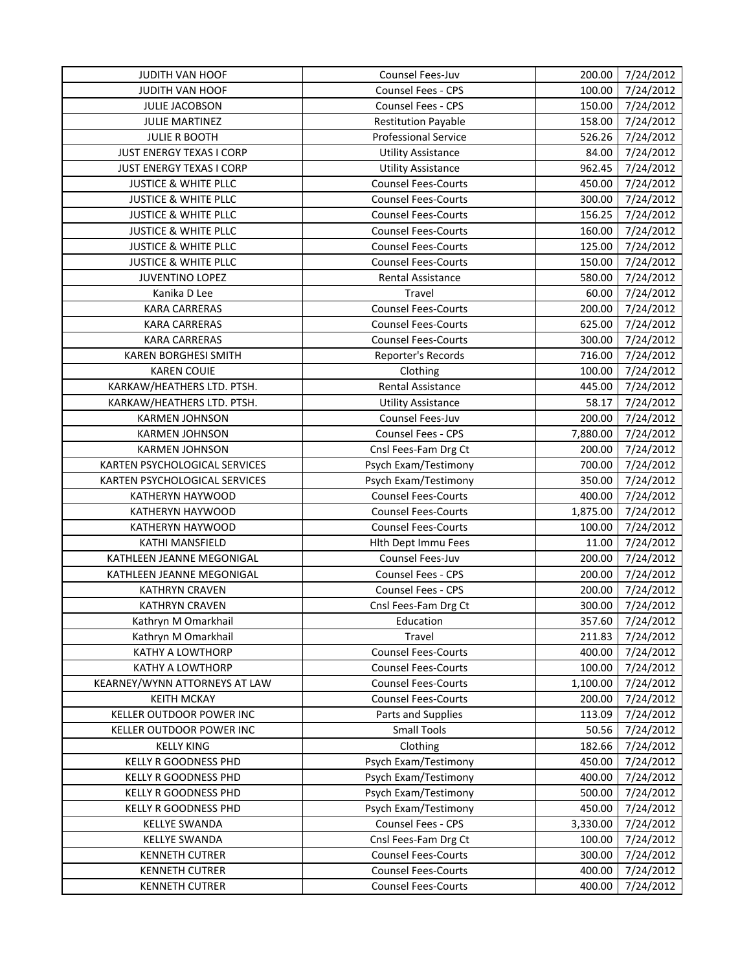| <b>JUDITH VAN HOOF</b>                                         | Counsel Fees-Juv                                         | 200.00             | 7/24/2012              |
|----------------------------------------------------------------|----------------------------------------------------------|--------------------|------------------------|
| JUDITH VAN HOOF                                                | Counsel Fees - CPS                                       | 100.00             | 7/24/2012              |
| JULIE JACOBSON                                                 | Counsel Fees - CPS                                       | 150.00             | 7/24/2012              |
| <b>JULIE MARTINEZ</b>                                          | <b>Restitution Payable</b>                               | 158.00             | 7/24/2012              |
| <b>JULIE R BOOTH</b>                                           | <b>Professional Service</b>                              | 526.26             | 7/24/2012              |
| <b>JUST ENERGY TEXAS I CORP</b>                                | <b>Utility Assistance</b>                                | 84.00              | 7/24/2012              |
| <b>JUST ENERGY TEXAS I CORP</b>                                | <b>Utility Assistance</b>                                | 962.45             | 7/24/2012              |
| <b>JUSTICE &amp; WHITE PLLC</b>                                | <b>Counsel Fees-Courts</b>                               | 450.00             | 7/24/2012              |
| <b>JUSTICE &amp; WHITE PLLC</b>                                | <b>Counsel Fees-Courts</b>                               | 300.00             | 7/24/2012              |
| <b>JUSTICE &amp; WHITE PLLC</b>                                | <b>Counsel Fees-Courts</b>                               | 156.25             | 7/24/2012              |
| <b>JUSTICE &amp; WHITE PLLC</b>                                | <b>Counsel Fees-Courts</b>                               | 160.00             | 7/24/2012              |
| <b>JUSTICE &amp; WHITE PLLC</b>                                | <b>Counsel Fees-Courts</b>                               | 125.00             | 7/24/2012              |
| <b>JUSTICE &amp; WHITE PLLC</b>                                | <b>Counsel Fees-Courts</b>                               | 150.00             | 7/24/2012              |
| <b>JUVENTINO LOPEZ</b>                                         | Rental Assistance                                        | 580.00             | 7/24/2012              |
| Kanika D Lee                                                   | Travel                                                   | 60.00              | 7/24/2012              |
| <b>KARA CARRERAS</b>                                           | <b>Counsel Fees-Courts</b>                               | 200.00             | 7/24/2012              |
| <b>KARA CARRERAS</b>                                           | <b>Counsel Fees-Courts</b>                               | 625.00             | 7/24/2012              |
| <b>KARA CARRERAS</b>                                           | <b>Counsel Fees-Courts</b>                               | 300.00             | 7/24/2012              |
| KAREN BORGHESI SMITH                                           | Reporter's Records                                       | 716.00             | 7/24/2012              |
| <b>KAREN COUIE</b>                                             | Clothing                                                 | 100.00             | 7/24/2012              |
| KARKAW/HEATHERS LTD. PTSH.                                     | Rental Assistance                                        | 445.00             | 7/24/2012              |
|                                                                | <b>Utility Assistance</b>                                | 58.17              |                        |
| KARKAW/HEATHERS LTD. PTSH.<br><b>KARMEN JOHNSON</b>            | Counsel Fees-Juv                                         | 200.00             | 7/24/2012              |
|                                                                | Counsel Fees - CPS                                       | 7,880.00           | 7/24/2012              |
| <b>KARMEN JOHNSON</b>                                          |                                                          |                    | 7/24/2012              |
| <b>KARMEN JOHNSON</b>                                          | Cnsl Fees-Fam Drg Ct                                     | 200.00             | 7/24/2012              |
| KARTEN PSYCHOLOGICAL SERVICES<br>KARTEN PSYCHOLOGICAL SERVICES | Psych Exam/Testimony<br>Psych Exam/Testimony             | 700.00<br>350.00   | 7/24/2012<br>7/24/2012 |
| KATHERYN HAYWOOD                                               | <b>Counsel Fees-Courts</b>                               | 400.00             | 7/24/2012              |
| KATHERYN HAYWOOD                                               | <b>Counsel Fees-Courts</b>                               | 1,875.00           | 7/24/2012              |
| KATHERYN HAYWOOD                                               | <b>Counsel Fees-Courts</b>                               | 100.00             | 7/24/2012              |
| KATHI MANSFIELD                                                | Hith Dept Immu Fees                                      | 11.00              | 7/24/2012              |
| KATHLEEN JEANNE MEGONIGAL                                      | Counsel Fees-Juv                                         | 200.00             | 7/24/2012              |
| KATHLEEN JEANNE MEGONIGAL                                      | Counsel Fees - CPS                                       | 200.00             | 7/24/2012              |
| <b>KATHRYN CRAVEN</b>                                          | Counsel Fees - CPS                                       | 200.00             | 7/24/2012              |
| <b>KATHRYN CRAVEN</b>                                          | Cnsl Fees-Fam Drg Ct                                     | 300.00             | 7/24/2012              |
| Kathryn M Omarkhail                                            | Education                                                | 357.60             | 7/24/2012              |
|                                                                | Travel                                                   |                    | 7/24/2012              |
| Kathryn M Omarkhail<br><b>KATHY A LOWTHORP</b>                 |                                                          | 211.83             |                        |
| <b>KATHY A LOWTHORP</b>                                        | <b>Counsel Fees-Courts</b>                               | 400.00             | 7/24/2012              |
|                                                                | <b>Counsel Fees-Courts</b><br><b>Counsel Fees-Courts</b> | 100.00<br>1,100.00 | 7/24/2012<br>7/24/2012 |
| KEARNEY/WYNN ATTORNEYS AT LAW<br><b>KEITH MCKAY</b>            | <b>Counsel Fees-Courts</b>                               |                    |                        |
|                                                                |                                                          | 200.00             | 7/24/2012              |
| KELLER OUTDOOR POWER INC                                       | Parts and Supplies                                       | 113.09             | 7/24/2012              |
| KELLER OUTDOOR POWER INC                                       | <b>Small Tools</b>                                       | 50.56              | 7/24/2012              |
| <b>KELLY KING</b>                                              | Clothing                                                 | 182.66             | 7/24/2012              |
| <b>KELLY R GOODNESS PHD</b>                                    | Psych Exam/Testimony                                     | 450.00             | 7/24/2012              |
| KELLY R GOODNESS PHD                                           | Psych Exam/Testimony                                     | 400.00             | 7/24/2012              |
| KELLY R GOODNESS PHD                                           | Psych Exam/Testimony                                     | 500.00             | 7/24/2012              |
| KELLY R GOODNESS PHD                                           | Psych Exam/Testimony                                     | 450.00             | 7/24/2012              |
| <b>KELLYE SWANDA</b>                                           | Counsel Fees - CPS                                       | 3,330.00           | 7/24/2012              |
| <b>KELLYE SWANDA</b>                                           | Cnsl Fees-Fam Drg Ct                                     | 100.00             | 7/24/2012              |
| <b>KENNETH CUTRER</b>                                          | <b>Counsel Fees-Courts</b>                               | 300.00             | 7/24/2012              |
| <b>KENNETH CUTRER</b>                                          | <b>Counsel Fees-Courts</b>                               | 400.00             | 7/24/2012              |
| <b>KENNETH CUTRER</b>                                          | <b>Counsel Fees-Courts</b>                               | 400.00             | 7/24/2012              |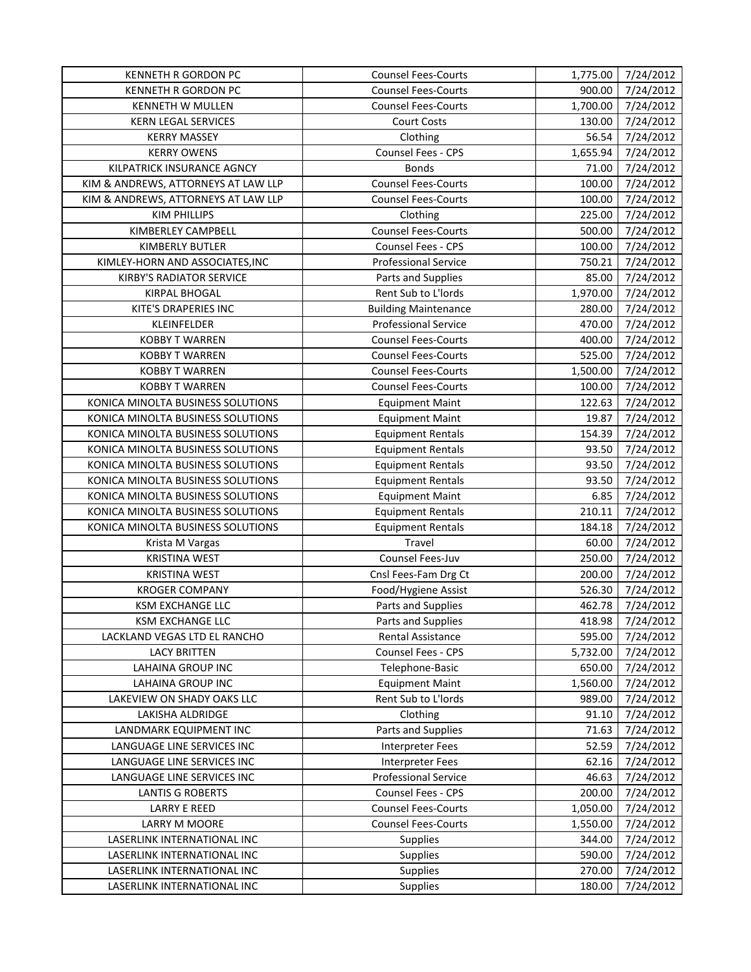| <b>KENNETH R GORDON PC</b>          | <b>Counsel Fees-Courts</b>  | 1,775.00 | 7/24/2012 |
|-------------------------------------|-----------------------------|----------|-----------|
| <b>KENNETH R GORDON PC</b>          | <b>Counsel Fees-Courts</b>  | 900.00   | 7/24/2012 |
| <b>KENNETH W MULLEN</b>             | <b>Counsel Fees-Courts</b>  | 1,700.00 | 7/24/2012 |
| KERN LEGAL SERVICES                 | Court Costs                 | 130.00   | 7/24/2012 |
| <b>KERRY MASSEY</b>                 | Clothing                    | 56.54    | 7/24/2012 |
| <b>KERRY OWENS</b>                  | Counsel Fees - CPS          | 1,655.94 | 7/24/2012 |
| KILPATRICK INSURANCE AGNCY          | <b>Bonds</b>                | 71.00    | 7/24/2012 |
| KIM & ANDREWS, ATTORNEYS AT LAW LLP | <b>Counsel Fees-Courts</b>  | 100.00   | 7/24/2012 |
| KIM & ANDREWS, ATTORNEYS AT LAW LLP | <b>Counsel Fees-Courts</b>  | 100.00   | 7/24/2012 |
| <b>KIM PHILLIPS</b>                 | Clothing                    | 225.00   | 7/24/2012 |
| KIMBERLEY CAMPBELL                  | <b>Counsel Fees-Courts</b>  | 500.00   | 7/24/2012 |
| KIMBERLY BUTLER                     | Counsel Fees - CPS          | 100.00   | 7/24/2012 |
| KIMLEY-HORN AND ASSOCIATES, INC     | <b>Professional Service</b> | 750.21   | 7/24/2012 |
| KIRBY'S RADIATOR SERVICE            | Parts and Supplies          | 85.00    | 7/24/2012 |
| KIRPAL BHOGAL                       | Rent Sub to L'Iords         | 1,970.00 | 7/24/2012 |
| KITE'S DRAPERIES INC                | <b>Building Maintenance</b> | 280.00   | 7/24/2012 |
| KLEINFELDER                         | <b>Professional Service</b> | 470.00   | 7/24/2012 |
| <b>KOBBY T WARREN</b>               | <b>Counsel Fees-Courts</b>  | 400.00   | 7/24/2012 |
| <b>KOBBY T WARREN</b>               | <b>Counsel Fees-Courts</b>  | 525.00   | 7/24/2012 |
| <b>KOBBY T WARREN</b>               | <b>Counsel Fees-Courts</b>  | 1,500.00 | 7/24/2012 |
| <b>KOBBY T WARREN</b>               | <b>Counsel Fees-Courts</b>  | 100.00   | 7/24/2012 |
| KONICA MINOLTA BUSINESS SOLUTIONS   | <b>Equipment Maint</b>      | 122.63   | 7/24/2012 |
| KONICA MINOLTA BUSINESS SOLUTIONS   | <b>Equipment Maint</b>      | 19.87    | 7/24/2012 |
| KONICA MINOLTA BUSINESS SOLUTIONS   | <b>Equipment Rentals</b>    | 154.39   | 7/24/2012 |
| KONICA MINOLTA BUSINESS SOLUTIONS   | <b>Equipment Rentals</b>    | 93.50    | 7/24/2012 |
| KONICA MINOLTA BUSINESS SOLUTIONS   | <b>Equipment Rentals</b>    | 93.50    | 7/24/2012 |
| KONICA MINOLTA BUSINESS SOLUTIONS   | <b>Equipment Rentals</b>    | 93.50    | 7/24/2012 |
| KONICA MINOLTA BUSINESS SOLUTIONS   | <b>Equipment Maint</b>      | 6.85     | 7/24/2012 |
| KONICA MINOLTA BUSINESS SOLUTIONS   | <b>Equipment Rentals</b>    | 210.11   | 7/24/2012 |
| KONICA MINOLTA BUSINESS SOLUTIONS   | <b>Equipment Rentals</b>    | 184.18   | 7/24/2012 |
| Krista M Vargas                     | Travel                      | 60.00    | 7/24/2012 |
| <b>KRISTINA WEST</b>                | Counsel Fees-Juv            | 250.00   | 7/24/2012 |
| <b>KRISTINA WEST</b>                | Cnsl Fees-Fam Drg Ct        | 200.00   | 7/24/2012 |
| <b>KROGER COMPANY</b>               | Food/Hygiene Assist         | 526.30   | 7/24/2012 |
| <b>KSM EXCHANGE LLC</b>             | Parts and Supplies          | 462.78   | 7/24/2012 |
| KSM EXCHANGE LLC                    | Parts and Supplies          | 418.98   | 7/24/2012 |
| LACKLAND VEGAS LTD EL RANCHO        | Rental Assistance           | 595.00   | 7/24/2012 |
| <b>LACY BRITTEN</b>                 | Counsel Fees - CPS          | 5,732.00 | 7/24/2012 |
| <b>LAHAINA GROUP INC</b>            | Telephone-Basic             | 650.00   | 7/24/2012 |
| LAHAINA GROUP INC                   | <b>Equipment Maint</b>      | 1,560.00 | 7/24/2012 |
| LAKEVIEW ON SHADY OAKS LLC          | Rent Sub to L'Iords         | 989.00   | 7/24/2012 |
| LAKISHA ALDRIDGE                    | Clothing                    | 91.10    | 7/24/2012 |
| LANDMARK EQUIPMENT INC              | Parts and Supplies          | 71.63    | 7/24/2012 |
| LANGUAGE LINE SERVICES INC          | <b>Interpreter Fees</b>     | 52.59    | 7/24/2012 |
| LANGUAGE LINE SERVICES INC          | <b>Interpreter Fees</b>     | 62.16    | 7/24/2012 |
| LANGUAGE LINE SERVICES INC          | <b>Professional Service</b> | 46.63    | 7/24/2012 |
| <b>LANTIS G ROBERTS</b>             | Counsel Fees - CPS          | 200.00   | 7/24/2012 |
| <b>LARRY E REED</b>                 | <b>Counsel Fees-Courts</b>  | 1,050.00 | 7/24/2012 |
| <b>LARRY M MOORE</b>                | <b>Counsel Fees-Courts</b>  | 1,550.00 | 7/24/2012 |
| LASERLINK INTERNATIONAL INC         | <b>Supplies</b>             | 344.00   | 7/24/2012 |
| LASERLINK INTERNATIONAL INC         | <b>Supplies</b>             | 590.00   | 7/24/2012 |
| LASERLINK INTERNATIONAL INC         | <b>Supplies</b>             | 270.00   | 7/24/2012 |
| LASERLINK INTERNATIONAL INC         | Supplies                    | 180.00   | 7/24/2012 |
|                                     |                             |          |           |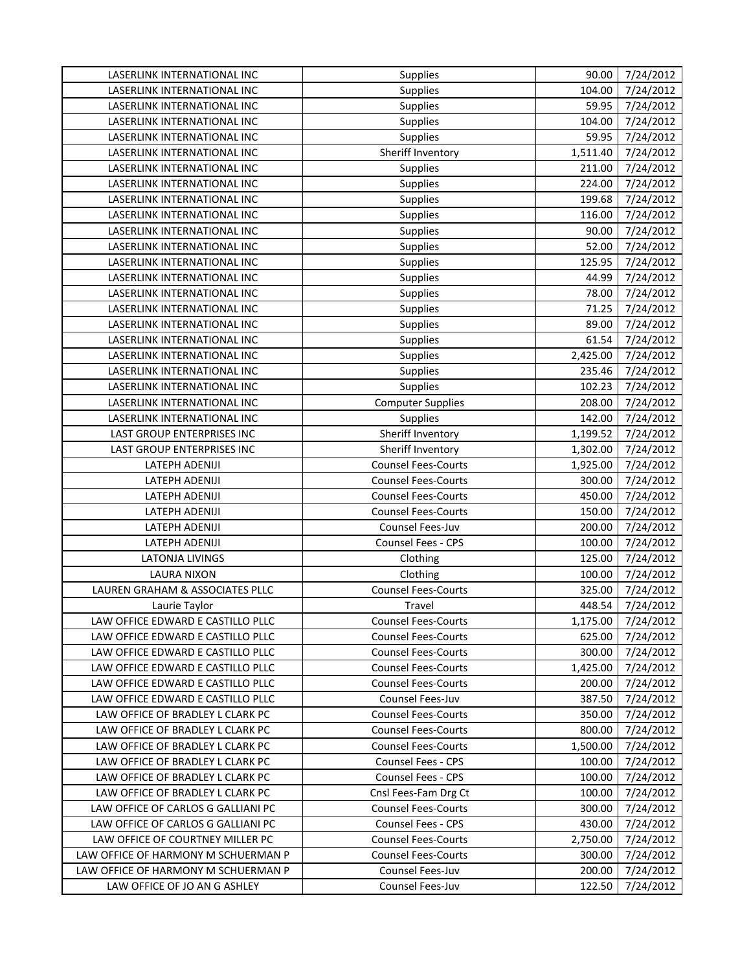| LASERLINK INTERNATIONAL INC<br><b>Supplies</b><br>104.00<br>59.95<br>LASERLINK INTERNATIONAL INC<br><b>Supplies</b><br>LASERLINK INTERNATIONAL INC<br>104.00<br><b>Supplies</b><br>59.95<br>LASERLINK INTERNATIONAL INC<br><b>Supplies</b><br>Sheriff Inventory<br>LASERLINK INTERNATIONAL INC<br>1,511.40<br>Supplies<br>211.00<br>LASERLINK INTERNATIONAL INC<br>LASERLINK INTERNATIONAL INC<br>224.00<br><b>Supplies</b> | 7/24/2012<br>7/24/2012<br>7/24/2012<br>7/24/2012<br>7/24/2012<br>7/24/2012<br>7/24/2012<br>7/24/2012 |
|-----------------------------------------------------------------------------------------------------------------------------------------------------------------------------------------------------------------------------------------------------------------------------------------------------------------------------------------------------------------------------------------------------------------------------|------------------------------------------------------------------------------------------------------|
|                                                                                                                                                                                                                                                                                                                                                                                                                             |                                                                                                      |
|                                                                                                                                                                                                                                                                                                                                                                                                                             |                                                                                                      |
|                                                                                                                                                                                                                                                                                                                                                                                                                             |                                                                                                      |
|                                                                                                                                                                                                                                                                                                                                                                                                                             |                                                                                                      |
|                                                                                                                                                                                                                                                                                                                                                                                                                             |                                                                                                      |
|                                                                                                                                                                                                                                                                                                                                                                                                                             |                                                                                                      |
|                                                                                                                                                                                                                                                                                                                                                                                                                             |                                                                                                      |
| 199.68<br>LASERLINK INTERNATIONAL INC<br><b>Supplies</b>                                                                                                                                                                                                                                                                                                                                                                    |                                                                                                      |
| LASERLINK INTERNATIONAL INC<br><b>Supplies</b><br>116.00                                                                                                                                                                                                                                                                                                                                                                    | 7/24/2012                                                                                            |
| LASERLINK INTERNATIONAL INC<br><b>Supplies</b><br>90.00                                                                                                                                                                                                                                                                                                                                                                     | 7/24/2012                                                                                            |
| LASERLINK INTERNATIONAL INC<br>52.00<br>Supplies                                                                                                                                                                                                                                                                                                                                                                            | 7/24/2012                                                                                            |
| LASERLINK INTERNATIONAL INC<br>125.95<br><b>Supplies</b>                                                                                                                                                                                                                                                                                                                                                                    | 7/24/2012                                                                                            |
| LASERLINK INTERNATIONAL INC<br><b>Supplies</b><br>44.99                                                                                                                                                                                                                                                                                                                                                                     | 7/24/2012                                                                                            |
| LASERLINK INTERNATIONAL INC<br><b>Supplies</b><br>78.00                                                                                                                                                                                                                                                                                                                                                                     | 7/24/2012                                                                                            |
| 71.25<br>LASERLINK INTERNATIONAL INC<br><b>Supplies</b>                                                                                                                                                                                                                                                                                                                                                                     | 7/24/2012                                                                                            |
| LASERLINK INTERNATIONAL INC<br>Supplies<br>89.00                                                                                                                                                                                                                                                                                                                                                                            | 7/24/2012                                                                                            |
| 61.54<br>LASERLINK INTERNATIONAL INC<br>Supplies                                                                                                                                                                                                                                                                                                                                                                            | 7/24/2012                                                                                            |
| LASERLINK INTERNATIONAL INC<br><b>Supplies</b><br>2,425.00                                                                                                                                                                                                                                                                                                                                                                  | 7/24/2012                                                                                            |
| LASERLINK INTERNATIONAL INC<br>Supplies<br>235.46                                                                                                                                                                                                                                                                                                                                                                           | 7/24/2012                                                                                            |
| LASERLINK INTERNATIONAL INC<br>Supplies<br>102.23                                                                                                                                                                                                                                                                                                                                                                           | 7/24/2012                                                                                            |
| LASERLINK INTERNATIONAL INC<br><b>Computer Supplies</b><br>208.00                                                                                                                                                                                                                                                                                                                                                           | 7/24/2012                                                                                            |
| Supplies<br>LASERLINK INTERNATIONAL INC<br>142.00                                                                                                                                                                                                                                                                                                                                                                           | 7/24/2012                                                                                            |
| Sheriff Inventory<br>LAST GROUP ENTERPRISES INC<br>1,199.52                                                                                                                                                                                                                                                                                                                                                                 | 7/24/2012                                                                                            |
| Sheriff Inventory<br>LAST GROUP ENTERPRISES INC<br>1,302.00                                                                                                                                                                                                                                                                                                                                                                 | 7/24/2012                                                                                            |
| <b>Counsel Fees-Courts</b><br>LATEPH ADENIJI<br>1,925.00                                                                                                                                                                                                                                                                                                                                                                    | 7/24/2012                                                                                            |
| <b>Counsel Fees-Courts</b><br>300.00<br>LATEPH ADENIJI                                                                                                                                                                                                                                                                                                                                                                      | 7/24/2012                                                                                            |
| <b>Counsel Fees-Courts</b><br>450.00<br>LATEPH ADENIJI                                                                                                                                                                                                                                                                                                                                                                      | 7/24/2012                                                                                            |
| LATEPH ADENIJI<br><b>Counsel Fees-Courts</b><br>150.00                                                                                                                                                                                                                                                                                                                                                                      | 7/24/2012                                                                                            |
| LATEPH ADENIJI<br>Counsel Fees-Juv<br>200.00                                                                                                                                                                                                                                                                                                                                                                                | 7/24/2012                                                                                            |
| 100.00<br><b>LATEPH ADENIJI</b><br>Counsel Fees - CPS                                                                                                                                                                                                                                                                                                                                                                       | 7/24/2012                                                                                            |
| <b>LATONJA LIVINGS</b><br>125.00<br>Clothing                                                                                                                                                                                                                                                                                                                                                                                | 7/24/2012                                                                                            |
| <b>LAURA NIXON</b><br>100.00<br>Clothing                                                                                                                                                                                                                                                                                                                                                                                    | 7/24/2012                                                                                            |
| <b>Counsel Fees-Courts</b><br>LAUREN GRAHAM & ASSOCIATES PLLC<br>325.00                                                                                                                                                                                                                                                                                                                                                     | 7/24/2012                                                                                            |
| Travel<br>448.54<br>Laurie Taylor                                                                                                                                                                                                                                                                                                                                                                                           | 7/24/2012                                                                                            |
| LAW OFFICE EDWARD E CASTILLO PLLC<br><b>Counsel Fees-Courts</b><br>1,175.00                                                                                                                                                                                                                                                                                                                                                 | 7/24/2012                                                                                            |
| LAW OFFICE EDWARD E CASTILLO PLLC<br><b>Counsel Fees-Courts</b><br>625.00                                                                                                                                                                                                                                                                                                                                                   | 7/24/2012                                                                                            |
| LAW OFFICE EDWARD E CASTILLO PLLC<br><b>Counsel Fees-Courts</b><br>300.00                                                                                                                                                                                                                                                                                                                                                   | 7/24/2012                                                                                            |
| LAW OFFICE EDWARD E CASTILLO PLLC<br><b>Counsel Fees-Courts</b><br>1,425.00                                                                                                                                                                                                                                                                                                                                                 | 7/24/2012                                                                                            |
| LAW OFFICE EDWARD E CASTILLO PLLC<br><b>Counsel Fees-Courts</b><br>200.00                                                                                                                                                                                                                                                                                                                                                   | 7/24/2012                                                                                            |
| LAW OFFICE EDWARD E CASTILLO PLLC<br>Counsel Fees-Juv<br>387.50                                                                                                                                                                                                                                                                                                                                                             | 7/24/2012                                                                                            |
| LAW OFFICE OF BRADLEY L CLARK PC<br><b>Counsel Fees-Courts</b><br>350.00                                                                                                                                                                                                                                                                                                                                                    | 7/24/2012                                                                                            |
| LAW OFFICE OF BRADLEY L CLARK PC<br><b>Counsel Fees-Courts</b><br>800.00                                                                                                                                                                                                                                                                                                                                                    | 7/24/2012                                                                                            |
| LAW OFFICE OF BRADLEY L CLARK PC<br><b>Counsel Fees-Courts</b><br>1,500.00                                                                                                                                                                                                                                                                                                                                                  | 7/24/2012                                                                                            |
| LAW OFFICE OF BRADLEY L CLARK PC<br><b>Counsel Fees - CPS</b><br>100.00                                                                                                                                                                                                                                                                                                                                                     | 7/24/2012                                                                                            |
| Counsel Fees - CPS<br>LAW OFFICE OF BRADLEY L CLARK PC<br>100.00                                                                                                                                                                                                                                                                                                                                                            | 7/24/2012                                                                                            |
| Cnsl Fees-Fam Drg Ct<br>100.00<br>LAW OFFICE OF BRADLEY L CLARK PC                                                                                                                                                                                                                                                                                                                                                          | 7/24/2012                                                                                            |
| LAW OFFICE OF CARLOS G GALLIANI PC<br><b>Counsel Fees-Courts</b><br>300.00                                                                                                                                                                                                                                                                                                                                                  | 7/24/2012                                                                                            |
| LAW OFFICE OF CARLOS G GALLIANI PC<br>Counsel Fees - CPS<br>430.00                                                                                                                                                                                                                                                                                                                                                          | 7/24/2012                                                                                            |
| LAW OFFICE OF COURTNEY MILLER PC<br><b>Counsel Fees-Courts</b><br>2,750.00                                                                                                                                                                                                                                                                                                                                                  | 7/24/2012                                                                                            |
| LAW OFFICE OF HARMONY M SCHUERMAN P<br><b>Counsel Fees-Courts</b><br>300.00                                                                                                                                                                                                                                                                                                                                                 | 7/24/2012                                                                                            |
| LAW OFFICE OF HARMONY M SCHUERMAN P<br>Counsel Fees-Juv<br>200.00                                                                                                                                                                                                                                                                                                                                                           | 7/24/2012                                                                                            |
| LAW OFFICE OF JO AN G ASHLEY<br>Counsel Fees-Juv<br>122.50                                                                                                                                                                                                                                                                                                                                                                  | 7/24/2012                                                                                            |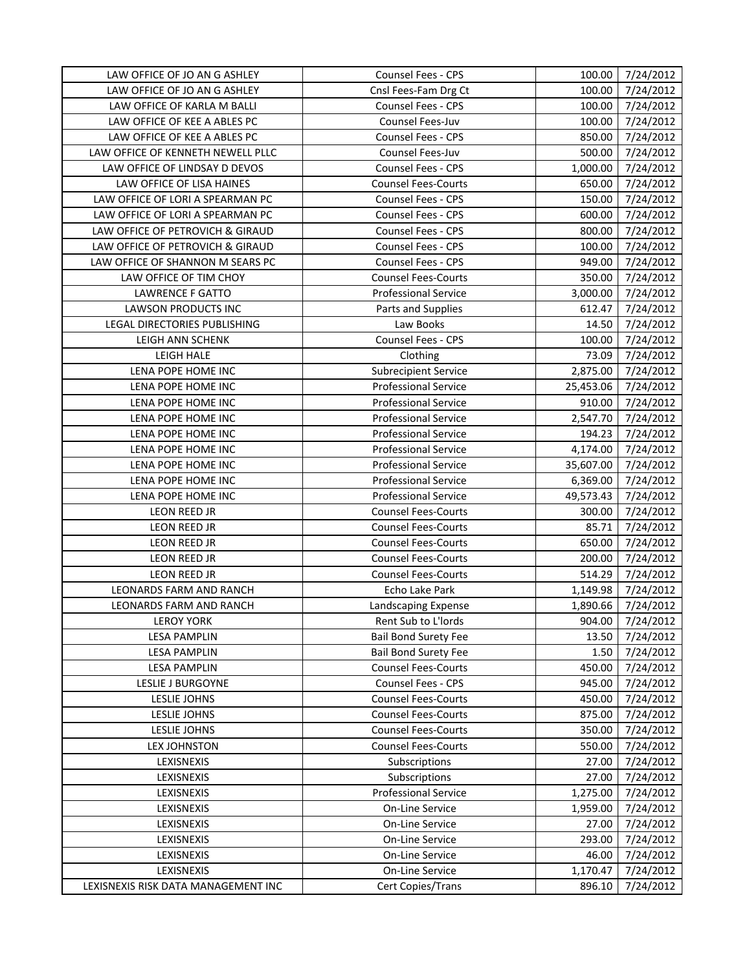| LAW OFFICE OF JO AN G ASHLEY        | Counsel Fees - CPS          | 100.00    | 7/24/2012 |
|-------------------------------------|-----------------------------|-----------|-----------|
| LAW OFFICE OF JO AN G ASHLEY        | Cnsl Fees-Fam Drg Ct        | 100.00    | 7/24/2012 |
| LAW OFFICE OF KARLA M BALLI         | Counsel Fees - CPS          | 100.00    | 7/24/2012 |
| LAW OFFICE OF KEE A ABLES PC        | Counsel Fees-Juv            | 100.00    | 7/24/2012 |
| LAW OFFICE OF KEE A ABLES PC        | Counsel Fees - CPS          | 850.00    | 7/24/2012 |
| LAW OFFICE OF KENNETH NEWELL PLLC   | Counsel Fees-Juv            | 500.00    | 7/24/2012 |
| LAW OFFICE OF LINDSAY D DEVOS       | Counsel Fees - CPS          | 1,000.00  | 7/24/2012 |
| LAW OFFICE OF LISA HAINES           | <b>Counsel Fees-Courts</b>  | 650.00    | 7/24/2012 |
| LAW OFFICE OF LORI A SPEARMAN PC    | Counsel Fees - CPS          | 150.00    | 7/24/2012 |
| LAW OFFICE OF LORI A SPEARMAN PC    | Counsel Fees - CPS          | 600.00    | 7/24/2012 |
| LAW OFFICE OF PETROVICH & GIRAUD    | Counsel Fees - CPS          | 800.00    | 7/24/2012 |
| LAW OFFICE OF PETROVICH & GIRAUD    | Counsel Fees - CPS          | 100.00    | 7/24/2012 |
| LAW OFFICE OF SHANNON M SEARS PC    | Counsel Fees - CPS          | 949.00    | 7/24/2012 |
| LAW OFFICE OF TIM CHOY              | <b>Counsel Fees-Courts</b>  | 350.00    | 7/24/2012 |
| <b>LAWRENCE F GATTO</b>             | <b>Professional Service</b> | 3,000.00  | 7/24/2012 |
| LAWSON PRODUCTS INC                 | Parts and Supplies          | 612.47    | 7/24/2012 |
| LEGAL DIRECTORIES PUBLISHING        | Law Books                   | 14.50     | 7/24/2012 |
| LEIGH ANN SCHENK                    | Counsel Fees - CPS          | 100.00    | 7/24/2012 |
| LEIGH HALE                          | Clothing                    | 73.09     | 7/24/2012 |
| LENA POPE HOME INC                  | <b>Subrecipient Service</b> | 2,875.00  | 7/24/2012 |
| LENA POPE HOME INC                  | <b>Professional Service</b> | 25,453.06 | 7/24/2012 |
| LENA POPE HOME INC                  | <b>Professional Service</b> | 910.00    | 7/24/2012 |
| LENA POPE HOME INC                  | <b>Professional Service</b> | 2,547.70  | 7/24/2012 |
| LENA POPE HOME INC                  | <b>Professional Service</b> | 194.23    | 7/24/2012 |
| LENA POPE HOME INC                  | <b>Professional Service</b> | 4,174.00  | 7/24/2012 |
| LENA POPE HOME INC                  | <b>Professional Service</b> | 35,607.00 | 7/24/2012 |
| LENA POPE HOME INC                  | <b>Professional Service</b> | 6,369.00  | 7/24/2012 |
| LENA POPE HOME INC                  | <b>Professional Service</b> | 49,573.43 | 7/24/2012 |
| LEON REED JR                        | <b>Counsel Fees-Courts</b>  | 300.00    | 7/24/2012 |
| LEON REED JR                        | <b>Counsel Fees-Courts</b>  | 85.71     | 7/24/2012 |
| LEON REED JR                        | <b>Counsel Fees-Courts</b>  | 650.00    | 7/24/2012 |
| LEON REED JR                        | <b>Counsel Fees-Courts</b>  | 200.00    | 7/24/2012 |
| <b>LEON REED JR</b>                 | <b>Counsel Fees-Courts</b>  | 514.29    | 7/24/2012 |
| LEONARDS FARM AND RANCH             | Echo Lake Park              | 1,149.98  | 7/24/2012 |
| LEONARDS FARM AND RANCH             | Landscaping Expense         | 1,890.66  | 7/24/2012 |
| <b>LEROY YORK</b>                   | Rent Sub to L'Iords         | 904.00    | 7/24/2012 |
| <b>LESA PAMPLIN</b>                 | <b>Bail Bond Surety Fee</b> | 13.50     | 7/24/2012 |
| <b>LESA PAMPLIN</b>                 | <b>Bail Bond Surety Fee</b> | 1.50      | 7/24/2012 |
| <b>LESA PAMPLIN</b>                 | <b>Counsel Fees-Courts</b>  | 450.00    | 7/24/2012 |
| LESLIE J BURGOYNE                   | Counsel Fees - CPS          | 945.00    | 7/24/2012 |
| LESLIE JOHNS                        | <b>Counsel Fees-Courts</b>  | 450.00    | 7/24/2012 |
| LESLIE JOHNS                        | <b>Counsel Fees-Courts</b>  | 875.00    | 7/24/2012 |
| LESLIE JOHNS                        | <b>Counsel Fees-Courts</b>  | 350.00    | 7/24/2012 |
| <b>LEX JOHNSTON</b>                 | <b>Counsel Fees-Courts</b>  | 550.00    | 7/24/2012 |
| LEXISNEXIS                          | Subscriptions               | 27.00     | 7/24/2012 |
| LEXISNEXIS                          | Subscriptions               | 27.00     | 7/24/2012 |
| LEXISNEXIS                          | <b>Professional Service</b> | 1,275.00  | 7/24/2012 |
| LEXISNEXIS                          | On-Line Service             | 1,959.00  | 7/24/2012 |
| LEXISNEXIS                          | On-Line Service             | 27.00     | 7/24/2012 |
| LEXISNEXIS                          | On-Line Service             | 293.00    | 7/24/2012 |
| LEXISNEXIS                          | On-Line Service             | 46.00     | 7/24/2012 |
| LEXISNEXIS                          | On-Line Service             | 1,170.47  | 7/24/2012 |
| LEXISNEXIS RISK DATA MANAGEMENT INC | Cert Copies/Trans           | 896.10    | 7/24/2012 |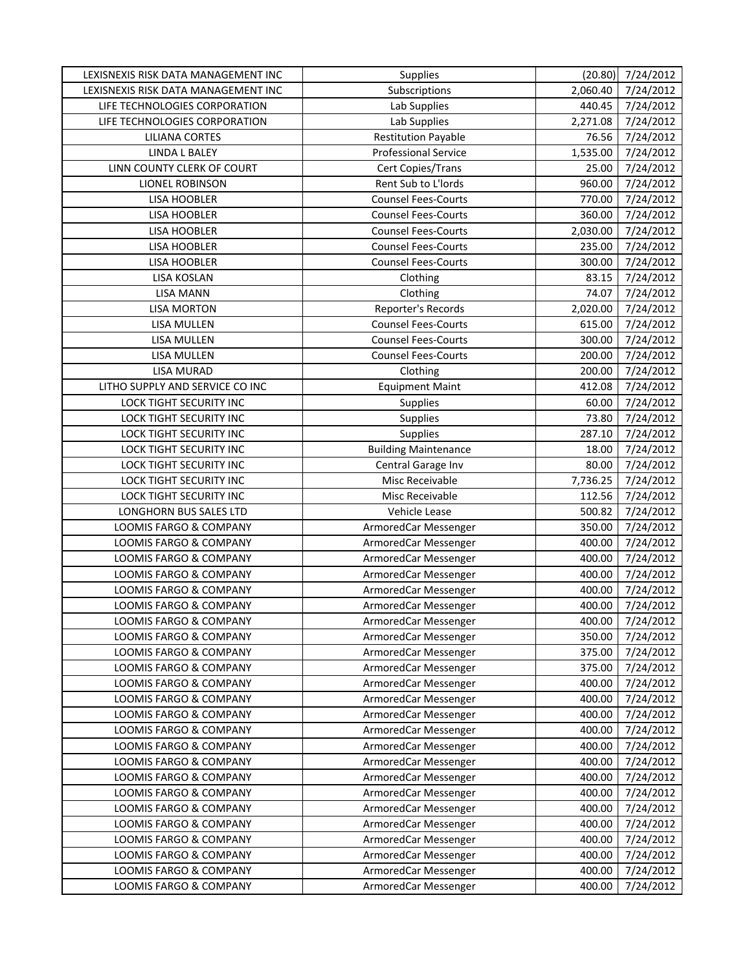| LEXISNEXIS RISK DATA MANAGEMENT INC              | Supplies                                     |                  | $(20.80)$ 7/24/2012 |
|--------------------------------------------------|----------------------------------------------|------------------|---------------------|
| LEXISNEXIS RISK DATA MANAGEMENT INC              | Subscriptions                                | 2,060.40         | 7/24/2012           |
| LIFE TECHNOLOGIES CORPORATION                    | Lab Supplies                                 | 440.45           | 7/24/2012           |
| LIFE TECHNOLOGIES CORPORATION                    | Lab Supplies                                 | 2,271.08         | 7/24/2012           |
| <b>LILIANA CORTES</b>                            | <b>Restitution Payable</b>                   | 76.56            | 7/24/2012           |
| <b>LINDA L BALEY</b>                             | <b>Professional Service</b>                  | 1,535.00         | 7/24/2012           |
| LINN COUNTY CLERK OF COURT                       | Cert Copies/Trans                            | 25.00            | 7/24/2012           |
| LIONEL ROBINSON                                  | Rent Sub to L'Iords                          | 960.00           | 7/24/2012           |
| <b>LISA HOOBLER</b>                              | <b>Counsel Fees-Courts</b>                   | 770.00           | 7/24/2012           |
| LISA HOOBLER                                     | <b>Counsel Fees-Courts</b>                   | 360.00           | 7/24/2012           |
| <b>LISA HOOBLER</b>                              | <b>Counsel Fees-Courts</b>                   | 2,030.00         | 7/24/2012           |
| LISA HOOBLER                                     | <b>Counsel Fees-Courts</b>                   | 235.00           | 7/24/2012           |
| LISA HOOBLER                                     | <b>Counsel Fees-Courts</b>                   | 300.00           | 7/24/2012           |
| LISA KOSLAN                                      | Clothing                                     | 83.15            | 7/24/2012           |
| <b>LISA MANN</b>                                 | Clothing                                     | 74.07            | 7/24/2012           |
| <b>LISA MORTON</b>                               | Reporter's Records                           | 2,020.00         | 7/24/2012           |
| LISA MULLEN                                      | <b>Counsel Fees-Courts</b>                   | 615.00           | 7/24/2012           |
| LISA MULLEN                                      | <b>Counsel Fees-Courts</b>                   | 300.00           | 7/24/2012           |
| LISA MULLEN                                      | <b>Counsel Fees-Courts</b>                   | 200.00           | 7/24/2012           |
| <b>LISA MURAD</b>                                | Clothing                                     | 200.00           | 7/24/2012           |
| LITHO SUPPLY AND SERVICE CO INC                  | <b>Equipment Maint</b>                       | 412.08           | 7/24/2012           |
| LOCK TIGHT SECURITY INC                          | Supplies                                     | 60.00            | 7/24/2012           |
| LOCK TIGHT SECURITY INC                          | Supplies                                     | 73.80            | 7/24/2012           |
| LOCK TIGHT SECURITY INC                          | Supplies                                     | 287.10           | 7/24/2012           |
| LOCK TIGHT SECURITY INC                          | <b>Building Maintenance</b>                  | 18.00            | 7/24/2012           |
| LOCK TIGHT SECURITY INC                          | Central Garage Inv                           | 80.00            | 7/24/2012           |
| LOCK TIGHT SECURITY INC                          | Misc Receivable                              | 7,736.25         | 7/24/2012           |
| LOCK TIGHT SECURITY INC                          | Misc Receivable                              | 112.56           | 7/24/2012           |
| LONGHORN BUS SALES LTD                           | Vehicle Lease                                | 500.82           | 7/24/2012           |
| LOOMIS FARGO & COMPANY                           | ArmoredCar Messenger                         | 350.00           | 7/24/2012           |
| LOOMIS FARGO & COMPANY                           | ArmoredCar Messenger                         | 400.00           | 7/24/2012           |
| LOOMIS FARGO & COMPANY                           | ArmoredCar Messenger                         | 400.00           | 7/24/2012           |
| LOOMIS FARGO & COMPANY                           | ArmoredCar Messenger                         | 400.00           | 7/24/2012           |
| LOOMIS FARGO & COMPANY                           | ArmoredCar Messenger                         | 400.00           | 7/24/2012           |
| <b>LOOMIS FARGO &amp; COMPANY</b>                | ArmoredCar Messenger                         | 400.00           | 7/24/2012           |
| LOOMIS FARGO & COMPANY                           | ArmoredCar Messenger                         | 400.00           | 7/24/2012           |
| LOOMIS FARGO & COMPANY                           | ArmoredCar Messenger                         | 350.00           | 7/24/2012           |
| LOOMIS FARGO & COMPANY                           | ArmoredCar Messenger                         | 375.00           | 7/24/2012           |
| LOOMIS FARGO & COMPANY                           | ArmoredCar Messenger                         | 375.00           | 7/24/2012           |
| LOOMIS FARGO & COMPANY                           | ArmoredCar Messenger                         | 400.00           | 7/24/2012           |
| LOOMIS FARGO & COMPANY                           | ArmoredCar Messenger                         | 400.00           | 7/24/2012           |
| LOOMIS FARGO & COMPANY                           | ArmoredCar Messenger                         | 400.00           | 7/24/2012           |
| LOOMIS FARGO & COMPANY                           | ArmoredCar Messenger                         | 400.00           | 7/24/2012           |
| LOOMIS FARGO & COMPANY                           | ArmoredCar Messenger                         | 400.00           | 7/24/2012           |
| LOOMIS FARGO & COMPANY                           | ArmoredCar Messenger                         | 400.00           | 7/24/2012           |
|                                                  |                                              |                  | 7/24/2012           |
| LOOMIS FARGO & COMPANY<br>LOOMIS FARGO & COMPANY | ArmoredCar Messenger<br>ArmoredCar Messenger | 400.00<br>400.00 | 7/24/2012           |
|                                                  |                                              |                  |                     |
| LOOMIS FARGO & COMPANY                           | ArmoredCar Messenger                         | 400.00           | 7/24/2012           |
| LOOMIS FARGO & COMPANY                           | ArmoredCar Messenger                         | 400.00           | 7/24/2012           |
| LOOMIS FARGO & COMPANY                           | ArmoredCar Messenger                         | 400.00           | 7/24/2012           |
| LOOMIS FARGO & COMPANY                           | ArmoredCar Messenger                         | 400.00           | 7/24/2012           |
| LOOMIS FARGO & COMPANY                           | ArmoredCar Messenger                         | 400.00           | 7/24/2012           |
| LOOMIS FARGO & COMPANY                           | ArmoredCar Messenger                         | 400.00           | 7/24/2012           |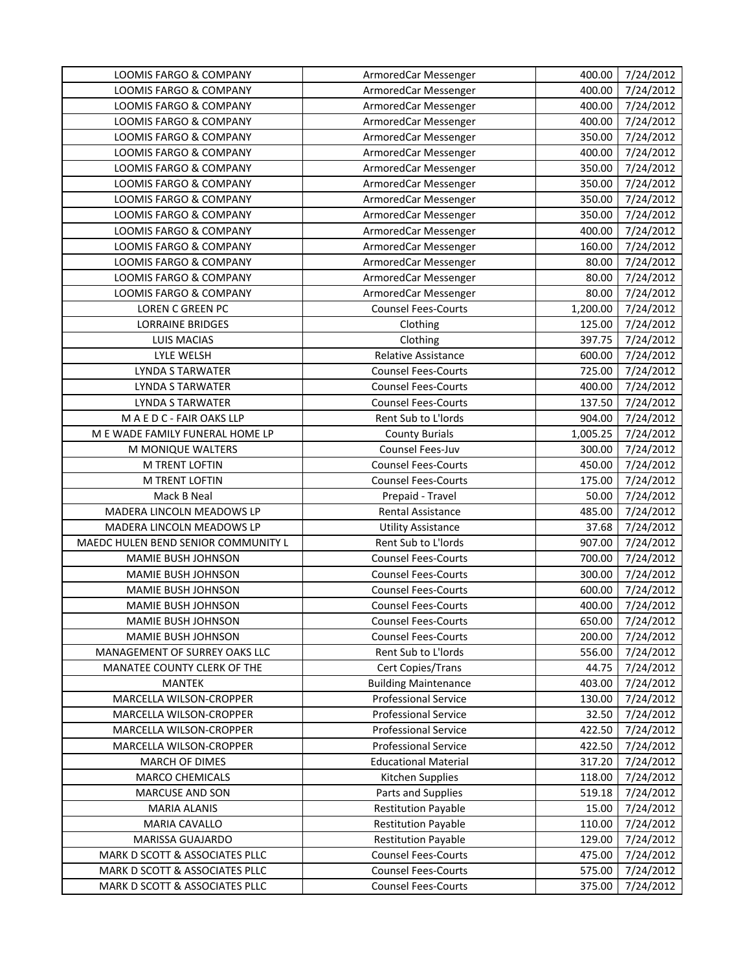| 7/24/2012<br>LOOMIS FARGO & COMPANY<br>ArmoredCar Messenger<br>400.00<br>7/24/2012<br>LOOMIS FARGO & COMPANY<br>ArmoredCar Messenger<br>400.00<br>7/24/2012<br>LOOMIS FARGO & COMPANY<br>ArmoredCar Messenger<br>400.00<br>7/24/2012<br>LOOMIS FARGO & COMPANY<br>ArmoredCar Messenger<br>350.00<br>7/24/2012<br>LOOMIS FARGO & COMPANY<br>400.00<br>ArmoredCar Messenger<br>LOOMIS FARGO & COMPANY<br>ArmoredCar Messenger<br>350.00<br>7/24/2012<br>LOOMIS FARGO & COMPANY<br>ArmoredCar Messenger<br>7/24/2012<br>350.00<br>350.00<br>7/24/2012<br>LOOMIS FARGO & COMPANY<br>ArmoredCar Messenger<br>7/24/2012<br>LOOMIS FARGO & COMPANY<br>ArmoredCar Messenger<br>350.00<br>LOOMIS FARGO & COMPANY<br>ArmoredCar Messenger<br>400.00<br>7/24/2012<br>7/24/2012<br>LOOMIS FARGO & COMPANY<br>ArmoredCar Messenger<br>160.00<br>7/24/2012<br>LOOMIS FARGO & COMPANY<br>ArmoredCar Messenger<br>80.00<br>7/24/2012<br>LOOMIS FARGO & COMPANY<br>ArmoredCar Messenger<br>80.00<br>LOOMIS FARGO & COMPANY<br>7/24/2012<br>ArmoredCar Messenger<br>80.00<br>1,200.00<br>LOREN C GREEN PC<br><b>Counsel Fees-Courts</b><br>7/24/2012<br>7/24/2012<br><b>LORRAINE BRIDGES</b><br>125.00<br>Clothing<br>7/24/2012<br><b>LUIS MACIAS</b><br>Clothing<br>397.75<br>LYLE WELSH<br><b>Relative Assistance</b><br>7/24/2012<br>600.00<br>725.00<br>7/24/2012<br><b>LYNDA S TARWATER</b><br><b>Counsel Fees-Courts</b><br><b>LYNDA S TARWATER</b><br><b>Counsel Fees-Courts</b><br>400.00<br>7/24/2012<br><b>LYNDA S TARWATER</b><br><b>Counsel Fees-Courts</b><br>137.50<br>7/24/2012<br>MAEDC-FAIR OAKS LLP<br>Rent Sub to L'Iords<br>904.00<br>7/24/2012<br>7/24/2012<br>M E WADE FAMILY FUNERAL HOME LP<br><b>County Burials</b><br>1,005.25<br>Counsel Fees-Juv<br>M MONIQUE WALTERS<br>7/24/2012<br>300.00<br>M TRENT LOFTIN<br><b>Counsel Fees-Courts</b><br>450.00<br>7/24/2012<br><b>Counsel Fees-Courts</b><br>7/24/2012<br>M TRENT LOFTIN<br>175.00<br>Mack B Neal<br>Prepaid - Travel<br>50.00<br>7/24/2012<br>MADERA LINCOLN MEADOWS LP<br>7/24/2012<br>Rental Assistance<br>485.00<br>MADERA LINCOLN MEADOWS LP<br>37.68<br>7/24/2012<br><b>Utility Assistance</b><br>MAEDC HULEN BEND SENIOR COMMUNITY L<br>Rent Sub to L'Iords<br>907.00<br>7/24/2012<br>MAMIE BUSH JOHNSON<br><b>Counsel Fees-Courts</b><br>700.00<br>7/24/2012<br>7/24/2012<br>MAMIE BUSH JOHNSON<br><b>Counsel Fees-Courts</b><br>300.00<br>MAMIE BUSH JOHNSON<br><b>Counsel Fees-Courts</b><br>600.00<br>7/24/2012<br><b>Counsel Fees-Courts</b><br>7/24/2012<br>MAMIE BUSH JOHNSON<br>400.00<br>MAMIE BUSH JOHNSON<br><b>Counsel Fees-Courts</b><br>650.00<br>7/24/2012<br>MAMIE BUSH JOHNSON<br>200.00<br>7/24/2012<br><b>Counsel Fees-Courts</b><br>MANAGEMENT OF SURREY OAKS LLC<br>Rent Sub to L'Iords<br>556.00<br>7/24/2012<br>7/24/2012<br>MANATEE COUNTY CLERK OF THE<br><b>Cert Copies/Trans</b><br>44.75<br>403.00<br><b>MANTEK</b><br><b>Building Maintenance</b><br>7/24/2012<br>MARCELLA WILSON-CROPPER<br><b>Professional Service</b><br>130.00<br>7/24/2012<br><b>Professional Service</b><br>MARCELLA WILSON-CROPPER<br>32.50<br>7/24/2012<br>MARCELLA WILSON-CROPPER<br><b>Professional Service</b><br>422.50<br>7/24/2012<br>MARCELLA WILSON-CROPPER<br><b>Professional Service</b><br>422.50<br>7/24/2012<br><b>Educational Material</b><br>7/24/2012<br><b>MARCH OF DIMES</b><br>317.20<br>Kitchen Supplies<br>7/24/2012<br><b>MARCO CHEMICALS</b><br>118.00<br>Parts and Supplies<br>519.18<br>MARCUSE AND SON<br>7/24/2012<br><b>Restitution Payable</b><br>15.00<br><b>MARIA ALANIS</b><br>7/24/2012<br>110.00<br>7/24/2012<br>MARIA CAVALLO<br><b>Restitution Payable</b><br>129.00<br>7/24/2012<br>MARISSA GUAJARDO<br><b>Restitution Payable</b><br><b>Counsel Fees-Courts</b><br>MARK D SCOTT & ASSOCIATES PLLC<br>475.00<br>7/24/2012<br><b>Counsel Fees-Courts</b><br>MARK D SCOTT & ASSOCIATES PLLC<br>575.00<br>7/24/2012 | <b>LOOMIS FARGO &amp; COMPANY</b> | ArmoredCar Messenger | 400.00 | 7/24/2012 |
|-------------------------------------------------------------------------------------------------------------------------------------------------------------------------------------------------------------------------------------------------------------------------------------------------------------------------------------------------------------------------------------------------------------------------------------------------------------------------------------------------------------------------------------------------------------------------------------------------------------------------------------------------------------------------------------------------------------------------------------------------------------------------------------------------------------------------------------------------------------------------------------------------------------------------------------------------------------------------------------------------------------------------------------------------------------------------------------------------------------------------------------------------------------------------------------------------------------------------------------------------------------------------------------------------------------------------------------------------------------------------------------------------------------------------------------------------------------------------------------------------------------------------------------------------------------------------------------------------------------------------------------------------------------------------------------------------------------------------------------------------------------------------------------------------------------------------------------------------------------------------------------------------------------------------------------------------------------------------------------------------------------------------------------------------------------------------------------------------------------------------------------------------------------------------------------------------------------------------------------------------------------------------------------------------------------------------------------------------------------------------------------------------------------------------------------------------------------------------------------------------------------------------------------------------------------------------------------------------------------------------------------------------------------------------------------------------------------------------------------------------------------------------------------------------------------------------------------------------------------------------------------------------------------------------------------------------------------------------------------------------------------------------------------------------------------------------------------------------------------------------------------------------------------------------------------------------------------------------------------------------------------------------------------------------------------------------------------------------------------------------------------------------------------------------------------------------------------------------------------------------------------------------------------------------------------------------------------------------------------------------------------------------------------------------------------------------------------------------------------------------------------------------------------------------------------------------------------------------------------------------------------------------------------------------------------|-----------------------------------|----------------------|--------|-----------|
|                                                                                                                                                                                                                                                                                                                                                                                                                                                                                                                                                                                                                                                                                                                                                                                                                                                                                                                                                                                                                                                                                                                                                                                                                                                                                                                                                                                                                                                                                                                                                                                                                                                                                                                                                                                                                                                                                                                                                                                                                                                                                                                                                                                                                                                                                                                                                                                                                                                                                                                                                                                                                                                                                                                                                                                                                                                                                                                                                                                                                                                                                                                                                                                                                                                                                                                                                                                                                                                                                                                                                                                                                                                                                                                                                                                                                                                                                                                                     |                                   |                      |        |           |
|                                                                                                                                                                                                                                                                                                                                                                                                                                                                                                                                                                                                                                                                                                                                                                                                                                                                                                                                                                                                                                                                                                                                                                                                                                                                                                                                                                                                                                                                                                                                                                                                                                                                                                                                                                                                                                                                                                                                                                                                                                                                                                                                                                                                                                                                                                                                                                                                                                                                                                                                                                                                                                                                                                                                                                                                                                                                                                                                                                                                                                                                                                                                                                                                                                                                                                                                                                                                                                                                                                                                                                                                                                                                                                                                                                                                                                                                                                                                     |                                   |                      |        |           |
|                                                                                                                                                                                                                                                                                                                                                                                                                                                                                                                                                                                                                                                                                                                                                                                                                                                                                                                                                                                                                                                                                                                                                                                                                                                                                                                                                                                                                                                                                                                                                                                                                                                                                                                                                                                                                                                                                                                                                                                                                                                                                                                                                                                                                                                                                                                                                                                                                                                                                                                                                                                                                                                                                                                                                                                                                                                                                                                                                                                                                                                                                                                                                                                                                                                                                                                                                                                                                                                                                                                                                                                                                                                                                                                                                                                                                                                                                                                                     |                                   |                      |        |           |
|                                                                                                                                                                                                                                                                                                                                                                                                                                                                                                                                                                                                                                                                                                                                                                                                                                                                                                                                                                                                                                                                                                                                                                                                                                                                                                                                                                                                                                                                                                                                                                                                                                                                                                                                                                                                                                                                                                                                                                                                                                                                                                                                                                                                                                                                                                                                                                                                                                                                                                                                                                                                                                                                                                                                                                                                                                                                                                                                                                                                                                                                                                                                                                                                                                                                                                                                                                                                                                                                                                                                                                                                                                                                                                                                                                                                                                                                                                                                     |                                   |                      |        |           |
|                                                                                                                                                                                                                                                                                                                                                                                                                                                                                                                                                                                                                                                                                                                                                                                                                                                                                                                                                                                                                                                                                                                                                                                                                                                                                                                                                                                                                                                                                                                                                                                                                                                                                                                                                                                                                                                                                                                                                                                                                                                                                                                                                                                                                                                                                                                                                                                                                                                                                                                                                                                                                                                                                                                                                                                                                                                                                                                                                                                                                                                                                                                                                                                                                                                                                                                                                                                                                                                                                                                                                                                                                                                                                                                                                                                                                                                                                                                                     |                                   |                      |        |           |
|                                                                                                                                                                                                                                                                                                                                                                                                                                                                                                                                                                                                                                                                                                                                                                                                                                                                                                                                                                                                                                                                                                                                                                                                                                                                                                                                                                                                                                                                                                                                                                                                                                                                                                                                                                                                                                                                                                                                                                                                                                                                                                                                                                                                                                                                                                                                                                                                                                                                                                                                                                                                                                                                                                                                                                                                                                                                                                                                                                                                                                                                                                                                                                                                                                                                                                                                                                                                                                                                                                                                                                                                                                                                                                                                                                                                                                                                                                                                     |                                   |                      |        |           |
|                                                                                                                                                                                                                                                                                                                                                                                                                                                                                                                                                                                                                                                                                                                                                                                                                                                                                                                                                                                                                                                                                                                                                                                                                                                                                                                                                                                                                                                                                                                                                                                                                                                                                                                                                                                                                                                                                                                                                                                                                                                                                                                                                                                                                                                                                                                                                                                                                                                                                                                                                                                                                                                                                                                                                                                                                                                                                                                                                                                                                                                                                                                                                                                                                                                                                                                                                                                                                                                                                                                                                                                                                                                                                                                                                                                                                                                                                                                                     |                                   |                      |        |           |
|                                                                                                                                                                                                                                                                                                                                                                                                                                                                                                                                                                                                                                                                                                                                                                                                                                                                                                                                                                                                                                                                                                                                                                                                                                                                                                                                                                                                                                                                                                                                                                                                                                                                                                                                                                                                                                                                                                                                                                                                                                                                                                                                                                                                                                                                                                                                                                                                                                                                                                                                                                                                                                                                                                                                                                                                                                                                                                                                                                                                                                                                                                                                                                                                                                                                                                                                                                                                                                                                                                                                                                                                                                                                                                                                                                                                                                                                                                                                     |                                   |                      |        |           |
|                                                                                                                                                                                                                                                                                                                                                                                                                                                                                                                                                                                                                                                                                                                                                                                                                                                                                                                                                                                                                                                                                                                                                                                                                                                                                                                                                                                                                                                                                                                                                                                                                                                                                                                                                                                                                                                                                                                                                                                                                                                                                                                                                                                                                                                                                                                                                                                                                                                                                                                                                                                                                                                                                                                                                                                                                                                                                                                                                                                                                                                                                                                                                                                                                                                                                                                                                                                                                                                                                                                                                                                                                                                                                                                                                                                                                                                                                                                                     |                                   |                      |        |           |
|                                                                                                                                                                                                                                                                                                                                                                                                                                                                                                                                                                                                                                                                                                                                                                                                                                                                                                                                                                                                                                                                                                                                                                                                                                                                                                                                                                                                                                                                                                                                                                                                                                                                                                                                                                                                                                                                                                                                                                                                                                                                                                                                                                                                                                                                                                                                                                                                                                                                                                                                                                                                                                                                                                                                                                                                                                                                                                                                                                                                                                                                                                                                                                                                                                                                                                                                                                                                                                                                                                                                                                                                                                                                                                                                                                                                                                                                                                                                     |                                   |                      |        |           |
|                                                                                                                                                                                                                                                                                                                                                                                                                                                                                                                                                                                                                                                                                                                                                                                                                                                                                                                                                                                                                                                                                                                                                                                                                                                                                                                                                                                                                                                                                                                                                                                                                                                                                                                                                                                                                                                                                                                                                                                                                                                                                                                                                                                                                                                                                                                                                                                                                                                                                                                                                                                                                                                                                                                                                                                                                                                                                                                                                                                                                                                                                                                                                                                                                                                                                                                                                                                                                                                                                                                                                                                                                                                                                                                                                                                                                                                                                                                                     |                                   |                      |        |           |
|                                                                                                                                                                                                                                                                                                                                                                                                                                                                                                                                                                                                                                                                                                                                                                                                                                                                                                                                                                                                                                                                                                                                                                                                                                                                                                                                                                                                                                                                                                                                                                                                                                                                                                                                                                                                                                                                                                                                                                                                                                                                                                                                                                                                                                                                                                                                                                                                                                                                                                                                                                                                                                                                                                                                                                                                                                                                                                                                                                                                                                                                                                                                                                                                                                                                                                                                                                                                                                                                                                                                                                                                                                                                                                                                                                                                                                                                                                                                     |                                   |                      |        |           |
|                                                                                                                                                                                                                                                                                                                                                                                                                                                                                                                                                                                                                                                                                                                                                                                                                                                                                                                                                                                                                                                                                                                                                                                                                                                                                                                                                                                                                                                                                                                                                                                                                                                                                                                                                                                                                                                                                                                                                                                                                                                                                                                                                                                                                                                                                                                                                                                                                                                                                                                                                                                                                                                                                                                                                                                                                                                                                                                                                                                                                                                                                                                                                                                                                                                                                                                                                                                                                                                                                                                                                                                                                                                                                                                                                                                                                                                                                                                                     |                                   |                      |        |           |
|                                                                                                                                                                                                                                                                                                                                                                                                                                                                                                                                                                                                                                                                                                                                                                                                                                                                                                                                                                                                                                                                                                                                                                                                                                                                                                                                                                                                                                                                                                                                                                                                                                                                                                                                                                                                                                                                                                                                                                                                                                                                                                                                                                                                                                                                                                                                                                                                                                                                                                                                                                                                                                                                                                                                                                                                                                                                                                                                                                                                                                                                                                                                                                                                                                                                                                                                                                                                                                                                                                                                                                                                                                                                                                                                                                                                                                                                                                                                     |                                   |                      |        |           |
|                                                                                                                                                                                                                                                                                                                                                                                                                                                                                                                                                                                                                                                                                                                                                                                                                                                                                                                                                                                                                                                                                                                                                                                                                                                                                                                                                                                                                                                                                                                                                                                                                                                                                                                                                                                                                                                                                                                                                                                                                                                                                                                                                                                                                                                                                                                                                                                                                                                                                                                                                                                                                                                                                                                                                                                                                                                                                                                                                                                                                                                                                                                                                                                                                                                                                                                                                                                                                                                                                                                                                                                                                                                                                                                                                                                                                                                                                                                                     |                                   |                      |        |           |
|                                                                                                                                                                                                                                                                                                                                                                                                                                                                                                                                                                                                                                                                                                                                                                                                                                                                                                                                                                                                                                                                                                                                                                                                                                                                                                                                                                                                                                                                                                                                                                                                                                                                                                                                                                                                                                                                                                                                                                                                                                                                                                                                                                                                                                                                                                                                                                                                                                                                                                                                                                                                                                                                                                                                                                                                                                                                                                                                                                                                                                                                                                                                                                                                                                                                                                                                                                                                                                                                                                                                                                                                                                                                                                                                                                                                                                                                                                                                     |                                   |                      |        |           |
|                                                                                                                                                                                                                                                                                                                                                                                                                                                                                                                                                                                                                                                                                                                                                                                                                                                                                                                                                                                                                                                                                                                                                                                                                                                                                                                                                                                                                                                                                                                                                                                                                                                                                                                                                                                                                                                                                                                                                                                                                                                                                                                                                                                                                                                                                                                                                                                                                                                                                                                                                                                                                                                                                                                                                                                                                                                                                                                                                                                                                                                                                                                                                                                                                                                                                                                                                                                                                                                                                                                                                                                                                                                                                                                                                                                                                                                                                                                                     |                                   |                      |        |           |
|                                                                                                                                                                                                                                                                                                                                                                                                                                                                                                                                                                                                                                                                                                                                                                                                                                                                                                                                                                                                                                                                                                                                                                                                                                                                                                                                                                                                                                                                                                                                                                                                                                                                                                                                                                                                                                                                                                                                                                                                                                                                                                                                                                                                                                                                                                                                                                                                                                                                                                                                                                                                                                                                                                                                                                                                                                                                                                                                                                                                                                                                                                                                                                                                                                                                                                                                                                                                                                                                                                                                                                                                                                                                                                                                                                                                                                                                                                                                     |                                   |                      |        |           |
|                                                                                                                                                                                                                                                                                                                                                                                                                                                                                                                                                                                                                                                                                                                                                                                                                                                                                                                                                                                                                                                                                                                                                                                                                                                                                                                                                                                                                                                                                                                                                                                                                                                                                                                                                                                                                                                                                                                                                                                                                                                                                                                                                                                                                                                                                                                                                                                                                                                                                                                                                                                                                                                                                                                                                                                                                                                                                                                                                                                                                                                                                                                                                                                                                                                                                                                                                                                                                                                                                                                                                                                                                                                                                                                                                                                                                                                                                                                                     |                                   |                      |        |           |
|                                                                                                                                                                                                                                                                                                                                                                                                                                                                                                                                                                                                                                                                                                                                                                                                                                                                                                                                                                                                                                                                                                                                                                                                                                                                                                                                                                                                                                                                                                                                                                                                                                                                                                                                                                                                                                                                                                                                                                                                                                                                                                                                                                                                                                                                                                                                                                                                                                                                                                                                                                                                                                                                                                                                                                                                                                                                                                                                                                                                                                                                                                                                                                                                                                                                                                                                                                                                                                                                                                                                                                                                                                                                                                                                                                                                                                                                                                                                     |                                   |                      |        |           |
|                                                                                                                                                                                                                                                                                                                                                                                                                                                                                                                                                                                                                                                                                                                                                                                                                                                                                                                                                                                                                                                                                                                                                                                                                                                                                                                                                                                                                                                                                                                                                                                                                                                                                                                                                                                                                                                                                                                                                                                                                                                                                                                                                                                                                                                                                                                                                                                                                                                                                                                                                                                                                                                                                                                                                                                                                                                                                                                                                                                                                                                                                                                                                                                                                                                                                                                                                                                                                                                                                                                                                                                                                                                                                                                                                                                                                                                                                                                                     |                                   |                      |        |           |
|                                                                                                                                                                                                                                                                                                                                                                                                                                                                                                                                                                                                                                                                                                                                                                                                                                                                                                                                                                                                                                                                                                                                                                                                                                                                                                                                                                                                                                                                                                                                                                                                                                                                                                                                                                                                                                                                                                                                                                                                                                                                                                                                                                                                                                                                                                                                                                                                                                                                                                                                                                                                                                                                                                                                                                                                                                                                                                                                                                                                                                                                                                                                                                                                                                                                                                                                                                                                                                                                                                                                                                                                                                                                                                                                                                                                                                                                                                                                     |                                   |                      |        |           |
|                                                                                                                                                                                                                                                                                                                                                                                                                                                                                                                                                                                                                                                                                                                                                                                                                                                                                                                                                                                                                                                                                                                                                                                                                                                                                                                                                                                                                                                                                                                                                                                                                                                                                                                                                                                                                                                                                                                                                                                                                                                                                                                                                                                                                                                                                                                                                                                                                                                                                                                                                                                                                                                                                                                                                                                                                                                                                                                                                                                                                                                                                                                                                                                                                                                                                                                                                                                                                                                                                                                                                                                                                                                                                                                                                                                                                                                                                                                                     |                                   |                      |        |           |
|                                                                                                                                                                                                                                                                                                                                                                                                                                                                                                                                                                                                                                                                                                                                                                                                                                                                                                                                                                                                                                                                                                                                                                                                                                                                                                                                                                                                                                                                                                                                                                                                                                                                                                                                                                                                                                                                                                                                                                                                                                                                                                                                                                                                                                                                                                                                                                                                                                                                                                                                                                                                                                                                                                                                                                                                                                                                                                                                                                                                                                                                                                                                                                                                                                                                                                                                                                                                                                                                                                                                                                                                                                                                                                                                                                                                                                                                                                                                     |                                   |                      |        |           |
|                                                                                                                                                                                                                                                                                                                                                                                                                                                                                                                                                                                                                                                                                                                                                                                                                                                                                                                                                                                                                                                                                                                                                                                                                                                                                                                                                                                                                                                                                                                                                                                                                                                                                                                                                                                                                                                                                                                                                                                                                                                                                                                                                                                                                                                                                                                                                                                                                                                                                                                                                                                                                                                                                                                                                                                                                                                                                                                                                                                                                                                                                                                                                                                                                                                                                                                                                                                                                                                                                                                                                                                                                                                                                                                                                                                                                                                                                                                                     |                                   |                      |        |           |
|                                                                                                                                                                                                                                                                                                                                                                                                                                                                                                                                                                                                                                                                                                                                                                                                                                                                                                                                                                                                                                                                                                                                                                                                                                                                                                                                                                                                                                                                                                                                                                                                                                                                                                                                                                                                                                                                                                                                                                                                                                                                                                                                                                                                                                                                                                                                                                                                                                                                                                                                                                                                                                                                                                                                                                                                                                                                                                                                                                                                                                                                                                                                                                                                                                                                                                                                                                                                                                                                                                                                                                                                                                                                                                                                                                                                                                                                                                                                     |                                   |                      |        |           |
|                                                                                                                                                                                                                                                                                                                                                                                                                                                                                                                                                                                                                                                                                                                                                                                                                                                                                                                                                                                                                                                                                                                                                                                                                                                                                                                                                                                                                                                                                                                                                                                                                                                                                                                                                                                                                                                                                                                                                                                                                                                                                                                                                                                                                                                                                                                                                                                                                                                                                                                                                                                                                                                                                                                                                                                                                                                                                                                                                                                                                                                                                                                                                                                                                                                                                                                                                                                                                                                                                                                                                                                                                                                                                                                                                                                                                                                                                                                                     |                                   |                      |        |           |
|                                                                                                                                                                                                                                                                                                                                                                                                                                                                                                                                                                                                                                                                                                                                                                                                                                                                                                                                                                                                                                                                                                                                                                                                                                                                                                                                                                                                                                                                                                                                                                                                                                                                                                                                                                                                                                                                                                                                                                                                                                                                                                                                                                                                                                                                                                                                                                                                                                                                                                                                                                                                                                                                                                                                                                                                                                                                                                                                                                                                                                                                                                                                                                                                                                                                                                                                                                                                                                                                                                                                                                                                                                                                                                                                                                                                                                                                                                                                     |                                   |                      |        |           |
|                                                                                                                                                                                                                                                                                                                                                                                                                                                                                                                                                                                                                                                                                                                                                                                                                                                                                                                                                                                                                                                                                                                                                                                                                                                                                                                                                                                                                                                                                                                                                                                                                                                                                                                                                                                                                                                                                                                                                                                                                                                                                                                                                                                                                                                                                                                                                                                                                                                                                                                                                                                                                                                                                                                                                                                                                                                                                                                                                                                                                                                                                                                                                                                                                                                                                                                                                                                                                                                                                                                                                                                                                                                                                                                                                                                                                                                                                                                                     |                                   |                      |        |           |
|                                                                                                                                                                                                                                                                                                                                                                                                                                                                                                                                                                                                                                                                                                                                                                                                                                                                                                                                                                                                                                                                                                                                                                                                                                                                                                                                                                                                                                                                                                                                                                                                                                                                                                                                                                                                                                                                                                                                                                                                                                                                                                                                                                                                                                                                                                                                                                                                                                                                                                                                                                                                                                                                                                                                                                                                                                                                                                                                                                                                                                                                                                                                                                                                                                                                                                                                                                                                                                                                                                                                                                                                                                                                                                                                                                                                                                                                                                                                     |                                   |                      |        |           |
|                                                                                                                                                                                                                                                                                                                                                                                                                                                                                                                                                                                                                                                                                                                                                                                                                                                                                                                                                                                                                                                                                                                                                                                                                                                                                                                                                                                                                                                                                                                                                                                                                                                                                                                                                                                                                                                                                                                                                                                                                                                                                                                                                                                                                                                                                                                                                                                                                                                                                                                                                                                                                                                                                                                                                                                                                                                                                                                                                                                                                                                                                                                                                                                                                                                                                                                                                                                                                                                                                                                                                                                                                                                                                                                                                                                                                                                                                                                                     |                                   |                      |        |           |
|                                                                                                                                                                                                                                                                                                                                                                                                                                                                                                                                                                                                                                                                                                                                                                                                                                                                                                                                                                                                                                                                                                                                                                                                                                                                                                                                                                                                                                                                                                                                                                                                                                                                                                                                                                                                                                                                                                                                                                                                                                                                                                                                                                                                                                                                                                                                                                                                                                                                                                                                                                                                                                                                                                                                                                                                                                                                                                                                                                                                                                                                                                                                                                                                                                                                                                                                                                                                                                                                                                                                                                                                                                                                                                                                                                                                                                                                                                                                     |                                   |                      |        |           |
|                                                                                                                                                                                                                                                                                                                                                                                                                                                                                                                                                                                                                                                                                                                                                                                                                                                                                                                                                                                                                                                                                                                                                                                                                                                                                                                                                                                                                                                                                                                                                                                                                                                                                                                                                                                                                                                                                                                                                                                                                                                                                                                                                                                                                                                                                                                                                                                                                                                                                                                                                                                                                                                                                                                                                                                                                                                                                                                                                                                                                                                                                                                                                                                                                                                                                                                                                                                                                                                                                                                                                                                                                                                                                                                                                                                                                                                                                                                                     |                                   |                      |        |           |
|                                                                                                                                                                                                                                                                                                                                                                                                                                                                                                                                                                                                                                                                                                                                                                                                                                                                                                                                                                                                                                                                                                                                                                                                                                                                                                                                                                                                                                                                                                                                                                                                                                                                                                                                                                                                                                                                                                                                                                                                                                                                                                                                                                                                                                                                                                                                                                                                                                                                                                                                                                                                                                                                                                                                                                                                                                                                                                                                                                                                                                                                                                                                                                                                                                                                                                                                                                                                                                                                                                                                                                                                                                                                                                                                                                                                                                                                                                                                     |                                   |                      |        |           |
|                                                                                                                                                                                                                                                                                                                                                                                                                                                                                                                                                                                                                                                                                                                                                                                                                                                                                                                                                                                                                                                                                                                                                                                                                                                                                                                                                                                                                                                                                                                                                                                                                                                                                                                                                                                                                                                                                                                                                                                                                                                                                                                                                                                                                                                                                                                                                                                                                                                                                                                                                                                                                                                                                                                                                                                                                                                                                                                                                                                                                                                                                                                                                                                                                                                                                                                                                                                                                                                                                                                                                                                                                                                                                                                                                                                                                                                                                                                                     |                                   |                      |        |           |
|                                                                                                                                                                                                                                                                                                                                                                                                                                                                                                                                                                                                                                                                                                                                                                                                                                                                                                                                                                                                                                                                                                                                                                                                                                                                                                                                                                                                                                                                                                                                                                                                                                                                                                                                                                                                                                                                                                                                                                                                                                                                                                                                                                                                                                                                                                                                                                                                                                                                                                                                                                                                                                                                                                                                                                                                                                                                                                                                                                                                                                                                                                                                                                                                                                                                                                                                                                                                                                                                                                                                                                                                                                                                                                                                                                                                                                                                                                                                     |                                   |                      |        |           |
|                                                                                                                                                                                                                                                                                                                                                                                                                                                                                                                                                                                                                                                                                                                                                                                                                                                                                                                                                                                                                                                                                                                                                                                                                                                                                                                                                                                                                                                                                                                                                                                                                                                                                                                                                                                                                                                                                                                                                                                                                                                                                                                                                                                                                                                                                                                                                                                                                                                                                                                                                                                                                                                                                                                                                                                                                                                                                                                                                                                                                                                                                                                                                                                                                                                                                                                                                                                                                                                                                                                                                                                                                                                                                                                                                                                                                                                                                                                                     |                                   |                      |        |           |
|                                                                                                                                                                                                                                                                                                                                                                                                                                                                                                                                                                                                                                                                                                                                                                                                                                                                                                                                                                                                                                                                                                                                                                                                                                                                                                                                                                                                                                                                                                                                                                                                                                                                                                                                                                                                                                                                                                                                                                                                                                                                                                                                                                                                                                                                                                                                                                                                                                                                                                                                                                                                                                                                                                                                                                                                                                                                                                                                                                                                                                                                                                                                                                                                                                                                                                                                                                                                                                                                                                                                                                                                                                                                                                                                                                                                                                                                                                                                     |                                   |                      |        |           |
|                                                                                                                                                                                                                                                                                                                                                                                                                                                                                                                                                                                                                                                                                                                                                                                                                                                                                                                                                                                                                                                                                                                                                                                                                                                                                                                                                                                                                                                                                                                                                                                                                                                                                                                                                                                                                                                                                                                                                                                                                                                                                                                                                                                                                                                                                                                                                                                                                                                                                                                                                                                                                                                                                                                                                                                                                                                                                                                                                                                                                                                                                                                                                                                                                                                                                                                                                                                                                                                                                                                                                                                                                                                                                                                                                                                                                                                                                                                                     |                                   |                      |        |           |
|                                                                                                                                                                                                                                                                                                                                                                                                                                                                                                                                                                                                                                                                                                                                                                                                                                                                                                                                                                                                                                                                                                                                                                                                                                                                                                                                                                                                                                                                                                                                                                                                                                                                                                                                                                                                                                                                                                                                                                                                                                                                                                                                                                                                                                                                                                                                                                                                                                                                                                                                                                                                                                                                                                                                                                                                                                                                                                                                                                                                                                                                                                                                                                                                                                                                                                                                                                                                                                                                                                                                                                                                                                                                                                                                                                                                                                                                                                                                     |                                   |                      |        |           |
|                                                                                                                                                                                                                                                                                                                                                                                                                                                                                                                                                                                                                                                                                                                                                                                                                                                                                                                                                                                                                                                                                                                                                                                                                                                                                                                                                                                                                                                                                                                                                                                                                                                                                                                                                                                                                                                                                                                                                                                                                                                                                                                                                                                                                                                                                                                                                                                                                                                                                                                                                                                                                                                                                                                                                                                                                                                                                                                                                                                                                                                                                                                                                                                                                                                                                                                                                                                                                                                                                                                                                                                                                                                                                                                                                                                                                                                                                                                                     |                                   |                      |        |           |
|                                                                                                                                                                                                                                                                                                                                                                                                                                                                                                                                                                                                                                                                                                                                                                                                                                                                                                                                                                                                                                                                                                                                                                                                                                                                                                                                                                                                                                                                                                                                                                                                                                                                                                                                                                                                                                                                                                                                                                                                                                                                                                                                                                                                                                                                                                                                                                                                                                                                                                                                                                                                                                                                                                                                                                                                                                                                                                                                                                                                                                                                                                                                                                                                                                                                                                                                                                                                                                                                                                                                                                                                                                                                                                                                                                                                                                                                                                                                     |                                   |                      |        |           |
|                                                                                                                                                                                                                                                                                                                                                                                                                                                                                                                                                                                                                                                                                                                                                                                                                                                                                                                                                                                                                                                                                                                                                                                                                                                                                                                                                                                                                                                                                                                                                                                                                                                                                                                                                                                                                                                                                                                                                                                                                                                                                                                                                                                                                                                                                                                                                                                                                                                                                                                                                                                                                                                                                                                                                                                                                                                                                                                                                                                                                                                                                                                                                                                                                                                                                                                                                                                                                                                                                                                                                                                                                                                                                                                                                                                                                                                                                                                                     |                                   |                      |        |           |
|                                                                                                                                                                                                                                                                                                                                                                                                                                                                                                                                                                                                                                                                                                                                                                                                                                                                                                                                                                                                                                                                                                                                                                                                                                                                                                                                                                                                                                                                                                                                                                                                                                                                                                                                                                                                                                                                                                                                                                                                                                                                                                                                                                                                                                                                                                                                                                                                                                                                                                                                                                                                                                                                                                                                                                                                                                                                                                                                                                                                                                                                                                                                                                                                                                                                                                                                                                                                                                                                                                                                                                                                                                                                                                                                                                                                                                                                                                                                     |                                   |                      |        |           |
|                                                                                                                                                                                                                                                                                                                                                                                                                                                                                                                                                                                                                                                                                                                                                                                                                                                                                                                                                                                                                                                                                                                                                                                                                                                                                                                                                                                                                                                                                                                                                                                                                                                                                                                                                                                                                                                                                                                                                                                                                                                                                                                                                                                                                                                                                                                                                                                                                                                                                                                                                                                                                                                                                                                                                                                                                                                                                                                                                                                                                                                                                                                                                                                                                                                                                                                                                                                                                                                                                                                                                                                                                                                                                                                                                                                                                                                                                                                                     |                                   |                      |        |           |
|                                                                                                                                                                                                                                                                                                                                                                                                                                                                                                                                                                                                                                                                                                                                                                                                                                                                                                                                                                                                                                                                                                                                                                                                                                                                                                                                                                                                                                                                                                                                                                                                                                                                                                                                                                                                                                                                                                                                                                                                                                                                                                                                                                                                                                                                                                                                                                                                                                                                                                                                                                                                                                                                                                                                                                                                                                                                                                                                                                                                                                                                                                                                                                                                                                                                                                                                                                                                                                                                                                                                                                                                                                                                                                                                                                                                                                                                                                                                     |                                   |                      |        |           |
|                                                                                                                                                                                                                                                                                                                                                                                                                                                                                                                                                                                                                                                                                                                                                                                                                                                                                                                                                                                                                                                                                                                                                                                                                                                                                                                                                                                                                                                                                                                                                                                                                                                                                                                                                                                                                                                                                                                                                                                                                                                                                                                                                                                                                                                                                                                                                                                                                                                                                                                                                                                                                                                                                                                                                                                                                                                                                                                                                                                                                                                                                                                                                                                                                                                                                                                                                                                                                                                                                                                                                                                                                                                                                                                                                                                                                                                                                                                                     |                                   |                      |        |           |
|                                                                                                                                                                                                                                                                                                                                                                                                                                                                                                                                                                                                                                                                                                                                                                                                                                                                                                                                                                                                                                                                                                                                                                                                                                                                                                                                                                                                                                                                                                                                                                                                                                                                                                                                                                                                                                                                                                                                                                                                                                                                                                                                                                                                                                                                                                                                                                                                                                                                                                                                                                                                                                                                                                                                                                                                                                                                                                                                                                                                                                                                                                                                                                                                                                                                                                                                                                                                                                                                                                                                                                                                                                                                                                                                                                                                                                                                                                                                     |                                   |                      |        |           |
|                                                                                                                                                                                                                                                                                                                                                                                                                                                                                                                                                                                                                                                                                                                                                                                                                                                                                                                                                                                                                                                                                                                                                                                                                                                                                                                                                                                                                                                                                                                                                                                                                                                                                                                                                                                                                                                                                                                                                                                                                                                                                                                                                                                                                                                                                                                                                                                                                                                                                                                                                                                                                                                                                                                                                                                                                                                                                                                                                                                                                                                                                                                                                                                                                                                                                                                                                                                                                                                                                                                                                                                                                                                                                                                                                                                                                                                                                                                                     |                                   |                      |        |           |
|                                                                                                                                                                                                                                                                                                                                                                                                                                                                                                                                                                                                                                                                                                                                                                                                                                                                                                                                                                                                                                                                                                                                                                                                                                                                                                                                                                                                                                                                                                                                                                                                                                                                                                                                                                                                                                                                                                                                                                                                                                                                                                                                                                                                                                                                                                                                                                                                                                                                                                                                                                                                                                                                                                                                                                                                                                                                                                                                                                                                                                                                                                                                                                                                                                                                                                                                                                                                                                                                                                                                                                                                                                                                                                                                                                                                                                                                                                                                     |                                   |                      |        |           |
|                                                                                                                                                                                                                                                                                                                                                                                                                                                                                                                                                                                                                                                                                                                                                                                                                                                                                                                                                                                                                                                                                                                                                                                                                                                                                                                                                                                                                                                                                                                                                                                                                                                                                                                                                                                                                                                                                                                                                                                                                                                                                                                                                                                                                                                                                                                                                                                                                                                                                                                                                                                                                                                                                                                                                                                                                                                                                                                                                                                                                                                                                                                                                                                                                                                                                                                                                                                                                                                                                                                                                                                                                                                                                                                                                                                                                                                                                                                                     |                                   |                      |        |           |
| MARK D SCOTT & ASSOCIATES PLLC<br><b>Counsel Fees-Courts</b><br>375.00<br>7/24/2012                                                                                                                                                                                                                                                                                                                                                                                                                                                                                                                                                                                                                                                                                                                                                                                                                                                                                                                                                                                                                                                                                                                                                                                                                                                                                                                                                                                                                                                                                                                                                                                                                                                                                                                                                                                                                                                                                                                                                                                                                                                                                                                                                                                                                                                                                                                                                                                                                                                                                                                                                                                                                                                                                                                                                                                                                                                                                                                                                                                                                                                                                                                                                                                                                                                                                                                                                                                                                                                                                                                                                                                                                                                                                                                                                                                                                                                 |                                   |                      |        |           |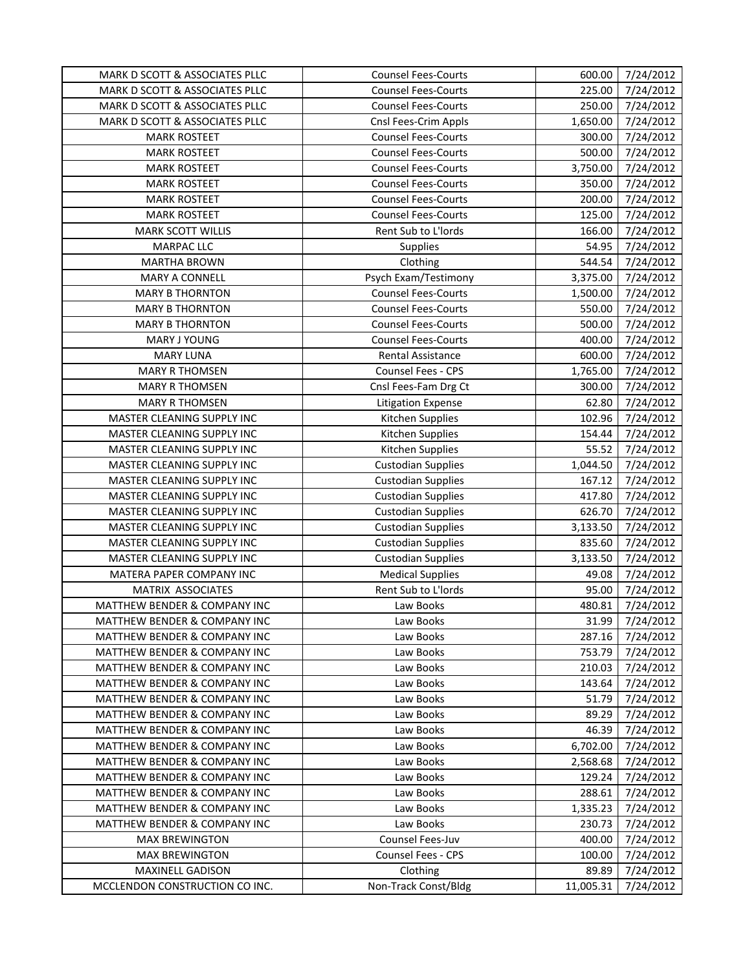| MARK D SCOTT & ASSOCIATES PLLC          | <b>Counsel Fees-Courts</b> | 600.00    | 7/24/2012 |
|-----------------------------------------|----------------------------|-----------|-----------|
| MARK D SCOTT & ASSOCIATES PLLC          | <b>Counsel Fees-Courts</b> | 225.00    | 7/24/2012 |
| MARK D SCOTT & ASSOCIATES PLLC          | <b>Counsel Fees-Courts</b> | 250.00    | 7/24/2012 |
| MARK D SCOTT & ASSOCIATES PLLC          | Cnsl Fees-Crim Appls       | 1,650.00  | 7/24/2012 |
| <b>MARK ROSTEET</b>                     | <b>Counsel Fees-Courts</b> | 300.00    | 7/24/2012 |
| <b>MARK ROSTEET</b>                     | <b>Counsel Fees-Courts</b> | 500.00    | 7/24/2012 |
| <b>MARK ROSTEET</b>                     | <b>Counsel Fees-Courts</b> | 3,750.00  | 7/24/2012 |
| <b>MARK ROSTEET</b>                     | <b>Counsel Fees-Courts</b> | 350.00    | 7/24/2012 |
| <b>MARK ROSTEET</b>                     | <b>Counsel Fees-Courts</b> | 200.00    | 7/24/2012 |
| <b>MARK ROSTEET</b>                     | <b>Counsel Fees-Courts</b> | 125.00    | 7/24/2012 |
| <b>MARK SCOTT WILLIS</b>                | Rent Sub to L'Iords        | 166.00    | 7/24/2012 |
| MARPAC LLC                              | Supplies                   | 54.95     | 7/24/2012 |
| <b>MARTHA BROWN</b>                     | Clothing                   | 544.54    | 7/24/2012 |
| MARY A CONNELL                          | Psych Exam/Testimony       | 3,375.00  | 7/24/2012 |
| <b>MARY B THORNTON</b>                  | <b>Counsel Fees-Courts</b> | 1,500.00  | 7/24/2012 |
| <b>MARY B THORNTON</b>                  | <b>Counsel Fees-Courts</b> | 550.00    | 7/24/2012 |
| <b>MARY B THORNTON</b>                  | <b>Counsel Fees-Courts</b> | 500.00    | 7/24/2012 |
| MARY J YOUNG                            | <b>Counsel Fees-Courts</b> | 400.00    | 7/24/2012 |
| <b>MARY LUNA</b>                        | <b>Rental Assistance</b>   | 600.00    | 7/24/2012 |
| <b>MARY R THOMSEN</b>                   | Counsel Fees - CPS         | 1,765.00  | 7/24/2012 |
| <b>MARY R THOMSEN</b>                   | Cnsl Fees-Fam Drg Ct       | 300.00    | 7/24/2012 |
| <b>MARY R THOMSEN</b>                   | <b>Litigation Expense</b>  | 62.80     | 7/24/2012 |
| MASTER CLEANING SUPPLY INC              | Kitchen Supplies           | 102.96    | 7/24/2012 |
| MASTER CLEANING SUPPLY INC              | Kitchen Supplies           | 154.44    | 7/24/2012 |
| MASTER CLEANING SUPPLY INC              | Kitchen Supplies           | 55.52     | 7/24/2012 |
| MASTER CLEANING SUPPLY INC              | <b>Custodian Supplies</b>  | 1,044.50  | 7/24/2012 |
| MASTER CLEANING SUPPLY INC              | <b>Custodian Supplies</b>  | 167.12    | 7/24/2012 |
| MASTER CLEANING SUPPLY INC              | <b>Custodian Supplies</b>  | 417.80    | 7/24/2012 |
| MASTER CLEANING SUPPLY INC              | <b>Custodian Supplies</b>  | 626.70    | 7/24/2012 |
| MASTER CLEANING SUPPLY INC              | <b>Custodian Supplies</b>  | 3,133.50  | 7/24/2012 |
| MASTER CLEANING SUPPLY INC              | <b>Custodian Supplies</b>  | 835.60    | 7/24/2012 |
| MASTER CLEANING SUPPLY INC              | <b>Custodian Supplies</b>  | 3,133.50  | 7/24/2012 |
| MATERA PAPER COMPANY INC                | <b>Medical Supplies</b>    | 49.08     | 7/24/2012 |
| MATRIX ASSOCIATES                       | Rent Sub to L'Iords        | 95.00     | 7/24/2012 |
| MATTHEW BENDER & COMPANY INC            | Law Books                  | 480.81    | 7/24/2012 |
| MATTHEW BENDER & COMPANY INC            | Law Books                  | 31.99     | 7/24/2012 |
| MATTHEW BENDER & COMPANY INC            | Law Books                  | 287.16    | 7/24/2012 |
| <b>MATTHEW BENDER &amp; COMPANY INC</b> | Law Books                  | 753.79    | 7/24/2012 |
| <b>MATTHEW BENDER &amp; COMPANY INC</b> | Law Books                  | 210.03    | 7/24/2012 |
| <b>MATTHEW BENDER &amp; COMPANY INC</b> | Law Books                  | 143.64    | 7/24/2012 |
| <b>MATTHEW BENDER &amp; COMPANY INC</b> | Law Books                  | 51.79     | 7/24/2012 |
| MATTHEW BENDER & COMPANY INC            | Law Books                  | 89.29     | 7/24/2012 |
| <b>MATTHEW BENDER &amp; COMPANY INC</b> | Law Books                  | 46.39     | 7/24/2012 |
| MATTHEW BENDER & COMPANY INC            | Law Books                  | 6,702.00  | 7/24/2012 |
| <b>MATTHEW BENDER &amp; COMPANY INC</b> | Law Books                  | 2,568.68  | 7/24/2012 |
| <b>MATTHEW BENDER &amp; COMPANY INC</b> | Law Books                  | 129.24    | 7/24/2012 |
| <b>MATTHEW BENDER &amp; COMPANY INC</b> | Law Books                  | 288.61    | 7/24/2012 |
| <b>MATTHEW BENDER &amp; COMPANY INC</b> | Law Books                  | 1,335.23  | 7/24/2012 |
| <b>MATTHEW BENDER &amp; COMPANY INC</b> | Law Books                  | 230.73    | 7/24/2012 |
| <b>MAX BREWINGTON</b>                   | Counsel Fees-Juv           | 400.00    | 7/24/2012 |
| <b>MAX BREWINGTON</b>                   | Counsel Fees - CPS         | 100.00    | 7/24/2012 |
| MAXINELL GADISON                        | Clothing                   | 89.89     | 7/24/2012 |
| MCCLENDON CONSTRUCTION CO INC.          | Non-Track Const/Bldg       | 11,005.31 | 7/24/2012 |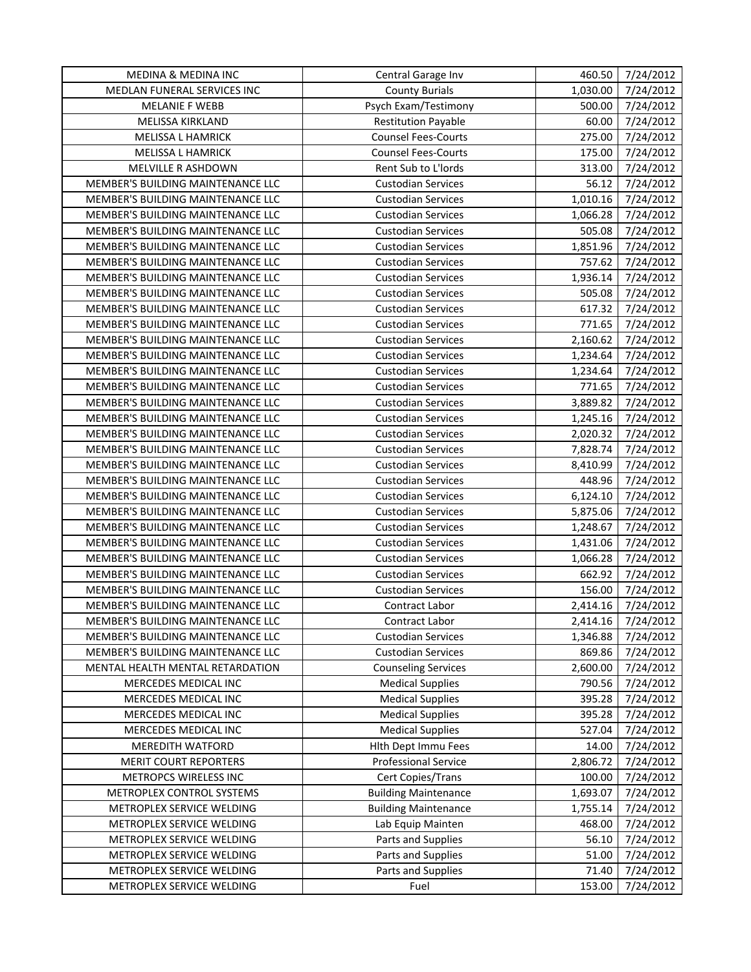| MEDINA & MEDINA INC               | Central Garage Inv          | 460.50   | 7/24/2012 |
|-----------------------------------|-----------------------------|----------|-----------|
| MEDLAN FUNERAL SERVICES INC       | <b>County Burials</b>       | 1,030.00 | 7/24/2012 |
| <b>MELANIE F WEBB</b>             | Psych Exam/Testimony        | 500.00   | 7/24/2012 |
| MELISSA KIRKLAND                  | <b>Restitution Payable</b>  | 60.00    | 7/24/2012 |
| MELISSA L HAMRICK                 | <b>Counsel Fees-Courts</b>  | 275.00   | 7/24/2012 |
| MELISSA L HAMRICK                 | <b>Counsel Fees-Courts</b>  | 175.00   | 7/24/2012 |
| MELVILLE R ASHDOWN                | Rent Sub to L'Iords         | 313.00   | 7/24/2012 |
| MEMBER'S BUILDING MAINTENANCE LLC | <b>Custodian Services</b>   | 56.12    | 7/24/2012 |
| MEMBER'S BUILDING MAINTENANCE LLC | <b>Custodian Services</b>   | 1,010.16 | 7/24/2012 |
| MEMBER'S BUILDING MAINTENANCE LLC | <b>Custodian Services</b>   | 1,066.28 | 7/24/2012 |
| MEMBER'S BUILDING MAINTENANCE LLC | <b>Custodian Services</b>   | 505.08   | 7/24/2012 |
| MEMBER'S BUILDING MAINTENANCE LLC | <b>Custodian Services</b>   | 1,851.96 | 7/24/2012 |
| MEMBER'S BUILDING MAINTENANCE LLC | <b>Custodian Services</b>   | 757.62   | 7/24/2012 |
| MEMBER'S BUILDING MAINTENANCE LLC | <b>Custodian Services</b>   | 1,936.14 | 7/24/2012 |
| MEMBER'S BUILDING MAINTENANCE LLC | <b>Custodian Services</b>   | 505.08   | 7/24/2012 |
| MEMBER'S BUILDING MAINTENANCE LLC | <b>Custodian Services</b>   | 617.32   | 7/24/2012 |
| MEMBER'S BUILDING MAINTENANCE LLC | <b>Custodian Services</b>   | 771.65   | 7/24/2012 |
| MEMBER'S BUILDING MAINTENANCE LLC | <b>Custodian Services</b>   | 2,160.62 | 7/24/2012 |
| MEMBER'S BUILDING MAINTENANCE LLC | <b>Custodian Services</b>   | 1,234.64 | 7/24/2012 |
| MEMBER'S BUILDING MAINTENANCE LLC | <b>Custodian Services</b>   | 1,234.64 | 7/24/2012 |
| MEMBER'S BUILDING MAINTENANCE LLC | <b>Custodian Services</b>   | 771.65   | 7/24/2012 |
| MEMBER'S BUILDING MAINTENANCE LLC | <b>Custodian Services</b>   | 3,889.82 | 7/24/2012 |
| MEMBER'S BUILDING MAINTENANCE LLC | <b>Custodian Services</b>   | 1,245.16 | 7/24/2012 |
| MEMBER'S BUILDING MAINTENANCE LLC | <b>Custodian Services</b>   | 2,020.32 | 7/24/2012 |
| MEMBER'S BUILDING MAINTENANCE LLC | <b>Custodian Services</b>   | 7,828.74 | 7/24/2012 |
| MEMBER'S BUILDING MAINTENANCE LLC | <b>Custodian Services</b>   | 8,410.99 | 7/24/2012 |
| MEMBER'S BUILDING MAINTENANCE LLC | <b>Custodian Services</b>   | 448.96   | 7/24/2012 |
| MEMBER'S BUILDING MAINTENANCE LLC | <b>Custodian Services</b>   | 6,124.10 | 7/24/2012 |
| MEMBER'S BUILDING MAINTENANCE LLC | <b>Custodian Services</b>   | 5,875.06 | 7/24/2012 |
| MEMBER'S BUILDING MAINTENANCE LLC | <b>Custodian Services</b>   | 1,248.67 | 7/24/2012 |
| MEMBER'S BUILDING MAINTENANCE LLC | <b>Custodian Services</b>   | 1,431.06 | 7/24/2012 |
| MEMBER'S BUILDING MAINTENANCE LLC | <b>Custodian Services</b>   | 1,066.28 | 7/24/2012 |
| MEMBER'S BUILDING MAINTENANCE LLC | <b>Custodian Services</b>   | 662.92   | 7/24/2012 |
| MEMBER'S BUILDING MAINTENANCE LLC | <b>Custodian Services</b>   | 156.00   | 7/24/2012 |
| MEMBER'S BUILDING MAINTENANCE LLC | Contract Labor              | 2,414.16 | 7/24/2012 |
| MEMBER'S BUILDING MAINTENANCE LLC | Contract Labor              | 2,414.16 | 7/24/2012 |
| MEMBER'S BUILDING MAINTENANCE LLC | <b>Custodian Services</b>   | 1,346.88 | 7/24/2012 |
| MEMBER'S BUILDING MAINTENANCE LLC | <b>Custodian Services</b>   | 869.86   | 7/24/2012 |
| MENTAL HEALTH MENTAL RETARDATION  | <b>Counseling Services</b>  | 2,600.00 | 7/24/2012 |
| MERCEDES MEDICAL INC              | <b>Medical Supplies</b>     | 790.56   | 7/24/2012 |
| MERCEDES MEDICAL INC              | <b>Medical Supplies</b>     | 395.28   | 7/24/2012 |
| MERCEDES MEDICAL INC              | <b>Medical Supplies</b>     | 395.28   | 7/24/2012 |
| MERCEDES MEDICAL INC              | <b>Medical Supplies</b>     | 527.04   | 7/24/2012 |
| MEREDITH WATFORD                  | Hith Dept Immu Fees         | 14.00    | 7/24/2012 |
| <b>MERIT COURT REPORTERS</b>      | <b>Professional Service</b> | 2,806.72 | 7/24/2012 |
| METROPCS WIRELESS INC             | Cert Copies/Trans           | 100.00   | 7/24/2012 |
| METROPLEX CONTROL SYSTEMS         | <b>Building Maintenance</b> | 1,693.07 | 7/24/2012 |
| METROPLEX SERVICE WELDING         | <b>Building Maintenance</b> | 1,755.14 | 7/24/2012 |
| METROPLEX SERVICE WELDING         | Lab Equip Mainten           | 468.00   | 7/24/2012 |
| METROPLEX SERVICE WELDING         | Parts and Supplies          | 56.10    | 7/24/2012 |
| METROPLEX SERVICE WELDING         | Parts and Supplies          | 51.00    | 7/24/2012 |
| METROPLEX SERVICE WELDING         | Parts and Supplies          | 71.40    | 7/24/2012 |
| METROPLEX SERVICE WELDING         | Fuel                        | 153.00   | 7/24/2012 |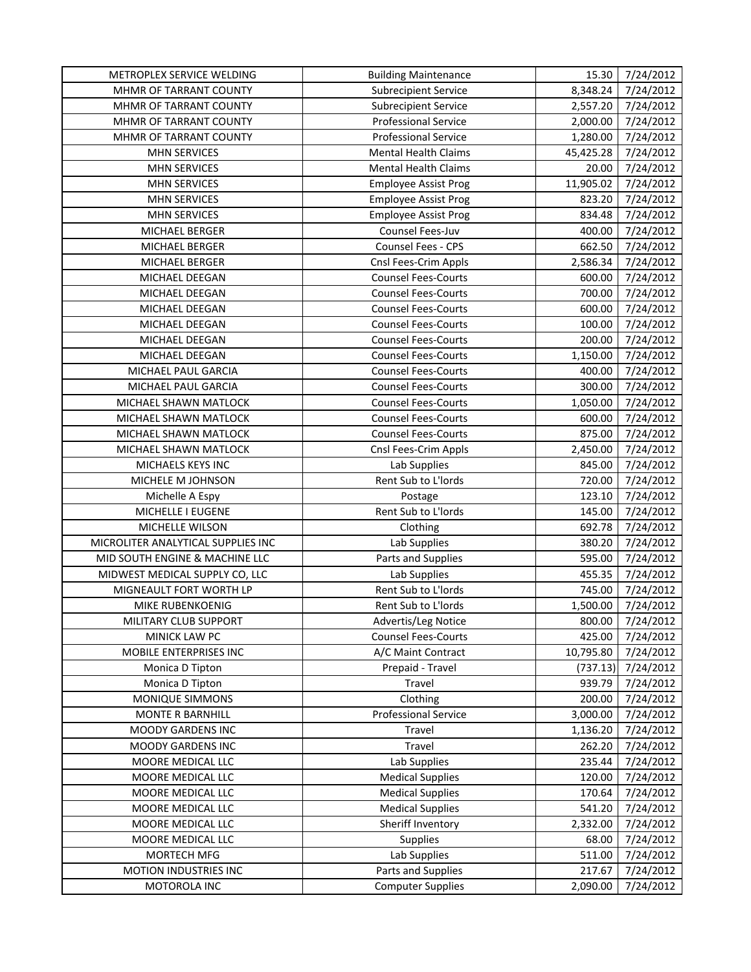| METROPLEX SERVICE WELDING          | <b>Building Maintenance</b> | 15.30     | 7/24/2012 |
|------------------------------------|-----------------------------|-----------|-----------|
| MHMR OF TARRANT COUNTY             | <b>Subrecipient Service</b> | 8,348.24  | 7/24/2012 |
| MHMR OF TARRANT COUNTY             | <b>Subrecipient Service</b> | 2,557.20  | 7/24/2012 |
| MHMR OF TARRANT COUNTY             | <b>Professional Service</b> | 2,000.00  | 7/24/2012 |
| MHMR OF TARRANT COUNTY             | <b>Professional Service</b> | 1,280.00  | 7/24/2012 |
| <b>MHN SERVICES</b>                | <b>Mental Health Claims</b> | 45,425.28 | 7/24/2012 |
| <b>MHN SERVICES</b>                | <b>Mental Health Claims</b> | 20.00     | 7/24/2012 |
| <b>MHN SERVICES</b>                | <b>Employee Assist Prog</b> | 11,905.02 | 7/24/2012 |
| <b>MHN SERVICES</b>                | <b>Employee Assist Prog</b> | 823.20    | 7/24/2012 |
| <b>MHN SERVICES</b>                | <b>Employee Assist Prog</b> | 834.48    | 7/24/2012 |
| MICHAEL BERGER                     | Counsel Fees-Juv            | 400.00    | 7/24/2012 |
| MICHAEL BERGER                     | Counsel Fees - CPS          | 662.50    | 7/24/2012 |
| MICHAEL BERGER                     | Cnsl Fees-Crim Appls        | 2,586.34  | 7/24/2012 |
| MICHAEL DEEGAN                     | <b>Counsel Fees-Courts</b>  | 600.00    | 7/24/2012 |
| MICHAEL DEEGAN                     | <b>Counsel Fees-Courts</b>  | 700.00    | 7/24/2012 |
| MICHAEL DEEGAN                     | <b>Counsel Fees-Courts</b>  | 600.00    | 7/24/2012 |
| MICHAEL DEEGAN                     | <b>Counsel Fees-Courts</b>  | 100.00    | 7/24/2012 |
| MICHAEL DEEGAN                     | <b>Counsel Fees-Courts</b>  | 200.00    | 7/24/2012 |
| MICHAEL DEEGAN                     | <b>Counsel Fees-Courts</b>  | 1,150.00  | 7/24/2012 |
| MICHAEL PAUL GARCIA                | <b>Counsel Fees-Courts</b>  | 400.00    | 7/24/2012 |
| MICHAEL PAUL GARCIA                | <b>Counsel Fees-Courts</b>  | 300.00    | 7/24/2012 |
| MICHAEL SHAWN MATLOCK              | <b>Counsel Fees-Courts</b>  | 1,050.00  | 7/24/2012 |
| MICHAEL SHAWN MATLOCK              | <b>Counsel Fees-Courts</b>  | 600.00    | 7/24/2012 |
| MICHAEL SHAWN MATLOCK              | <b>Counsel Fees-Courts</b>  | 875.00    | 7/24/2012 |
| MICHAEL SHAWN MATLOCK              | Cnsl Fees-Crim Appls        | 2,450.00  | 7/24/2012 |
| MICHAELS KEYS INC                  | Lab Supplies                | 845.00    | 7/24/2012 |
| MICHELE M JOHNSON                  | Rent Sub to L'Iords         | 720.00    | 7/24/2012 |
| Michelle A Espy                    | Postage                     | 123.10    | 7/24/2012 |
| MICHELLE I EUGENE                  | Rent Sub to L'Iords         | 145.00    | 7/24/2012 |
| MICHELLE WILSON                    | Clothing                    | 692.78    | 7/24/2012 |
| MICROLITER ANALYTICAL SUPPLIES INC | Lab Supplies                | 380.20    | 7/24/2012 |
| MID SOUTH ENGINE & MACHINE LLC     | Parts and Supplies          | 595.00    | 7/24/2012 |
| MIDWEST MEDICAL SUPPLY CO, LLC     | Lab Supplies                | 455.35    | 7/24/2012 |
| MIGNEAULT FORT WORTH LP            | Rent Sub to L'Iords         | 745.00    | 7/24/2012 |
| MIKE RUBENKOENIG                   | Rent Sub to L'Iords         | 1,500.00  | 7/24/2012 |
| MILITARY CLUB SUPPORT              | Advertis/Leg Notice         | 800.00    | 7/24/2012 |
| MINICK LAW PC                      | <b>Counsel Fees-Courts</b>  | 425.00    | 7/24/2012 |
| MOBILE ENTERPRISES INC             | A/C Maint Contract          | 10,795.80 | 7/24/2012 |
| Monica D Tipton                    | Prepaid - Travel            | (737.13)  | 7/24/2012 |
| Monica D Tipton                    | Travel                      | 939.79    | 7/24/2012 |
| <b>MONIQUE SIMMONS</b>             | Clothing                    | 200.00    | 7/24/2012 |
| <b>MONTE R BARNHILL</b>            | <b>Professional Service</b> | 3,000.00  | 7/24/2012 |
| <b>MOODY GARDENS INC</b>           | Travel                      | 1,136.20  | 7/24/2012 |
| <b>MOODY GARDENS INC</b>           | Travel                      | 262.20    | 7/24/2012 |
| MOORE MEDICAL LLC                  | Lab Supplies                | 235.44    | 7/24/2012 |
| MOORE MEDICAL LLC                  | <b>Medical Supplies</b>     | 120.00    | 7/24/2012 |
| MOORE MEDICAL LLC                  | <b>Medical Supplies</b>     | 170.64    | 7/24/2012 |
| MOORE MEDICAL LLC                  | <b>Medical Supplies</b>     | 541.20    | 7/24/2012 |
| MOORE MEDICAL LLC                  | Sheriff Inventory           | 2,332.00  | 7/24/2012 |
| MOORE MEDICAL LLC                  | <b>Supplies</b>             | 68.00     | 7/24/2012 |
| MORTECH MFG                        | Lab Supplies                | 511.00    | 7/24/2012 |
| MOTION INDUSTRIES INC              | Parts and Supplies          | 217.67    | 7/24/2012 |
| MOTOROLA INC                       | <b>Computer Supplies</b>    | 2,090.00  | 7/24/2012 |
|                                    |                             |           |           |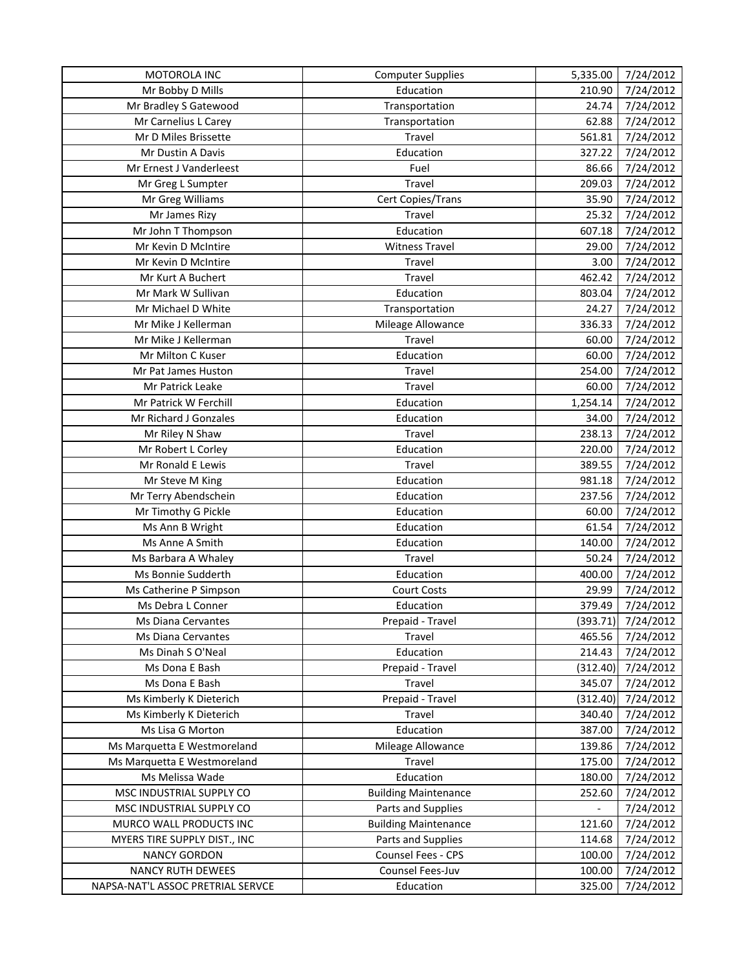| MOTOROLA INC                      | <b>Computer Supplies</b>    | 5,335.00                 | 7/24/2012          |
|-----------------------------------|-----------------------------|--------------------------|--------------------|
| Mr Bobby D Mills                  | Education                   | 210.90                   | 7/24/2012          |
| Mr Bradley S Gatewood             | Transportation              | 24.74                    | 7/24/2012          |
| Mr Carnelius L Carey              | Transportation              | 62.88                    | 7/24/2012          |
| Mr D Miles Brissette              | Travel                      | 561.81                   | 7/24/2012          |
| Mr Dustin A Davis                 | Education                   | 327.22                   | 7/24/2012          |
| Mr Ernest J Vanderleest           | Fuel                        | 86.66                    | 7/24/2012          |
| Mr Greg L Sumpter                 | Travel                      | 209.03                   | 7/24/2012          |
| Mr Greg Williams                  | Cert Copies/Trans           | 35.90                    | 7/24/2012          |
| Mr James Rizy                     | Travel                      | 25.32                    | 7/24/2012          |
| Mr John T Thompson                | Education                   | 607.18                   | 7/24/2012          |
| Mr Kevin D McIntire               | <b>Witness Travel</b>       | 29.00                    | 7/24/2012          |
| Mr Kevin D McIntire               | Travel                      | 3.00                     | 7/24/2012          |
| Mr Kurt A Buchert                 | Travel                      | 462.42                   | 7/24/2012          |
| Mr Mark W Sullivan                | Education                   | 803.04                   | 7/24/2012          |
| Mr Michael D White                | Transportation              | 24.27                    | 7/24/2012          |
| Mr Mike J Kellerman               | Mileage Allowance           | 336.33                   | 7/24/2012          |
| Mr Mike J Kellerman               | Travel                      | 60.00                    | 7/24/2012          |
| Mr Milton C Kuser                 | Education                   | 60.00                    | 7/24/2012          |
| Mr Pat James Huston               | Travel                      | 254.00                   | 7/24/2012          |
| Mr Patrick Leake                  | Travel                      | 60.00                    | 7/24/2012          |
| Mr Patrick W Ferchill             | Education                   | 1,254.14                 | 7/24/2012          |
| Mr Richard J Gonzales             | Education                   | 34.00                    | 7/24/2012          |
| Mr Riley N Shaw                   | Travel                      | 238.13                   | 7/24/2012          |
| Mr Robert L Corley                | Education                   | 220.00                   | 7/24/2012          |
| Mr Ronald E Lewis                 | Travel                      | 389.55                   | 7/24/2012          |
| Mr Steve M King                   | Education                   | 981.18                   | 7/24/2012          |
| Mr Terry Abendschein              | Education                   | 237.56                   | 7/24/2012          |
| Mr Timothy G Pickle               | Education                   | 60.00                    | 7/24/2012          |
| Ms Ann B Wright                   | Education                   | 61.54                    | 7/24/2012          |
| Ms Anne A Smith                   | Education                   | 140.00                   | 7/24/2012          |
| Ms Barbara A Whaley               | Travel                      | 50.24                    | 7/24/2012          |
| Ms Bonnie Sudderth                | Education                   | 400.00                   | 7/24/2012          |
| Ms Catherine P Simpson            | <b>Court Costs</b>          | 29.99                    | 7/24/2012          |
| Ms Debra L Conner                 | Education                   | 379.49                   | 7/24/2012          |
| Ms Diana Cervantes                | Prepaid - Travel            |                          | (393.71) 7/24/2012 |
| Ms Diana Cervantes                | Travel                      | 465.56                   | 7/24/2012          |
| Ms Dinah S O'Neal                 | Education                   | 214.43                   | 7/24/2012          |
| Ms Dona E Bash                    | Prepaid - Travel            | (312.40)                 | 7/24/2012          |
| Ms Dona E Bash                    | Travel                      | 345.07                   | 7/24/2012          |
| Ms Kimberly K Dieterich           | Prepaid - Travel            | (312.40)                 | 7/24/2012          |
| Ms Kimberly K Dieterich           | Travel                      | 340.40                   | 7/24/2012          |
| Ms Lisa G Morton                  | Education                   | 387.00                   | 7/24/2012          |
| Ms Marquetta E Westmoreland       | Mileage Allowance           | 139.86                   | 7/24/2012          |
| Ms Marquetta E Westmoreland       | Travel                      | 175.00                   | 7/24/2012          |
| Ms Melissa Wade                   | Education                   | 180.00                   | 7/24/2012          |
| MSC INDUSTRIAL SUPPLY CO          | <b>Building Maintenance</b> | 252.60                   | 7/24/2012          |
| MSC INDUSTRIAL SUPPLY CO          | Parts and Supplies          | $\overline{\phantom{a}}$ | 7/24/2012          |
| MURCO WALL PRODUCTS INC           | <b>Building Maintenance</b> | 121.60                   | 7/24/2012          |
| MYERS TIRE SUPPLY DIST., INC      | Parts and Supplies          | 114.68                   | 7/24/2012          |
| <b>NANCY GORDON</b>               | Counsel Fees - CPS          | 100.00                   | 7/24/2012          |
| <b>NANCY RUTH DEWEES</b>          | Counsel Fees-Juv            | 100.00                   | 7/24/2012          |
| NAPSA-NAT'L ASSOC PRETRIAL SERVCE | Education                   | 325.00                   | 7/24/2012          |
|                                   |                             |                          |                    |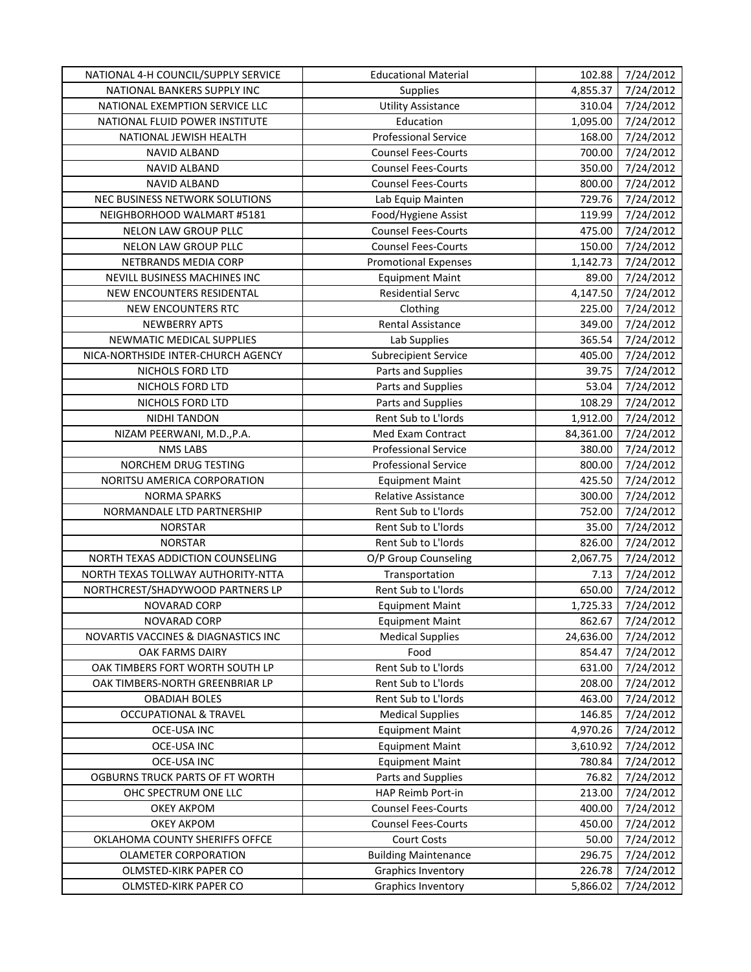| NATIONAL 4-H COUNCIL/SUPPLY SERVICE | <b>Educational Material</b> | 102.88    | 7/24/2012 |
|-------------------------------------|-----------------------------|-----------|-----------|
| NATIONAL BANKERS SUPPLY INC         | <b>Supplies</b>             | 4,855.37  | 7/24/2012 |
| NATIONAL EXEMPTION SERVICE LLC      | <b>Utility Assistance</b>   | 310.04    | 7/24/2012 |
| NATIONAL FLUID POWER INSTITUTE      | Education                   | 1,095.00  | 7/24/2012 |
| NATIONAL JEWISH HEALTH              | <b>Professional Service</b> | 168.00    | 7/24/2012 |
| NAVID ALBAND                        | <b>Counsel Fees-Courts</b>  | 700.00    | 7/24/2012 |
| NAVID ALBAND                        | <b>Counsel Fees-Courts</b>  | 350.00    | 7/24/2012 |
| NAVID ALBAND                        | <b>Counsel Fees-Courts</b>  | 800.00    | 7/24/2012 |
| NEC BUSINESS NETWORK SOLUTIONS      | Lab Equip Mainten           | 729.76    | 7/24/2012 |
| NEIGHBORHOOD WALMART #5181          | Food/Hygiene Assist         | 119.99    | 7/24/2012 |
| NELON LAW GROUP PLLC                | <b>Counsel Fees-Courts</b>  | 475.00    | 7/24/2012 |
| NELON LAW GROUP PLLC                | <b>Counsel Fees-Courts</b>  | 150.00    | 7/24/2012 |
| NETBRANDS MEDIA CORP                | <b>Promotional Expenses</b> | 1,142.73  | 7/24/2012 |
| NEVILL BUSINESS MACHINES INC        | <b>Equipment Maint</b>      | 89.00     | 7/24/2012 |
| NEW ENCOUNTERS RESIDENTAL           | <b>Residential Servc</b>    | 4,147.50  | 7/24/2012 |
| NEW ENCOUNTERS RTC                  | Clothing                    | 225.00    | 7/24/2012 |
| NEWBERRY APTS                       | Rental Assistance           | 349.00    | 7/24/2012 |
| NEWMATIC MEDICAL SUPPLIES           | Lab Supplies                | 365.54    | 7/24/2012 |
| NICA-NORTHSIDE INTER-CHURCH AGENCY  | <b>Subrecipient Service</b> | 405.00    | 7/24/2012 |
| NICHOLS FORD LTD                    | Parts and Supplies          | 39.75     | 7/24/2012 |
| NICHOLS FORD LTD                    | Parts and Supplies          | 53.04     | 7/24/2012 |
| NICHOLS FORD LTD                    | Parts and Supplies          | 108.29    | 7/24/2012 |
| <b>NIDHI TANDON</b>                 | Rent Sub to L'Iords         | 1,912.00  | 7/24/2012 |
| NIZAM PEERWANI, M.D., P.A.          | Med Exam Contract           | 84,361.00 | 7/24/2012 |
| <b>NMS LABS</b>                     | <b>Professional Service</b> | 380.00    | 7/24/2012 |
| NORCHEM DRUG TESTING                | <b>Professional Service</b> | 800.00    | 7/24/2012 |
| NORITSU AMERICA CORPORATION         | <b>Equipment Maint</b>      | 425.50    | 7/24/2012 |
| <b>NORMA SPARKS</b>                 | Relative Assistance         | 300.00    | 7/24/2012 |
| NORMANDALE LTD PARTNERSHIP          | Rent Sub to L'Iords         | 752.00    | 7/24/2012 |
| <b>NORSTAR</b>                      | Rent Sub to L'Iords         | 35.00     | 7/24/2012 |
| <b>NORSTAR</b>                      | Rent Sub to L'Iords         | 826.00    | 7/24/2012 |
| NORTH TEXAS ADDICTION COUNSELING    | O/P Group Counseling        | 2,067.75  | 7/24/2012 |
| NORTH TEXAS TOLLWAY AUTHORITY-NTTA  | Transportation              | 7.13      | 7/24/2012 |
| NORTHCREST/SHADYWOOD PARTNERS LP    | Rent Sub to L'Iords         | 650.00    | 7/24/2012 |
| <b>NOVARAD CORP</b>                 | <b>Equipment Maint</b>      | 1,725.33  | 7/24/2012 |
| NOVARAD CORP                        | <b>Equipment Maint</b>      | 862.67    | 7/24/2012 |
| NOVARTIS VACCINES & DIAGNASTICS INC | <b>Medical Supplies</b>     | 24,636.00 | 7/24/2012 |
| OAK FARMS DAIRY                     | Food                        | 854.47    | 7/24/2012 |
| OAK TIMBERS FORT WORTH SOUTH LP     | Rent Sub to L'Iords         | 631.00    | 7/24/2012 |
| OAK TIMBERS-NORTH GREENBRIAR LP     | Rent Sub to L'Iords         | 208.00    | 7/24/2012 |
| <b>OBADIAH BOLES</b>                | Rent Sub to L'Iords         | 463.00    | 7/24/2012 |
| <b>OCCUPATIONAL &amp; TRAVEL</b>    | <b>Medical Supplies</b>     | 146.85    | 7/24/2012 |
| OCE-USA INC                         | <b>Equipment Maint</b>      | 4,970.26  | 7/24/2012 |
| <b>OCE-USA INC</b>                  | <b>Equipment Maint</b>      | 3,610.92  | 7/24/2012 |
| <b>OCE-USA INC</b>                  | <b>Equipment Maint</b>      | 780.84    | 7/24/2012 |
| OGBURNS TRUCK PARTS OF FT WORTH     | Parts and Supplies          | 76.82     | 7/24/2012 |
| OHC SPECTRUM ONE LLC                | HAP Reimb Port-in           | 213.00    | 7/24/2012 |
| <b>OKEY AKPOM</b>                   | <b>Counsel Fees-Courts</b>  | 400.00    | 7/24/2012 |
| <b>OKEY AKPOM</b>                   | <b>Counsel Fees-Courts</b>  | 450.00    | 7/24/2012 |
| OKLAHOMA COUNTY SHERIFFS OFFCE      | Court Costs                 | 50.00     | 7/24/2012 |
| OLAMETER CORPORATION                | <b>Building Maintenance</b> | 296.75    | 7/24/2012 |
| OLMSTED-KIRK PAPER CO               | Graphics Inventory          | 226.78    | 7/24/2012 |
| OLMSTED-KIRK PAPER CO               | <b>Graphics Inventory</b>   | 5,866.02  | 7/24/2012 |
|                                     |                             |           |           |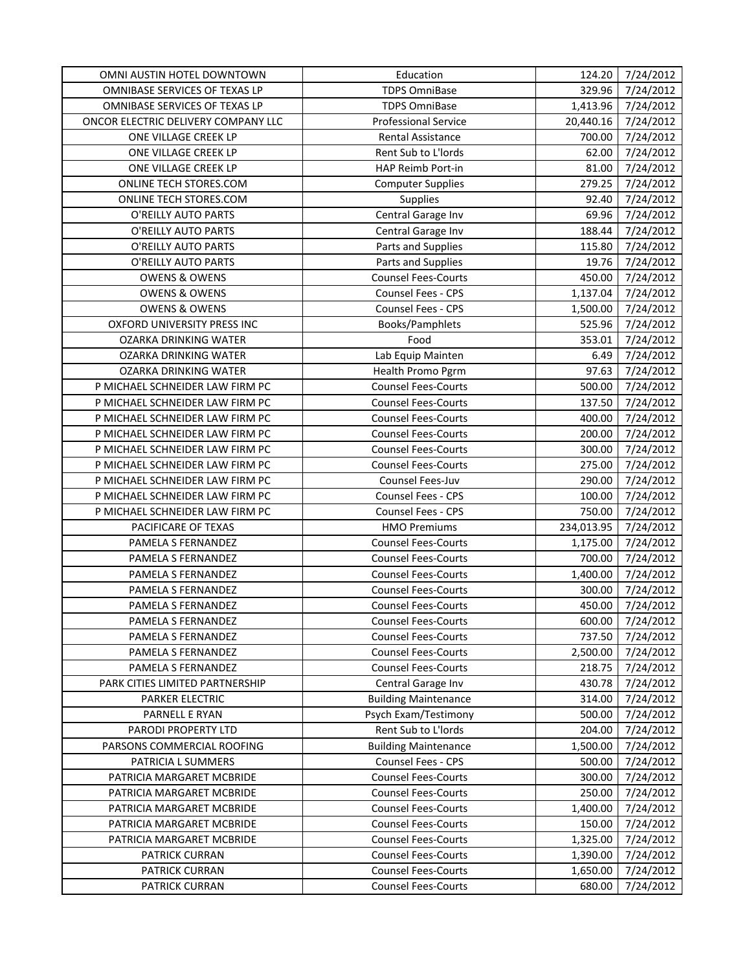| OMNI AUSTIN HOTEL DOWNTOWN          | Education                   | 124.20     | 7/24/2012 |
|-------------------------------------|-----------------------------|------------|-----------|
| OMNIBASE SERVICES OF TEXAS LP       | <b>TDPS OmniBase</b>        | 329.96     | 7/24/2012 |
| OMNIBASE SERVICES OF TEXAS LP       | <b>TDPS OmniBase</b>        | 1,413.96   | 7/24/2012 |
| ONCOR ELECTRIC DELIVERY COMPANY LLC | <b>Professional Service</b> | 20,440.16  | 7/24/2012 |
| ONE VILLAGE CREEK LP                | Rental Assistance           | 700.00     | 7/24/2012 |
| ONE VILLAGE CREEK LP                | Rent Sub to L'Iords         | 62.00      | 7/24/2012 |
| ONE VILLAGE CREEK LP                | HAP Reimb Port-in           | 81.00      | 7/24/2012 |
| ONLINE TECH STORES.COM              | <b>Computer Supplies</b>    | 279.25     | 7/24/2012 |
| ONLINE TECH STORES.COM              | <b>Supplies</b>             | 92.40      | 7/24/2012 |
| O'REILLY AUTO PARTS                 | Central Garage Inv          | 69.96      | 7/24/2012 |
| O'REILLY AUTO PARTS                 | Central Garage Inv          | 188.44     | 7/24/2012 |
| O'REILLY AUTO PARTS                 | Parts and Supplies          | 115.80     | 7/24/2012 |
| O'REILLY AUTO PARTS                 | Parts and Supplies          | 19.76      | 7/24/2012 |
| <b>OWENS &amp; OWENS</b>            | <b>Counsel Fees-Courts</b>  | 450.00     | 7/24/2012 |
| <b>OWENS &amp; OWENS</b>            | Counsel Fees - CPS          | 1,137.04   | 7/24/2012 |
| <b>OWENS &amp; OWENS</b>            | Counsel Fees - CPS          | 1,500.00   | 7/24/2012 |
| OXFORD UNIVERSITY PRESS INC         | Books/Pamphlets             | 525.96     | 7/24/2012 |
| OZARKA DRINKING WATER               | Food                        | 353.01     | 7/24/2012 |
| <b>OZARKA DRINKING WATER</b>        | Lab Equip Mainten           | 6.49       | 7/24/2012 |
| <b>OZARKA DRINKING WATER</b>        | Health Promo Pgrm           | 97.63      | 7/24/2012 |
| P MICHAEL SCHNEIDER LAW FIRM PC     | <b>Counsel Fees-Courts</b>  | 500.00     | 7/24/2012 |
| P MICHAEL SCHNEIDER LAW FIRM PC     | <b>Counsel Fees-Courts</b>  | 137.50     | 7/24/2012 |
| P MICHAEL SCHNEIDER LAW FIRM PC     | <b>Counsel Fees-Courts</b>  | 400.00     | 7/24/2012 |
| P MICHAEL SCHNEIDER LAW FIRM PC     | <b>Counsel Fees-Courts</b>  | 200.00     | 7/24/2012 |
| P MICHAEL SCHNEIDER LAW FIRM PC     | <b>Counsel Fees-Courts</b>  | 300.00     | 7/24/2012 |
| P MICHAEL SCHNEIDER LAW FIRM PC     | <b>Counsel Fees-Courts</b>  | 275.00     | 7/24/2012 |
| P MICHAEL SCHNEIDER LAW FIRM PC     | Counsel Fees-Juv            | 290.00     | 7/24/2012 |
| P MICHAEL SCHNEIDER LAW FIRM PC     | Counsel Fees - CPS          | 100.00     | 7/24/2012 |
| P MICHAEL SCHNEIDER LAW FIRM PC     | Counsel Fees - CPS          | 750.00     | 7/24/2012 |
| PACIFICARE OF TEXAS                 | <b>HMO Premiums</b>         | 234,013.95 | 7/24/2012 |
| PAMELA S FERNANDEZ                  | <b>Counsel Fees-Courts</b>  | 1,175.00   | 7/24/2012 |
| PAMELA S FERNANDEZ                  | <b>Counsel Fees-Courts</b>  | 700.00     | 7/24/2012 |
| PAMELA S FERNANDEZ                  | <b>Counsel Fees-Courts</b>  | 1,400.00   | 7/24/2012 |
| PAMELA S FERNANDEZ                  | <b>Counsel Fees-Courts</b>  | 300.00     | 7/24/2012 |
| PAMELA S FERNANDEZ                  | <b>Counsel Fees-Courts</b>  | 450.00     | 7/24/2012 |
| PAMELA S FERNANDEZ                  | <b>Counsel Fees-Courts</b>  | 600.00     | 7/24/2012 |
| PAMELA S FERNANDEZ                  | <b>Counsel Fees-Courts</b>  | 737.50     | 7/24/2012 |
| PAMELA S FERNANDEZ                  | <b>Counsel Fees-Courts</b>  | 2,500.00   | 7/24/2012 |
| PAMELA S FERNANDEZ                  | <b>Counsel Fees-Courts</b>  | 218.75     | 7/24/2012 |
| PARK CITIES LIMITED PARTNERSHIP     | Central Garage Inv          | 430.78     | 7/24/2012 |
| PARKER ELECTRIC                     | <b>Building Maintenance</b> | 314.00     | 7/24/2012 |
| PARNELL E RYAN                      | Psych Exam/Testimony        | 500.00     | 7/24/2012 |
| PARODI PROPERTY LTD                 | Rent Sub to L'Iords         | 204.00     | 7/24/2012 |
| PARSONS COMMERCIAL ROOFING          | <b>Building Maintenance</b> | 1,500.00   | 7/24/2012 |
| PATRICIA L SUMMERS                  | Counsel Fees - CPS          | 500.00     | 7/24/2012 |
| PATRICIA MARGARET MCBRIDE           | <b>Counsel Fees-Courts</b>  | 300.00     | 7/24/2012 |
| PATRICIA MARGARET MCBRIDE           | <b>Counsel Fees-Courts</b>  | 250.00     | 7/24/2012 |
| PATRICIA MARGARET MCBRIDE           | <b>Counsel Fees-Courts</b>  | 1,400.00   | 7/24/2012 |
| PATRICIA MARGARET MCBRIDE           | <b>Counsel Fees-Courts</b>  | 150.00     | 7/24/2012 |
| PATRICIA MARGARET MCBRIDE           | <b>Counsel Fees-Courts</b>  | 1,325.00   | 7/24/2012 |
| PATRICK CURRAN                      | <b>Counsel Fees-Courts</b>  | 1,390.00   | 7/24/2012 |
| PATRICK CURRAN                      | <b>Counsel Fees-Courts</b>  | 1,650.00   | 7/24/2012 |
| PATRICK CURRAN                      | <b>Counsel Fees-Courts</b>  | 680.00     | 7/24/2012 |
|                                     |                             |            |           |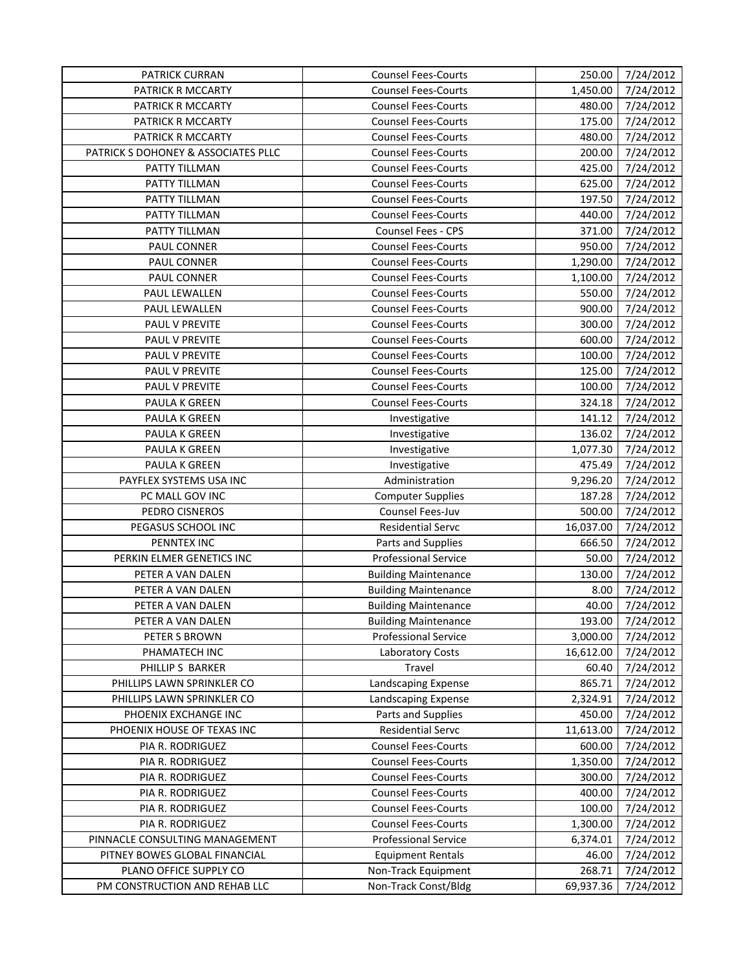| PATRICK CURRAN                      | <b>Counsel Fees-Courts</b>  | 250.00    | 7/24/2012 |
|-------------------------------------|-----------------------------|-----------|-----------|
| PATRICK R MCCARTY                   | <b>Counsel Fees-Courts</b>  | 1,450.00  | 7/24/2012 |
| PATRICK R MCCARTY                   | <b>Counsel Fees-Courts</b>  | 480.00    | 7/24/2012 |
| PATRICK R MCCARTY                   | <b>Counsel Fees-Courts</b>  | 175.00    | 7/24/2012 |
| PATRICK R MCCARTY                   | <b>Counsel Fees-Courts</b>  | 480.00    | 7/24/2012 |
| PATRICK S DOHONEY & ASSOCIATES PLLC | <b>Counsel Fees-Courts</b>  | 200.00    | 7/24/2012 |
| PATTY TILLMAN                       | <b>Counsel Fees-Courts</b>  | 425.00    | 7/24/2012 |
| PATTY TILLMAN                       | <b>Counsel Fees-Courts</b>  | 625.00    | 7/24/2012 |
| PATTY TILLMAN                       | <b>Counsel Fees-Courts</b>  | 197.50    | 7/24/2012 |
| PATTY TILLMAN                       | <b>Counsel Fees-Courts</b>  | 440.00    | 7/24/2012 |
| PATTY TILLMAN                       | Counsel Fees - CPS          | 371.00    | 7/24/2012 |
| PAUL CONNER                         | <b>Counsel Fees-Courts</b>  | 950.00    | 7/24/2012 |
| PAUL CONNER                         | <b>Counsel Fees-Courts</b>  | 1,290.00  | 7/24/2012 |
| PAUL CONNER                         | <b>Counsel Fees-Courts</b>  | 1,100.00  | 7/24/2012 |
| PAUL LEWALLEN                       | <b>Counsel Fees-Courts</b>  | 550.00    | 7/24/2012 |
| PAUL LEWALLEN                       | <b>Counsel Fees-Courts</b>  | 900.00    | 7/24/2012 |
| PAUL V PREVITE                      | <b>Counsel Fees-Courts</b>  | 300.00    | 7/24/2012 |
| PAUL V PREVITE                      | <b>Counsel Fees-Courts</b>  | 600.00    | 7/24/2012 |
| PAUL V PREVITE                      | <b>Counsel Fees-Courts</b>  | 100.00    | 7/24/2012 |
| PAUL V PREVITE                      | <b>Counsel Fees-Courts</b>  | 125.00    | 7/24/2012 |
| PAUL V PREVITE                      | <b>Counsel Fees-Courts</b>  | 100.00    | 7/24/2012 |
| <b>PAULA K GREEN</b>                | <b>Counsel Fees-Courts</b>  | 324.18    | 7/24/2012 |
| PAULA K GREEN                       | Investigative               | 141.12    | 7/24/2012 |
| PAULA K GREEN                       | Investigative               | 136.02    | 7/24/2012 |
| PAULA K GREEN                       | Investigative               | 1,077.30  | 7/24/2012 |
| PAULA K GREEN                       | Investigative               | 475.49    | 7/24/2012 |
| PAYFLEX SYSTEMS USA INC             | Administration              | 9,296.20  | 7/24/2012 |
| PC MALL GOV INC                     | <b>Computer Supplies</b>    | 187.28    | 7/24/2012 |
| PEDRO CISNEROS                      | Counsel Fees-Juv            | 500.00    | 7/24/2012 |
| PEGASUS SCHOOL INC                  | <b>Residential Servc</b>    | 16,037.00 | 7/24/2012 |
| PENNTEX INC                         | Parts and Supplies          | 666.50    | 7/24/2012 |
| PERKIN ELMER GENETICS INC           | <b>Professional Service</b> | 50.00     | 7/24/2012 |
| PETER A VAN DALEN                   | <b>Building Maintenance</b> | 130.00    | 7/24/2012 |
| PETER A VAN DALEN                   | <b>Building Maintenance</b> | 8.00      | 7/24/2012 |
| PETER A VAN DALEN                   | <b>Building Maintenance</b> | 40.00     | 7/24/2012 |
| PETER A VAN DALEN                   | <b>Building Maintenance</b> | 193.00    | 7/24/2012 |
| PETER S BROWN                       | <b>Professional Service</b> | 3,000.00  | 7/24/2012 |
| PHAMATECH INC                       | Laboratory Costs            | 16,612.00 | 7/24/2012 |
| PHILLIP S BARKER                    | Travel                      | 60.40     | 7/24/2012 |
| PHILLIPS LAWN SPRINKLER CO          | Landscaping Expense         | 865.71    | 7/24/2012 |
| PHILLIPS LAWN SPRINKLER CO          | Landscaping Expense         | 2,324.91  | 7/24/2012 |
| PHOENIX EXCHANGE INC                | Parts and Supplies          | 450.00    | 7/24/2012 |
| PHOENIX HOUSE OF TEXAS INC          | <b>Residential Servc</b>    | 11,613.00 | 7/24/2012 |
| PIA R. RODRIGUEZ                    | <b>Counsel Fees-Courts</b>  | 600.00    | 7/24/2012 |
| PIA R. RODRIGUEZ                    | <b>Counsel Fees-Courts</b>  | 1,350.00  | 7/24/2012 |
| PIA R. RODRIGUEZ                    | <b>Counsel Fees-Courts</b>  | 300.00    | 7/24/2012 |
| PIA R. RODRIGUEZ                    | <b>Counsel Fees-Courts</b>  | 400.00    | 7/24/2012 |
| PIA R. RODRIGUEZ                    | <b>Counsel Fees-Courts</b>  | 100.00    | 7/24/2012 |
| PIA R. RODRIGUEZ                    | <b>Counsel Fees-Courts</b>  | 1,300.00  | 7/24/2012 |
| PINNACLE CONSULTING MANAGEMENT      | <b>Professional Service</b> | 6,374.01  | 7/24/2012 |
| PITNEY BOWES GLOBAL FINANCIAL       | <b>Equipment Rentals</b>    | 46.00     | 7/24/2012 |
| PLANO OFFICE SUPPLY CO              | Non-Track Equipment         | 268.71    | 7/24/2012 |
| PM CONSTRUCTION AND REHAB LLC       | Non-Track Const/Bldg        | 69,937.36 | 7/24/2012 |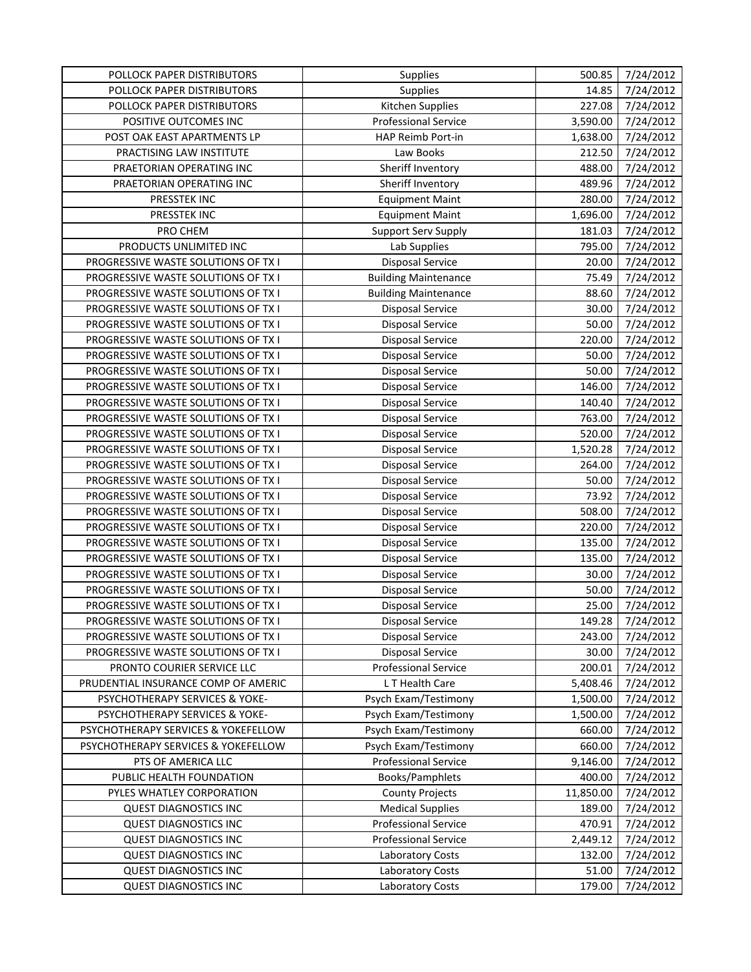| POLLOCK PAPER DISTRIBUTORS          | Supplies                    | 500.85    | 7/24/2012 |
|-------------------------------------|-----------------------------|-----------|-----------|
| POLLOCK PAPER DISTRIBUTORS          | Supplies                    | 14.85     | 7/24/2012 |
| POLLOCK PAPER DISTRIBUTORS          | Kitchen Supplies            | 227.08    | 7/24/2012 |
| POSITIVE OUTCOMES INC               | <b>Professional Service</b> | 3,590.00  | 7/24/2012 |
| POST OAK EAST APARTMENTS LP         | HAP Reimb Port-in           | 1,638.00  | 7/24/2012 |
| PRACTISING LAW INSTITUTE            | Law Books                   | 212.50    | 7/24/2012 |
| PRAETORIAN OPERATING INC            | Sheriff Inventory           | 488.00    | 7/24/2012 |
| PRAETORIAN OPERATING INC            | Sheriff Inventory           | 489.96    | 7/24/2012 |
| PRESSTEK INC                        | <b>Equipment Maint</b>      | 280.00    | 7/24/2012 |
| PRESSTEK INC                        | <b>Equipment Maint</b>      | 1,696.00  | 7/24/2012 |
| PRO CHEM                            | Support Serv Supply         | 181.03    | 7/24/2012 |
| PRODUCTS UNLIMITED INC              | Lab Supplies                | 795.00    | 7/24/2012 |
| PROGRESSIVE WASTE SOLUTIONS OF TX I | <b>Disposal Service</b>     | 20.00     | 7/24/2012 |
| PROGRESSIVE WASTE SOLUTIONS OF TX I | <b>Building Maintenance</b> | 75.49     | 7/24/2012 |
| PROGRESSIVE WASTE SOLUTIONS OF TX I | <b>Building Maintenance</b> | 88.60     | 7/24/2012 |
| PROGRESSIVE WASTE SOLUTIONS OF TX I | <b>Disposal Service</b>     | 30.00     | 7/24/2012 |
| PROGRESSIVE WASTE SOLUTIONS OF TX I | <b>Disposal Service</b>     | 50.00     | 7/24/2012 |
| PROGRESSIVE WASTE SOLUTIONS OF TX I | <b>Disposal Service</b>     | 220.00    | 7/24/2012 |
| PROGRESSIVE WASTE SOLUTIONS OF TX I | <b>Disposal Service</b>     | 50.00     | 7/24/2012 |
| PROGRESSIVE WASTE SOLUTIONS OF TX I | Disposal Service            | 50.00     | 7/24/2012 |
| PROGRESSIVE WASTE SOLUTIONS OF TX I | <b>Disposal Service</b>     | 146.00    | 7/24/2012 |
| PROGRESSIVE WASTE SOLUTIONS OF TX I | <b>Disposal Service</b>     | 140.40    | 7/24/2012 |
| PROGRESSIVE WASTE SOLUTIONS OF TX I | <b>Disposal Service</b>     | 763.00    | 7/24/2012 |
| PROGRESSIVE WASTE SOLUTIONS OF TX I | Disposal Service            | 520.00    | 7/24/2012 |
| PROGRESSIVE WASTE SOLUTIONS OF TX I | <b>Disposal Service</b>     | 1,520.28  | 7/24/2012 |
| PROGRESSIVE WASTE SOLUTIONS OF TX I | Disposal Service            | 264.00    | 7/24/2012 |
| PROGRESSIVE WASTE SOLUTIONS OF TX I | <b>Disposal Service</b>     | 50.00     | 7/24/2012 |
| PROGRESSIVE WASTE SOLUTIONS OF TX I | Disposal Service            | 73.92     | 7/24/2012 |
| PROGRESSIVE WASTE SOLUTIONS OF TX I | Disposal Service            | 508.00    | 7/24/2012 |
| PROGRESSIVE WASTE SOLUTIONS OF TX I | <b>Disposal Service</b>     | 220.00    | 7/24/2012 |
| PROGRESSIVE WASTE SOLUTIONS OF TX I | Disposal Service            | 135.00    | 7/24/2012 |
| PROGRESSIVE WASTE SOLUTIONS OF TX I | <b>Disposal Service</b>     | 135.00    | 7/24/2012 |
| PROGRESSIVE WASTE SOLUTIONS OF TX I | Disposal Service            | 30.00     | 7/24/2012 |
| PROGRESSIVE WASTE SOLUTIONS OF TX I | <b>Disposal Service</b>     | 50.00     | 7/24/2012 |
| PROGRESSIVE WASTE SOLUTIONS OF TX I | Disposal Service            | 25.00     | 7/24/2012 |
| PROGRESSIVE WASTE SOLUTIONS OF TX I | Disposal Service            | 149.28    | 7/24/2012 |
| PROGRESSIVE WASTE SOLUTIONS OF TX I | <b>Disposal Service</b>     | 243.00    | 7/24/2012 |
| PROGRESSIVE WASTE SOLUTIONS OF TX I | <b>Disposal Service</b>     | 30.00     | 7/24/2012 |
| PRONTO COURIER SERVICE LLC          | <b>Professional Service</b> | 200.01    | 7/24/2012 |
| PRUDENTIAL INSURANCE COMP OF AMERIC | L T Health Care             | 5,408.46  | 7/24/2012 |
| PSYCHOTHERAPY SERVICES & YOKE-      | Psych Exam/Testimony        | 1,500.00  | 7/24/2012 |
| PSYCHOTHERAPY SERVICES & YOKE-      | Psych Exam/Testimony        | 1,500.00  | 7/24/2012 |
| PSYCHOTHERAPY SERVICES & YOKEFELLOW | Psych Exam/Testimony        | 660.00    | 7/24/2012 |
| PSYCHOTHERAPY SERVICES & YOKEFELLOW | Psych Exam/Testimony        | 660.00    | 7/24/2012 |
| PTS OF AMERICA LLC                  | <b>Professional Service</b> | 9,146.00  | 7/24/2012 |
| PUBLIC HEALTH FOUNDATION            | Books/Pamphlets             | 400.00    | 7/24/2012 |
| PYLES WHATLEY CORPORATION           | <b>County Projects</b>      | 11,850.00 | 7/24/2012 |
| <b>QUEST DIAGNOSTICS INC</b>        | <b>Medical Supplies</b>     | 189.00    | 7/24/2012 |
| <b>QUEST DIAGNOSTICS INC</b>        | <b>Professional Service</b> | 470.91    | 7/24/2012 |
| <b>QUEST DIAGNOSTICS INC</b>        | <b>Professional Service</b> | 2,449.12  | 7/24/2012 |
| <b>QUEST DIAGNOSTICS INC</b>        | Laboratory Costs            | 132.00    | 7/24/2012 |
| <b>QUEST DIAGNOSTICS INC</b>        | Laboratory Costs            | 51.00     | 7/24/2012 |
| <b>QUEST DIAGNOSTICS INC</b>        | Laboratory Costs            | 179.00    | 7/24/2012 |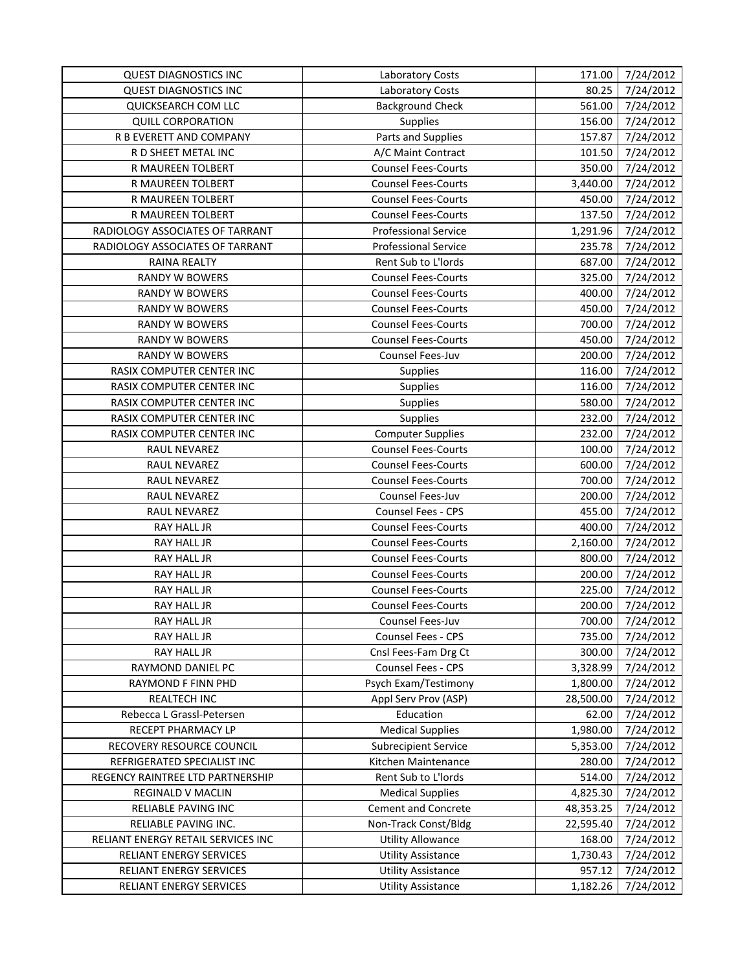| <b>QUEST DIAGNOSTICS INC</b>       | <b>Laboratory Costs</b>     | 171.00    | 7/24/2012 |
|------------------------------------|-----------------------------|-----------|-----------|
| <b>QUEST DIAGNOSTICS INC</b>       | Laboratory Costs            | 80.25     | 7/24/2012 |
| QUICKSEARCH COM LLC                | <b>Background Check</b>     | 561.00    | 7/24/2012 |
| <b>QUILL CORPORATION</b>           | Supplies                    | 156.00    | 7/24/2012 |
| R B EVERETT AND COMPANY            | Parts and Supplies          | 157.87    | 7/24/2012 |
| R D SHEET METAL INC                | A/C Maint Contract          | 101.50    | 7/24/2012 |
| R MAUREEN TOLBERT                  | <b>Counsel Fees-Courts</b>  | 350.00    | 7/24/2012 |
| R MAUREEN TOLBERT                  | <b>Counsel Fees-Courts</b>  | 3,440.00  | 7/24/2012 |
| R MAUREEN TOLBERT                  | <b>Counsel Fees-Courts</b>  | 450.00    | 7/24/2012 |
| R MAUREEN TOLBERT                  | <b>Counsel Fees-Courts</b>  | 137.50    | 7/24/2012 |
| RADIOLOGY ASSOCIATES OF TARRANT    | <b>Professional Service</b> | 1,291.96  | 7/24/2012 |
| RADIOLOGY ASSOCIATES OF TARRANT    | <b>Professional Service</b> | 235.78    | 7/24/2012 |
| RAINA REALTY                       | Rent Sub to L'Iords         | 687.00    | 7/24/2012 |
| <b>RANDY W BOWERS</b>              | <b>Counsel Fees-Courts</b>  | 325.00    | 7/24/2012 |
| <b>RANDY W BOWERS</b>              | <b>Counsel Fees-Courts</b>  | 400.00    | 7/24/2012 |
| <b>RANDY W BOWERS</b>              | <b>Counsel Fees-Courts</b>  | 450.00    | 7/24/2012 |
| <b>RANDY W BOWERS</b>              | <b>Counsel Fees-Courts</b>  | 700.00    | 7/24/2012 |
| <b>RANDY W BOWERS</b>              | <b>Counsel Fees-Courts</b>  | 450.00    | 7/24/2012 |
| RANDY W BOWERS                     | Counsel Fees-Juv            | 200.00    | 7/24/2012 |
| RASIX COMPUTER CENTER INC          | Supplies                    | 116.00    | 7/24/2012 |
| RASIX COMPUTER CENTER INC          | Supplies                    | 116.00    | 7/24/2012 |
| RASIX COMPUTER CENTER INC          | Supplies                    | 580.00    | 7/24/2012 |
| RASIX COMPUTER CENTER INC          | Supplies                    | 232.00    | 7/24/2012 |
| RASIX COMPUTER CENTER INC          | <b>Computer Supplies</b>    | 232.00    | 7/24/2012 |
| RAUL NEVAREZ                       | <b>Counsel Fees-Courts</b>  | 100.00    | 7/24/2012 |
| RAUL NEVAREZ                       | <b>Counsel Fees-Courts</b>  | 600.00    | 7/24/2012 |
| RAUL NEVAREZ                       | <b>Counsel Fees-Courts</b>  | 700.00    | 7/24/2012 |
| RAUL NEVAREZ                       | Counsel Fees-Juv            | 200.00    | 7/24/2012 |
| RAUL NEVAREZ                       | Counsel Fees - CPS          | 455.00    | 7/24/2012 |
| RAY HALL JR                        | <b>Counsel Fees-Courts</b>  | 400.00    | 7/24/2012 |
| <b>RAY HALL JR</b>                 | <b>Counsel Fees-Courts</b>  | 2,160.00  | 7/24/2012 |
| RAY HALL JR                        | <b>Counsel Fees-Courts</b>  | 800.00    | 7/24/2012 |
| RAY HALL JR                        | <b>Counsel Fees-Courts</b>  | 200.00    | 7/24/2012 |
| RAY HALL JR                        | <b>Counsel Fees-Courts</b>  | 225.00    | 7/24/2012 |
| RAY HALL JR                        | <b>Counsel Fees-Courts</b>  | 200.00    | 7/24/2012 |
| RAY HALL JR                        | Counsel Fees-Juv            | 700.00    | 7/24/2012 |
| RAY HALL JR                        | Counsel Fees - CPS          | 735.00    | 7/24/2012 |
| RAY HALL JR                        | Cnsl Fees-Fam Drg Ct        | 300.00    | 7/24/2012 |
| RAYMOND DANIEL PC                  | Counsel Fees - CPS          | 3,328.99  | 7/24/2012 |
| <b>RAYMOND F FINN PHD</b>          | Psych Exam/Testimony        | 1,800.00  | 7/24/2012 |
| REALTECH INC                       | Appl Serv Prov (ASP)        | 28,500.00 | 7/24/2012 |
| Rebecca L Grassl-Petersen          | Education                   | 62.00     | 7/24/2012 |
| RECEPT PHARMACY LP                 | <b>Medical Supplies</b>     | 1,980.00  | 7/24/2012 |
| RECOVERY RESOURCE COUNCIL          | <b>Subrecipient Service</b> | 5,353.00  | 7/24/2012 |
| REFRIGERATED SPECIALIST INC        | Kitchen Maintenance         | 280.00    | 7/24/2012 |
| REGENCY RAINTREE LTD PARTNERSHIP   | Rent Sub to L'Iords         | 514.00    | 7/24/2012 |
| REGINALD V MACLIN                  | <b>Medical Supplies</b>     | 4,825.30  | 7/24/2012 |
| RELIABLE PAVING INC                | <b>Cement and Concrete</b>  | 48,353.25 | 7/24/2012 |
| RELIABLE PAVING INC.               | Non-Track Const/Bldg        | 22,595.40 | 7/24/2012 |
| RELIANT ENERGY RETAIL SERVICES INC | <b>Utility Allowance</b>    | 168.00    | 7/24/2012 |
| RELIANT ENERGY SERVICES            | <b>Utility Assistance</b>   | 1,730.43  | 7/24/2012 |
| RELIANT ENERGY SERVICES            | <b>Utility Assistance</b>   | 957.12    | 7/24/2012 |
| RELIANT ENERGY SERVICES            | <b>Utility Assistance</b>   | 1,182.26  | 7/24/2012 |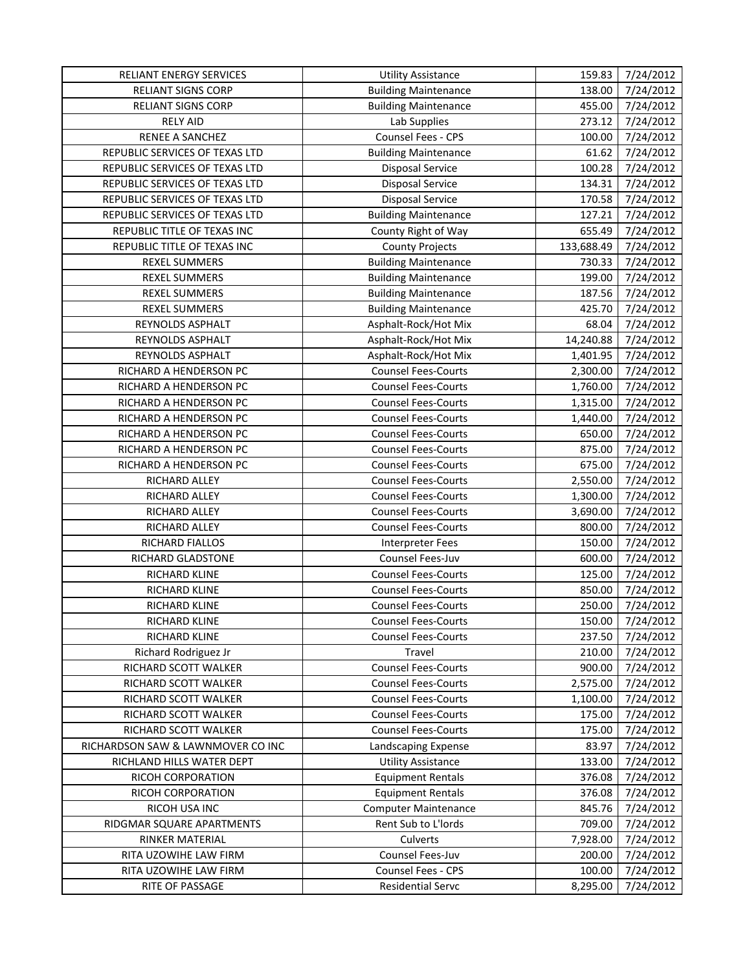| RELIANT ENERGY SERVICES           | <b>Utility Assistance</b>   | 159.83     | 7/24/2012 |
|-----------------------------------|-----------------------------|------------|-----------|
| <b>RELIANT SIGNS CORP</b>         | <b>Building Maintenance</b> | 138.00     | 7/24/2012 |
| <b>RELIANT SIGNS CORP</b>         | <b>Building Maintenance</b> | 455.00     | 7/24/2012 |
| <b>RELY AID</b>                   | Lab Supplies                | 273.12     | 7/24/2012 |
| RENEE A SANCHEZ                   | Counsel Fees - CPS          | 100.00     | 7/24/2012 |
| REPUBLIC SERVICES OF TEXAS LTD    | <b>Building Maintenance</b> | 61.62      | 7/24/2012 |
| REPUBLIC SERVICES OF TEXAS LTD    | <b>Disposal Service</b>     | 100.28     | 7/24/2012 |
| REPUBLIC SERVICES OF TEXAS LTD    | <b>Disposal Service</b>     | 134.31     | 7/24/2012 |
| REPUBLIC SERVICES OF TEXAS LTD    | <b>Disposal Service</b>     | 170.58     | 7/24/2012 |
| REPUBLIC SERVICES OF TEXAS LTD    | <b>Building Maintenance</b> | 127.21     | 7/24/2012 |
| REPUBLIC TITLE OF TEXAS INC       | County Right of Way         | 655.49     | 7/24/2012 |
| REPUBLIC TITLE OF TEXAS INC       | <b>County Projects</b>      | 133,688.49 | 7/24/2012 |
| <b>REXEL SUMMERS</b>              | <b>Building Maintenance</b> | 730.33     | 7/24/2012 |
| <b>REXEL SUMMERS</b>              | <b>Building Maintenance</b> | 199.00     | 7/24/2012 |
| <b>REXEL SUMMERS</b>              | <b>Building Maintenance</b> | 187.56     | 7/24/2012 |
| <b>REXEL SUMMERS</b>              | <b>Building Maintenance</b> | 425.70     | 7/24/2012 |
| REYNOLDS ASPHALT                  | Asphalt-Rock/Hot Mix        | 68.04      | 7/24/2012 |
| REYNOLDS ASPHALT                  | Asphalt-Rock/Hot Mix        | 14,240.88  | 7/24/2012 |
| REYNOLDS ASPHALT                  | Asphalt-Rock/Hot Mix        | 1,401.95   | 7/24/2012 |
| RICHARD A HENDERSON PC            | <b>Counsel Fees-Courts</b>  | 2,300.00   | 7/24/2012 |
| RICHARD A HENDERSON PC            | <b>Counsel Fees-Courts</b>  | 1,760.00   | 7/24/2012 |
| RICHARD A HENDERSON PC            | <b>Counsel Fees-Courts</b>  | 1,315.00   | 7/24/2012 |
| RICHARD A HENDERSON PC            | <b>Counsel Fees-Courts</b>  | 1,440.00   | 7/24/2012 |
| RICHARD A HENDERSON PC            | <b>Counsel Fees-Courts</b>  | 650.00     | 7/24/2012 |
| RICHARD A HENDERSON PC            | <b>Counsel Fees-Courts</b>  | 875.00     | 7/24/2012 |
| RICHARD A HENDERSON PC            | <b>Counsel Fees-Courts</b>  | 675.00     | 7/24/2012 |
| RICHARD ALLEY                     | <b>Counsel Fees-Courts</b>  | 2,550.00   | 7/24/2012 |
| RICHARD ALLEY                     | <b>Counsel Fees-Courts</b>  | 1,300.00   | 7/24/2012 |
| RICHARD ALLEY                     | <b>Counsel Fees-Courts</b>  | 3,690.00   | 7/24/2012 |
| RICHARD ALLEY                     | <b>Counsel Fees-Courts</b>  | 800.00     | 7/24/2012 |
| <b>RICHARD FIALLOS</b>            | Interpreter Fees            | 150.00     | 7/24/2012 |
| RICHARD GLADSTONE                 | Counsel Fees-Juv            | 600.00     | 7/24/2012 |
| RICHARD KLINE                     | <b>Counsel Fees-Courts</b>  | 125.00     | 7/24/2012 |
| RICHARD KLINE                     | <b>Counsel Fees-Courts</b>  | 850.00     | 7/24/2012 |
| <b>RICHARD KLINE</b>              | <b>Counsel Fees-Courts</b>  | 250.00     | 7/24/2012 |
| RICHARD KLINE                     | <b>Counsel Fees-Courts</b>  | 150.00     | 7/24/2012 |
| <b>RICHARD KLINE</b>              | <b>Counsel Fees-Courts</b>  | 237.50     | 7/24/2012 |
| Richard Rodriguez Jr              | Travel                      | 210.00     | 7/24/2012 |
| RICHARD SCOTT WALKER              | <b>Counsel Fees-Courts</b>  | 900.00     | 7/24/2012 |
| RICHARD SCOTT WALKER              | <b>Counsel Fees-Courts</b>  | 2,575.00   | 7/24/2012 |
| RICHARD SCOTT WALKER              | <b>Counsel Fees-Courts</b>  | 1,100.00   | 7/24/2012 |
| RICHARD SCOTT WALKER              | <b>Counsel Fees-Courts</b>  | 175.00     | 7/24/2012 |
| RICHARD SCOTT WALKER              | <b>Counsel Fees-Courts</b>  | 175.00     | 7/24/2012 |
| RICHARDSON SAW & LAWNMOVER CO INC | Landscaping Expense         | 83.97      | 7/24/2012 |
| RICHLAND HILLS WATER DEPT         | <b>Utility Assistance</b>   | 133.00     | 7/24/2012 |
| RICOH CORPORATION                 | <b>Equipment Rentals</b>    | 376.08     | 7/24/2012 |
| RICOH CORPORATION                 | <b>Equipment Rentals</b>    | 376.08     | 7/24/2012 |
| RICOH USA INC                     | <b>Computer Maintenance</b> | 845.76     | 7/24/2012 |
| RIDGMAR SQUARE APARTMENTS         | Rent Sub to L'Iords         | 709.00     | 7/24/2012 |
| RINKER MATERIAL                   | Culverts                    | 7,928.00   | 7/24/2012 |
| RITA UZOWIHE LAW FIRM             | Counsel Fees-Juv            | 200.00     | 7/24/2012 |
| RITA UZOWIHE LAW FIRM             | <b>Counsel Fees - CPS</b>   | 100.00     | 7/24/2012 |
| RITE OF PASSAGE                   | Residential Servc           | 8,295.00   | 7/24/2012 |
|                                   |                             |            |           |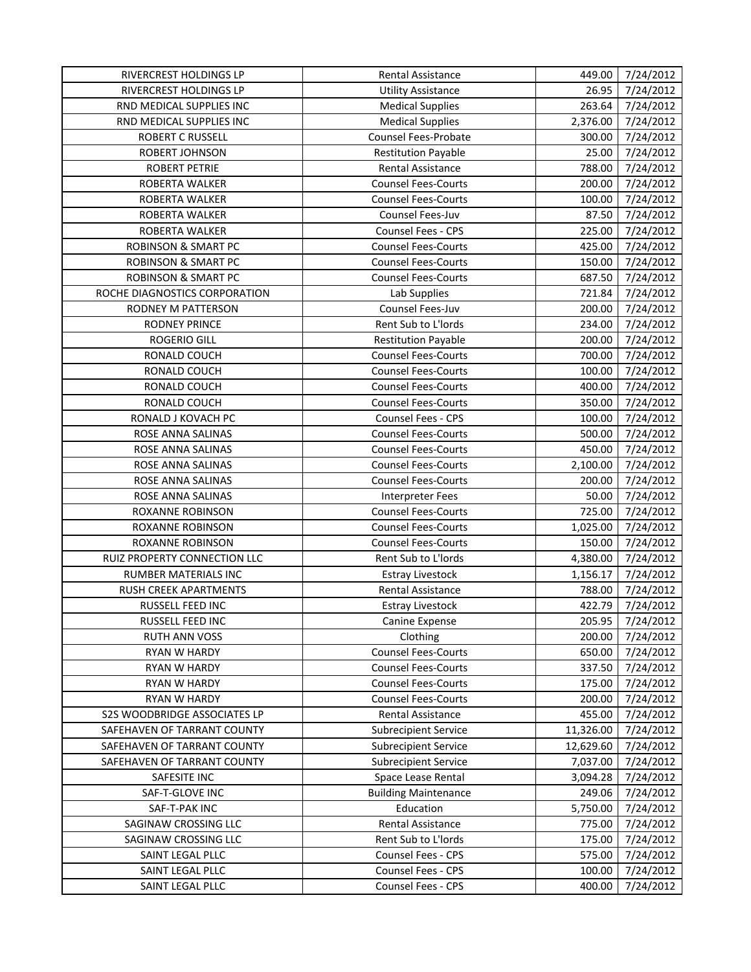| RIVERCREST HOLDINGS LP         | Rental Assistance           | 449.00    | 7/24/2012 |
|--------------------------------|-----------------------------|-----------|-----------|
| RIVERCREST HOLDINGS LP         | <b>Utility Assistance</b>   | 26.95     | 7/24/2012 |
| RND MEDICAL SUPPLIES INC       | <b>Medical Supplies</b>     | 263.64    | 7/24/2012 |
| RND MEDICAL SUPPLIES INC       | <b>Medical Supplies</b>     | 2,376.00  | 7/24/2012 |
| <b>ROBERT C RUSSELL</b>        | <b>Counsel Fees-Probate</b> | 300.00    | 7/24/2012 |
| ROBERT JOHNSON                 | <b>Restitution Payable</b>  | 25.00     | 7/24/2012 |
| <b>ROBERT PETRIE</b>           | <b>Rental Assistance</b>    | 788.00    | 7/24/2012 |
| ROBERTA WALKER                 | <b>Counsel Fees-Courts</b>  | 200.00    | 7/24/2012 |
| ROBERTA WALKER                 | <b>Counsel Fees-Courts</b>  | 100.00    | 7/24/2012 |
| ROBERTA WALKER                 | Counsel Fees-Juv            | 87.50     | 7/24/2012 |
| ROBERTA WALKER                 | Counsel Fees - CPS          | 225.00    | 7/24/2012 |
| <b>ROBINSON &amp; SMART PC</b> | <b>Counsel Fees-Courts</b>  | 425.00    | 7/24/2012 |
| <b>ROBINSON &amp; SMART PC</b> | <b>Counsel Fees-Courts</b>  | 150.00    | 7/24/2012 |
| <b>ROBINSON &amp; SMART PC</b> | <b>Counsel Fees-Courts</b>  | 687.50    | 7/24/2012 |
| ROCHE DIAGNOSTICS CORPORATION  | Lab Supplies                | 721.84    | 7/24/2012 |
| RODNEY M PATTERSON             | Counsel Fees-Juv            | 200.00    | 7/24/2012 |
| <b>RODNEY PRINCE</b>           | Rent Sub to L'Iords         | 234.00    | 7/24/2012 |
| ROGERIO GILL                   | <b>Restitution Payable</b>  | 200.00    | 7/24/2012 |
| RONALD COUCH                   | <b>Counsel Fees-Courts</b>  | 700.00    | 7/24/2012 |
| RONALD COUCH                   | <b>Counsel Fees-Courts</b>  | 100.00    | 7/24/2012 |
| RONALD COUCH                   | <b>Counsel Fees-Courts</b>  | 400.00    | 7/24/2012 |
| RONALD COUCH                   | <b>Counsel Fees-Courts</b>  | 350.00    | 7/24/2012 |
| RONALD J KOVACH PC             | Counsel Fees - CPS          | 100.00    | 7/24/2012 |
| ROSE ANNA SALINAS              | <b>Counsel Fees-Courts</b>  | 500.00    | 7/24/2012 |
| ROSE ANNA SALINAS              | <b>Counsel Fees-Courts</b>  | 450.00    | 7/24/2012 |
| ROSE ANNA SALINAS              | <b>Counsel Fees-Courts</b>  | 2,100.00  | 7/24/2012 |
| ROSE ANNA SALINAS              | <b>Counsel Fees-Courts</b>  | 200.00    | 7/24/2012 |
| ROSE ANNA SALINAS              | <b>Interpreter Fees</b>     | 50.00     | 7/24/2012 |
| ROXANNE ROBINSON               | <b>Counsel Fees-Courts</b>  | 725.00    | 7/24/2012 |
| ROXANNE ROBINSON               | <b>Counsel Fees-Courts</b>  | 1,025.00  | 7/24/2012 |
| <b>ROXANNE ROBINSON</b>        | <b>Counsel Fees-Courts</b>  | 150.00    | 7/24/2012 |
| RUIZ PROPERTY CONNECTION LLC   | Rent Sub to L'Iords         | 4,380.00  | 7/24/2012 |
| RUMBER MATERIALS INC           | <b>Estray Livestock</b>     | 1,156.17  | 7/24/2012 |
| RUSH CREEK APARTMENTS          | <b>Rental Assistance</b>    | 788.00    | 7/24/2012 |
| RUSSELL FEED INC               | <b>Estray Livestock</b>     | 422.79    | 7/24/2012 |
| RUSSELL FEED INC               | Canine Expense              | 205.95    | 7/24/2012 |
| <b>RUTH ANN VOSS</b>           | Clothing                    | 200.00    | 7/24/2012 |
| RYAN W HARDY                   | <b>Counsel Fees-Courts</b>  | 650.00    | 7/24/2012 |
| <b>RYAN W HARDY</b>            | <b>Counsel Fees-Courts</b>  | 337.50    | 7/24/2012 |
| <b>RYAN W HARDY</b>            | <b>Counsel Fees-Courts</b>  | 175.00    | 7/24/2012 |
| <b>RYAN W HARDY</b>            | <b>Counsel Fees-Courts</b>  | 200.00    | 7/24/2012 |
| S2S WOODBRIDGE ASSOCIATES LP   | Rental Assistance           | 455.00    | 7/24/2012 |
| SAFEHAVEN OF TARRANT COUNTY    | <b>Subrecipient Service</b> | 11,326.00 | 7/24/2012 |
| SAFEHAVEN OF TARRANT COUNTY    | <b>Subrecipient Service</b> | 12,629.60 | 7/24/2012 |
| SAFEHAVEN OF TARRANT COUNTY    | <b>Subrecipient Service</b> | 7,037.00  | 7/24/2012 |
| SAFESITE INC                   | Space Lease Rental          | 3,094.28  | 7/24/2012 |
| SAF-T-GLOVE INC                | <b>Building Maintenance</b> | 249.06    | 7/24/2012 |
| SAF-T-PAK INC                  | Education                   | 5,750.00  | 7/24/2012 |
| SAGINAW CROSSING LLC           | Rental Assistance           | 775.00    | 7/24/2012 |
| SAGINAW CROSSING LLC           | Rent Sub to L'Iords         | 175.00    | 7/24/2012 |
| SAINT LEGAL PLLC               | Counsel Fees - CPS          | 575.00    | 7/24/2012 |
| SAINT LEGAL PLLC               | <b>Counsel Fees - CPS</b>   | 100.00    | 7/24/2012 |
| SAINT LEGAL PLLC               | Counsel Fees - CPS          | 400.00    | 7/24/2012 |
|                                |                             |           |           |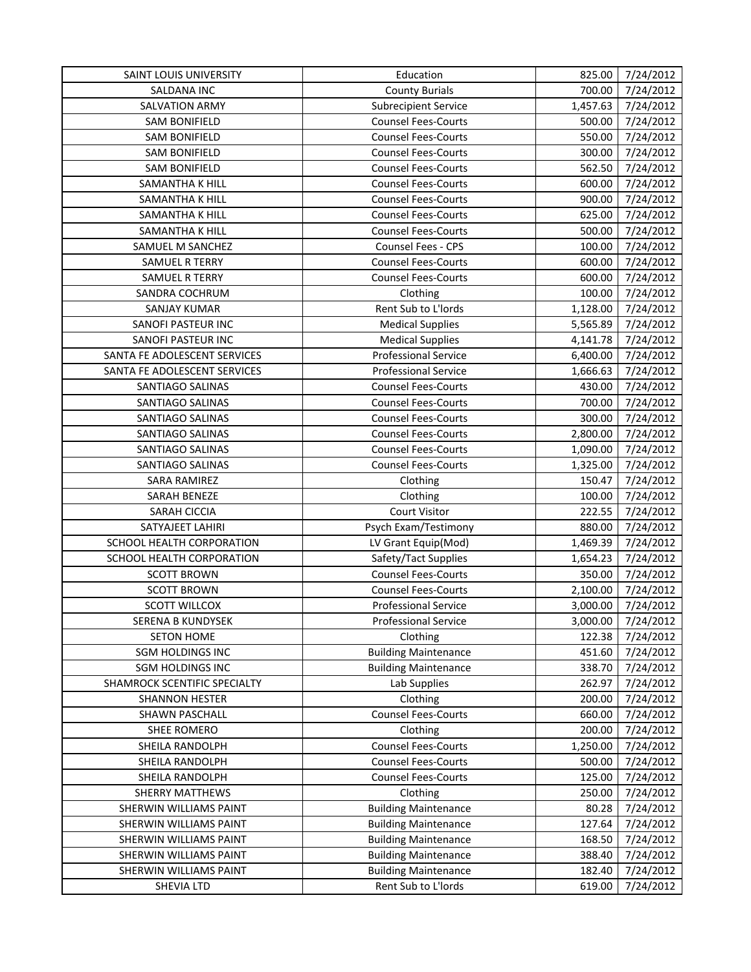| SALDANA INC<br><b>County Burials</b><br>700.00                          | 7/24/2012 |
|-------------------------------------------------------------------------|-----------|
|                                                                         | 7/24/2012 |
| <b>SALVATION ARMY</b><br>1,457.63<br><b>Subrecipient Service</b>        | 7/24/2012 |
| <b>Counsel Fees-Courts</b><br><b>SAM BONIFIELD</b><br>500.00            | 7/24/2012 |
| <b>SAM BONIFIELD</b><br><b>Counsel Fees-Courts</b><br>550.00            | 7/24/2012 |
| 300.00<br><b>SAM BONIFIELD</b><br><b>Counsel Fees-Courts</b>            | 7/24/2012 |
| <b>Counsel Fees-Courts</b><br>562.50<br><b>SAM BONIFIELD</b>            | 7/24/2012 |
| SAMANTHA K HILL<br><b>Counsel Fees-Courts</b><br>600.00                 | 7/24/2012 |
| SAMANTHA K HILL<br><b>Counsel Fees-Courts</b><br>900.00                 | 7/24/2012 |
| SAMANTHA K HILL<br><b>Counsel Fees-Courts</b><br>625.00                 | 7/24/2012 |
| <b>Counsel Fees-Courts</b><br>500.00<br>SAMANTHA K HILL                 | 7/24/2012 |
| Counsel Fees - CPS<br>SAMUEL M SANCHEZ<br>100.00                        | 7/24/2012 |
| <b>SAMUEL R TERRY</b><br><b>Counsel Fees-Courts</b><br>600.00           | 7/24/2012 |
| 600.00<br>SAMUEL R TERRY<br><b>Counsel Fees-Courts</b>                  | 7/24/2012 |
| 100.00<br>SANDRA COCHRUM<br>Clothing                                    | 7/24/2012 |
| Rent Sub to L'Iords<br>1,128.00<br><b>SANJAY KUMAR</b>                  | 7/24/2012 |
| SANOFI PASTEUR INC<br><b>Medical Supplies</b><br>5,565.89               | 7/24/2012 |
| SANOFI PASTEUR INC<br><b>Medical Supplies</b><br>4,141.78               | 7/24/2012 |
| <b>Professional Service</b><br>6,400.00<br>SANTA FE ADOLESCENT SERVICES | 7/24/2012 |
| SANTA FE ADOLESCENT SERVICES<br><b>Professional Service</b><br>1,666.63 | 7/24/2012 |
| <b>Counsel Fees-Courts</b><br>430.00<br>SANTIAGO SALINAS                | 7/24/2012 |
| 700.00<br>SANTIAGO SALINAS<br><b>Counsel Fees-Courts</b>                | 7/24/2012 |
| 300.00<br>SANTIAGO SALINAS<br><b>Counsel Fees-Courts</b>                | 7/24/2012 |
| <b>Counsel Fees-Courts</b><br>2,800.00<br>SANTIAGO SALINAS              | 7/24/2012 |
| <b>Counsel Fees-Courts</b><br>SANTIAGO SALINAS<br>1,090.00              | 7/24/2012 |
| SANTIAGO SALINAS<br><b>Counsel Fees-Courts</b><br>1,325.00              | 7/24/2012 |
| SARA RAMIREZ<br>150.47<br>Clothing                                      | 7/24/2012 |
| SARAH BENEZE<br>100.00<br>Clothing                                      | 7/24/2012 |
| SARAH CICCIA<br><b>Court Visitor</b><br>222.55                          | 7/24/2012 |
| SATYAJEET LAHIRI<br>Psych Exam/Testimony<br>880.00                      | 7/24/2012 |
| LV Grant Equip(Mod)<br>1,469.39<br>SCHOOL HEALTH CORPORATION            | 7/24/2012 |
| SCHOOL HEALTH CORPORATION<br>Safety/Tact Supplies<br>1,654.23           | 7/24/2012 |
| <b>Counsel Fees-Courts</b><br>350.00<br><b>SCOTT BROWN</b>              | 7/24/2012 |
| <b>SCOTT BROWN</b><br><b>Counsel Fees-Courts</b><br>2,100.00            | 7/24/2012 |
| <b>SCOTT WILLCOX</b><br><b>Professional Service</b><br>3,000.00         | 7/24/2012 |
| SERENA B KUNDYSEK<br><b>Professional Service</b><br>3,000.00            | 7/24/2012 |
| 122.38<br><b>SETON HOME</b><br>Clothing                                 | 7/24/2012 |
| <b>SGM HOLDINGS INC</b><br><b>Building Maintenance</b><br>451.60        | 7/24/2012 |
| <b>SGM HOLDINGS INC</b><br><b>Building Maintenance</b><br>338.70        | 7/24/2012 |
| 262.97<br>SHAMROCK SCENTIFIC SPECIALTY<br>Lab Supplies                  | 7/24/2012 |
| 200.00<br><b>SHANNON HESTER</b><br>Clothing                             | 7/24/2012 |
| <b>Counsel Fees-Courts</b><br>SHAWN PASCHALL<br>660.00                  | 7/24/2012 |
| SHEE ROMERO<br>Clothing<br>200.00                                       | 7/24/2012 |
| <b>Counsel Fees-Courts</b><br>1,250.00<br>SHEILA RANDOLPH               | 7/24/2012 |
| <b>Counsel Fees-Courts</b><br>500.00<br>SHEILA RANDOLPH                 | 7/24/2012 |
| <b>Counsel Fees-Courts</b><br>SHEILA RANDOLPH<br>125.00                 | 7/24/2012 |
| 250.00<br><b>SHERRY MATTHEWS</b><br>Clothing                            | 7/24/2012 |
| 80.28<br>SHERWIN WILLIAMS PAINT<br><b>Building Maintenance</b>          | 7/24/2012 |
| 127.64<br>SHERWIN WILLIAMS PAINT<br><b>Building Maintenance</b>         | 7/24/2012 |
| SHERWIN WILLIAMS PAINT<br><b>Building Maintenance</b><br>168.50         | 7/24/2012 |
| <b>Building Maintenance</b><br>388.40<br>SHERWIN WILLIAMS PAINT         | 7/24/2012 |
| <b>Building Maintenance</b><br>182.40<br>SHERWIN WILLIAMS PAINT         | 7/24/2012 |
| Rent Sub to L'Iords<br>SHEVIA LTD<br>619.00                             | 7/24/2012 |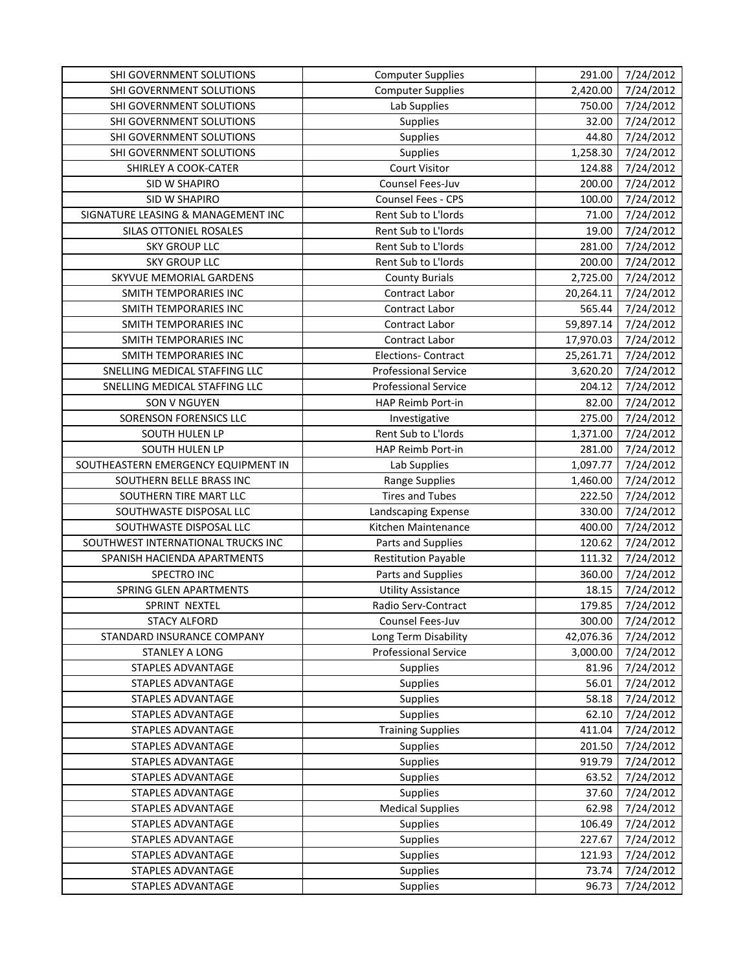| SHI GOVERNMENT SOLUTIONS            | <b>Computer Supplies</b>    | 291.00    | 7/24/2012 |
|-------------------------------------|-----------------------------|-----------|-----------|
| SHI GOVERNMENT SOLUTIONS            | <b>Computer Supplies</b>    | 2,420.00  | 7/24/2012 |
| SHI GOVERNMENT SOLUTIONS            | Lab Supplies                | 750.00    | 7/24/2012 |
| SHI GOVERNMENT SOLUTIONS            | <b>Supplies</b>             | 32.00     | 7/24/2012 |
| SHI GOVERNMENT SOLUTIONS            | Supplies                    | 44.80     | 7/24/2012 |
| SHI GOVERNMENT SOLUTIONS            | <b>Supplies</b>             | 1,258.30  | 7/24/2012 |
| SHIRLEY A COOK-CATER                | <b>Court Visitor</b>        | 124.88    | 7/24/2012 |
| SID W SHAPIRO                       | Counsel Fees-Juv            | 200.00    | 7/24/2012 |
| SID W SHAPIRO                       | Counsel Fees - CPS          | 100.00    | 7/24/2012 |
| SIGNATURE LEASING & MANAGEMENT INC  | Rent Sub to L'Iords         | 71.00     | 7/24/2012 |
| SILAS OTTONIEL ROSALES              | Rent Sub to L'Iords         | 19.00     | 7/24/2012 |
| <b>SKY GROUP LLC</b>                | Rent Sub to L'Iords         | 281.00    | 7/24/2012 |
| <b>SKY GROUP LLC</b>                | Rent Sub to L'Iords         | 200.00    | 7/24/2012 |
| SKYVUE MEMORIAL GARDENS             | <b>County Burials</b>       | 2,725.00  | 7/24/2012 |
| SMITH TEMPORARIES INC               | Contract Labor              | 20,264.11 | 7/24/2012 |
| SMITH TEMPORARIES INC               | <b>Contract Labor</b>       | 565.44    | 7/24/2012 |
| <b>SMITH TEMPORARIES INC</b>        | <b>Contract Labor</b>       | 59,897.14 | 7/24/2012 |
| SMITH TEMPORARIES INC               | <b>Contract Labor</b>       | 17,970.03 | 7/24/2012 |
| <b>SMITH TEMPORARIES INC</b>        | <b>Elections- Contract</b>  | 25,261.71 | 7/24/2012 |
| SNELLING MEDICAL STAFFING LLC       | <b>Professional Service</b> | 3,620.20  | 7/24/2012 |
| SNELLING MEDICAL STAFFING LLC       | <b>Professional Service</b> | 204.12    | 7/24/2012 |
| SON V NGUYEN                        | HAP Reimb Port-in           | 82.00     | 7/24/2012 |
| SORENSON FORENSICS LLC              | Investigative               | 275.00    | 7/24/2012 |
| SOUTH HULEN LP                      | Rent Sub to L'Iords         | 1,371.00  | 7/24/2012 |
| SOUTH HULEN LP                      | HAP Reimb Port-in           | 281.00    | 7/24/2012 |
| SOUTHEASTERN EMERGENCY EQUIPMENT IN | Lab Supplies                | 1,097.77  | 7/24/2012 |
| SOUTHERN BELLE BRASS INC            | <b>Range Supplies</b>       | 1,460.00  | 7/24/2012 |
| SOUTHERN TIRE MART LLC              | <b>Tires and Tubes</b>      | 222.50    | 7/24/2012 |
| SOUTHWASTE DISPOSAL LLC             | Landscaping Expense         | 330.00    | 7/24/2012 |
| SOUTHWASTE DISPOSAL LLC             | Kitchen Maintenance         | 400.00    | 7/24/2012 |
| SOUTHWEST INTERNATIONAL TRUCKS INC  | Parts and Supplies          | 120.62    | 7/24/2012 |
| SPANISH HACIENDA APARTMENTS         | <b>Restitution Payable</b>  | 111.32    | 7/24/2012 |
| SPECTRO INC                         | Parts and Supplies          | 360.00    | 7/24/2012 |
| SPRING GLEN APARTMENTS              | <b>Utility Assistance</b>   | 18.15     | 7/24/2012 |
| SPRINT NEXTEL                       | Radio Serv-Contract         | 179.85    | 7/24/2012 |
| <b>STACY ALFORD</b>                 | Counsel Fees-Juv            | 300.00    | 7/24/2012 |
| STANDARD INSURANCE COMPANY          | Long Term Disability        | 42,076.36 | 7/24/2012 |
| <b>STANLEY A LONG</b>               | <b>Professional Service</b> | 3,000.00  | 7/24/2012 |
| STAPLES ADVANTAGE                   | <b>Supplies</b>             | 81.96     | 7/24/2012 |
| STAPLES ADVANTAGE                   | <b>Supplies</b>             | 56.01     | 7/24/2012 |
| <b>STAPLES ADVANTAGE</b>            | <b>Supplies</b>             | 58.18     | 7/24/2012 |
| STAPLES ADVANTAGE                   | <b>Supplies</b>             | 62.10     | 7/24/2012 |
| STAPLES ADVANTAGE                   | <b>Training Supplies</b>    | 411.04    | 7/24/2012 |
| STAPLES ADVANTAGE                   | <b>Supplies</b>             | 201.50    | 7/24/2012 |
| STAPLES ADVANTAGE                   | <b>Supplies</b>             | 919.79    | 7/24/2012 |
| STAPLES ADVANTAGE                   | <b>Supplies</b>             | 63.52     | 7/24/2012 |
| STAPLES ADVANTAGE                   | <b>Supplies</b>             | 37.60     | 7/24/2012 |
| STAPLES ADVANTAGE                   | <b>Medical Supplies</b>     | 62.98     | 7/24/2012 |
| <b>STAPLES ADVANTAGE</b>            | <b>Supplies</b>             | 106.49    | 7/24/2012 |
| STAPLES ADVANTAGE                   | <b>Supplies</b>             | 227.67    | 7/24/2012 |
| STAPLES ADVANTAGE                   | <b>Supplies</b>             | 121.93    | 7/24/2012 |
| STAPLES ADVANTAGE                   | <b>Supplies</b>             | 73.74     | 7/24/2012 |
| STAPLES ADVANTAGE                   | Supplies                    | 96.73     | 7/24/2012 |
|                                     |                             |           |           |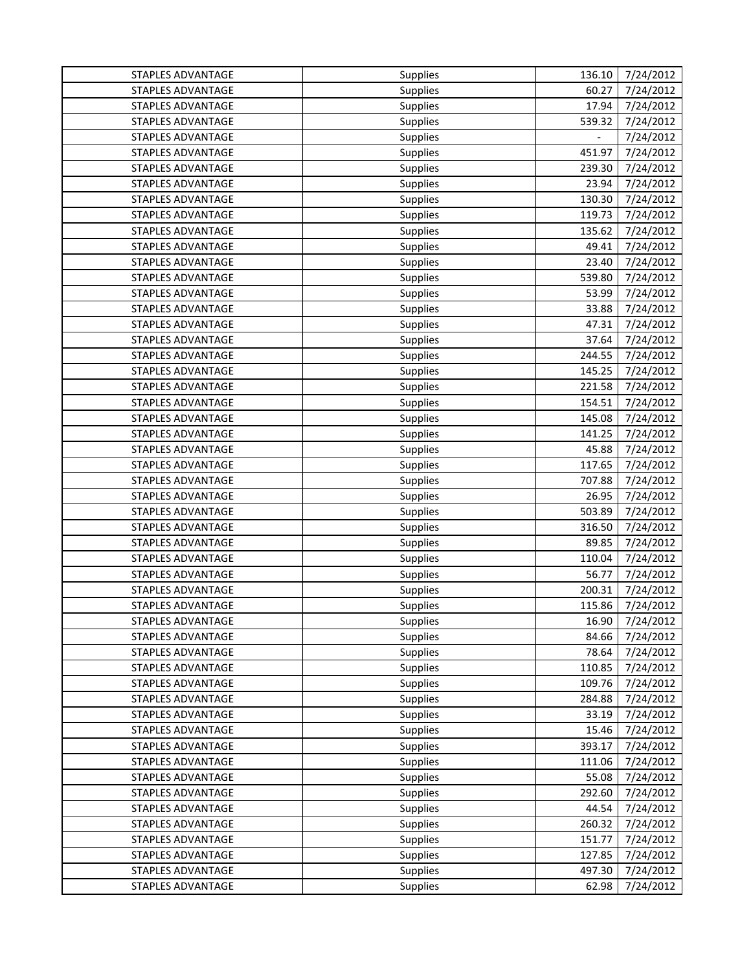| STAPLES ADVANTAGE        | <b>Supplies</b> | 136.10         | 7/24/2012 |
|--------------------------|-----------------|----------------|-----------|
| STAPLES ADVANTAGE        | <b>Supplies</b> | 60.27          | 7/24/2012 |
| STAPLES ADVANTAGE        | <b>Supplies</b> | 17.94          | 7/24/2012 |
| STAPLES ADVANTAGE        | Supplies        | 539.32         | 7/24/2012 |
| STAPLES ADVANTAGE        | <b>Supplies</b> | $\blacksquare$ | 7/24/2012 |
| STAPLES ADVANTAGE        | <b>Supplies</b> | 451.97         | 7/24/2012 |
| STAPLES ADVANTAGE        | Supplies        | 239.30         | 7/24/2012 |
| STAPLES ADVANTAGE        | <b>Supplies</b> | 23.94          | 7/24/2012 |
| STAPLES ADVANTAGE        | <b>Supplies</b> | 130.30         | 7/24/2012 |
| STAPLES ADVANTAGE        | Supplies        | 119.73         | 7/24/2012 |
| STAPLES ADVANTAGE        | <b>Supplies</b> | 135.62         | 7/24/2012 |
| STAPLES ADVANTAGE        | Supplies        | 49.41          | 7/24/2012 |
| STAPLES ADVANTAGE        | <b>Supplies</b> | 23.40          | 7/24/2012 |
| STAPLES ADVANTAGE        | <b>Supplies</b> | 539.80         | 7/24/2012 |
| STAPLES ADVANTAGE        | Supplies        | 53.99          | 7/24/2012 |
| STAPLES ADVANTAGE        | Supplies        | 33.88          | 7/24/2012 |
| STAPLES ADVANTAGE        | Supplies        | 47.31          | 7/24/2012 |
| STAPLES ADVANTAGE        | Supplies        | 37.64          | 7/24/2012 |
| STAPLES ADVANTAGE        | Supplies        | 244.55         | 7/24/2012 |
| STAPLES ADVANTAGE        | Supplies        | 145.25         | 7/24/2012 |
| STAPLES ADVANTAGE        | Supplies        | 221.58         | 7/24/2012 |
| STAPLES ADVANTAGE        | Supplies        | 154.51         | 7/24/2012 |
| STAPLES ADVANTAGE        | Supplies        | 145.08         | 7/24/2012 |
| STAPLES ADVANTAGE        | <b>Supplies</b> | 141.25         | 7/24/2012 |
| STAPLES ADVANTAGE        | <b>Supplies</b> | 45.88          | 7/24/2012 |
| STAPLES ADVANTAGE        | Supplies        | 117.65         | 7/24/2012 |
| STAPLES ADVANTAGE        | <b>Supplies</b> | 707.88         | 7/24/2012 |
| STAPLES ADVANTAGE        | <b>Supplies</b> | 26.95          | 7/24/2012 |
| STAPLES ADVANTAGE        | Supplies        | 503.89         | 7/24/2012 |
| STAPLES ADVANTAGE        | <b>Supplies</b> | 316.50         | 7/24/2012 |
| STAPLES ADVANTAGE        | <b>Supplies</b> | 89.85          | 7/24/2012 |
| <b>STAPLES ADVANTAGE</b> | Supplies        | 110.04         | 7/24/2012 |
| STAPLES ADVANTAGE        | Supplies        | 56.77          | 7/24/2012 |
| <b>STAPLES ADVANTAGE</b> | Supplies        | 200.31         | 7/24/2012 |
| STAPLES ADVANTAGE        | Supplies        | 115.86         | 7/24/2012 |
| STAPLES ADVANTAGE        | <b>Supplies</b> | 16.90          | 7/24/2012 |
| STAPLES ADVANTAGE        | <b>Supplies</b> | 84.66          | 7/24/2012 |
| STAPLES ADVANTAGE        | <b>Supplies</b> | 78.64          | 7/24/2012 |
| <b>STAPLES ADVANTAGE</b> | Supplies        | 110.85         | 7/24/2012 |
| STAPLES ADVANTAGE        | Supplies        | 109.76         | 7/24/2012 |
| STAPLES ADVANTAGE        | Supplies        | 284.88         | 7/24/2012 |
| STAPLES ADVANTAGE        | Supplies        | 33.19          | 7/24/2012 |
| STAPLES ADVANTAGE        | Supplies        | 15.46          | 7/24/2012 |
| STAPLES ADVANTAGE        | Supplies        | 393.17         | 7/24/2012 |
| STAPLES ADVANTAGE        | Supplies        | 111.06         | 7/24/2012 |
| STAPLES ADVANTAGE        | Supplies        | 55.08          | 7/24/2012 |
| STAPLES ADVANTAGE        | Supplies        | 292.60         | 7/24/2012 |
| STAPLES ADVANTAGE        | Supplies        | 44.54          | 7/24/2012 |
| STAPLES ADVANTAGE        | Supplies        | 260.32         | 7/24/2012 |
| STAPLES ADVANTAGE        | Supplies        | 151.77         | 7/24/2012 |
| STAPLES ADVANTAGE        | Supplies        | 127.85         | 7/24/2012 |
| STAPLES ADVANTAGE        | <b>Supplies</b> | 497.30         | 7/24/2012 |
| STAPLES ADVANTAGE        | Supplies        | 62.98          | 7/24/2012 |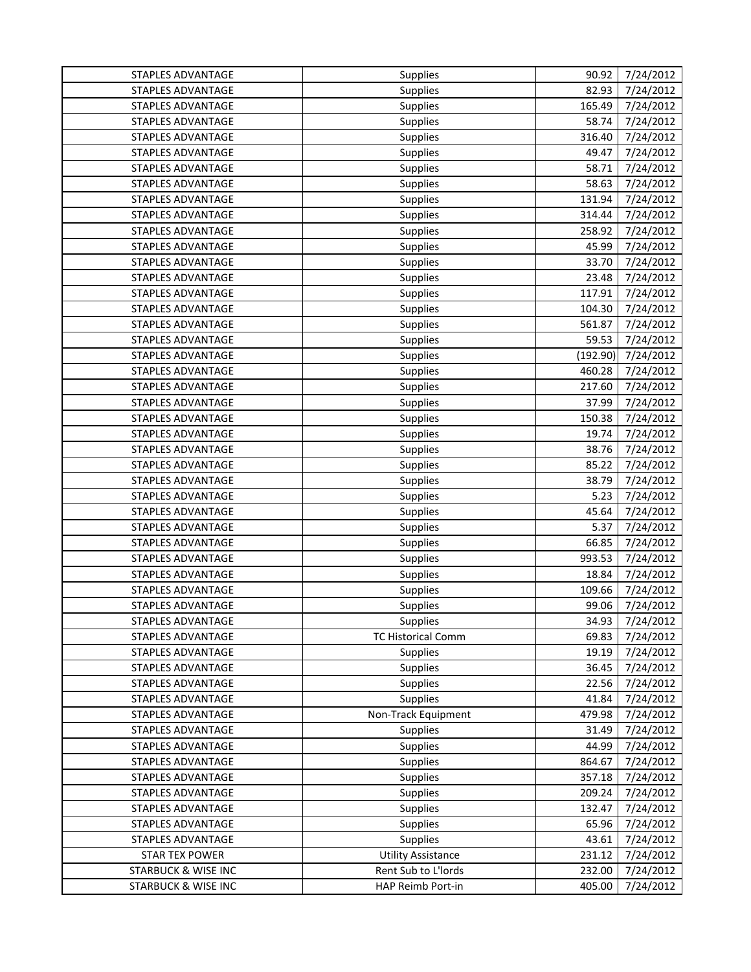| STAPLES ADVANTAGE              | Supplies                  | 90.92    | 7/24/2012 |
|--------------------------------|---------------------------|----------|-----------|
| STAPLES ADVANTAGE              | Supplies                  | 82.93    | 7/24/2012 |
| STAPLES ADVANTAGE              | Supplies                  | 165.49   | 7/24/2012 |
| STAPLES ADVANTAGE              | <b>Supplies</b>           | 58.74    | 7/24/2012 |
| STAPLES ADVANTAGE              | Supplies                  | 316.40   | 7/24/2012 |
| STAPLES ADVANTAGE              | Supplies                  | 49.47    | 7/24/2012 |
| STAPLES ADVANTAGE              | Supplies                  | 58.71    | 7/24/2012 |
| STAPLES ADVANTAGE              | Supplies                  | 58.63    | 7/24/2012 |
| STAPLES ADVANTAGE              | Supplies                  | 131.94   | 7/24/2012 |
| STAPLES ADVANTAGE              | Supplies                  | 314.44   | 7/24/2012 |
| STAPLES ADVANTAGE              | <b>Supplies</b>           | 258.92   | 7/24/2012 |
| STAPLES ADVANTAGE              | <b>Supplies</b>           | 45.99    | 7/24/2012 |
| STAPLES ADVANTAGE              | Supplies                  | 33.70    | 7/24/2012 |
| STAPLES ADVANTAGE              | Supplies                  | 23.48    | 7/24/2012 |
| STAPLES ADVANTAGE              | <b>Supplies</b>           | 117.91   | 7/24/2012 |
| <b>STAPLES ADVANTAGE</b>       | <b>Supplies</b>           | 104.30   | 7/24/2012 |
| STAPLES ADVANTAGE              | Supplies                  | 561.87   | 7/24/2012 |
| STAPLES ADVANTAGE              | <b>Supplies</b>           | 59.53    | 7/24/2012 |
| STAPLES ADVANTAGE              | Supplies                  | (192.90) | 7/24/2012 |
| STAPLES ADVANTAGE              | Supplies                  | 460.28   | 7/24/2012 |
| STAPLES ADVANTAGE              | Supplies                  | 217.60   | 7/24/2012 |
| STAPLES ADVANTAGE              | <b>Supplies</b>           | 37.99    | 7/24/2012 |
| STAPLES ADVANTAGE              | <b>Supplies</b>           | 150.38   | 7/24/2012 |
| STAPLES ADVANTAGE              | Supplies                  | 19.74    | 7/24/2012 |
| STAPLES ADVANTAGE              | Supplies                  | 38.76    | 7/24/2012 |
| STAPLES ADVANTAGE              | <b>Supplies</b>           | 85.22    | 7/24/2012 |
| STAPLES ADVANTAGE              | Supplies                  | 38.79    | 7/24/2012 |
| STAPLES ADVANTAGE              | Supplies                  | 5.23     | 7/24/2012 |
| STAPLES ADVANTAGE              | <b>Supplies</b>           | 45.64    | 7/24/2012 |
| STAPLES ADVANTAGE              | Supplies                  | 5.37     | 7/24/2012 |
| <b>STAPLES ADVANTAGE</b>       | <b>Supplies</b>           | 66.85    | 7/24/2012 |
| STAPLES ADVANTAGE              | Supplies                  | 993.53   | 7/24/2012 |
| STAPLES ADVANTAGE              | Supplies                  | 18.84    | 7/24/2012 |
| STAPLES ADVANTAGE              | Supplies                  | 109.66   | 7/24/2012 |
| STAPLES ADVANTAGE              | Supplies                  | 99.06    | 7/24/2012 |
| STAPLES ADVANTAGE              | <b>Supplies</b>           | 34.93    | 7/24/2012 |
| STAPLES ADVANTAGE              | <b>TC Historical Comm</b> | 69.83    | 7/24/2012 |
| STAPLES ADVANTAGE              | <b>Supplies</b>           | 19.19    | 7/24/2012 |
| STAPLES ADVANTAGE              | Supplies                  | 36.45    | 7/24/2012 |
| <b>STAPLES ADVANTAGE</b>       | Supplies                  | 22.56    | 7/24/2012 |
| STAPLES ADVANTAGE              | <b>Supplies</b>           | 41.84    | 7/24/2012 |
| STAPLES ADVANTAGE              | Non-Track Equipment       | 479.98   | 7/24/2012 |
| STAPLES ADVANTAGE              | <b>Supplies</b>           | 31.49    | 7/24/2012 |
| STAPLES ADVANTAGE              | Supplies                  | 44.99    | 7/24/2012 |
| STAPLES ADVANTAGE              | <b>Supplies</b>           | 864.67   | 7/24/2012 |
| STAPLES ADVANTAGE              | Supplies                  | 357.18   | 7/24/2012 |
| STAPLES ADVANTAGE              | <b>Supplies</b>           | 209.24   | 7/24/2012 |
| STAPLES ADVANTAGE              | <b>Supplies</b>           | 132.47   | 7/24/2012 |
| STAPLES ADVANTAGE              | <b>Supplies</b>           | 65.96    | 7/24/2012 |
| STAPLES ADVANTAGE              | Supplies                  | 43.61    | 7/24/2012 |
| <b>STAR TEX POWER</b>          | <b>Utility Assistance</b> | 231.12   | 7/24/2012 |
| <b>STARBUCK &amp; WISE INC</b> | Rent Sub to L'Iords       | 232.00   | 7/24/2012 |
| <b>STARBUCK &amp; WISE INC</b> | HAP Reimb Port-in         | 405.00   | 7/24/2012 |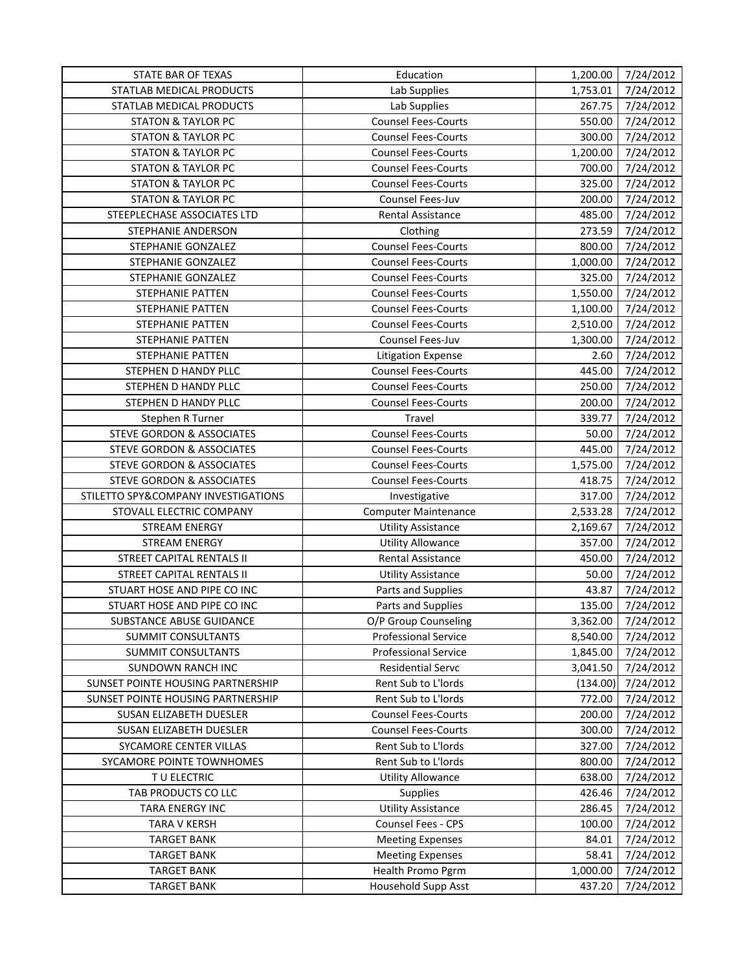| STATE BAR OF TEXAS                   | Education                   | 1,200.00 | 7/24/2012 |
|--------------------------------------|-----------------------------|----------|-----------|
| STATLAB MEDICAL PRODUCTS             | Lab Supplies                | 1,753.01 | 7/24/2012 |
| STATLAB MEDICAL PRODUCTS             | Lab Supplies                | 267.75   | 7/24/2012 |
| <b>STATON &amp; TAYLOR PC</b>        | <b>Counsel Fees-Courts</b>  | 550.00   | 7/24/2012 |
| <b>STATON &amp; TAYLOR PC</b>        | <b>Counsel Fees-Courts</b>  | 300.00   | 7/24/2012 |
| <b>STATON &amp; TAYLOR PC</b>        | <b>Counsel Fees-Courts</b>  | 1,200.00 | 7/24/2012 |
| <b>STATON &amp; TAYLOR PC</b>        | <b>Counsel Fees-Courts</b>  | 700.00   | 7/24/2012 |
| <b>STATON &amp; TAYLOR PC</b>        | <b>Counsel Fees-Courts</b>  | 325.00   | 7/24/2012 |
| <b>STATON &amp; TAYLOR PC</b>        | Counsel Fees-Juv            | 200.00   | 7/24/2012 |
| STEEPLECHASE ASSOCIATES LTD          | <b>Rental Assistance</b>    | 485.00   | 7/24/2012 |
| STEPHANIE ANDERSON                   | Clothing                    | 273.59   | 7/24/2012 |
| STEPHANIE GONZALEZ                   | <b>Counsel Fees-Courts</b>  | 800.00   | 7/24/2012 |
| STEPHANIE GONZALEZ                   | <b>Counsel Fees-Courts</b>  | 1,000.00 | 7/24/2012 |
| STEPHANIE GONZALEZ                   | <b>Counsel Fees-Courts</b>  | 325.00   | 7/24/2012 |
| STEPHANIE PATTEN                     | <b>Counsel Fees-Courts</b>  | 1,550.00 | 7/24/2012 |
| STEPHANIE PATTEN                     | <b>Counsel Fees-Courts</b>  | 1,100.00 | 7/24/2012 |
| <b>STEPHANIE PATTEN</b>              | <b>Counsel Fees-Courts</b>  | 2,510.00 | 7/24/2012 |
| STEPHANIE PATTEN                     | Counsel Fees-Juv            | 1,300.00 | 7/24/2012 |
| STEPHANIE PATTEN                     | <b>Litigation Expense</b>   | 2.60     | 7/24/2012 |
| STEPHEN D HANDY PLLC                 | <b>Counsel Fees-Courts</b>  | 445.00   | 7/24/2012 |
| STEPHEN D HANDY PLLC                 | <b>Counsel Fees-Courts</b>  | 250.00   | 7/24/2012 |
| STEPHEN D HANDY PLLC                 | <b>Counsel Fees-Courts</b>  | 200.00   | 7/24/2012 |
| Stephen R Turner                     | Travel                      | 339.77   | 7/24/2012 |
| <b>STEVE GORDON &amp; ASSOCIATES</b> | <b>Counsel Fees-Courts</b>  | 50.00    | 7/24/2012 |
| STEVE GORDON & ASSOCIATES            | <b>Counsel Fees-Courts</b>  | 445.00   | 7/24/2012 |
| STEVE GORDON & ASSOCIATES            | <b>Counsel Fees-Courts</b>  | 1,575.00 | 7/24/2012 |
| STEVE GORDON & ASSOCIATES            | <b>Counsel Fees-Courts</b>  | 418.75   | 7/24/2012 |
| STILETTO SPY&COMPANY INVESTIGATIONS  | Investigative               | 317.00   | 7/24/2012 |
| STOVALL ELECTRIC COMPANY             | <b>Computer Maintenance</b> | 2,533.28 | 7/24/2012 |
| <b>STREAM ENERGY</b>                 | <b>Utility Assistance</b>   | 2,169.67 | 7/24/2012 |
| <b>STREAM ENERGY</b>                 | <b>Utility Allowance</b>    | 357.00   | 7/24/2012 |
| STREET CAPITAL RENTALS II            | Rental Assistance           | 450.00   | 7/24/2012 |
| STREET CAPITAL RENTALS II            | <b>Utility Assistance</b>   | 50.00    | 7/24/2012 |
| STUART HOSE AND PIPE CO INC          | Parts and Supplies          | 43.87    | 7/24/2012 |
| STUART HOSE AND PIPE CO INC          | Parts and Supplies          | 135.00   | 7/24/2012 |
| SUBSTANCE ABUSE GUIDANCE             | O/P Group Counseling        | 3,362.00 | 7/24/2012 |
| SUMMIT CONSULTANTS                   | <b>Professional Service</b> | 8,540.00 | 7/24/2012 |
| SUMMIT CONSULTANTS                   | <b>Professional Service</b> | 1,845.00 | 7/24/2012 |
| <b>SUNDOWN RANCH INC</b>             | <b>Residential Servc</b>    | 3,041.50 | 7/24/2012 |
| SUNSET POINTE HOUSING PARTNERSHIP    | Rent Sub to L'Iords         | (134.00) | 7/24/2012 |
| SUNSET POINTE HOUSING PARTNERSHIP    | Rent Sub to L'Iords         | 772.00   | 7/24/2012 |
| SUSAN ELIZABETH DUESLER              | <b>Counsel Fees-Courts</b>  | 200.00   | 7/24/2012 |
| SUSAN ELIZABETH DUESLER              | <b>Counsel Fees-Courts</b>  | 300.00   | 7/24/2012 |
| SYCAMORE CENTER VILLAS               | Rent Sub to L'Iords         | 327.00   | 7/24/2012 |
| SYCAMORE POINTE TOWNHOMES            | Rent Sub to L'Iords         | 800.00   | 7/24/2012 |
| TU ELECTRIC                          | <b>Utility Allowance</b>    | 638.00   | 7/24/2012 |
| TAB PRODUCTS CO LLC                  | <b>Supplies</b>             | 426.46   | 7/24/2012 |
| TARA ENERGY INC                      | <b>Utility Assistance</b>   | 286.45   | 7/24/2012 |
| <b>TARA V KERSH</b>                  | Counsel Fees - CPS          | 100.00   | 7/24/2012 |
| <b>TARGET BANK</b>                   | <b>Meeting Expenses</b>     | 84.01    | 7/24/2012 |
| <b>TARGET BANK</b>                   | <b>Meeting Expenses</b>     | 58.41    | 7/24/2012 |
| <b>TARGET BANK</b>                   | Health Promo Pgrm           |          | 7/24/2012 |
|                                      |                             | 1,000.00 |           |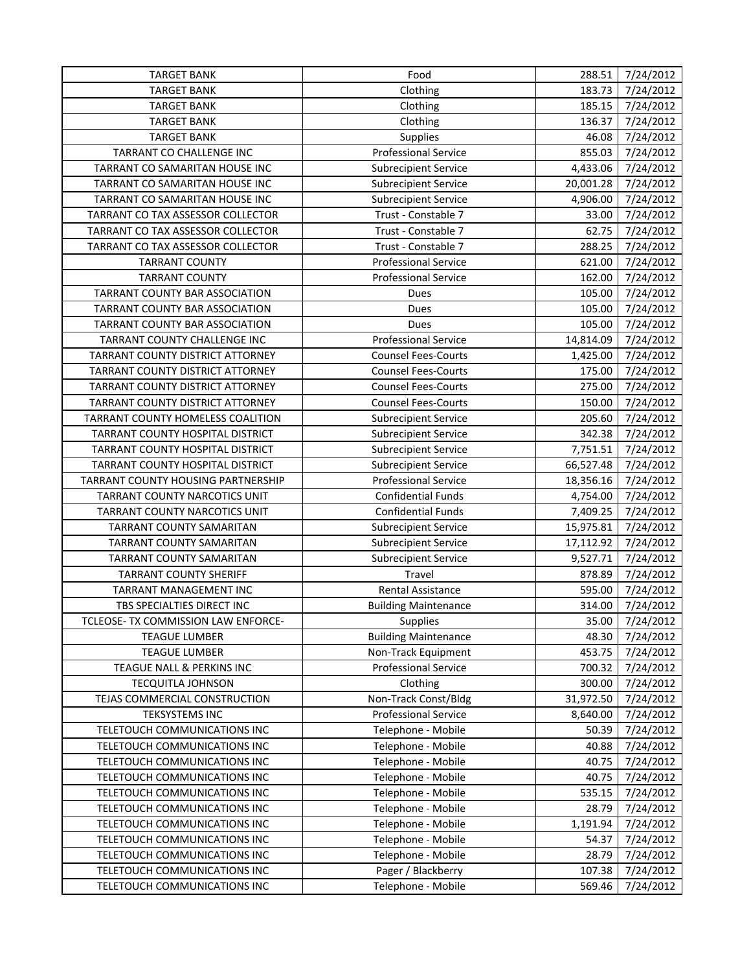| <b>TARGET BANK</b>                  | Food                        | 288.51    | 7/24/2012 |
|-------------------------------------|-----------------------------|-----------|-----------|
| <b>TARGET BANK</b>                  | Clothing                    | 183.73    | 7/24/2012 |
| <b>TARGET BANK</b>                  | Clothing                    | 185.15    | 7/24/2012 |
| <b>TARGET BANK</b>                  | Clothing                    | 136.37    | 7/24/2012 |
| <b>TARGET BANK</b>                  | Supplies                    | 46.08     | 7/24/2012 |
| TARRANT CO CHALLENGE INC            | <b>Professional Service</b> | 855.03    | 7/24/2012 |
| TARRANT CO SAMARITAN HOUSE INC      | <b>Subrecipient Service</b> | 4,433.06  | 7/24/2012 |
| TARRANT CO SAMARITAN HOUSE INC      | <b>Subrecipient Service</b> | 20,001.28 | 7/24/2012 |
| TARRANT CO SAMARITAN HOUSE INC      | <b>Subrecipient Service</b> | 4,906.00  | 7/24/2012 |
| TARRANT CO TAX ASSESSOR COLLECTOR   | Trust - Constable 7         | 33.00     | 7/24/2012 |
| TARRANT CO TAX ASSESSOR COLLECTOR   | Trust - Constable 7         | 62.75     | 7/24/2012 |
| TARRANT CO TAX ASSESSOR COLLECTOR   | Trust - Constable 7         | 288.25    | 7/24/2012 |
| <b>TARRANT COUNTY</b>               | <b>Professional Service</b> | 621.00    | 7/24/2012 |
| <b>TARRANT COUNTY</b>               | <b>Professional Service</b> | 162.00    | 7/24/2012 |
| TARRANT COUNTY BAR ASSOCIATION      | Dues                        | 105.00    | 7/24/2012 |
| TARRANT COUNTY BAR ASSOCIATION      | Dues                        | 105.00    | 7/24/2012 |
| TARRANT COUNTY BAR ASSOCIATION      | Dues                        | 105.00    | 7/24/2012 |
| TARRANT COUNTY CHALLENGE INC        | <b>Professional Service</b> | 14,814.09 | 7/24/2012 |
| TARRANT COUNTY DISTRICT ATTORNEY    | <b>Counsel Fees-Courts</b>  | 1,425.00  | 7/24/2012 |
| TARRANT COUNTY DISTRICT ATTORNEY    | <b>Counsel Fees-Courts</b>  | 175.00    | 7/24/2012 |
| TARRANT COUNTY DISTRICT ATTORNEY    | <b>Counsel Fees-Courts</b>  | 275.00    | 7/24/2012 |
| TARRANT COUNTY DISTRICT ATTORNEY    | <b>Counsel Fees-Courts</b>  | 150.00    | 7/24/2012 |
| TARRANT COUNTY HOMELESS COALITION   | <b>Subrecipient Service</b> | 205.60    | 7/24/2012 |
| TARRANT COUNTY HOSPITAL DISTRICT    | <b>Subrecipient Service</b> | 342.38    | 7/24/2012 |
| TARRANT COUNTY HOSPITAL DISTRICT    | <b>Subrecipient Service</b> | 7,751.51  | 7/24/2012 |
| TARRANT COUNTY HOSPITAL DISTRICT    | <b>Subrecipient Service</b> | 66,527.48 | 7/24/2012 |
| TARRANT COUNTY HOUSING PARTNERSHIP  | <b>Professional Service</b> | 18,356.16 | 7/24/2012 |
| TARRANT COUNTY NARCOTICS UNIT       | <b>Confidential Funds</b>   | 4,754.00  | 7/24/2012 |
| TARRANT COUNTY NARCOTICS UNIT       | <b>Confidential Funds</b>   | 7,409.25  | 7/24/2012 |
| TARRANT COUNTY SAMARITAN            | <b>Subrecipient Service</b> | 15,975.81 | 7/24/2012 |
| TARRANT COUNTY SAMARITAN            | <b>Subrecipient Service</b> | 17,112.92 | 7/24/2012 |
| TARRANT COUNTY SAMARITAN            | <b>Subrecipient Service</b> | 9,527.71  | 7/24/2012 |
| <b>TARRANT COUNTY SHERIFF</b>       | Travel                      | 878.89    | 7/24/2012 |
| TARRANT MANAGEMENT INC              | Rental Assistance           | 595.00    | 7/24/2012 |
| TBS SPECIALTIES DIRECT INC          | <b>Building Maintenance</b> | 314.00    | 7/24/2012 |
| TCLEOSE- TX COMMISSION LAW ENFORCE- | <b>Supplies</b>             | 35.00     | 7/24/2012 |
| <b>TEAGUE LUMBER</b>                | <b>Building Maintenance</b> | 48.30     | 7/24/2012 |
| <b>TEAGUE LUMBER</b>                | Non-Track Equipment         | 453.75    | 7/24/2012 |
| TEAGUE NALL & PERKINS INC           | <b>Professional Service</b> | 700.32    | 7/24/2012 |
| <b>TECQUITLA JOHNSON</b>            | Clothing                    | 300.00    | 7/24/2012 |
| TEJAS COMMERCIAL CONSTRUCTION       | Non-Track Const/Bldg        | 31,972.50 | 7/24/2012 |
| <b>TEKSYSTEMS INC</b>               | <b>Professional Service</b> | 8,640.00  | 7/24/2012 |
| TELETOUCH COMMUNICATIONS INC        | Telephone - Mobile          | 50.39     | 7/24/2012 |
| TELETOUCH COMMUNICATIONS INC        | Telephone - Mobile          | 40.88     | 7/24/2012 |
| TELETOUCH COMMUNICATIONS INC        | Telephone - Mobile          | 40.75     | 7/24/2012 |
| TELETOUCH COMMUNICATIONS INC        | Telephone - Mobile          | 40.75     | 7/24/2012 |
| TELETOUCH COMMUNICATIONS INC        | Telephone - Mobile          | 535.15    | 7/24/2012 |
| TELETOUCH COMMUNICATIONS INC        | Telephone - Mobile          | 28.79     | 7/24/2012 |
| TELETOUCH COMMUNICATIONS INC        | Telephone - Mobile          | 1,191.94  | 7/24/2012 |
| TELETOUCH COMMUNICATIONS INC        | Telephone - Mobile          | 54.37     | 7/24/2012 |
| TELETOUCH COMMUNICATIONS INC        | Telephone - Mobile          | 28.79     | 7/24/2012 |
| TELETOUCH COMMUNICATIONS INC        | Pager / Blackberry          | 107.38    | 7/24/2012 |
| TELETOUCH COMMUNICATIONS INC        | Telephone - Mobile          | 569.46    | 7/24/2012 |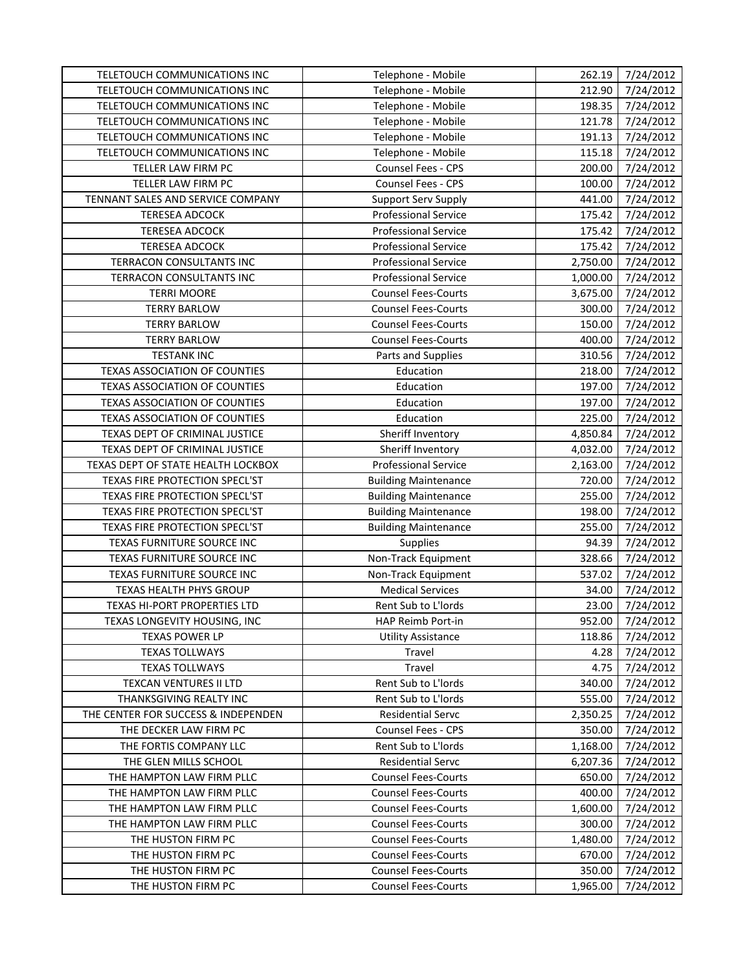| TELETOUCH COMMUNICATIONS INC        | Telephone - Mobile          | 262.19   | 7/24/2012 |
|-------------------------------------|-----------------------------|----------|-----------|
| TELETOUCH COMMUNICATIONS INC        | Telephone - Mobile          | 212.90   | 7/24/2012 |
| TELETOUCH COMMUNICATIONS INC        | Telephone - Mobile          | 198.35   | 7/24/2012 |
| TELETOUCH COMMUNICATIONS INC        | Telephone - Mobile          | 121.78   | 7/24/2012 |
| TELETOUCH COMMUNICATIONS INC        | Telephone - Mobile          | 191.13   | 7/24/2012 |
| TELETOUCH COMMUNICATIONS INC        | Telephone - Mobile          | 115.18   | 7/24/2012 |
| TELLER LAW FIRM PC                  | Counsel Fees - CPS          | 200.00   | 7/24/2012 |
| TELLER LAW FIRM PC                  | Counsel Fees - CPS          | 100.00   | 7/24/2012 |
| TENNANT SALES AND SERVICE COMPANY   | <b>Support Serv Supply</b>  | 441.00   | 7/24/2012 |
| <b>TERESEA ADCOCK</b>               | Professional Service        | 175.42   | 7/24/2012 |
| <b>TERESEA ADCOCK</b>               | Professional Service        | 175.42   | 7/24/2012 |
| <b>TERESEA ADCOCK</b>               | <b>Professional Service</b> | 175.42   | 7/24/2012 |
| TERRACON CONSULTANTS INC            | <b>Professional Service</b> | 2,750.00 | 7/24/2012 |
| TERRACON CONSULTANTS INC            | <b>Professional Service</b> | 1,000.00 | 7/24/2012 |
| <b>TERRI MOORE</b>                  | <b>Counsel Fees-Courts</b>  | 3,675.00 | 7/24/2012 |
| <b>TERRY BARLOW</b>                 | <b>Counsel Fees-Courts</b>  | 300.00   | 7/24/2012 |
| <b>TERRY BARLOW</b>                 | <b>Counsel Fees-Courts</b>  | 150.00   | 7/24/2012 |
| <b>TERRY BARLOW</b>                 | <b>Counsel Fees-Courts</b>  | 400.00   | 7/24/2012 |
| <b>TESTANK INC</b>                  | Parts and Supplies          | 310.56   | 7/24/2012 |
| TEXAS ASSOCIATION OF COUNTIES       | Education                   | 218.00   | 7/24/2012 |
| TEXAS ASSOCIATION OF COUNTIES       | Education                   | 197.00   | 7/24/2012 |
| TEXAS ASSOCIATION OF COUNTIES       | Education                   | 197.00   | 7/24/2012 |
| TEXAS ASSOCIATION OF COUNTIES       | Education                   | 225.00   | 7/24/2012 |
| TEXAS DEPT OF CRIMINAL JUSTICE      | Sheriff Inventory           | 4,850.84 | 7/24/2012 |
| TEXAS DEPT OF CRIMINAL JUSTICE      | Sheriff Inventory           | 4,032.00 | 7/24/2012 |
| TEXAS DEPT OF STATE HEALTH LOCKBOX  | <b>Professional Service</b> | 2,163.00 | 7/24/2012 |
| TEXAS FIRE PROTECTION SPECL'ST      | <b>Building Maintenance</b> | 720.00   | 7/24/2012 |
| TEXAS FIRE PROTECTION SPECL'ST      | <b>Building Maintenance</b> | 255.00   | 7/24/2012 |
| TEXAS FIRE PROTECTION SPECL'ST      | <b>Building Maintenance</b> | 198.00   | 7/24/2012 |
| TEXAS FIRE PROTECTION SPECL'ST      | <b>Building Maintenance</b> | 255.00   | 7/24/2012 |
| TEXAS FURNITURE SOURCE INC          | Supplies                    | 94.39    | 7/24/2012 |
| TEXAS FURNITURE SOURCE INC          | Non-Track Equipment         | 328.66   | 7/24/2012 |
| TEXAS FURNITURE SOURCE INC          | Non-Track Equipment         | 537.02   | 7/24/2012 |
| TEXAS HEALTH PHYS GROUP             | <b>Medical Services</b>     | 34.00    | 7/24/2012 |
| TEXAS HI-PORT PROPERTIES LTD        | Rent Sub to L'Iords         | 23.00    | 7/24/2012 |
| TEXAS LONGEVITY HOUSING, INC        | HAP Reimb Port-in           | 952.00   | 7/24/2012 |
| <b>TEXAS POWER LP</b>               | <b>Utility Assistance</b>   | 118.86   | 7/24/2012 |
| <b>TEXAS TOLLWAYS</b>               | Travel                      | 4.28     | 7/24/2012 |
| <b>TEXAS TOLLWAYS</b>               | Travel                      | 4.75     | 7/24/2012 |
| <b>TEXCAN VENTURES II LTD</b>       | Rent Sub to L'Iords         | 340.00   | 7/24/2012 |
| THANKSGIVING REALTY INC             | Rent Sub to L'Iords         | 555.00   | 7/24/2012 |
| THE CENTER FOR SUCCESS & INDEPENDEN | <b>Residential Servc</b>    | 2,350.25 | 7/24/2012 |
| THE DECKER LAW FIRM PC              | Counsel Fees - CPS          | 350.00   | 7/24/2012 |
| THE FORTIS COMPANY LLC              | Rent Sub to L'Iords         | 1,168.00 | 7/24/2012 |
| THE GLEN MILLS SCHOOL               | <b>Residential Servc</b>    | 6,207.36 | 7/24/2012 |
| THE HAMPTON LAW FIRM PLLC           | <b>Counsel Fees-Courts</b>  | 650.00   | 7/24/2012 |
| THE HAMPTON LAW FIRM PLLC           | <b>Counsel Fees-Courts</b>  | 400.00   | 7/24/2012 |
| THE HAMPTON LAW FIRM PLLC           | <b>Counsel Fees-Courts</b>  | 1,600.00 | 7/24/2012 |
| THE HAMPTON LAW FIRM PLLC           | <b>Counsel Fees-Courts</b>  | 300.00   | 7/24/2012 |
| THE HUSTON FIRM PC                  | <b>Counsel Fees-Courts</b>  | 1,480.00 | 7/24/2012 |
| THE HUSTON FIRM PC                  | <b>Counsel Fees-Courts</b>  | 670.00   | 7/24/2012 |
| THE HUSTON FIRM PC                  | <b>Counsel Fees-Courts</b>  | 350.00   | 7/24/2012 |
| THE HUSTON FIRM PC                  | <b>Counsel Fees-Courts</b>  | 1,965.00 | 7/24/2012 |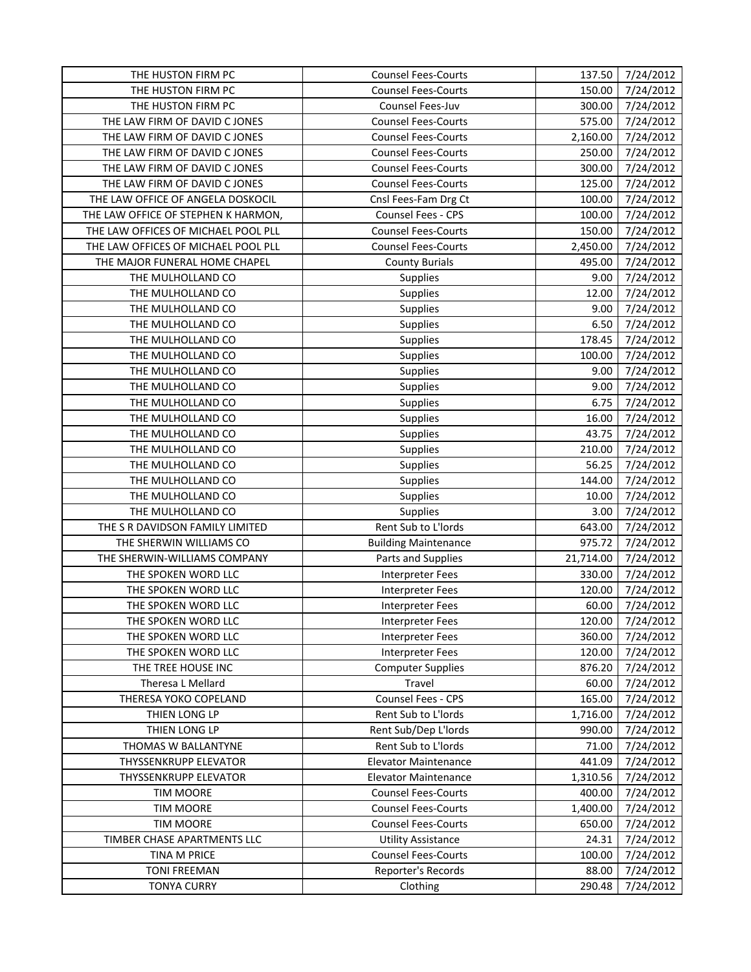| THE HUSTON FIRM PC                  | <b>Counsel Fees-Courts</b>  | 137.50    | 7/24/2012 |
|-------------------------------------|-----------------------------|-----------|-----------|
| THE HUSTON FIRM PC                  | <b>Counsel Fees-Courts</b>  | 150.00    | 7/24/2012 |
| THE HUSTON FIRM PC                  | Counsel Fees-Juv            | 300.00    | 7/24/2012 |
| THE LAW FIRM OF DAVID C JONES       | <b>Counsel Fees-Courts</b>  | 575.00    | 7/24/2012 |
| THE LAW FIRM OF DAVID C JONES       | <b>Counsel Fees-Courts</b>  | 2,160.00  | 7/24/2012 |
| THE LAW FIRM OF DAVID C JONES       | <b>Counsel Fees-Courts</b>  | 250.00    | 7/24/2012 |
| THE LAW FIRM OF DAVID C JONES       | <b>Counsel Fees-Courts</b>  | 300.00    | 7/24/2012 |
| THE LAW FIRM OF DAVID C JONES       | <b>Counsel Fees-Courts</b>  | 125.00    | 7/24/2012 |
| THE LAW OFFICE OF ANGELA DOSKOCIL   | Cnsl Fees-Fam Drg Ct        | 100.00    | 7/24/2012 |
| THE LAW OFFICE OF STEPHEN K HARMON, | Counsel Fees - CPS          | 100.00    | 7/24/2012 |
| THE LAW OFFICES OF MICHAEL POOL PLL | <b>Counsel Fees-Courts</b>  | 150.00    | 7/24/2012 |
| THE LAW OFFICES OF MICHAEL POOL PLL | <b>Counsel Fees-Courts</b>  | 2,450.00  | 7/24/2012 |
| THE MAJOR FUNERAL HOME CHAPEL       | <b>County Burials</b>       | 495.00    | 7/24/2012 |
| THE MULHOLLAND CO                   | <b>Supplies</b>             | 9.00      | 7/24/2012 |
| THE MULHOLLAND CO                   | <b>Supplies</b>             | 12.00     | 7/24/2012 |
| THE MULHOLLAND CO                   | Supplies                    | 9.00      | 7/24/2012 |
| THE MULHOLLAND CO                   | Supplies                    | 6.50      | 7/24/2012 |
| THE MULHOLLAND CO                   | Supplies                    | 178.45    | 7/24/2012 |
| THE MULHOLLAND CO                   | Supplies                    | 100.00    | 7/24/2012 |
| THE MULHOLLAND CO                   | Supplies                    | 9.00      | 7/24/2012 |
| THE MULHOLLAND CO                   | Supplies                    | 9.00      | 7/24/2012 |
| THE MULHOLLAND CO                   | <b>Supplies</b>             | 6.75      | 7/24/2012 |
| THE MULHOLLAND CO                   | <b>Supplies</b>             | 16.00     | 7/24/2012 |
| THE MULHOLLAND CO                   | <b>Supplies</b>             | 43.75     | 7/24/2012 |
| THE MULHOLLAND CO                   | Supplies                    | 210.00    | 7/24/2012 |
| THE MULHOLLAND CO                   | <b>Supplies</b>             | 56.25     | 7/24/2012 |
| THE MULHOLLAND CO                   | <b>Supplies</b>             | 144.00    | 7/24/2012 |
| THE MULHOLLAND CO                   | Supplies                    | 10.00     | 7/24/2012 |
| THE MULHOLLAND CO                   | Supplies                    | 3.00      | 7/24/2012 |
| THE S R DAVIDSON FAMILY LIMITED     | Rent Sub to L'Iords         | 643.00    | 7/24/2012 |
| THE SHERWIN WILLIAMS CO             | <b>Building Maintenance</b> | 975.72    | 7/24/2012 |
| THE SHERWIN-WILLIAMS COMPANY        | Parts and Supplies          | 21,714.00 | 7/24/2012 |
| THE SPOKEN WORD LLC                 | Interpreter Fees            | 330.00    | 7/24/2012 |
| THE SPOKEN WORD LLC                 | <b>Interpreter Fees</b>     | 120.00    | 7/24/2012 |
| THE SPOKEN WORD LLC                 | Interpreter Fees            | 60.00     | 7/24/2012 |
| THE SPOKEN WORD LLC                 | Interpreter Fees            | 120.00    | 7/24/2012 |
| THE SPOKEN WORD LLC                 | <b>Interpreter Fees</b>     | 360.00    | 7/24/2012 |
| THE SPOKEN WORD LLC                 | <b>Interpreter Fees</b>     | 120.00    | 7/24/2012 |
| THE TREE HOUSE INC                  | <b>Computer Supplies</b>    | 876.20    | 7/24/2012 |
| Theresa L Mellard                   | Travel                      | 60.00     | 7/24/2012 |
| THERESA YOKO COPELAND               | Counsel Fees - CPS          | 165.00    | 7/24/2012 |
| THIEN LONG LP                       | Rent Sub to L'Iords         | 1,716.00  | 7/24/2012 |
| THIEN LONG LP                       | Rent Sub/Dep L'Iords        | 990.00    | 7/24/2012 |
| THOMAS W BALLANTYNE                 | Rent Sub to L'Iords         | 71.00     | 7/24/2012 |
| THYSSENKRUPP ELEVATOR               | <b>Elevator Maintenance</b> | 441.09    | 7/24/2012 |
| THYSSENKRUPP ELEVATOR               | <b>Elevator Maintenance</b> | 1,310.56  | 7/24/2012 |
| <b>TIM MOORE</b>                    | <b>Counsel Fees-Courts</b>  | 400.00    | 7/24/2012 |
| <b>TIM MOORE</b>                    | <b>Counsel Fees-Courts</b>  | 1,400.00  | 7/24/2012 |
| <b>TIM MOORE</b>                    | <b>Counsel Fees-Courts</b>  | 650.00    | 7/24/2012 |
| TIMBER CHASE APARTMENTS LLC         | <b>Utility Assistance</b>   | 24.31     | 7/24/2012 |
| TINA M PRICE                        | <b>Counsel Fees-Courts</b>  | 100.00    | 7/24/2012 |
| <b>TONI FREEMAN</b>                 | Reporter's Records          | 88.00     | 7/24/2012 |
| <b>TONYA CURRY</b>                  | Clothing                    | 290.48    | 7/24/2012 |
|                                     |                             |           |           |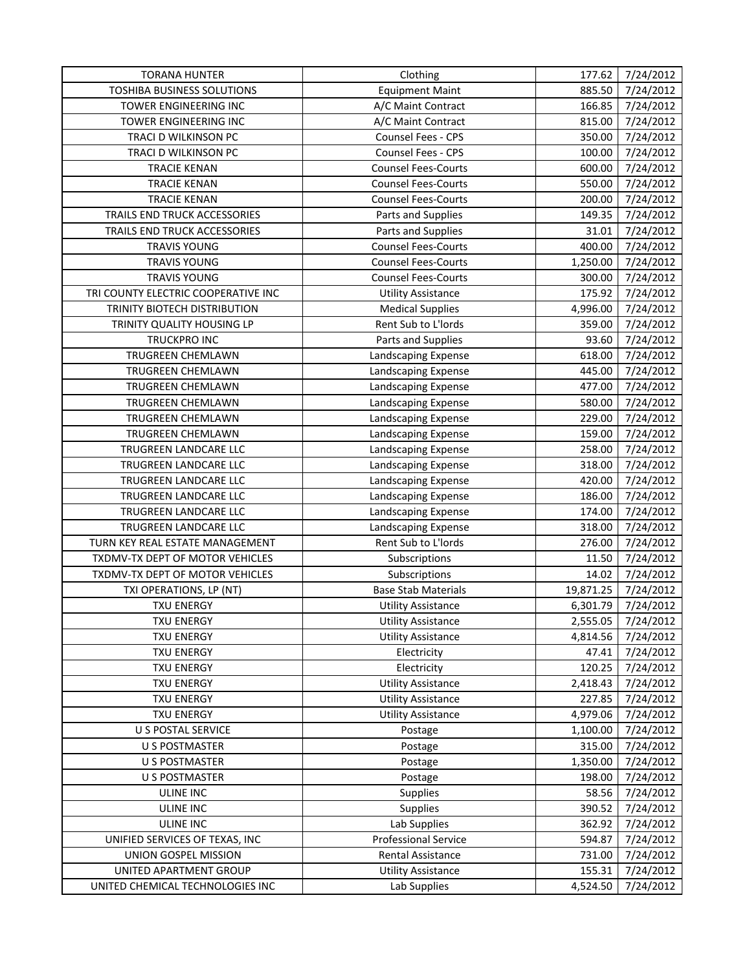| <b>TORANA HUNTER</b>                | Clothing                    | 177.62    | 7/24/2012 |
|-------------------------------------|-----------------------------|-----------|-----------|
| TOSHIBA BUSINESS SOLUTIONS          | <b>Equipment Maint</b>      | 885.50    | 7/24/2012 |
| TOWER ENGINEERING INC               | A/C Maint Contract          | 166.85    | 7/24/2012 |
| TOWER ENGINEERING INC               | A/C Maint Contract          | 815.00    | 7/24/2012 |
| TRACI D WILKINSON PC                | Counsel Fees - CPS          | 350.00    | 7/24/2012 |
| TRACI D WILKINSON PC                | Counsel Fees - CPS          | 100.00    | 7/24/2012 |
| <b>TRACIE KENAN</b>                 | <b>Counsel Fees-Courts</b>  | 600.00    | 7/24/2012 |
| <b>TRACIE KENAN</b>                 | <b>Counsel Fees-Courts</b>  | 550.00    | 7/24/2012 |
| <b>TRACIE KENAN</b>                 | <b>Counsel Fees-Courts</b>  | 200.00    | 7/24/2012 |
| TRAILS END TRUCK ACCESSORIES        | Parts and Supplies          | 149.35    | 7/24/2012 |
| TRAILS END TRUCK ACCESSORIES        | Parts and Supplies          | 31.01     | 7/24/2012 |
| <b>TRAVIS YOUNG</b>                 | <b>Counsel Fees-Courts</b>  | 400.00    | 7/24/2012 |
| <b>TRAVIS YOUNG</b>                 | <b>Counsel Fees-Courts</b>  | 1,250.00  | 7/24/2012 |
| <b>TRAVIS YOUNG</b>                 | <b>Counsel Fees-Courts</b>  | 300.00    | 7/24/2012 |
| TRI COUNTY ELECTRIC COOPERATIVE INC | <b>Utility Assistance</b>   | 175.92    | 7/24/2012 |
| TRINITY BIOTECH DISTRIBUTION        | <b>Medical Supplies</b>     | 4,996.00  | 7/24/2012 |
| TRINITY QUALITY HOUSING LP          | Rent Sub to L'Iords         | 359.00    | 7/24/2012 |
| <b>TRUCKPRO INC</b>                 | Parts and Supplies          | 93.60     | 7/24/2012 |
| TRUGREEN CHEMLAWN                   | Landscaping Expense         | 618.00    | 7/24/2012 |
| TRUGREEN CHEMLAWN                   | Landscaping Expense         | 445.00    | 7/24/2012 |
| TRUGREEN CHEMLAWN                   | Landscaping Expense         | 477.00    | 7/24/2012 |
| TRUGREEN CHEMLAWN                   | Landscaping Expense         | 580.00    | 7/24/2012 |
| TRUGREEN CHEMLAWN                   | Landscaping Expense         | 229.00    | 7/24/2012 |
| TRUGREEN CHEMLAWN                   | Landscaping Expense         | 159.00    | 7/24/2012 |
| TRUGREEN LANDCARE LLC               | Landscaping Expense         | 258.00    | 7/24/2012 |
| TRUGREEN LANDCARE LLC               | Landscaping Expense         | 318.00    | 7/24/2012 |
| TRUGREEN LANDCARE LLC               | Landscaping Expense         | 420.00    | 7/24/2012 |
| TRUGREEN LANDCARE LLC               | Landscaping Expense         | 186.00    | 7/24/2012 |
| TRUGREEN LANDCARE LLC               | Landscaping Expense         | 174.00    | 7/24/2012 |
| TRUGREEN LANDCARE LLC               | Landscaping Expense         | 318.00    | 7/24/2012 |
| TURN KEY REAL ESTATE MANAGEMENT     | Rent Sub to L'Iords         | 276.00    | 7/24/2012 |
| TXDMV-TX DEPT OF MOTOR VEHICLES     | Subscriptions               | 11.50     | 7/24/2012 |
| TXDMV-TX DEPT OF MOTOR VEHICLES     | Subscriptions               | 14.02     | 7/24/2012 |
| TXI OPERATIONS, LP (NT)             | <b>Base Stab Materials</b>  | 19,871.25 | 7/24/2012 |
| <b>TXU ENERGY</b>                   | <b>Utility Assistance</b>   | 6,301.79  | 7/24/2012 |
| <b>TXU ENERGY</b>                   | <b>Utility Assistance</b>   | 2,555.05  | 7/24/2012 |
| <b>TXU ENERGY</b>                   | <b>Utility Assistance</b>   | 4,814.56  | 7/24/2012 |
| <b>TXU ENERGY</b>                   | Electricity                 | 47.41     | 7/24/2012 |
| <b>TXU ENERGY</b>                   | Electricity                 | 120.25    | 7/24/2012 |
| <b>TXU ENERGY</b>                   | <b>Utility Assistance</b>   | 2,418.43  | 7/24/2012 |
| <b>TXU ENERGY</b>                   | <b>Utility Assistance</b>   | 227.85    | 7/24/2012 |
| <b>TXU ENERGY</b>                   | <b>Utility Assistance</b>   | 4,979.06  | 7/24/2012 |
| U S POSTAL SERVICE                  | Postage                     | 1,100.00  | 7/24/2012 |
| U S POSTMASTER                      | Postage                     | 315.00    | 7/24/2012 |
| <b>U S POSTMASTER</b>               | Postage                     | 1,350.00  | 7/24/2012 |
| U S POSTMASTER                      | Postage                     | 198.00    | 7/24/2012 |
| <b>ULINE INC</b>                    | Supplies                    | 58.56     | 7/24/2012 |
| ULINE INC                           | <b>Supplies</b>             | 390.52    | 7/24/2012 |
| <b>ULINE INC</b>                    | Lab Supplies                | 362.92    | 7/24/2012 |
| UNIFIED SERVICES OF TEXAS, INC      | <b>Professional Service</b> | 594.87    | 7/24/2012 |
| UNION GOSPEL MISSION                | <b>Rental Assistance</b>    | 731.00    | 7/24/2012 |
| UNITED APARTMENT GROUP              | <b>Utility Assistance</b>   | 155.31    | 7/24/2012 |
| UNITED CHEMICAL TECHNOLOGIES INC    | Lab Supplies                | 4,524.50  | 7/24/2012 |
|                                     |                             |           |           |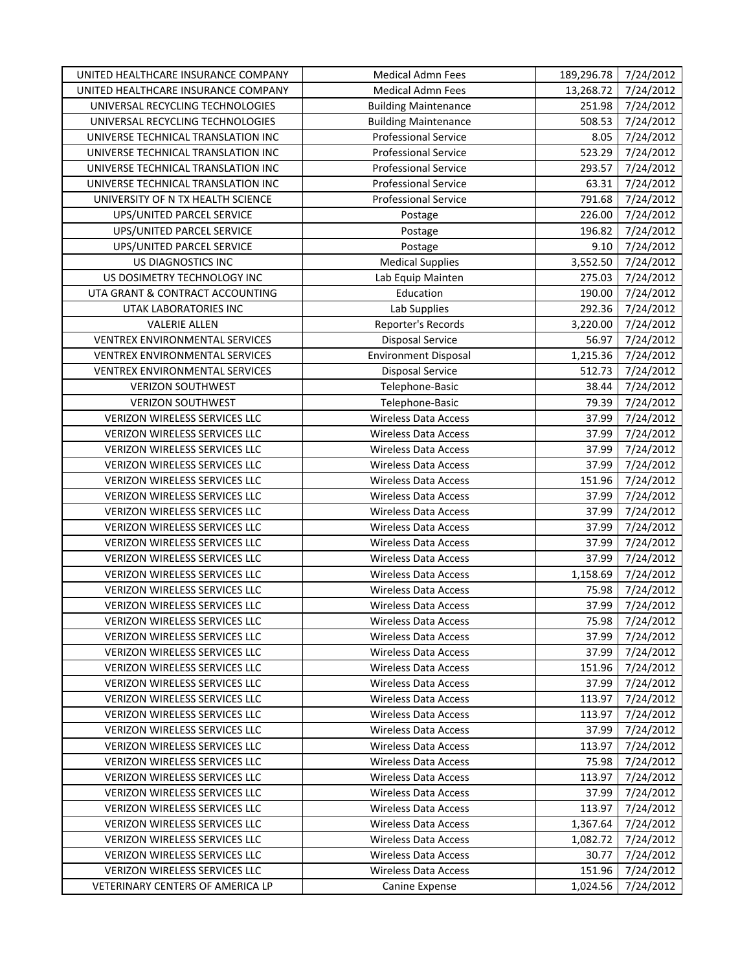| UNITED HEALTHCARE INSURANCE COMPANY   | <b>Medical Admn Fees</b>    | 189,296.78 | 7/24/2012 |
|---------------------------------------|-----------------------------|------------|-----------|
| UNITED HEALTHCARE INSURANCE COMPANY   | Medical Admn Fees           | 13,268.72  | 7/24/2012 |
| UNIVERSAL RECYCLING TECHNOLOGIES      | <b>Building Maintenance</b> | 251.98     | 7/24/2012 |
| UNIVERSAL RECYCLING TECHNOLOGIES      | <b>Building Maintenance</b> | 508.53     | 7/24/2012 |
| UNIVERSE TECHNICAL TRANSLATION INC    | <b>Professional Service</b> | 8.05       | 7/24/2012 |
| UNIVERSE TECHNICAL TRANSLATION INC    | <b>Professional Service</b> | 523.29     | 7/24/2012 |
| UNIVERSE TECHNICAL TRANSLATION INC    | <b>Professional Service</b> | 293.57     | 7/24/2012 |
| UNIVERSE TECHNICAL TRANSLATION INC    | <b>Professional Service</b> | 63.31      | 7/24/2012 |
| UNIVERSITY OF N TX HEALTH SCIENCE     | <b>Professional Service</b> | 791.68     | 7/24/2012 |
| UPS/UNITED PARCEL SERVICE             | Postage                     | 226.00     | 7/24/2012 |
| UPS/UNITED PARCEL SERVICE             | Postage                     | 196.82     | 7/24/2012 |
| UPS/UNITED PARCEL SERVICE             | Postage                     | 9.10       | 7/24/2012 |
| US DIAGNOSTICS INC                    | <b>Medical Supplies</b>     | 3,552.50   | 7/24/2012 |
| US DOSIMETRY TECHNOLOGY INC           | Lab Equip Mainten           | 275.03     | 7/24/2012 |
| UTA GRANT & CONTRACT ACCOUNTING       | Education                   | 190.00     | 7/24/2012 |
| <b>UTAK LABORATORIES INC</b>          | Lab Supplies                | 292.36     | 7/24/2012 |
| <b>VALERIE ALLEN</b>                  | Reporter's Records          | 3,220.00   | 7/24/2012 |
| VENTREX ENVIRONMENTAL SERVICES        | Disposal Service            | 56.97      | 7/24/2012 |
| VENTREX ENVIRONMENTAL SERVICES        | <b>Environment Disposal</b> | 1,215.36   | 7/24/2012 |
| <b>VENTREX ENVIRONMENTAL SERVICES</b> | Disposal Service            | 512.73     | 7/24/2012 |
| <b>VERIZON SOUTHWEST</b>              | Telephone-Basic             | 38.44      | 7/24/2012 |
| <b>VERIZON SOUTHWEST</b>              | Telephone-Basic             | 79.39      | 7/24/2012 |
| <b>VERIZON WIRELESS SERVICES LLC</b>  | <b>Wireless Data Access</b> | 37.99      | 7/24/2012 |
| VERIZON WIRELESS SERVICES LLC         | <b>Wireless Data Access</b> | 37.99      | 7/24/2012 |
| VERIZON WIRELESS SERVICES LLC         | <b>Wireless Data Access</b> | 37.99      | 7/24/2012 |
| VERIZON WIRELESS SERVICES LLC         | <b>Wireless Data Access</b> | 37.99      | 7/24/2012 |
| VERIZON WIRELESS SERVICES LLC         | <b>Wireless Data Access</b> | 151.96     | 7/24/2012 |
| VERIZON WIRELESS SERVICES LLC         | <b>Wireless Data Access</b> | 37.99      | 7/24/2012 |
| VERIZON WIRELESS SERVICES LLC         | <b>Wireless Data Access</b> | 37.99      | 7/24/2012 |
| VERIZON WIRELESS SERVICES LLC         | <b>Wireless Data Access</b> | 37.99      | 7/24/2012 |
| VERIZON WIRELESS SERVICES LLC         | Wireless Data Access        | 37.99      | 7/24/2012 |
| <b>VERIZON WIRELESS SERVICES LLC</b>  | <b>Wireless Data Access</b> | 37.99      | 7/24/2012 |
| VERIZON WIRELESS SERVICES LLC         | Wireless Data Access        | 1,158.69   | 7/24/2012 |
| VERIZON WIRELESS SERVICES LLC         | <b>Wireless Data Access</b> | 75.98      | 7/24/2012 |
| VERIZON WIRELESS SERVICES LLC         | <b>Wireless Data Access</b> | 37.99      | 7/24/2012 |
| VERIZON WIRELESS SERVICES LLC         | <b>Wireless Data Access</b> | 75.98      | 7/24/2012 |
| VERIZON WIRELESS SERVICES LLC         | <b>Wireless Data Access</b> | 37.99      | 7/24/2012 |
| VERIZON WIRELESS SERVICES LLC         | Wireless Data Access        | 37.99      | 7/24/2012 |
| <b>VERIZON WIRELESS SERVICES LLC</b>  | <b>Wireless Data Access</b> | 151.96     | 7/24/2012 |
| VERIZON WIRELESS SERVICES LLC         | Wireless Data Access        | 37.99      | 7/24/2012 |
| VERIZON WIRELESS SERVICES LLC         | <b>Wireless Data Access</b> | 113.97     | 7/24/2012 |
| VERIZON WIRELESS SERVICES LLC         | <b>Wireless Data Access</b> | 113.97     | 7/24/2012 |
| VERIZON WIRELESS SERVICES LLC         | Wireless Data Access        | 37.99      | 7/24/2012 |
| VERIZON WIRELESS SERVICES LLC         | <b>Wireless Data Access</b> | 113.97     | 7/24/2012 |
| VERIZON WIRELESS SERVICES LLC         | <b>Wireless Data Access</b> | 75.98      | 7/24/2012 |
| VERIZON WIRELESS SERVICES LLC         | <b>Wireless Data Access</b> | 113.97     | 7/24/2012 |
| VERIZON WIRELESS SERVICES LLC         | Wireless Data Access        | 37.99      | 7/24/2012 |
| VERIZON WIRELESS SERVICES LLC         | Wireless Data Access        | 113.97     | 7/24/2012 |
| VERIZON WIRELESS SERVICES LLC         | Wireless Data Access        | 1,367.64   | 7/24/2012 |
| VERIZON WIRELESS SERVICES LLC         | <b>Wireless Data Access</b> | 1,082.72   | 7/24/2012 |
| VERIZON WIRELESS SERVICES LLC         | Wireless Data Access        | 30.77      | 7/24/2012 |
| VERIZON WIRELESS SERVICES LLC         | <b>Wireless Data Access</b> | 151.96     | 7/24/2012 |
| VETERINARY CENTERS OF AMERICA LP      | Canine Expense              | 1,024.56   | 7/24/2012 |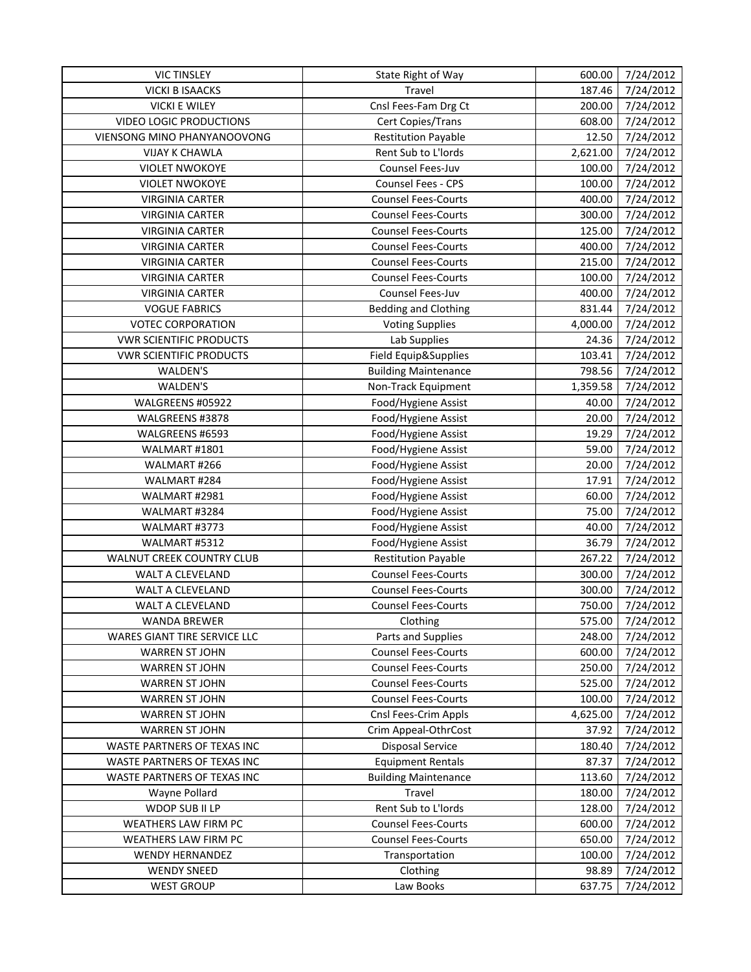| <b>VIC TINSLEY</b>                           | State Right of Way                                       | 600.00           | 7/24/2012              |
|----------------------------------------------|----------------------------------------------------------|------------------|------------------------|
| <b>VICKI B ISAACKS</b>                       | Travel                                                   | 187.46           | 7/24/2012              |
| <b>VICKI E WILEY</b>                         | Cnsl Fees-Fam Drg Ct                                     | 200.00           | 7/24/2012              |
| VIDEO LOGIC PRODUCTIONS                      | Cert Copies/Trans                                        | 608.00           | 7/24/2012              |
| VIENSONG MINO PHANYANOOVONG                  | <b>Restitution Payable</b>                               | 12.50            | 7/24/2012              |
| <b>VIJAY K CHAWLA</b>                        | Rent Sub to L'Iords                                      | 2,621.00         | 7/24/2012              |
| <b>VIOLET NWOKOYE</b>                        | Counsel Fees-Juv                                         | 100.00           | 7/24/2012              |
| <b>VIOLET NWOKOYE</b>                        | Counsel Fees - CPS                                       | 100.00           | 7/24/2012              |
| <b>VIRGINIA CARTER</b>                       | <b>Counsel Fees-Courts</b>                               | 400.00           | 7/24/2012              |
| <b>VIRGINIA CARTER</b>                       | <b>Counsel Fees-Courts</b>                               | 300.00           | 7/24/2012              |
| <b>VIRGINIA CARTER</b>                       | <b>Counsel Fees-Courts</b>                               | 125.00           | 7/24/2012              |
| <b>VIRGINIA CARTER</b>                       | <b>Counsel Fees-Courts</b>                               | 400.00           | 7/24/2012              |
| <b>VIRGINIA CARTER</b>                       | <b>Counsel Fees-Courts</b>                               | 215.00           | 7/24/2012              |
| <b>VIRGINIA CARTER</b>                       | <b>Counsel Fees-Courts</b>                               | 100.00           | 7/24/2012              |
| <b>VIRGINIA CARTER</b>                       | Counsel Fees-Juv                                         | 400.00           | 7/24/2012              |
| <b>VOGUE FABRICS</b>                         | <b>Bedding and Clothing</b>                              | 831.44           | 7/24/2012              |
| <b>VOTEC CORPORATION</b>                     | <b>Voting Supplies</b>                                   | 4,000.00         | 7/24/2012              |
| <b>VWR SCIENTIFIC PRODUCTS</b>               | Lab Supplies                                             | 24.36            | 7/24/2012              |
| <b>VWR SCIENTIFIC PRODUCTS</b>               | Field Equip&Supplies                                     | 103.41           | 7/24/2012              |
| WALDEN'S                                     | <b>Building Maintenance</b>                              | 798.56           | 7/24/2012              |
| WALDEN'S                                     | Non-Track Equipment                                      | 1,359.58         | 7/24/2012              |
| WALGREENS #05922                             | Food/Hygiene Assist                                      | 40.00            | 7/24/2012              |
| WALGREENS #3878                              | Food/Hygiene Assist                                      | 20.00            | 7/24/2012              |
| WALGREENS #6593                              | Food/Hygiene Assist                                      | 19.29            | 7/24/2012              |
| WALMART #1801                                | Food/Hygiene Assist                                      | 59.00            | 7/24/2012              |
| WALMART #266                                 | Food/Hygiene Assist                                      | 20.00            | 7/24/2012              |
| WALMART #284                                 | Food/Hygiene Assist                                      | 17.91            | 7/24/2012              |
| WALMART #2981                                | Food/Hygiene Assist                                      | 60.00            | 7/24/2012              |
| WALMART #3284                                | Food/Hygiene Assist                                      | 75.00            | 7/24/2012              |
| WALMART #3773                                | Food/Hygiene Assist                                      | 40.00            | 7/24/2012              |
| WALMART #5312                                | Food/Hygiene Assist                                      | 36.79            | 7/24/2012              |
| <b>WALNUT CREEK COUNTRY CLUB</b>             | <b>Restitution Payable</b>                               | 267.22           | 7/24/2012              |
| WALT A CLEVELAND                             | <b>Counsel Fees-Courts</b>                               | 300.00           | 7/24/2012              |
| WALT A CLEVELAND                             | <b>Counsel Fees-Courts</b>                               | 300.00           | 7/24/2012              |
| WALT A CLEVELAND                             | <b>Counsel Fees-Courts</b>                               | 750.00           | 7/24/2012              |
| <b>WANDA BREWER</b>                          | Clothing                                                 | 575.00           | 7/24/2012              |
| WARES GIANT TIRE SERVICE LLC                 | Parts and Supplies                                       | 248.00           | 7/24/2012              |
| <b>WARREN ST JOHN</b>                        | <b>Counsel Fees-Courts</b>                               | 600.00           | 7/24/2012              |
| <b>WARREN ST JOHN</b>                        | <b>Counsel Fees-Courts</b>                               | 250.00           | 7/24/2012              |
| <b>WARREN ST JOHN</b>                        | <b>Counsel Fees-Courts</b>                               | 525.00           | 7/24/2012              |
| <b>WARREN ST JOHN</b>                        | <b>Counsel Fees-Courts</b>                               | 100.00           | 7/24/2012              |
|                                              | Cnsl Fees-Crim Appls                                     | 4,625.00         | 7/24/2012              |
| <b>WARREN ST JOHN</b>                        | Crim Appeal-OthrCost                                     |                  | 7/24/2012              |
| <b>WARREN ST JOHN</b>                        | <b>Disposal Service</b>                                  | 37.92            |                        |
| WASTE PARTNERS OF TEXAS INC                  |                                                          | 180.40           | 7/24/2012              |
| WASTE PARTNERS OF TEXAS INC                  | <b>Equipment Rentals</b>                                 | 87.37            | 7/24/2012              |
| WASTE PARTNERS OF TEXAS INC                  | <b>Building Maintenance</b>                              | 113.60           | 7/24/2012              |
| Wayne Pollard<br>WDOP SUB II LP              | Travel<br>Rent Sub to L'Iords                            | 180.00           | 7/24/2012              |
|                                              |                                                          | 128.00           | 7/24/2012              |
| WEATHERS LAW FIRM PC<br>WEATHERS LAW FIRM PC | <b>Counsel Fees-Courts</b><br><b>Counsel Fees-Courts</b> | 600.00<br>650.00 | 7/24/2012<br>7/24/2012 |
| <b>WENDY HERNANDEZ</b>                       | Transportation                                           | 100.00           | 7/24/2012              |
| <b>WENDY SNEED</b>                           | Clothing                                                 | 98.89            | 7/24/2012              |
| <b>WEST GROUP</b>                            | Law Books                                                |                  |                        |
|                                              |                                                          | 637.75           | 7/24/2012              |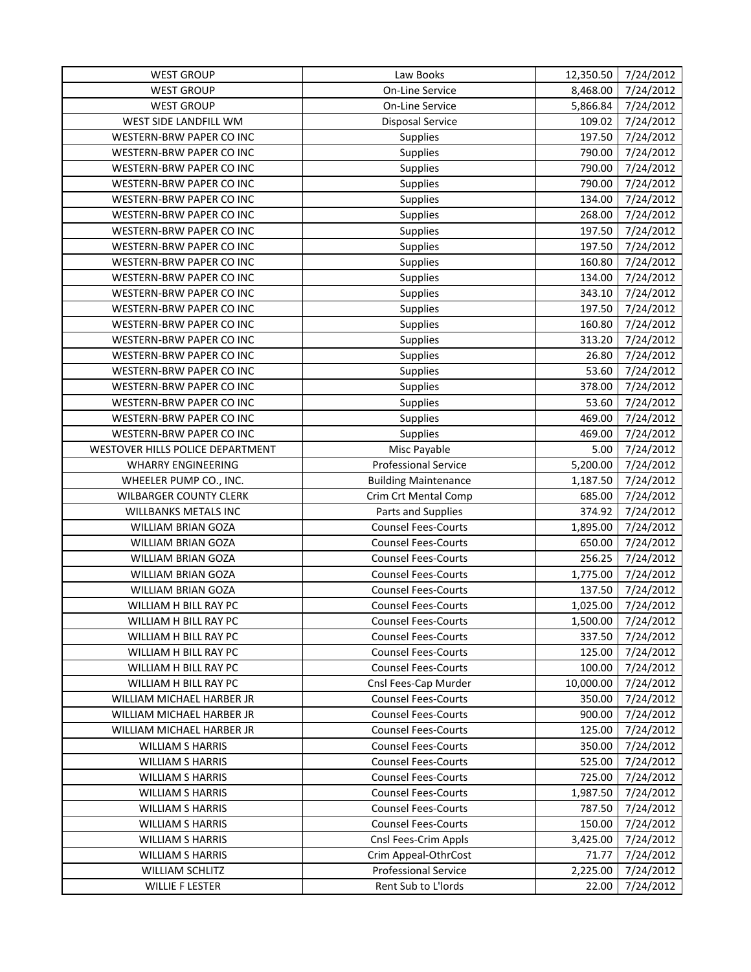| <b>WEST GROUP</b>                | Law Books                   | 12,350.50 | 7/24/2012 |
|----------------------------------|-----------------------------|-----------|-----------|
| <b>WEST GROUP</b>                | On-Line Service             | 8,468.00  | 7/24/2012 |
| <b>WEST GROUP</b>                | On-Line Service             | 5,866.84  | 7/24/2012 |
| WEST SIDE LANDFILL WM            | <b>Disposal Service</b>     | 109.02    | 7/24/2012 |
| WESTERN-BRW PAPER CO INC         | Supplies                    | 197.50    | 7/24/2012 |
| WESTERN-BRW PAPER CO INC         | Supplies                    | 790.00    | 7/24/2012 |
| WESTERN-BRW PAPER CO INC         | Supplies                    | 790.00    | 7/24/2012 |
| WESTERN-BRW PAPER CO INC         | Supplies                    | 790.00    | 7/24/2012 |
| WESTERN-BRW PAPER CO INC         | Supplies                    | 134.00    | 7/24/2012 |
| WESTERN-BRW PAPER CO INC         | Supplies                    | 268.00    | 7/24/2012 |
| WESTERN-BRW PAPER CO INC         | Supplies                    | 197.50    | 7/24/2012 |
| WESTERN-BRW PAPER CO INC         | Supplies                    | 197.50    | 7/24/2012 |
| WESTERN-BRW PAPER CO INC         | <b>Supplies</b>             | 160.80    | 7/24/2012 |
| WESTERN-BRW PAPER CO INC         | Supplies                    | 134.00    | 7/24/2012 |
| WESTERN-BRW PAPER CO INC         | Supplies                    | 343.10    | 7/24/2012 |
| WESTERN-BRW PAPER CO INC         | Supplies                    | 197.50    | 7/24/2012 |
| WESTERN-BRW PAPER CO INC         | Supplies                    | 160.80    | 7/24/2012 |
| WESTERN-BRW PAPER CO INC         | Supplies                    | 313.20    | 7/24/2012 |
| WESTERN-BRW PAPER CO INC         | Supplies                    | 26.80     | 7/24/2012 |
| WESTERN-BRW PAPER CO INC         | Supplies                    | 53.60     | 7/24/2012 |
| WESTERN-BRW PAPER CO INC         | <b>Supplies</b>             | 378.00    | 7/24/2012 |
| WESTERN-BRW PAPER CO INC         | <b>Supplies</b>             | 53.60     | 7/24/2012 |
| WESTERN-BRW PAPER CO INC         | Supplies                    | 469.00    | 7/24/2012 |
| WESTERN-BRW PAPER CO INC         | Supplies                    | 469.00    | 7/24/2012 |
| WESTOVER HILLS POLICE DEPARTMENT | Misc Payable                | 5.00      | 7/24/2012 |
| <b>WHARRY ENGINEERING</b>        | <b>Professional Service</b> | 5,200.00  | 7/24/2012 |
| WHEELER PUMP CO., INC.           | <b>Building Maintenance</b> | 1,187.50  | 7/24/2012 |
| <b>WILBARGER COUNTY CLERK</b>    | Crim Crt Mental Comp        | 685.00    | 7/24/2012 |
| WILLBANKS METALS INC             | Parts and Supplies          | 374.92    | 7/24/2012 |
| WILLIAM BRIAN GOZA               | <b>Counsel Fees-Courts</b>  | 1,895.00  | 7/24/2012 |
| WILLIAM BRIAN GOZA               | <b>Counsel Fees-Courts</b>  | 650.00    | 7/24/2012 |
| WILLIAM BRIAN GOZA               | <b>Counsel Fees-Courts</b>  | 256.25    | 7/24/2012 |
| WILLIAM BRIAN GOZA               | <b>Counsel Fees-Courts</b>  | 1,775.00  | 7/24/2012 |
| WILLIAM BRIAN GOZA               | <b>Counsel Fees-Courts</b>  | 137.50    | 7/24/2012 |
| WILLIAM H BILL RAY PC            | <b>Counsel Fees-Courts</b>  | 1,025.00  | 7/24/2012 |
| WILLIAM H BILL RAY PC            | <b>Counsel Fees-Courts</b>  | 1,500.00  | 7/24/2012 |
| WILLIAM H BILL RAY PC            | <b>Counsel Fees-Courts</b>  | 337.50    | 7/24/2012 |
| WILLIAM H BILL RAY PC            | <b>Counsel Fees-Courts</b>  | 125.00    | 7/24/2012 |
| WILLIAM H BILL RAY PC            | <b>Counsel Fees-Courts</b>  | 100.00    | 7/24/2012 |
| WILLIAM H BILL RAY PC            | Cnsl Fees-Cap Murder        | 10,000.00 | 7/24/2012 |
| WILLIAM MICHAEL HARBER JR        | <b>Counsel Fees-Courts</b>  | 350.00    | 7/24/2012 |
| WILLIAM MICHAEL HARBER JR        | <b>Counsel Fees-Courts</b>  | 900.00    | 7/24/2012 |
| WILLIAM MICHAEL HARBER JR        | <b>Counsel Fees-Courts</b>  | 125.00    | 7/24/2012 |
| <b>WILLIAM S HARRIS</b>          | <b>Counsel Fees-Courts</b>  | 350.00    | 7/24/2012 |
| <b>WILLIAM S HARRIS</b>          | <b>Counsel Fees-Courts</b>  | 525.00    | 7/24/2012 |
| <b>WILLIAM S HARRIS</b>          | <b>Counsel Fees-Courts</b>  | 725.00    | 7/24/2012 |
| <b>WILLIAM S HARRIS</b>          | <b>Counsel Fees-Courts</b>  | 1,987.50  | 7/24/2012 |
| <b>WILLIAM S HARRIS</b>          | <b>Counsel Fees-Courts</b>  | 787.50    | 7/24/2012 |
| <b>WILLIAM S HARRIS</b>          | <b>Counsel Fees-Courts</b>  | 150.00    | 7/24/2012 |
| <b>WILLIAM S HARRIS</b>          | Cnsl Fees-Crim Appls        | 3,425.00  | 7/24/2012 |
| <b>WILLIAM S HARRIS</b>          | Crim Appeal-OthrCost        | 71.77     | 7/24/2012 |
| <b>WILLIAM SCHLITZ</b>           | <b>Professional Service</b> | 2,225.00  | 7/24/2012 |
| <b>WILLIE F LESTER</b>           | Rent Sub to L'Iords         | 22.00     | 7/24/2012 |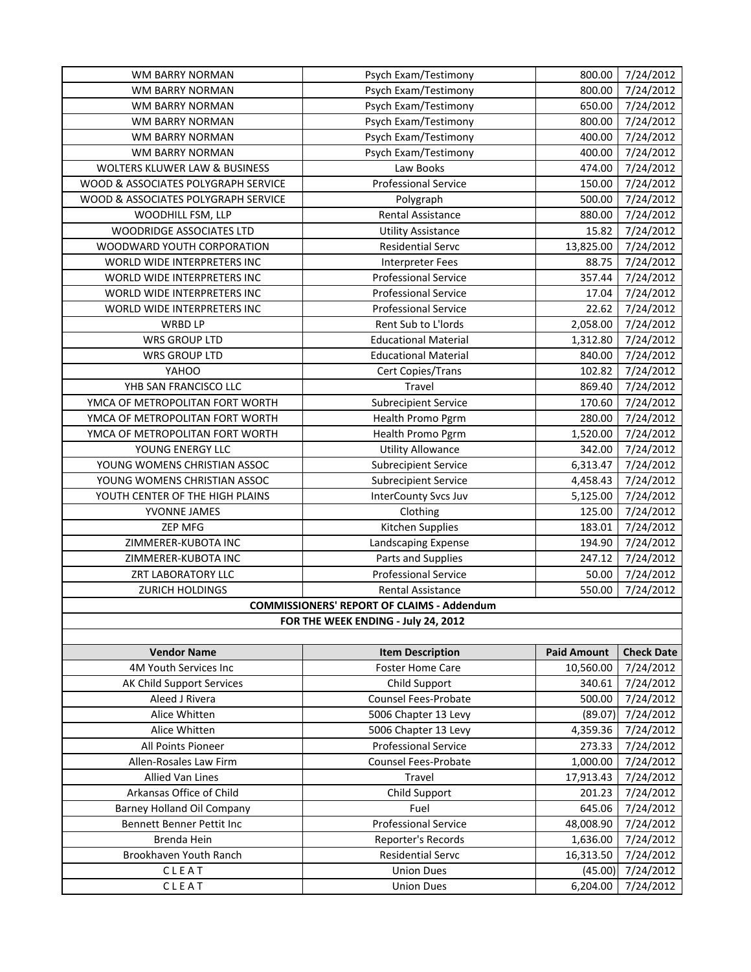| <b>WM BARRY NORMAN</b>              | Psych Exam/Testimony                              | 800.00             | 7/24/2012         |
|-------------------------------------|---------------------------------------------------|--------------------|-------------------|
| WM BARRY NORMAN                     | Psych Exam/Testimony                              | 800.00             | 7/24/2012         |
| WM BARRY NORMAN                     | Psych Exam/Testimony                              | 650.00             | 7/24/2012         |
| WM BARRY NORMAN                     | Psych Exam/Testimony                              | 800.00             | 7/24/2012         |
| WM BARRY NORMAN                     | Psych Exam/Testimony                              | 400.00             | 7/24/2012         |
| WM BARRY NORMAN                     | Psych Exam/Testimony                              | 400.00             | 7/24/2012         |
| WOLTERS KLUWER LAW & BUSINESS       | Law Books                                         | 474.00             | 7/24/2012         |
| WOOD & ASSOCIATES POLYGRAPH SERVICE | <b>Professional Service</b>                       | 150.00             | 7/24/2012         |
| WOOD & ASSOCIATES POLYGRAPH SERVICE | Polygraph                                         | 500.00             | 7/24/2012         |
| WOODHILL FSM, LLP                   | Rental Assistance                                 | 880.00             | 7/24/2012         |
| WOODRIDGE ASSOCIATES LTD            | <b>Utility Assistance</b>                         | 15.82              | 7/24/2012         |
| WOODWARD YOUTH CORPORATION          | <b>Residential Servc</b>                          | 13,825.00          | 7/24/2012         |
| WORLD WIDE INTERPRETERS INC         | <b>Interpreter Fees</b>                           | 88.75              | 7/24/2012         |
| WORLD WIDE INTERPRETERS INC         | <b>Professional Service</b>                       | 357.44             | 7/24/2012         |
| WORLD WIDE INTERPRETERS INC         | <b>Professional Service</b>                       | 17.04              | 7/24/2012         |
| WORLD WIDE INTERPRETERS INC         | <b>Professional Service</b>                       | 22.62              | 7/24/2012         |
| WRBD LP                             | Rent Sub to L'Iords                               | 2,058.00           | 7/24/2012         |
| <b>WRS GROUP LTD</b>                | <b>Educational Material</b>                       | 1,312.80           | 7/24/2012         |
| <b>WRS GROUP LTD</b>                | <b>Educational Material</b>                       | 840.00             | 7/24/2012         |
| YAHOO                               | Cert Copies/Trans                                 | 102.82             | 7/24/2012         |
| YHB SAN FRANCISCO LLC               | Travel                                            | 869.40             | 7/24/2012         |
| YMCA OF METROPOLITAN FORT WORTH     | <b>Subrecipient Service</b>                       | 170.60             | 7/24/2012         |
| YMCA OF METROPOLITAN FORT WORTH     | Health Promo Pgrm                                 | 280.00             | 7/24/2012         |
| YMCA OF METROPOLITAN FORT WORTH     | Health Promo Pgrm                                 | 1,520.00           | 7/24/2012         |
| YOUNG ENERGY LLC                    | <b>Utility Allowance</b>                          | 342.00             | 7/24/2012         |
| YOUNG WOMENS CHRISTIAN ASSOC        | <b>Subrecipient Service</b>                       | 6,313.47           | 7/24/2012         |
| YOUNG WOMENS CHRISTIAN ASSOC        | <b>Subrecipient Service</b>                       | 4,458.43           | 7/24/2012         |
| YOUTH CENTER OF THE HIGH PLAINS     | <b>InterCounty Svcs Juv</b>                       | 5,125.00           | 7/24/2012         |
| YVONNE JAMES                        | Clothing                                          | 125.00             | 7/24/2012         |
| <b>ZEP MFG</b>                      | Kitchen Supplies                                  | 183.01             | 7/24/2012         |
| ZIMMERER-KUBOTA INC                 | Landscaping Expense                               | 194.90             | 7/24/2012         |
| ZIMMERER-KUBOTA INC                 | Parts and Supplies                                | 247.12             | 7/24/2012         |
| ZRT LABORATORY LLC                  | <b>Professional Service</b>                       | 50.00              | 7/24/2012         |
| ZURICH HOLDINGS                     | Rental Assistance                                 | 550.00             | 7/24/2012         |
|                                     | <b>COMMISSIONERS' REPORT OF CLAIMS - Addendum</b> |                    |                   |
|                                     | FOR THE WEEK ENDING - July 24, 2012               |                    |                   |
|                                     |                                                   |                    |                   |
| <b>Vendor Name</b>                  | <b>Item Description</b>                           | <b>Paid Amount</b> | <b>Check Date</b> |
| 4M Youth Services Inc               | Foster Home Care                                  | 10,560.00          | 7/24/2012         |
| AK Child Support Services           | Child Support                                     | 340.61             | 7/24/2012         |
| Aleed J Rivera                      | <b>Counsel Fees-Probate</b>                       | 500.00             | 7/24/2012         |
| Alice Whitten                       | 5006 Chapter 13 Levy                              | (89.07)            | 7/24/2012         |
| Alice Whitten                       | 5006 Chapter 13 Levy                              | 4,359.36           | 7/24/2012         |
| All Points Pioneer                  | <b>Professional Service</b>                       | 273.33             | 7/24/2012         |
| Allen-Rosales Law Firm              | <b>Counsel Fees-Probate</b>                       | 1,000.00           | 7/24/2012         |
| Allied Van Lines                    | Travel                                            | 17,913.43          | 7/24/2012         |
| Arkansas Office of Child            | Child Support                                     | 201.23             | 7/24/2012         |
| <b>Barney Holland Oil Company</b>   | Fuel                                              | 645.06             | 7/24/2012         |
| Bennett Benner Pettit Inc           | <b>Professional Service</b>                       | 48,008.90          | 7/24/2012         |
| Brenda Hein                         | Reporter's Records                                | 1,636.00           | 7/24/2012         |
| Brookhaven Youth Ranch              | <b>Residential Servc</b>                          | 16,313.50          | 7/24/2012         |
| CLEAT                               | <b>Union Dues</b>                                 | (45.00)            | 7/24/2012         |
| CLEAT                               | <b>Union Dues</b>                                 | 6,204.00           | 7/24/2012         |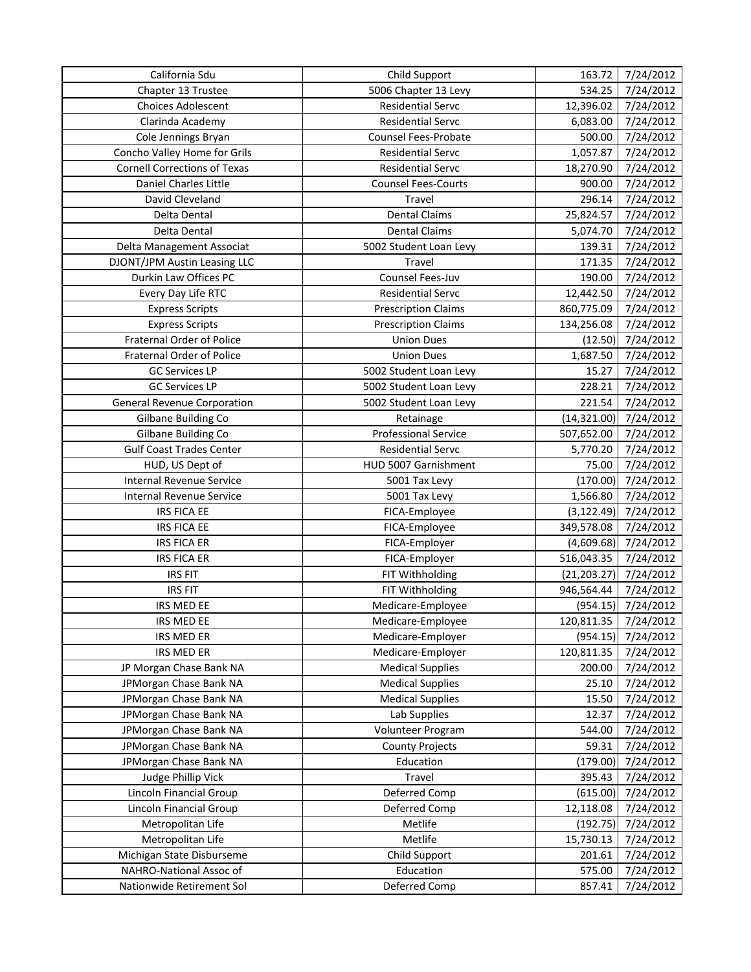| California Sdu                      | Child Support               | 163.72       | 7/24/2012 |
|-------------------------------------|-----------------------------|--------------|-----------|
| Chapter 13 Trustee                  | 5006 Chapter 13 Levy        | 534.25       | 7/24/2012 |
| <b>Choices Adolescent</b>           | <b>Residential Servc</b>    | 12,396.02    | 7/24/2012 |
| Clarinda Academy                    | <b>Residential Servc</b>    | 6,083.00     | 7/24/2012 |
| Cole Jennings Bryan                 | Counsel Fees-Probate        | 500.00       | 7/24/2012 |
| Concho Valley Home for Grils        | <b>Residential Servc</b>    | 1,057.87     | 7/24/2012 |
| <b>Cornell Corrections of Texas</b> | <b>Residential Servc</b>    | 18,270.90    | 7/24/2012 |
| Daniel Charles Little               | <b>Counsel Fees-Courts</b>  | 900.00       | 7/24/2012 |
| David Cleveland                     | Travel                      | 296.14       | 7/24/2012 |
| Delta Dental                        | <b>Dental Claims</b>        | 25,824.57    | 7/24/2012 |
| Delta Dental                        | <b>Dental Claims</b>        | 5,074.70     | 7/24/2012 |
| Delta Management Associat           | 5002 Student Loan Levy      | 139.31       | 7/24/2012 |
| DJONT/JPM Austin Leasing LLC        | Travel                      | 171.35       | 7/24/2012 |
| Durkin Law Offices PC               | Counsel Fees-Juv            | 190.00       | 7/24/2012 |
| Every Day Life RTC                  | <b>Residential Servc</b>    | 12,442.50    | 7/24/2012 |
| <b>Express Scripts</b>              | <b>Prescription Claims</b>  | 860,775.09   | 7/24/2012 |
| <b>Express Scripts</b>              | <b>Prescription Claims</b>  | 134,256.08   | 7/24/2012 |
| Fraternal Order of Police           | <b>Union Dues</b>           | (12.50)      | 7/24/2012 |
| Fraternal Order of Police           | <b>Union Dues</b>           | 1,687.50     | 7/24/2012 |
| <b>GC Services LP</b>               | 5002 Student Loan Levy      | 15.27        | 7/24/2012 |
| <b>GC Services LP</b>               | 5002 Student Loan Levy      | 228.21       | 7/24/2012 |
| <b>General Revenue Corporation</b>  | 5002 Student Loan Levy      | 221.54       | 7/24/2012 |
| Gilbane Building Co                 | Retainage                   | (14, 321.00) | 7/24/2012 |
| Gilbane Building Co                 | <b>Professional Service</b> | 507,652.00   | 7/24/2012 |
| <b>Gulf Coast Trades Center</b>     | <b>Residential Servc</b>    | 5,770.20     | 7/24/2012 |
| HUD, US Dept of                     | HUD 5007 Garnishment        | 75.00        | 7/24/2012 |
| Internal Revenue Service            | 5001 Tax Levy               | (170.00)     | 7/24/2012 |
| Internal Revenue Service            | 5001 Tax Levy               | 1,566.80     | 7/24/2012 |
| <b>IRS FICA EE</b>                  | FICA-Employee               | (3, 122.49)  | 7/24/2012 |
| <b>IRS FICA EE</b>                  | FICA-Employee               | 349,578.08   | 7/24/2012 |
| <b>IRS FICA ER</b>                  | FICA-Employer               | (4,609.68)   | 7/24/2012 |
| <b>IRS FICA ER</b>                  | FICA-Employer               | 516,043.35   | 7/24/2012 |
| <b>IRS FIT</b>                      | FIT Withholding             | (21, 203.27) | 7/24/2012 |
| <b>IRS FIT</b>                      | FIT Withholding             | 946,564.44   | 7/24/2012 |
| IRS MED EE                          | Medicare-Employee           | (954.15)     | 7/24/2012 |
| IRS MED EE                          | Medicare-Employee           | 120,811.35   | 7/24/2012 |
| IRS MED ER                          | Medicare-Employer           | (954.15)     | 7/24/2012 |
| IRS MED ER                          | Medicare-Employer           | 120,811.35   | 7/24/2012 |
| JP Morgan Chase Bank NA             | <b>Medical Supplies</b>     | 200.00       | 7/24/2012 |
| JPMorgan Chase Bank NA              | <b>Medical Supplies</b>     | 25.10        | 7/24/2012 |
| JPMorgan Chase Bank NA              | <b>Medical Supplies</b>     | 15.50        | 7/24/2012 |
| JPMorgan Chase Bank NA              | Lab Supplies                | 12.37        | 7/24/2012 |
| JPMorgan Chase Bank NA              | Volunteer Program           | 544.00       | 7/24/2012 |
| JPMorgan Chase Bank NA              | <b>County Projects</b>      | 59.31        | 7/24/2012 |
| JPMorgan Chase Bank NA              | Education                   | (179.00)     | 7/24/2012 |
| Judge Phillip Vick                  | Travel                      | 395.43       | 7/24/2012 |
| Lincoln Financial Group             | Deferred Comp               | (615.00)     | 7/24/2012 |
| Lincoln Financial Group             | Deferred Comp               | 12,118.08    | 7/24/2012 |
| Metropolitan Life                   | Metlife                     | (192.75)     | 7/24/2012 |
| Metropolitan Life                   | Metlife                     | 15,730.13    | 7/24/2012 |
| Michigan State Disburseme           | Child Support               | 201.61       | 7/24/2012 |
| NAHRO-National Assoc of             | Education                   | 575.00       | 7/24/2012 |
| Nationwide Retirement Sol           | Deferred Comp               | 857.41       | 7/24/2012 |
|                                     |                             |              |           |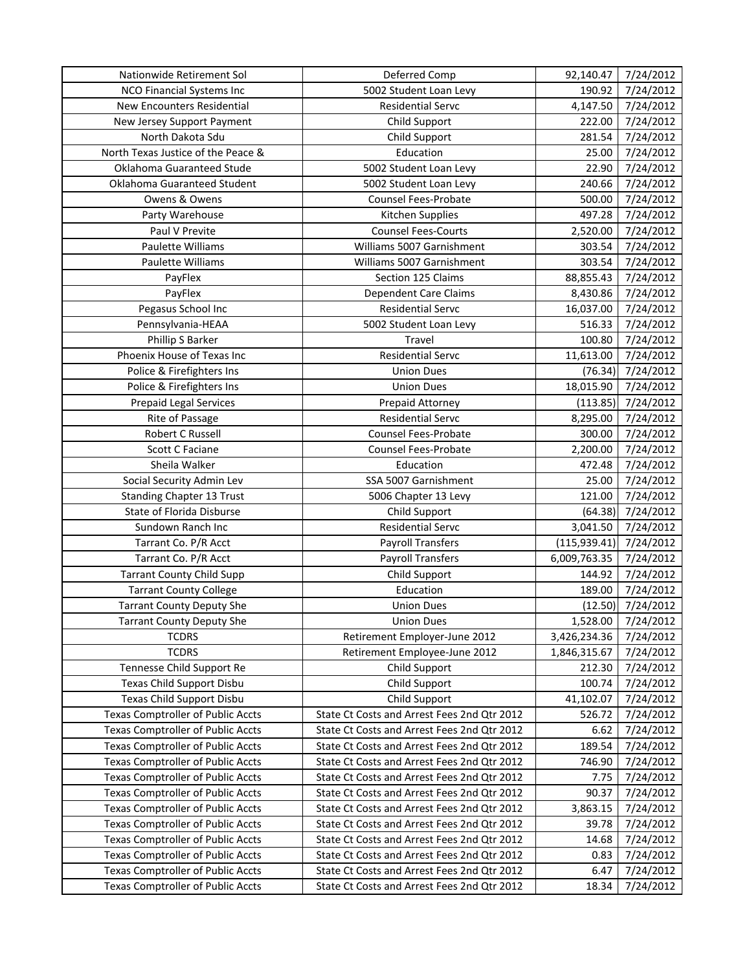| Nationwide Retirement Sol                | Deferred Comp                               | 92,140.47     | 7/24/2012 |
|------------------------------------------|---------------------------------------------|---------------|-----------|
| <b>NCO Financial Systems Inc.</b>        | 5002 Student Loan Levy                      | 190.92        | 7/24/2012 |
| New Encounters Residential               | <b>Residential Servc</b>                    | 4,147.50      | 7/24/2012 |
| New Jersey Support Payment               | Child Support                               | 222.00        | 7/24/2012 |
| North Dakota Sdu                         | Child Support                               | 281.54        | 7/24/2012 |
| North Texas Justice of the Peace &       | Education                                   | 25.00         | 7/24/2012 |
| Oklahoma Guaranteed Stude                | 5002 Student Loan Levy                      | 22.90         | 7/24/2012 |
| Oklahoma Guaranteed Student              | 5002 Student Loan Levy                      | 240.66        | 7/24/2012 |
| Owens & Owens                            | <b>Counsel Fees-Probate</b>                 | 500.00        | 7/24/2012 |
| Party Warehouse                          | Kitchen Supplies                            | 497.28        | 7/24/2012 |
| Paul V Previte                           | <b>Counsel Fees-Courts</b>                  | 2,520.00      | 7/24/2012 |
| Paulette Williams                        | Williams 5007 Garnishment                   | 303.54        | 7/24/2012 |
| Paulette Williams                        | Williams 5007 Garnishment                   | 303.54        | 7/24/2012 |
| PayFlex                                  | Section 125 Claims                          | 88,855.43     | 7/24/2012 |
| PayFlex                                  | <b>Dependent Care Claims</b>                | 8,430.86      | 7/24/2012 |
| Pegasus School Inc                       | <b>Residential Servc</b>                    | 16,037.00     | 7/24/2012 |
| Pennsylvania-HEAA                        | 5002 Student Loan Levy                      | 516.33        | 7/24/2012 |
| Phillip S Barker                         | Travel                                      | 100.80        | 7/24/2012 |
| Phoenix House of Texas Inc               | <b>Residential Servc</b>                    | 11,613.00     | 7/24/2012 |
| Police & Firefighters Ins                | <b>Union Dues</b>                           | (76.34)       | 7/24/2012 |
| Police & Firefighters Ins                | <b>Union Dues</b>                           | 18,015.90     | 7/24/2012 |
| Prepaid Legal Services                   | Prepaid Attorney                            | (113.85)      | 7/24/2012 |
| Rite of Passage                          | <b>Residential Servc</b>                    | 8,295.00      | 7/24/2012 |
| Robert C Russell                         | Counsel Fees-Probate                        | 300.00        | 7/24/2012 |
| Scott C Faciane                          | Counsel Fees-Probate                        | 2,200.00      | 7/24/2012 |
| Sheila Walker                            | Education                                   | 472.48        | 7/24/2012 |
| Social Security Admin Lev                | SSA 5007 Garnishment                        | 25.00         | 7/24/2012 |
| <b>Standing Chapter 13 Trust</b>         | 5006 Chapter 13 Levy                        | 121.00        | 7/24/2012 |
| State of Florida Disburse                | Child Support                               | (64.38)       | 7/24/2012 |
| Sundown Ranch Inc                        | <b>Residential Servc</b>                    | 3,041.50      | 7/24/2012 |
| Tarrant Co. P/R Acct                     | <b>Payroll Transfers</b>                    | (115, 939.41) | 7/24/2012 |
| Tarrant Co. P/R Acct                     | <b>Payroll Transfers</b>                    | 6,009,763.35  | 7/24/2012 |
| <b>Tarrant County Child Supp</b>         | Child Support                               | 144.92        | 7/24/2012 |
| <b>Tarrant County College</b>            | Education                                   | 189.00        | 7/24/2012 |
| <b>Tarrant County Deputy She</b>         | <b>Union Dues</b>                           | (12.50)       | 7/24/2012 |
| <b>Tarrant County Deputy She</b>         | <b>Union Dues</b>                           | 1,528.00      | 7/24/2012 |
| <b>TCDRS</b>                             | Retirement Employer-June 2012               | 3,426,234.36  | 7/24/2012 |
| <b>TCDRS</b>                             | Retirement Employee-June 2012               | 1,846,315.67  | 7/24/2012 |
| Tennesse Child Support Re                | Child Support                               | 212.30        | 7/24/2012 |
| Texas Child Support Disbu                | Child Support                               | 100.74        | 7/24/2012 |
| <b>Texas Child Support Disbu</b>         | Child Support                               | 41,102.07     | 7/24/2012 |
| <b>Texas Comptroller of Public Accts</b> | State Ct Costs and Arrest Fees 2nd Qtr 2012 | 526.72        | 7/24/2012 |
| <b>Texas Comptroller of Public Accts</b> | State Ct Costs and Arrest Fees 2nd Qtr 2012 | 6.62          | 7/24/2012 |
| <b>Texas Comptroller of Public Accts</b> | State Ct Costs and Arrest Fees 2nd Qtr 2012 | 189.54        | 7/24/2012 |
| <b>Texas Comptroller of Public Accts</b> | State Ct Costs and Arrest Fees 2nd Qtr 2012 | 746.90        | 7/24/2012 |
| <b>Texas Comptroller of Public Accts</b> | State Ct Costs and Arrest Fees 2nd Qtr 2012 | 7.75          | 7/24/2012 |
| <b>Texas Comptroller of Public Accts</b> | State Ct Costs and Arrest Fees 2nd Qtr 2012 | 90.37         | 7/24/2012 |
| <b>Texas Comptroller of Public Accts</b> | State Ct Costs and Arrest Fees 2nd Qtr 2012 | 3,863.15      | 7/24/2012 |
| <b>Texas Comptroller of Public Accts</b> | State Ct Costs and Arrest Fees 2nd Qtr 2012 | 39.78         | 7/24/2012 |
| <b>Texas Comptroller of Public Accts</b> | State Ct Costs and Arrest Fees 2nd Qtr 2012 | 14.68         | 7/24/2012 |
| <b>Texas Comptroller of Public Accts</b> | State Ct Costs and Arrest Fees 2nd Qtr 2012 | 0.83          | 7/24/2012 |
| Texas Comptroller of Public Accts        | State Ct Costs and Arrest Fees 2nd Qtr 2012 | 6.47          | 7/24/2012 |
| <b>Texas Comptroller of Public Accts</b> | State Ct Costs and Arrest Fees 2nd Qtr 2012 | 18.34         | 7/24/2012 |
|                                          |                                             |               |           |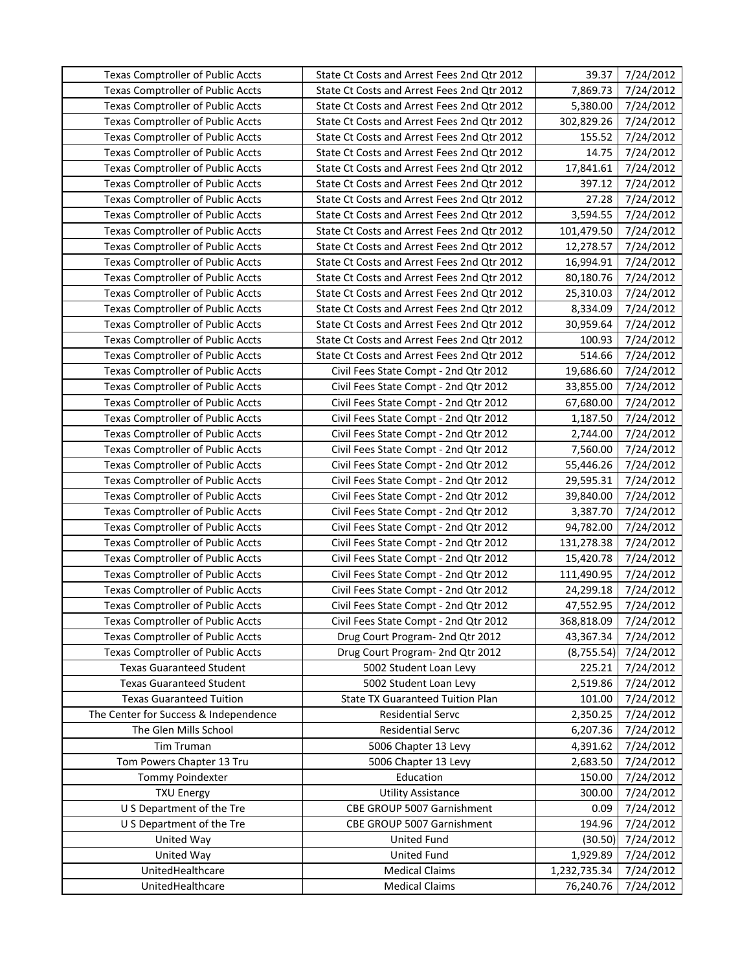| <b>Texas Comptroller of Public Accts</b> | State Ct Costs and Arrest Fees 2nd Qtr 2012 | 39.37        | 7/24/2012 |
|------------------------------------------|---------------------------------------------|--------------|-----------|
| <b>Texas Comptroller of Public Accts</b> | State Ct Costs and Arrest Fees 2nd Qtr 2012 | 7,869.73     | 7/24/2012 |
| <b>Texas Comptroller of Public Accts</b> | State Ct Costs and Arrest Fees 2nd Qtr 2012 | 5,380.00     | 7/24/2012 |
| Texas Comptroller of Public Accts        | State Ct Costs and Arrest Fees 2nd Qtr 2012 | 302,829.26   | 7/24/2012 |
| <b>Texas Comptroller of Public Accts</b> | State Ct Costs and Arrest Fees 2nd Qtr 2012 | 155.52       | 7/24/2012 |
| <b>Texas Comptroller of Public Accts</b> | State Ct Costs and Arrest Fees 2nd Qtr 2012 | 14.75        | 7/24/2012 |
| <b>Texas Comptroller of Public Accts</b> | State Ct Costs and Arrest Fees 2nd Qtr 2012 | 17,841.61    | 7/24/2012 |
| Texas Comptroller of Public Accts        | State Ct Costs and Arrest Fees 2nd Qtr 2012 | 397.12       | 7/24/2012 |
| <b>Texas Comptroller of Public Accts</b> | State Ct Costs and Arrest Fees 2nd Qtr 2012 | 27.28        | 7/24/2012 |
| <b>Texas Comptroller of Public Accts</b> | State Ct Costs and Arrest Fees 2nd Qtr 2012 | 3,594.55     | 7/24/2012 |
| Texas Comptroller of Public Accts        | State Ct Costs and Arrest Fees 2nd Qtr 2012 | 101,479.50   | 7/24/2012 |
| <b>Texas Comptroller of Public Accts</b> | State Ct Costs and Arrest Fees 2nd Qtr 2012 | 12,278.57    | 7/24/2012 |
| <b>Texas Comptroller of Public Accts</b> | State Ct Costs and Arrest Fees 2nd Qtr 2012 | 16,994.91    | 7/24/2012 |
| <b>Texas Comptroller of Public Accts</b> | State Ct Costs and Arrest Fees 2nd Qtr 2012 | 80,180.76    | 7/24/2012 |
| Texas Comptroller of Public Accts        | State Ct Costs and Arrest Fees 2nd Qtr 2012 | 25,310.03    | 7/24/2012 |
| Texas Comptroller of Public Accts        | State Ct Costs and Arrest Fees 2nd Qtr 2012 | 8,334.09     | 7/24/2012 |
| <b>Texas Comptroller of Public Accts</b> | State Ct Costs and Arrest Fees 2nd Qtr 2012 | 30,959.64    | 7/24/2012 |
| <b>Texas Comptroller of Public Accts</b> | State Ct Costs and Arrest Fees 2nd Qtr 2012 | 100.93       | 7/24/2012 |
| <b>Texas Comptroller of Public Accts</b> | State Ct Costs and Arrest Fees 2nd Qtr 2012 | 514.66       | 7/24/2012 |
| <b>Texas Comptroller of Public Accts</b> | Civil Fees State Compt - 2nd Qtr 2012       | 19,686.60    | 7/24/2012 |
| <b>Texas Comptroller of Public Accts</b> | Civil Fees State Compt - 2nd Qtr 2012       | 33,855.00    | 7/24/2012 |
| Texas Comptroller of Public Accts        | Civil Fees State Compt - 2nd Qtr 2012       | 67,680.00    | 7/24/2012 |
| <b>Texas Comptroller of Public Accts</b> | Civil Fees State Compt - 2nd Qtr 2012       | 1,187.50     | 7/24/2012 |
| Texas Comptroller of Public Accts        | Civil Fees State Compt - 2nd Qtr 2012       | 2,744.00     | 7/24/2012 |
| <b>Texas Comptroller of Public Accts</b> | Civil Fees State Compt - 2nd Qtr 2012       | 7,560.00     | 7/24/2012 |
| <b>Texas Comptroller of Public Accts</b> | Civil Fees State Compt - 2nd Qtr 2012       | 55,446.26    | 7/24/2012 |
| <b>Texas Comptroller of Public Accts</b> | Civil Fees State Compt - 2nd Qtr 2012       | 29,595.31    | 7/24/2012 |
| <b>Texas Comptroller of Public Accts</b> | Civil Fees State Compt - 2nd Qtr 2012       | 39,840.00    | 7/24/2012 |
| Texas Comptroller of Public Accts        | Civil Fees State Compt - 2nd Qtr 2012       | 3,387.70     | 7/24/2012 |
| <b>Texas Comptroller of Public Accts</b> | Civil Fees State Compt - 2nd Qtr 2012       | 94,782.00    | 7/24/2012 |
| <b>Texas Comptroller of Public Accts</b> | Civil Fees State Compt - 2nd Qtr 2012       | 131,278.38   | 7/24/2012 |
| Texas Comptroller of Public Accts        | Civil Fees State Compt - 2nd Qtr 2012       | 15,420.78    | 7/24/2012 |
| <b>Texas Comptroller of Public Accts</b> | Civil Fees State Compt - 2nd Qtr 2012       | 111,490.95   | 7/24/2012 |
| <b>Texas Comptroller of Public Accts</b> | Civil Fees State Compt - 2nd Qtr 2012       | 24,299.18    | 7/24/2012 |
| <b>Texas Comptroller of Public Accts</b> | Civil Fees State Compt - 2nd Qtr 2012       | 47,552.95    | 7/24/2012 |
| <b>Texas Comptroller of Public Accts</b> | Civil Fees State Compt - 2nd Qtr 2012       | 368,818.09   | 7/24/2012 |
| <b>Texas Comptroller of Public Accts</b> | Drug Court Program- 2nd Qtr 2012            | 43,367.34    | 7/24/2012 |
| <b>Texas Comptroller of Public Accts</b> | Drug Court Program- 2nd Qtr 2012            | (8,755.54)   | 7/24/2012 |
| <b>Texas Guaranteed Student</b>          | 5002 Student Loan Levy                      | 225.21       | 7/24/2012 |
| <b>Texas Guaranteed Student</b>          | 5002 Student Loan Levy                      | 2,519.86     | 7/24/2012 |
| <b>Texas Guaranteed Tuition</b>          | <b>State TX Guaranteed Tuition Plan</b>     | 101.00       | 7/24/2012 |
| The Center for Success & Independence    | <b>Residential Servc</b>                    | 2,350.25     | 7/24/2012 |
| The Glen Mills School                    | <b>Residential Servc</b>                    | 6,207.36     | 7/24/2012 |
| Tim Truman                               | 5006 Chapter 13 Levy                        | 4,391.62     | 7/24/2012 |
| Tom Powers Chapter 13 Tru                | 5006 Chapter 13 Levy                        | 2,683.50     | 7/24/2012 |
| Tommy Poindexter                         | Education                                   | 150.00       | 7/24/2012 |
| <b>TXU Energy</b>                        | <b>Utility Assistance</b>                   | 300.00       | 7/24/2012 |
| U S Department of the Tre                | CBE GROUP 5007 Garnishment                  | 0.09         | 7/24/2012 |
| U S Department of the Tre                | CBE GROUP 5007 Garnishment                  | 194.96       | 7/24/2012 |
| United Way                               | <b>United Fund</b>                          | (30.50)      | 7/24/2012 |
| United Way                               | <b>United Fund</b>                          | 1,929.89     | 7/24/2012 |
| UnitedHealthcare                         | <b>Medical Claims</b>                       | 1,232,735.34 | 7/24/2012 |
| UnitedHealthcare                         | <b>Medical Claims</b>                       | 76,240.76    | 7/24/2012 |